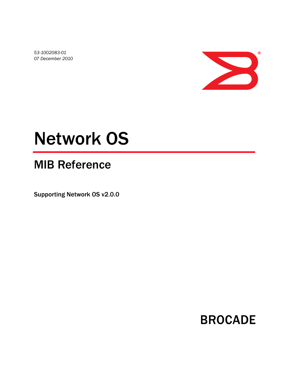*53-1002083-01 07 December 2010*



# Network OS

## MIB Reference

Supporting Network OS v2.0.0

## **BROCADE**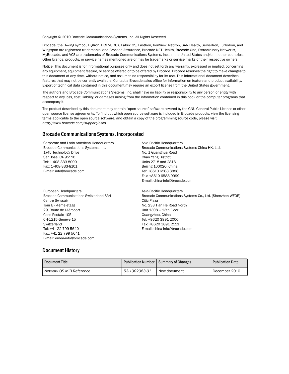Copyright © 2010 Brocade Communications Systems, Inc. All Rights Reserved.

Brocade, the B-wing symbol, BigIron, DCFM, DCX, Fabric OS, FastIron, IronView, NetIron, SAN Health, ServerIron, TurboIron, and Wingspan are registered trademarks, and Brocade Assurance, Brocade NET Health, Brocade One, Extraordinary Networks, MyBrocade, and VCS are trademarks of Brocade Communications Systems, Inc., in the United States and/or in other countries. Other brands, products, or service names mentioned are or may be trademarks or service marks of their respective owners.

Notice: This document is for informational purposes only and does not set forth any warranty, expressed or implied, concerning any equipment, equipment feature, or service offered or to be offered by Brocade. Brocade reserves the right to make changes to this document at any time, without notice, and assumes no responsibility for its use. This informational document describes features that may not be currently available. Contact a Brocade sales office for information on feature and product availability. Export of technical data contained in this document may require an export license from the United States government.

The authors and Brocade Communications Systems, Inc. shall have no liability or responsibility to any person or entity with respect to any loss, cost, liability, or damages arising from the information contained in this book or the computer programs that accompany it.

The product described by this document may contain "open source" software covered by the GNU General Public License or other open source license agreements. To find out which open source software is included in Brocade products, view the licensing terms applicable to the open source software, and obtain a copy of the programming source code, please visit *http://www.brocade.com/support/oscd*.

#### Brocade Communications Systems, Incorporated

Corporate and Latin American Headquarters Brocade Communications Systems, Inc. 1745 Technology Drive San Jose, CA 95110 Tel: 1-408-333-8000 Fax: 1-408-333-8101 E-mail: info@brocade.com

European Headquarters Brocade Communications Switzerland Sàrl Centre Swissair Tour B - 4ème étage 29, Route de l'Aéroport Case Postale 105 CH-1215 Genève 15 Switzerland Tel: +41 22 799 5640 Fax: +41 22 799 5641 E-mail: emea-info@brocade.com

Asia-Pacific Headquarters Brocade Communications Systems China HK, Ltd. No. 1 Guanghua Road Chao Yang District Units 2718 and 2818 Beijing 100020, China Tel: +8610 6588 8888 Fax: +8610 6588 9999 E-mail: china-info@brocade.com

Asia-Pacific Headquarters Brocade Communications Systems Co., Ltd. (Shenzhen WFOE) Citic Plaza No. 233 Tian He Road North Unit 1308 – 13th Floor Guangzhou, China Tel: +8620 3891 2000 Fax: +8620 3891 2111 E-mail: china-info@brocade.com

#### Document History

| Document Title           |               | <b>Publication Number   Summary of Changes</b> | <b>Publication Date</b> |
|--------------------------|---------------|------------------------------------------------|-------------------------|
| Network OS MIB Reference | 53-1002083-01 | New document                                   | December 2010           |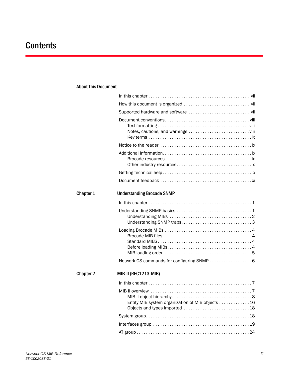#### [About This Document](#page-6-0)

|           | Notes, cautions, and warnings viii               |
|-----------|--------------------------------------------------|
|           |                                                  |
|           |                                                  |
|           |                                                  |
|           |                                                  |
| Chapter 1 | <b>Understanding Brocade SNMP</b>                |
|           |                                                  |
|           |                                                  |
|           |                                                  |
|           | Network OS commands for configuring SNMP 6       |
| Chapter 2 | MIB-II (RFC1213-MIB)                             |
|           |                                                  |
|           | Entity MIB system organization of MIB objects 16 |
|           |                                                  |
|           |                                                  |
|           |                                                  |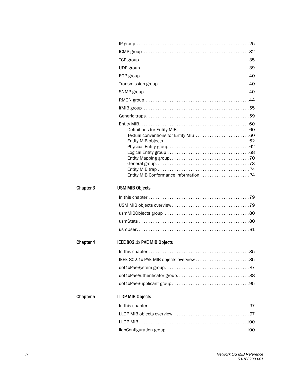| Chapter 3 | <b>USM MIB Objects</b>      |  |
|-----------|-----------------------------|--|
|           |                             |  |
|           |                             |  |
|           |                             |  |
|           |                             |  |
|           |                             |  |
|           |                             |  |
| Chapter 4 | IEEE 802.1x PAE MIB Objects |  |
|           |                             |  |
|           |                             |  |
|           |                             |  |
|           |                             |  |
|           |                             |  |
|           |                             |  |
| Chapter 5 | <b>LLDP MIB Objects</b>     |  |
|           |                             |  |
|           |                             |  |
|           |                             |  |
|           |                             |  |
|           |                             |  |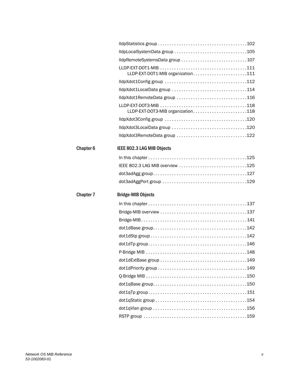|           | LLDP-EXT-DOT1-MIB organization111 |  |
|-----------|-----------------------------------|--|
|           |                                   |  |
|           |                                   |  |
|           | IldpXdot1RemoteData group 116     |  |
|           | LLDP-EXT-DOT3-MIB organization118 |  |
|           |                                   |  |
|           |                                   |  |
|           | IldpXdot3RemoteData group 122     |  |
| Chapter 6 | IEEE 802.3 LAG MIB Objects        |  |
|           |                                   |  |
|           |                                   |  |
|           |                                   |  |
|           |                                   |  |
| Chapter 7 | <b>Bridge-MIB Objects</b>         |  |
|           |                                   |  |
|           |                                   |  |
|           |                                   |  |
|           |                                   |  |
|           |                                   |  |
|           |                                   |  |
|           |                                   |  |
|           |                                   |  |
|           |                                   |  |
|           |                                   |  |
|           |                                   |  |
|           |                                   |  |
|           |                                   |  |
|           |                                   |  |
|           |                                   |  |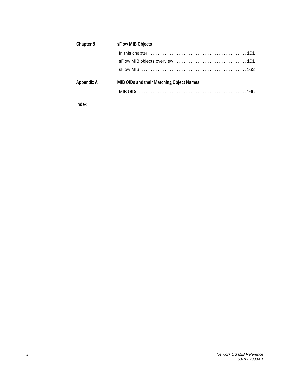| Chapter 8  | sFlow MIB Objects                               |  |
|------------|-------------------------------------------------|--|
|            |                                                 |  |
|            |                                                 |  |
|            |                                                 |  |
| Appendix A | <b>MIB OIDs and their Matching Object Names</b> |  |

[Index](#page-202-0)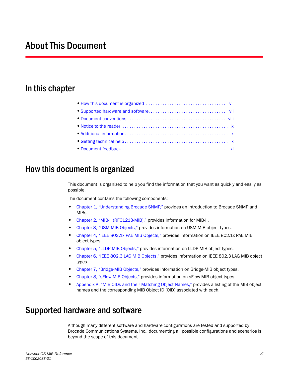### <span id="page-6-1"></span><span id="page-6-0"></span>In this chapter

### <span id="page-6-2"></span>How this document is organized

This document is organized to help you find the information that you want as quickly and easily as possible.

The document contains the following components:

- [Chapter 1, "Understanding Brocade SNMP,"](#page-12-3) provides an introduction to Brocade SNMP and MIBs.
- [Chapter 2, "MIB-II \(RFC1213-MIB\),"](#page-18-3) provides information for MIB-II.
- [Chapter 3, "USM MIB Objects,"](#page-90-3) provides information on USM MIB object types.
- [Chapter 4, "IEEE 802.1x PAE MIB Objects,"](#page-96-3) provides information on IEEE 802.1x PAE MIB object types.
- [Chapter 5, "LLDP MIB Objects,"](#page-108-3) provides information on LLDP MIB object types.
- [Chapter 6, "IEEE 802.3 LAG MIB Objects,"](#page-136-3) provides information on IEEE 802.3 LAG MIB object types.
- [Chapter 7, "Bridge-MIB Objects,"](#page-148-3) provides information on Bridge-MIB object types.
- [Chapter 8, "sFlow MIB Objects,"](#page-172-3) provides information on sFlow MIB object types.
- [Appendix A, "MIB OIDs and their Matching Object Names,"](#page-176-2) provides a listing of the MIB object names and the corresponding MIB Object ID (OID) associated with each.

### <span id="page-6-3"></span>Supported hardware and software

Although many different software and hardware configurations are tested and supported by Brocade Communications Systems, Inc., documenting all possible configurations and scenarios is beyond the scope of this document.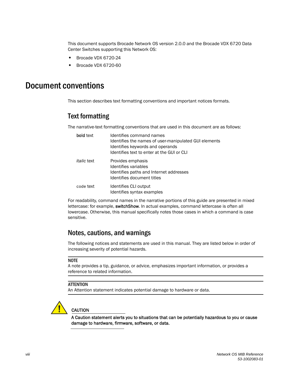This document supports Brocade Network OS version 2.0.0 and the Brocade VDX 6720 Data Center Switches supporting this Network OS:

- Brocade VDX 6720-24
- Brocade VDX 6720-60

### <span id="page-7-0"></span>Document conventions

This section describes text formatting conventions and important notices formats.

### <span id="page-7-1"></span>Text formatting

The narrative-text formatting conventions that are used in this document are as follows:

| <b>bold</b> text   | Identifies command names<br>Identifies the names of user-manipulated GUI elements<br>Identifies keywords and operands<br>Identifies text to enter at the GUI or CLI |
|--------------------|---------------------------------------------------------------------------------------------------------------------------------------------------------------------|
| <i>italic</i> text | Provides emphasis<br>Identifies variables<br>Identifies paths and Internet addresses<br>Identifies document titles                                                  |
| code <b>text</b>   | Identifies CLI output<br>Identifies syntax examples                                                                                                                 |

For readability, command names in the narrative portions of this guide are presented in mixed lettercase: for example, switchShow. In actual examples, command lettercase is often all lowercase. Otherwise, this manual specifically notes those cases in which a command is case sensitive.

#### <span id="page-7-2"></span>Notes, cautions, and warnings

The following notices and statements are used in this manual. They are listed below in order of increasing severity of potential hazards.

#### **NOTE**

A note provides a tip, guidance, or advice, emphasizes important information, or provides a reference to related information.

#### **ATTENTION**

An Attention statement indicates potential damage to hardware or data.



#### **CAUTION**

A Caution statement alerts you to situations that can be potentially hazardous to you or cause damage to hardware, firmware, software, or data.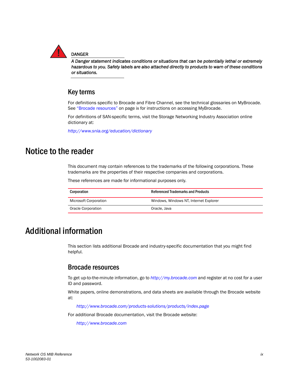

DANGER

*A Danger statement indicates conditions or situations that can be potentially lethal or extremely hazardous to you. Safety labels are also attached directly to products to warn of these conditions or situations.*

#### <span id="page-8-0"></span>Key terms

For definitions specific to Brocade and Fibre Channel, see the technical glossaries on MyBrocade. See ["Brocade resources" on page ix](#page-8-3) for instructions on accessing MyBrocade.

For definitions of SAN-specific terms, visit the Storage Networking Industry Association online dictionary at:

*<http://www.snia.org/education/dictionary>*

### <span id="page-8-1"></span>Notice to the reader

This document may contain references to the trademarks of the following corporations. These trademarks are the properties of their respective companies and corporations.

These references are made for informational purposes only.

| Corporation           | <b>Referenced Trademarks and Products</b> |
|-----------------------|-------------------------------------------|
| Microsoft Corporation | Windows, Windows NT, Internet Explorer    |
| Oracle Corporation    | Oracle, Java                              |

### <span id="page-8-2"></span>Additional information

This section lists additional Brocade and industry-specific documentation that you might find helpful.

#### <span id="page-8-3"></span>Brocade resources

To get up-to-the-minute information, go to *<http://my.brocade.com>* and register at no cost for a user ID and password.

White papers, online demonstrations, and data sheets are available through the Brocade website at:

*<http://www.brocade.com/products-solutions/products/index.page>*

For additional Brocade documentation, visit the Brocade website:

*<http://www.brocade.com>*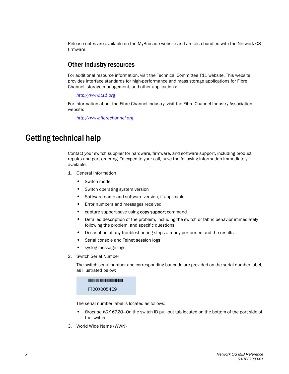Release notes are available on the MyBrocade website and are also bundled with the Network OS firmware.

### <span id="page-9-0"></span>Other industry resources

For additional resource information, visit the Technical Committee T11 website. This website provides interface standards for high-performance and mass storage applications for Fibre Channel, storage management, and other applications:

*<http://www.t11.org>*

For information about the Fibre Channel industry, visit the Fibre Channel Industry Association website:

*<http://www.fibrechannel.org>*

### <span id="page-9-1"></span>Getting technical help

Contact your switch supplier for hardware, firmware, and software support, including product repairs and part ordering. To expedite your call, have the following information immediately available:

- 1. General Information
	- Switch model
	- Switch operating system version
	- Software name and software version, if applicable
	- Error numbers and messages received
	- capture support-save using copy support command
	- Detailed description of the problem, including the switch or fabric behavior immediately following the problem, and specific questions
	- Description of any troubleshooting steps already performed and the results
	- Serial console and Telnet session logs
	- syslog message logs
- 2. Switch Serial Number

The switch serial number and corresponding bar code are provided on the serial number label, as illustrated below:

\*FT00X0054E9\*

FT00X0054E9

The serial number label is located as follows:

- *Brocade VDX 6720*—On the switch ID pull-out tab located on the bottom of the port side of the switch
- 3. World Wide Name (WWN)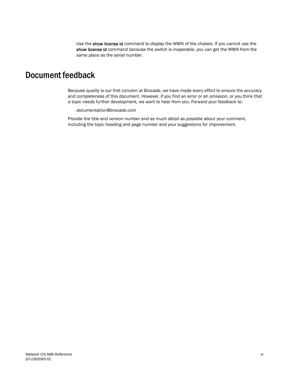Use the show license id command to display the WWN of the chassis. If you cannot use the show license id command because the switch is inoperable, you can get the WWN from the same place as the serial number.

### <span id="page-10-0"></span>Document feedback

Because quality is our first concern at Brocade, we have made every effort to ensure the accuracy and completeness of this document. However, if you find an error or an omission, or you think that a topic needs further development, we want to hear from you. Forward your feedback to:

*documentation@brocade.com*

Provide the title and version number and as much detail as possible about your comment, including the topic heading and page number and your suggestions for improvement.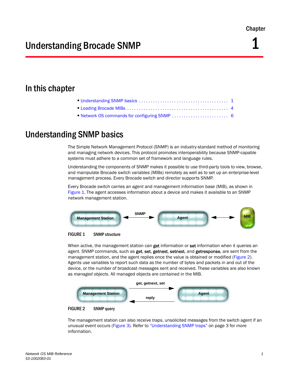## <span id="page-12-3"></span><span id="page-12-0"></span>Understanding Brocade SNMP 1

### <span id="page-12-1"></span>In this chapter

### <span id="page-12-2"></span>Understanding SNMP basics

The Simple Network Management Protocol (SNMP) is an industry-standard method of monitoring and managing network devices. This protocol promotes interoperability because SNMP-capable systems must adhere to a common set of framework and language rules.

Understanding the components of SNMP makes it possible to use third-party tools to view, browse, and manipulate Brocade switch variables (MIBs) remotely as well as to set up an enterprise-level management process. Every Brocade switch and director supports SNMP.

Every Brocade switch carries an *agent* and management information base (MIB), as shown in [Figure 1.](#page-12-4) The agent accesses information about a device and makes it available to an SNMP network management station.



<span id="page-12-4"></span>

When active, the management station can get information or set information when it queries an agent. SNMP commands, such as get, set, getnext, setnext, and getresponse, are sent from the management station, and the agent replies once the value is obtained or modified [\(Figure 2\)](#page-12-5). Agents use variables to report such data as the number of bytes and packets in and out of the device, or the number of broadcast messages sent and received. These variables are also known as *managed objects*. All managed objects are contained in the MIB.





<span id="page-12-5"></span>

The management station can also receive *traps*, unsolicited messages from the switch agent if an unusual event occurs [\(Figure 3\)](#page-13-1). Refer to ["Understanding SNMP traps" on page 3](#page-14-0) for more information.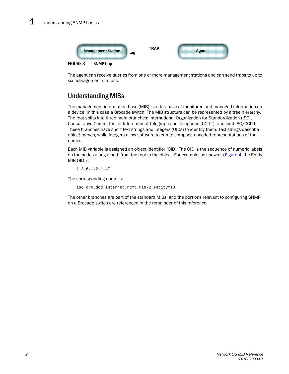

<span id="page-13-1"></span>The agent can receive queries from one or more management stations and can send traps to up to *six* management stations.

### <span id="page-13-0"></span>Understanding MIBs

The management information base (MIB) is a database of monitored and managed information on a device, in this case a Brocade switch. The MIB structure can be represented by a tree hierarchy. The root splits into three main branches: International Organization for Standardization (ISO), Consultative Committee for International Telegraph and Telephone (CCITT), and joint ISO/CCITT. These branches have short text strings and integers (OIDs) to identify them. Text strings describe *object names*, while integers allow software to create compact, encoded representations of the names.

Each MIB variable is assigned an object identifier (OID). The OID is the sequence of numeric labels on the nodes along a path from the root to the object. For example, as shown in [Figure 4](#page-14-1), the Entity MIB OID is:

1.3.6.1.2.1.47

The corresponding name is:

iso.org.dod.internet.mgmt.mib-2.entityMIB

The other branches are part of the standard MIBs, and the portions relevant to configuring SNMP on a Brocade switch are referenced in the remainder of this reference.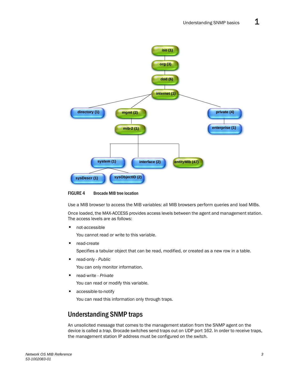

<span id="page-14-1"></span>FIGURE 4 Brocade MIB tree location

Use a MIB browser to access the MIB variables: all MIB browsers perform queries and load MIBs.

Once loaded, the MAX-ACCESS provides access levels between the agent and management station. The access levels are as follows:

• not-accessible

You cannot read or write to this variable.

• read-create

Specifies a tabular object that can be read, modified, or created as a new row in a table.

• read-only - *Public*

You can only monitor information.

• read-write - *Private*

You can read or modify this variable.

• accessible-to-notify

You can read this information only through traps.

#### <span id="page-14-0"></span>Understanding SNMP traps

An unsolicited message that comes to the management station from the SNMP agent on the device is called a *trap*. Brocade switches send traps out on UDP port 162. In order to receive traps, the management station IP address must be configured on the switch.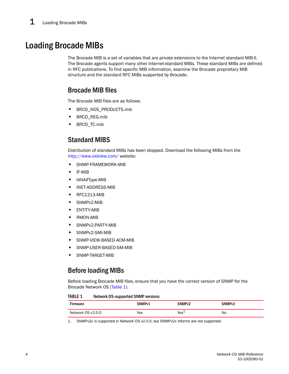### <span id="page-15-0"></span>Loading Brocade MIBs

The Brocade MIB is a set of variables that are private extensions to the Internet standard MIB-II. The Brocade agents support many other Internet-standard MIBs. These standard MIBs are defined in RFC publications. To find specific MIB information, examine the Brocade proprietary MIB structure and the standard RFC MIBs supported by Brocade.

### <span id="page-15-1"></span>Brocade MIB files

The Brocade MIB files are as follows:

- BRCD\_NOS\_PRODUCTS.mib
- BRCD\_REG.mib
- BRCD\_TC.mib

### <span id="page-15-2"></span>Standard MIBS

Distribution of standard MIBs has been stopped. Download the following MIBs from the *<http://www.oidview.com/>* website:

- SNMP-FRAMEWORK-MIB
- IF-MIB
- IANAifType-MIB
- INET-ADDRESS-MIB
- RFC1213-MIB
- SNMPv2-MIB
- ENTITY-MIB
- RMON-MIB
- SNMPv2-PARTY-MIB
- SNMPv2-SMI-MIB
- SNMP-VIEW-BASED-ACM-MIB
- SNMP-USER-BASED-SM-MIB
- SNMP-TARGET-MIB

### <span id="page-15-3"></span>Before loading MIBs

Before loading Brocade MIB files, ensure that you have the correct version of SNMP for the Brocade Network OS [\(Table 1\)](#page-15-4).

#### <span id="page-15-4"></span>TABLE 1 Network OS-supported SNMP versions

| Firmware          | SNMP <sub>v1</sub> | SNMP <sub>v2</sub> | SNMP <sub>v3</sub> |
|-------------------|--------------------|--------------------|--------------------|
| Network OS v2.0.0 | Yes                | $Yes+$             | No                 |

1. SNMPv2c is supported in Network OS v2.0.0, but SNMPv2c informs are not supported.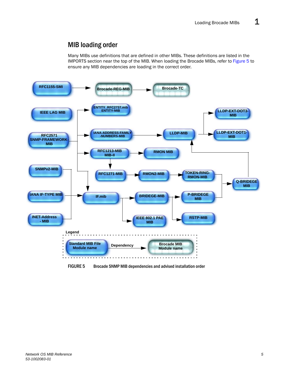### <span id="page-16-0"></span>MIB loading order

Many MIBs use definitions that are defined in other MIBs. These definitions are listed in the IMPORTS section near the top of the MIB. When loading the Brocade MIBs, refer to [Figure 5](#page-16-1) to ensure any MIB dependencies are loading in the correct order.



<span id="page-16-1"></span>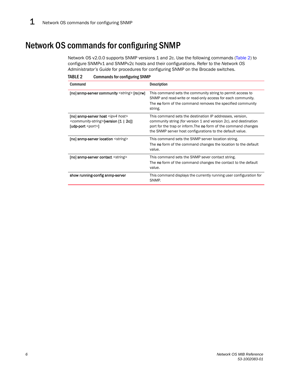### <span id="page-17-0"></span>Network OS commands for configuring SNMP

Network OS v2.0.0 supports SNMP versions 1 and 2c. Use the following commands ([Table 2\)](#page-17-1) to configure SNMPv1 and SNMPv2c hosts and their configurations. Refer to the *Network OS Administrator's Guide* for procedures for configuring SNMP on the Brocade switches.

#### <span id="page-17-1"></span>TABLE 2 Commands for configuring SNMP

| Command                                                                                                                                                    | <b>Description</b>                                                                                                                                                                                                                                           |
|------------------------------------------------------------------------------------------------------------------------------------------------------------|--------------------------------------------------------------------------------------------------------------------------------------------------------------------------------------------------------------------------------------------------------------|
| [no] snmp-server community <string> [ro] rw]</string>                                                                                                      | This command sets the community string to permit access to<br>SNMP and read-write or read-only access for each community.<br>The no form of the command removes the specified community<br>string.                                                           |
| [no] snmp-server host <ipv4 host=""><br/><community-string>[version [1   2c]]<br/><math>[udp-port &lt;</math>port <math> </math></community-string></ipv4> | This command sets the destination IP addresses, version,<br>community string (for version 1 and version 2c), and destination<br>port for the trap or inform. The no form of the command changes<br>the SNMP server host configurations to the default value. |
| [no] snmp-server location <string></string>                                                                                                                | This command sets the SNMP server location string.<br>The no form of the command changes the location to the default<br>value.                                                                                                                               |
| [no] snmp-server contact <string></string>                                                                                                                 | This command sets the SNMP sever contact string.<br>The no form of the command changes the contact to the default<br>value.                                                                                                                                  |
| show running-config snmp-server                                                                                                                            | This command displays the currently running user configuration for<br>SNMP.                                                                                                                                                                                  |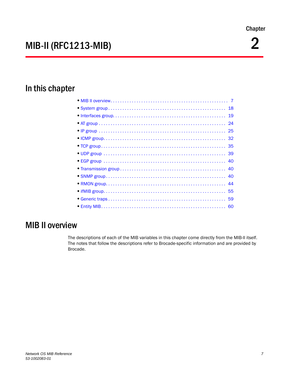### **Chapter**

### <span id="page-18-3"></span><span id="page-18-1"></span><span id="page-18-0"></span>In this chapter

### <span id="page-18-2"></span>MIB II overview

The descriptions of each of the MIB variables in this chapter come directly from the MIB-II itself. The notes that follow the descriptions refer to Brocade-specific information and are provided by Brocade.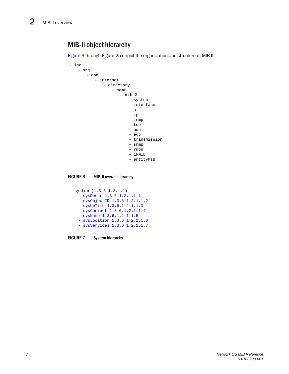### <span id="page-19-0"></span>MIB-II object hierarchy

[Figure 6](#page-19-1) through [Figure 25](#page-74-0) depict the organization and structure of MIB-II.



#### <span id="page-19-1"></span>FIGURE 6 MIB-II overall hierarchy

| $-$ system $(1.3.6.1.2.1.1)$    |
|---------------------------------|
| $-$ sysDescr $1.3.6.1.2.1.1.1$  |
| - sysObjectID 1.3.6.1.2.1.1.2   |
| $-$ sysUpTime $1.3.6.1.2.1.1.3$ |
| - sysContact 1.3.6.1.2.1.1.4    |
| $-$ sysName $1.3.6.1.2.1.1.5$   |
| - sysLocation 1.3.6.1.2.1.1.6   |
| - sysServices 1.3.6.1.2.1.1.7   |
|                                 |

FIGURE 7 System hierarchy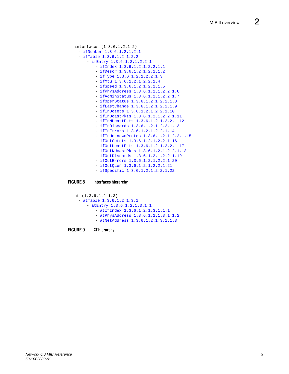```
- interfaces (1.3.6.1.2.1.2)
   - ifNumber 1.3.6.1.2.1.2.1
   - ifTable 1.3.6.1.2.1.2.2
       - ifEntry 1.3.6.1.2.1.2.2.1
          - ifIndex 1.3.6.1.2.1.2.2.1.1
          - ifDescr 1.3.6.1.2.1.2.2.1.2
          - ifType 1.3.6.1.2.1.2.2.1.3
          - ifMtu 1.3.6.1.2.1.2.2.1.4
          - ifSpeed 1.3.6.1.2.1.2.2.1.5
          - ifPhysAddress 1.3.6.1.2.1.2.2.1.6
          - ifAdminStatus 1.3.6.1.2.1.2.2.1.7
          - ifOperStatus 1.3.6.1.2.1.2.2.1.8
          - ifLastChange 1.3.6.1.2.1.2.2.1.9
          - ifInOctets 1.3.6.1.2.1.2.2.1.10
          - ifInUcastPkts 1.3.6.1.2.1.2.2.1.11
          - ifInNUcastPkts 1.3.6.1.2.1.2.2.1.12
          - ifInDiscards 1.3.6.1.2.1.2.2.1.13
          - ifInErrors 1.3.6.1.2.1.2.2.1.14
          - ifInUnknownProtos 1.3.6.1.2.1.2.2.1.15
          - ifOutOctets 1.3.6.1.2.1.2.2.1.16
          - ifOutUcastPkts 1.3.6.1.2.1.2.2.1.17
          - ifOutNUcastPkts 1.3.6.1.2.1.2.2.1.18
          - ifOutDiscards 1.3.6.1.2.1.2.2.1.19
          - ifOutErrors 1.3.6.1.2.1.2.2.1.20
          - ifOutQLen 1.3.6.1.2.1.2.2.1.21
          - ifSpecific 1.3.6.1.2.1.2.2.1.22
```
#### FIGURE 8 Interfaces hierarchy

- at (1.3.6.1.2.1.3) - [atTable 1.3.6.1.2.1.3.1](#page-36-1) - [atEntry 1.3.6.1.2.1.3.1.1](#page-36-2) - [atIfIndex 1.3.6.1.2.1.3.1.1.1](#page-36-3) - [atPhysAddress 1.3.6.1.2.1.3.1.1.2](#page-36-4) - [atNetAddress 1.3.6.1.2.1.3.1.1.3](#page-36-5)

FIGURE 9 AT hierarchy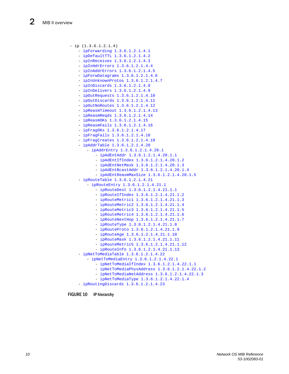```
- ip (1.3.6.1.2.1.4)
   - ipForwarding 1.3.6.1.2.1.4.1
   - ipDefaultTTL 1.3.6.1.2.1.4.2
   - ipInReceives 1.3.6.1.2.1.4.3
   - ipInHdrErrors 1.3.6.1.2.1.4.4
   - ipInAddrErrors 1.3.6.1.2.1.4.5
   - ipForwDatagrams 1.3.6.1.2.1.4.6
   - ipInUnknownProtos 1.3.6.1.2.1.4.7
   - ipInDiscards 1.3.6.1.2.1.4.8
   - ipInDelivers 1.3.6.1.2.1.4.9
   - ipOutRequests 1.3.6.1.2.1.4.10
   - ipOutDiscards 1.3.6.1.2.1.4.11
   - ipOutNoRoutes 1.3.6.1.2.1.4.12
   ipReasmTimeout 1.3.6.1.2.1.4.13
   - ipReasmReqds 1.3.6.1.2.1.4.14
   - ipReasmOKs 1.3.6.1.2.1.4.15
   - ipReasmFails 1.3.6.1.2.1.4.16
   - ipFragOKs 1.3.6.1.2.1.4.17
   - ipFragFails 1.3.6.1.2.1.4.18
   - ipFragCreates 1.3.6.1.2.1.4.19
   - ipAddrTable 1.3.6.1.2.1.4.20
       - ipAddrEntry 1.3.6.1.2.1.4.20.1
          - ipAdEntAddr 1.3.6.1.2.1.4.20.1.1
          - ipAdEntIfIndex 1.3.6.1.2.1.4.20.1.2
          - ipAdEntNetMask 1.3.6.1.2.1.4.20.1.3
          - ipAdEntBcastAddr 1.3.6.1.2.1.4.20.1.4
          - ipAdEntReasmMaxSize 1.3.6.1.2.1.4.20.1.5
   - ipRouteTable 1.3.6.1.2.1.4.21
       - ipRouteEntry 1.3.6.1.2.1.4.21.1
          - ipRouteDest 1.3.6.1.2.1.4.21.1.1
          - ipRouteIfIndex 1.3.6.1.2.1.4.21.1.2
          - ipRouteMetric1 1.3.6.1.2.1.4.21.1.3
          - ipRouteMetric2 1.3.6.1.2.1.4.21.1.4
          - ipRouteMetric3 1.3.6.1.2.1.4.21.1.5
          - ipRouteMetric4 1.3.6.1.2.1.4.21.1.6
          - ipRouteNextHop 1.3.6.1.2.1.4.21.1.7
          - ipRouteType 1.3.6.1.2.1.4.21.1.8
          - ipRouteProto 1.3.6.1.2.1.4.21.1.9
          - ipRouteAge 1.3.6.1.2.1.4.21.1.10
          - ipRouteMask 1.3.6.1.2.1.4.21.1.11
          - ipRouteMetric5 1.3.6.1.2.1.4.21.1.12
          - ipRouteInfo 1.3.6.1.2.1.4.21.1.13
   - ipNetToMediaTable 1.3.6.1.2.1.4.22
       - ipNetToMediaEntry 1.3.6.1.2.1.4.22.1
           - ipNetToMediaIfIndex 1.3.6.1.2.1.4.22.1.1
          - ipNetToMediaPhysAddress 1.3.6.1.2.1.4.22.1.2
          - ipNetToMediaNetAddress 1.3.6.1.2.1.4.22.1.3
          - ipNetToMediaType 1.3.6.1.2.1.4.22.1.4
   - ipRoutingDiscards 1.3.6.1.2.1.4.23
```
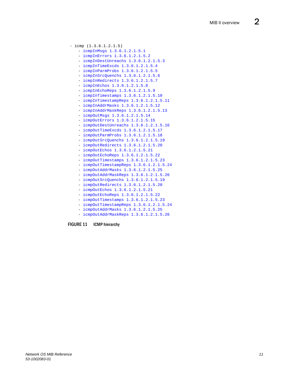```
- icmp (1.3.6.1.2.1.5)
   - icmpInMsgs 1.3.6.1.2.1.5.1
   - icmpInErrors 1.3.6.1.2.1.5.2
   - icmpInDestUnreachs 1.3.6.1.2.1.5.3
   - icmpInTimeExcds 1.3.6.1.2.1.5.4
   - icmpInParmProbs 1.3.6.1.2.1.5.5
   - icmpInSrcQuenchs 1.3.6.1.2.1.5.6
   - icmpInRedirects 1.3.6.1.2.1.5.7
   - icmpInEchos 1.3.6.1.2.1.5.8
   - icmpInEchoReps 1.3.6.1.2.1.5.9
   - icmpInTimestamps 1.3.6.1.2.1.5.10
   - icmpInTimestampReps 1.3.6.1.2.1.5.11
   - icmpInAddrMasks 1.3.6.1.2.1.5.12
   - icmpInAddrMaskReps 1.3.6.1.2.1.5.13
   - icmpOutMsgs 1.3.6.1.2.1.5.14
   - icmpOutErrors 1.3.6.1.2.1.5.15
   - icmpOutDestUnreachs 1.3.6.1.2.1.5.16
   - icmpOutTimeExcds 1.3.6.1.2.1.5.17
   - icmpOutParmProbs 1.3.6.1.2.1.5.18
   - icmpOutSrcQuenchs 1.3.6.1.2.1.5.19
   - icmpOutRedirects 1.3.6.1.2.1.5.20
   - icmpOutEchos 1.3.6.1.2.1.5.21
   - icmpOutEchoReps 1.3.6.1.2.1.5.22
   - icmpOutTimestamps 1.3.6.1.2.1.5.23
   - icmpOutTimestampReps 1.3.6.1.2.1.5.24
   - icmpOutAddrMasks 1.3.6.1.2.1.5.25
   - icmpOutAddrMaskReps 1.3.6.1.2.1.5.26
   - icmpOutSrcQuenchs 1.3.6.1.2.1.5.19
   - icmpOutRedirects 1.3.6.1.2.1.5.20
   - icmpOutEchos 1.3.6.1.2.1.5.21
   - icmpOutEchoReps 1.3.6.1.2.1.5.22
   - icmpOutTimestamps 1.3.6.1.2.1.5.23
   - icmpOutTimestampReps 1.3.6.1.2.1.5.24
   - icmpOutAddrMasks 1.3.6.1.2.1.5.25
   - icmpOutAddrMaskReps 1.3.6.1.2.1.5.26
```
FIGURE 11 ICMP hierarchy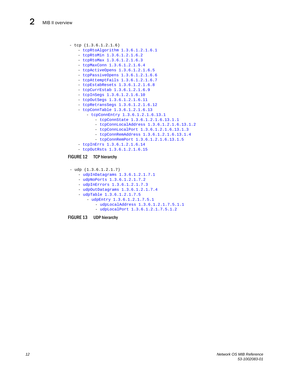```
- tcp (1.3.6.1.2.1.6)
   - tcpRtoAlgorithm 1.3.6.1.2.1.6.1
   - tcpRtoMin 1.3.6.1.2.1.6.2
   - tcpRtoMax 1.3.6.1.2.1.6.3
   - tcpMaxConn 1.3.6.1.2.1.6.4
   - tcpActiveOpens 1.3.6.1.2.1.6.5
   - tcpPassiveOpens 1.3.6.1.2.1.6.6
   - tcpAttemptFails 1.3.6.1.2.1.6.7
   - tcpEstabResets 1.3.6.1.2.1.6.8
   - tcpCurrEstab 1.3.6.1.2.1.6.9
   - tcpInSegs 1.3.6.1.2.1.6.10
   - tcpOutSegs 1.3.6.1.2.1.6.11
   - tcpRetransSegs 1.3.6.1.2.1.6.12
   - tcpConnTable 1.3.6.1.2.1.6.13
       - tcpConnEntry 1.3.6.1.2.1.6.13.1
          - tcpConnState 1.3.6.1.2.1.6.13.1.1
          - tcpConnLocalAddress 1.3.6.1.2.1.6.13.1.2
          - tcpConnLocalPort 1.3.6.1.2.1.6.13.1.3
          - tcpConnRemAddress 1.3.6.1.2.1.6.13.1.4
          - tcpConnRemPort 1.3.6.1.2.1.6.13.1.5
   - tcpInErrs 1.3.6.1.2.1.6.14
   - tcpOutRsts 1.3.6.1.2.1.6.15
```
FIGURE 12 TCP hierarchy

```
- udp (1.3.6.1.2.1.7)
   - udpInDatagrams 1.3.6.1.2.1.7.1
   - udpNoPorts 1.3.6.1.2.1.7.2
   - udpInErrors 1.3.6.1.2.1.7.3
   - udpOutDatagrams 1.3.6.1.2.1.7.4
   - udpTable 1.3.6.1.2.1.7.5
       - udpEntry 1.3.6.1.2.1.7.5.1
          - udpLocalAddress 1.3.6.1.2.1.7.5.1.1
          - udpLocalPort 1.3.6.1.2.1.7.5.1.2
```
FIGURE 13 UDP hierarchy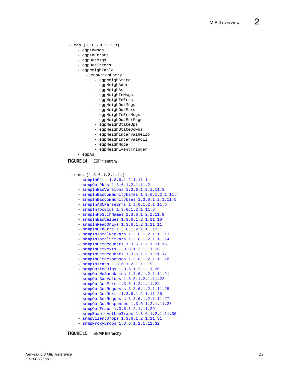- egp (1.3.6.1.2.1.8)
	- egpInMsgs
	- egpInErrors
	- egpOutMsgs
	- egpOutErrors
	- egpNeighTable
		- egpNeighEntry
			- egpNeighState
			- egpNeighAddr
			- egpNeighAs
			- egpNeighInMsgs
			- egpNeighInErrs
			- egpNeighOutMsgs
			- egpNeighOutErrs
			- egpNeighInErrMsgs
			- egpNeighOutErrMsgs
			- egpNeighStateUps
			- egpNeighStateDowns
			- egpNeighIntervalHello
			- egpNeighIntervalPoll
			- egpNeighMode
			- egpNeighEventTrigger
	- egpAs

#### FIGURE 14 EGP hierarchy

```
- snmp (1.3.6.1.2.1.11)
   - snmpInPkts 1.3.6.1.2.1.11.1
   - snmpOutPkts 1.3.6.1.2.1.11.2
   - snmpInBadVersions 1.3.6.1.2.1.11.3
   - snmpInBadCommunityNames 1.3.6.1.2.1.11.4
   - snmpInBadCommunityUses 1.3.6.1.2.1.11.5
   - snmpInASNParseErrs 1.3.6.1.2.1.11.6
   - snmpInTooBigs 1.3.6.1.2.1.11.8
   - snmpInNoSuchNames 1.3.6.1.2.1.11.9
   - snmpInBadValues 1.3.6.1.2.1.11.10
   - snmpInReadOnlys 1.3.6.1.2.1.11.11
   - snmpInGenErrs 1.3.6.1.2.1.11.12
   - snmpInTotalReqVars 1.3.6.1.2.1.11.13
   - snmpInTotalSetVars 1.3.6.1.2.1.11.14
   - snmpInGetRequests 1.3.6.1.2.1.11.15
   - snmpInGetNexts 1.3.6.1.2.1.11.16
   - snmpInSetRequests 1.3.6.1.2.1.11.17
   - snmpInGetResponses 1.3.6.1.2.1.11.18
   - snmpInTraps 1.3.6.1.2.1.11.19
   - snmpOutTooBigs 1.3.6.1.2.1.11.20
   - snmpOutNoSuchNames 1.3.6.1.2.1.11.21
   - snmpOutBadValues 1.3.6.1.2.1.11.22
   - snmpOutGenErrs 1.3.6.1.2.1.11.24
   - snmpOutGetRequests 1.3.6.1.2.1.11.25
   - snmpOutGetNexts 1.3.6.1.2.1.11.26
   - snmpOutSetRequests 1.3.6.1.2.1.11.27
   - snmpOutGetResponses 1.3.6.1.2.1.11.28
   - snmpOutTraps 1.3.6.1.2.1.11.29
   - snmpEnableAuthenTraps 1.3.6.1.2.1.11.30
   - snmpSilentDrops 1.3.6.1.2.1.11.31
   - snmpProxyDrops 1.3.6.1.2.1.11.32
```
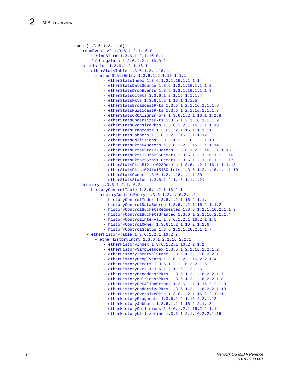```
- rmon (1.3.6.1.2.1.16)
   - rmonEventsV2 1.3.6.1.2.1.16.0
       - risingAlarm 1.3.6.1.2.1.16.0.1
       - fallingAlarm 1.3.6.1.2.1.16.0.2
   - statistics 1.3.6.1.2.1.16.1
       - etherStatsTable 1.3.6.1.2.1.16.1.1
          - etherStatsEntry 1.3.6.1.2.1.16.1.1.1
              - etherStatsIndex 1.3.6.1.2.1.16.1.1.1.1
              - etherStatsDataSource 1.3.6.1.2.1.16.1.1.1.2
              - etherStatsDropEvents 1.3.6.1.2.1.16.1.1.1.3
              - etherStatsOctets 1.3.6.1.2.1.16.1.1.1.4
              - etherStatsPkts 1.3.6.1.2.1.16.1.1.1.5
              - etherStatsBroadcastPkts 1.3.6.1.2.1.16.1.1.1.6
              - etherStatsMulticastPkts 1.3.6.1.2.1.16.1.1.1.7
              - etherStatsCRCAlignErrors 1.3.6.1.2.1.16.1.1.1.8
              - etherStatsUndersizePkts 1.3.6.1.2.1.16.1.1.1.9
              - etherStatsOversizePkts 1.3.6.1.2.1.16.1.1.1.10
              - etherStatsFragments 1.3.6.1.2.1.16.1.1.1.11
              - etherStatsJabbers 1.3.6.1.2.1.16.1.1.1.12
              - etherStatsCollisions 1.3.6.1.2.1.16.1.1.1.13
              - etherStatsPkts64Octets 1.3.6.1.2.1.16.1.1.1.14
              - etherStatsPkts65to127Octets 1.3.6.1.2.1.16.1.1.1.15
              - etherStatsPkts128to255Octets 1.3.6.1.2.1.16.1.1.1.16
              - etherStatsPkts256to511Octets 1.3.6.1.2.1.16.1.1.1.17
              - etherStatsPkts512to1023Octets 1.3.6.1.2.1.16.1.1.1.18
              - etherStatsPkts1024to1518Octets 1.3.6.1.2.1.16.1.1.1.19
              - etherStatsOwner 1.3.6.1.2.1.16.1.1.1.20
              - etherStatsStatus 1.3.6.1.2.1.16.1.1.1.21
   - history 1.3.6.1.2.1.16.2
       - historyControlTable 1.3.6.1.2.1.16.2.1
          - historyControlEntry 1.3.6.1.2.1.16.2.1.1
              - historyControlIndex 1.3.6.1.2.1.16.2.1.1.1
              - historyControlDataSource 1.3.6.1.2.1.16.2.1.1.2
              - historyControlBucketsRequested 1.3.6.1.2.1.16.2.1.1.3
              - historyControlBucketsGranted 1.3.6.1.2.1.16.2.1.1.4
              - historyControlInterval 1.3.6.1.2.1.16.2.1.1.5
              - historyControlOwner 1.3.6.1.2.1.16.2.1.1.6
              - historyControlStatus 1.3.6.1.2.1.16.2.1.1.7
       - etherHistoryTable 1.3.6.1.2.1.16.2.2
          - etherHistoryEntry 1.3.6.1.2.1.16.2.2.1
              - etherHistoryIndex 1.3.6.1.2.1.16.2.2.1.1
              - etherHistorySampleIndex 1.3.6.1.2.1.16.2.2.1.2
              - etherHistoryIntervalStart 1.3.6.1.2.1.16.2.2.1.3
              - etherHistoryDropEvents 1.3.6.1.2.1.16.2.2.1.4
              - etherHistoryOctets 1.3.6.1.2.1.16.2.2.1.5
              - etherHistoryPkts 1.3.6.1.2.1.16.2.2.1.6
              - etherHistoryBroadcastPkts 1.3.6.1.2.1.16.2.2.1.7
              - etherHistoryMulticastPkts 1.3.6.1.2.1.16.2.2.1.8
              - etherHistoryCRCAlignErrors 1.3.6.1.2.1.16.2.2.1.9
              - etherHistoryUndersizePkts 1.3.6.1.2.1.16.2.2.1.10
              - etherHistoryOversizePkts 1.3.6.1.2.1.16.2.2.1.11
              - etherHistoryFragments 1.3.6.1.2.1.16.2.2.1.12
              - etherHistoryJabbers 1.3.6.1.2.1.16.2.2.1.13
              - etherHistoryCollisions 1.3.6.1.2.1.16.2.2.1.14
```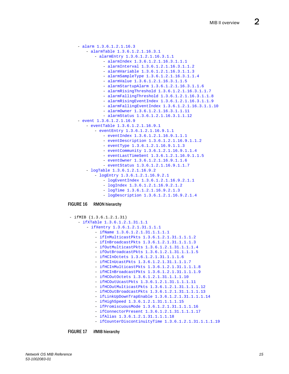```
- alarm 1.3.6.1.2.1.16.3
   - alarmTable 1.3.6.1.2.1.16.3.1
       - alarmEntry 1.3.6.1.2.1.16.3.1.1
          - alarmIndex 1.3.6.1.2.1.16.3.1.1.1
          - alarmInterval 1.3.6.1.2.1.16.3.1.1.2
          - alarmVariable 1.3.6.1.2.1.16.3.1.1.3
          - alarmSampleType 1.3.6.1.2.1.16.3.1.1.4
          - alarmValue 1.3.6.1.2.1.16.3.1.1.5
          - alarmStartupAlarm 1.3.6.1.2.1.16.3.1.1.6
          - alarmRisingThreshold 1.3.6.1.2.1.16.3.1.1.7
          - alarmFallingThreshold 1.3.6.1.2.1.16.3.1.1.8
          - alarmRisingEventIndex 1.3.6.1.2.1.16.3.1.1.9
          - alarmFallingEventIndex 1.3.6.1.2.1.16.3.1.1.10
          - alarmOwner 1.3.6.1.2.1.16.3.1.1.11
          - alarmStatus 1.3.6.1.2.1.16.3.1.1.12
- event 1.3.6.1.2.1.16.9
   - eventTable 1.3.6.1.2.1.16.9.1
       - eventEntry 1.3.6.1.2.1.16.9.1.1
          - eventIndex 1.3.6.1.2.1.16.9.1.1.1
          - eventDescription 1.3.6.1.2.1.16.9.1.1.2
          - eventType 1.3.6.1.2.1.16.9.1.1.3
          - eventCommunity 1.3.6.1.2.1.16.9.1.1.4
          - eventLastTimeSent 1.3.6.1.2.1.16.9.1.1.5
          - eventOwner 1.3.6.1.2.1.16.9.1.1.6
          - eventStatus 1.3.6.1.2.1.16.9.1.1.7
   - logTable 1.3.6.1.2.1.16.9.2
       - logEntry 1.3.6.1.2.1.16.9.2.1
          - logEventIndex 1.3.6.1.2.1.16.9.2.1.1
          - logIndex 1.3.6.1.2.1.16.9.2.1.2
          - logTime 1.3.6.1.2.1.16.9.2.1.3
          - logDescription 1.3.6.1.2.1.16.9.2.1.4
```
#### FIGURE 16 RMON hierarchy

```
- ifMIB (1.3.6.1.2.1.31)
   - ifXTable 1.3.6.1.2.1.31.1.1
       - ifXentry 1.3.6.1.2.1.31.1.1.1
          - ifName 1.3.6.1.2.1.31.1.1.1.1
          - ifInMulticastPkts 1.3.6.1.2.1.31.1.1.1.2
          - ifInBroadcastPkts 1.3.6.1.2.1.31.1.1.1.3
          - ifOutMulticastPkts 1.3.6.1.2.1.31.1.1.1.4
          - ifOutBroadcastPkts 1.3.6.1.2.1.31.1.1.1.5
          - ifHCInOctets 1.3.6.1.2.1.31.1.1.1.6
          - ifHCInUcastPkts 1.3.6.1.2.1.31.1.1.1.7
          - ifHCInMulticastPkts 1.3.6.1.2.1.31.1.1.1.8
          - ifHCInBroadcastPkts 1.3.6.1.2.1.31.1.1.1.9
          - ifHCOutOctets 1.3.6.1.2.1.31.1.1.1.10
          - ifHCOutUcastPkts 1.3.6.1.2.1.31.1.1.1.11
          - ifHCOutMulticastPkts 1.3.6.1.2.1.31.1.1.1.12
          - ifHCOutBroadcastPkts 1.3.6.1.2.1.31.1.1.1.13
          - ifLinkUpDownTrapEnable 1.3.6.1.2.1.31.1.1.1.14
          - ifHighSpeed 1.3.6.1.2.1.31.1.1.1.15
          - ifPromiscuousMode 1.3.6.1.2.1.31.1.1.1.16
          - ifConnectorPresent 1.3.6.1.2.1.31.1.1.1.17
          - ifAlias 1.3.6.1.2.1.31.1.1.1.18
          - ifCounterDiscontinuityTime 1.3.6.1.2.1.31.1.1.1.19
```
FIGURE 17 ifMIB hierarchy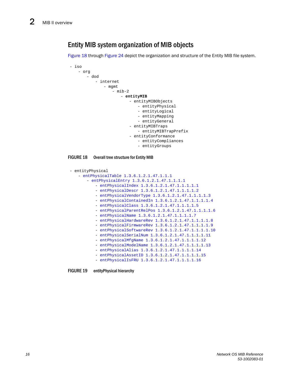### <span id="page-27-0"></span>Entity MIB system organization of MIB objects

[Figure 18](#page-27-1) through [Figure 24](#page-28-0) depict the organization and structure of the Entity MIB file system.



<span id="page-27-1"></span>FIGURE 18 Overall tree structure for Entity MIB

```
- entityPhysical 
   - entPhysicalTable 1.3.6.1.2.1.47.1.1.1
       - entPhysicalEntry 1.3.6.1.2.1.47.1.1.1.1
          - entPhysicalIndex 1.3.6.1.2.1.47.1.1.1.1.1
          - entPhysicalDescr 1.3.6.1.2.1.47.1.1.1.1.2
          - entPhysicalVendorType 1.3.6.1.2.1.47.1.1.1.1.3
          - entPhysicalContainedIn 1.3.6.1.2.1.47.1.1.1.1.4
          - entPhysicalClass 1.3.6.1.2.1.47.1.1.1.1.5
          - entPhysicalParentRelPos 1.3.6.1.2.1.47.1.1.1.1.6
          - entPhysicalName 1.3.6.1.2.1.47.1.1.1.1.7
          - entPhysicalHardwareRev 1.3.6.1.2.1.47.1.1.1.1.8
          - entPhysicalFirmwareRev 1.3.6.1.2.1.47.1.1.1.1.9
          - entPhysicalSoftwareRev 1.3.6.1.2.1.47.1.1.1.1.10
          - entPhysicalSerialNum 1.3.6.1.2.1.47.1.1.1.1.11
          - entPhysicalMfgName 1.3.6.1.2.1.47.1.1.1.1.12
          - entPhysicalModelName 1.3.6.1.2.1.47.1.1.1.1.13
          - entPhysicalAlias 1.3.6.1.2.1.47.1.1.1.1.14
          - entPhysicalAssetID 1.3.6.1.2.1.47.1.1.1.1.15
          - entPhysicalIsFRU 1.3.6.1.2.1.47.1.1.1.1.16
```
FIGURE 19 entityPhysical hierarchy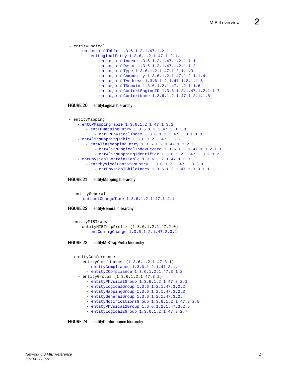```
- entityLogical
   - entLogicalTable 1.3.6.1.2.1.47.1.2.1
       - entLogicalEntry 1.3.6.1.2.1.47.1.2.1.1
          - entLogicalIndex 1.3.6.1.2.1.47.1.2.1.1.1
          - entLogicalDescr 1.3.6.1.2.1.47.1.2.1.1.2
          - entLogicalType 1.3.6.1.2.1.47.1.2.1.1.3
          - entLogicalCommunity 1.3.6.1.2.1.47.1.2.1.1.4
          - entLogicalTAddress 1.3.6.1.2.1.47.1.2.1.1.5
          - entLogicalTDomain 1.3.6.1.2.1.47.1.2.1.1.6
```
- - [entLogicalContextEngineID 1.3.6.1.2.1.47.1.2.1.1.7](#page-81-2)
- - [entLogicalContextName 1.3.6.1.2.1.47.1.2.1.1.8](#page-81-3)

#### FIGURE 20 entityLogical hierarchy

```
- entityMapping
```

```
- entLPMappingTable 1.3.6.1.2.1.47.1.3.1
   - entLPMappingEntry 1.3.6.1.2.1.47.1.3.1.1
       - entLPPhysicalIndex 1.3.6.1.2.1.47.1.3.1.1.1
- entAliasMappingTable 1.3.6.1.2.1.47.1.3.2
   - entAliasMappingEntry 1.3.6.1.2.1.47.1.3.2.1
       - entAliasLogicalIndexOrZero 1.3.6.1.2.1.47.1.3.2.1.1
       - entAliasMappingIdentifier 1.3.6.1.2.1.47.1.3.2.1.2
- entPhysicalContainsTable 1.3.6.1.2.1.47.1.3.3
   - entPhysicalContainsEntry 1.3.6.1.2.1.47.1.3.3.1
       - entPhysicalChildIndex 1.3.6.1.2.1.47.1.3.3.1.1
```
#### FIGURE 21 entityMapping hierarchy

```
- entityGeneral 
   - entLastChangeTime 1.3.6.1.2.1.47.1.4.1
```
#### FIGURE 22 entityGeneral hierarchy

```
- entityMIBTraps 
   - entityMIBTrapPrefix (1.3.6.1.2.1.47.2.0)
       - entConfigChange 1.3.6.1.2.1.47.2.0.1
```
#### FIGURE 23 entityMIBTrapPrefix hierarchy

#### - entityConformance

```
- entityCompliances (1.3.6.1.2.1.47.3.1)
```

```
- entityCompliance 1.3.6.1.2.1.47.3.1.1
```

```
- entity2Compliance 1.3.6.1.2.1.47.3.1.2
```
- entityGroups (1.3.6.1.2.1.47.3.2)
	- - [entityPhysicalGroup 1.3.6.1.2.1.47.3.2.1](#page-86-0)
	- - [entityLogicalGroup 1.3.6.1.2.1.47.3.2.2](#page-86-1)
	- - [entityMappingGroup 1.3.6.1.2.1.47.3.2.3](#page-87-0) - [entityGeneralGroup 1.3.6.1.2.1.47.3.2.4](#page-87-1)
	- - [entityNotificationsGroup 1.3.6.1.2.1.47.3.2.5](#page-87-2)
	- - [entityPhysical2Group 1.3.6.1.2.1.47.3.2.6](#page-87-3)
	- - [entityLogical2Group 1.3.6.1.2.1.47.3.2.7](#page-88-0)

<span id="page-28-0"></span>FIGURE 24 entityConformance hierarchy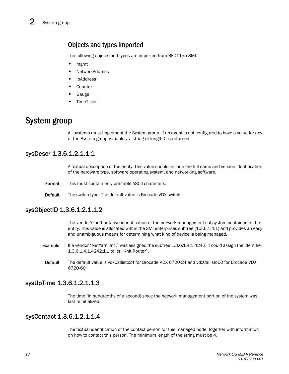### <span id="page-29-0"></span>Objects and types imported

The following objects and types are imported from RFC1155-SMI:

- mgmt
- **NetworkAddress**
- IpAddress
- Counter
- **Gauge**
- **TimeTicks**

### <span id="page-29-1"></span>System group

All systems must implement the System group. If an agent is not configured to have a value for any of the System group variables, a string of length 0 is returned.

#### <span id="page-29-2"></span>sysDescr 1.3.6.1.2.1.1.1

A textual description of the entity. This value should include the full name and version identification of the hardware type, software operating system, and networking software.

Format This must contain only printable ASCII characters.

Default The switch type. The default value is Brocade VDX switch.

#### <span id="page-29-3"></span>sysObjectID 1.3.6.1.2.1.1.2

The vendor's authoritative identification of the network management subsystem contained in the entity. This value is allocated within the SMI enterprises subtree (1.3.6.1.4.1) and provides an easy and unambiguous means for determining what kind of device is being managed.

- **Example** If a vendor "NetYarn, Inc." was assigned the subtree 1.3.6.1.4.1.4242, it could assign the identifier 1.3.6.1.4.1.4242.1.1 to its "Knit Router".
- Default The default value is vdxCallisto24 for Brocade VDX 6720-24 and vdxCallisto60 for Brocade VDX 6720-60

#### <span id="page-29-4"></span>sysUpTime 1.3.6.1.2.1.1.3

The time (in hundredths of a second) since the network management portion of the system was last reinitialized.

#### <span id="page-29-5"></span>sysContact 1.3.6.1.2.1.1.4

The textual identification of the contact person for this managed node, together with information on how to contact this person. The minimum length of the string must be 4.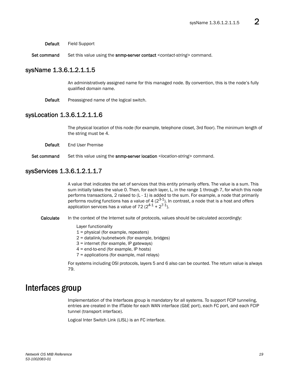Default Field Support

Set command Set this value using the **snmp-server contact** <contact-string> command.

#### <span id="page-30-1"></span>sysName 1.3.6.1.2.1.1.5

An administratively assigned name for this managed node. By convention, this is the node's fully qualified domain name.

Default Preassigned name of the logical switch.

#### <span id="page-30-2"></span>sysLocation 1.3.6.1.2.1.1.6

The physical location of this node (for example, telephone closet, 3rd floor). The minimum length of the string must be 4.

Default End User Premise

Set command Set this value using the snmp-server location <location-string> command.

#### <span id="page-30-3"></span>sysServices 1.3.6.1.2.1.1.7

A value that indicates the set of services that this entity primarily offers. The value is a sum. This sum initially takes the value 0. Then, for each layer, L, in the range 1 through 7, for which this node performs transactions, 2 raised to  $(L - 1)$  is added to the sum. For example, a node that primarily performs routing functions has a value of  $4$  ( $2^{3-1}$ ). In contrast, a node that is a host and offers application services has a value of 72  $(2^{4\cdot1} + 2^{7\cdot1})$ .

Calculate In the context of the Internet suite of protocols, values should be calculated accordingly:

- Layer functionality
- $1$  = physical (for example, repeaters)
- 2 = datalink/subnetwork (for example, bridges)
- 3 = internet (for example, IP gateways)
- 4 = end-to-end (for example, IP hosts)
- 7 = applications (for example, mail relays)

For systems including OSI protocols, layers 5 and 6 also can be counted. The return value is always 79.

### <span id="page-30-0"></span>Interfaces group

Implementation of the Interfaces group is mandatory for all systems. To support FCIP tunneling, entries are created in the ifTable for each WAN interface (GbE port), each FC port, and each FCIP tunnel (transport interface).

Logical Inter Switch Link (LISL) is an FC interface.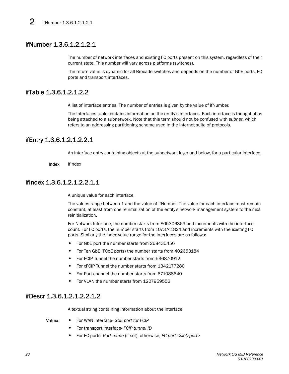#### <span id="page-31-0"></span>ifNumber 1.3.6.1.2.1.2.1

The number of network interfaces and existing FC ports present on this system, regardless of their current state. This number will vary across platforms (switches).

The return value is dynamic for all Brocade switches and depends on the number of GbE ports, FC ports and transport interfaces.

#### <span id="page-31-1"></span>ifTable 1.3.6.1.2.1.2.2

A list of interface entries. The number of entries is given by the value of ifNumber.

The Interfaces table contains information on the entity's interfaces. Each interface is thought of as being attached to a subnetwork. Note that this term should not be confused with *subnet*, which refers to an addressing partitioning scheme used in the Internet suite of protocols.

#### <span id="page-31-2"></span>ifEntry 1.3.6.1.2.1.2.2.1

An interface entry containing objects at the subnetwork layer and below, for a particular interface.

Index ifIndex

#### <span id="page-31-3"></span>ifIndex 1.3.6.1.2.1.2.2.1.1

A unique value for each interface.

The values range between 1 and the value of ifNumber. The value for each interface must remain constant, at least from one reinitialization of the entity's network management system to the next reinitialization.

For Network Interface, the number starts from 805306369 and increments with the interface count. For FC ports, the number starts from 1073741824 and increments with the existing FC ports. Similarly the index value range for the interfaces are as follows:

- For GbE port the number starts from 268435456
- For Ten GbE (FCoE ports) the number starts from 402653184
- For FCIP Tunnel the number starts from 536870912
- For xFCIP Tunnel the number starts from 1342177280
- For Port channel the number starts from 671088640
- For VLAN the number starts from 1207959552

#### <span id="page-31-4"></span>ifDescr 1.3.6.1.2.1.2.2.1.2

A textual string containing information about the interface.

- Values For WAN interface- *GbE port for FCIP*
	- For transport interface- *FCIP tunnel ID*
	- For FC ports- *Port name* (if set), otherwise, *FC port <slot/port>*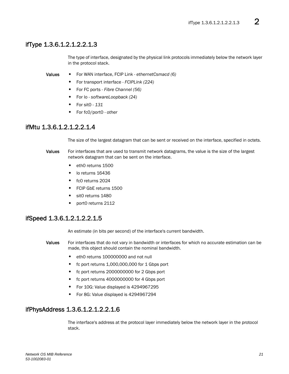#### <span id="page-32-0"></span>ifType 1.3.6.1.2.1.2.2.1.3

The type of interface, designated by the physical link protocols immediately below the network layer in the protocol stack.

- 
- Values For WAN interface, FCIP Link *ethernetCsmacd (6)*
	- For transport interface *FCIPLink (224)*
	- For FC ports *Fibre Channel (56)*
	- For lo *softwareLoopback (24)*
	- For sit0 *131*
	- For fc0/port0 *other*

#### <span id="page-32-1"></span>ifMtu 1.3.6.1.2.1.2.2.1.4

The size of the largest datagram that can be sent or received on the interface, specified in octets.

- Values For interfaces that are used to transmit network datagrams, the value is the size of the largest network datagram that can be sent on the interface.
	- eth0 returns 1500
	- lo returns 16436
	- fc0 returns 2024
	- FCIP GbE returns 1500
	- sit0 returns 1480
	- port0 returns 2112

#### <span id="page-32-2"></span>ifSpeed 1.3.6.1.2.1.2.2.1.5

An estimate (in bits per second) of the interface's current bandwidth.

- Values For interfaces that do not vary in bandwidth or interfaces for which no accurate estimation can be made, this object should contain the nominal bandwidth.
	- eth0 returns 100000000 and not null
	- fc port returns 1,000,000,000 for 1 Gbps port
	- fc port returns 2000000000 for 2 Gbps port
	- fc port returns 4000000000 for 4 Gbps port
	- For 10G: Value displayed is 4294967295
	- For 8G: Value displayed is 4294967294

#### <span id="page-32-3"></span>ifPhysAddress 1.3.6.1.2.1.2.2.1.6

The interface's address at the protocol layer immediately below the network layer in the protocol stack.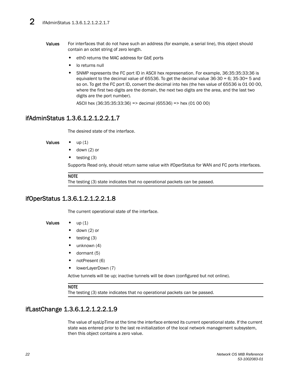- Values For interfaces that do not have such an address (for example, a serial line), this object should contain an octet string of zero length.
	- eth0 returns the MAC address for GbE ports
	- lo returns null
	- SNMP represents the FC port ID in ASCII hex represenation. For example, 36:35:35:33:36 is equivalent to the decimal value of 65536. To get the decimal value 36-30 = 6; 35-30= 5 and so on. To get the FC port ID, convert the decimal into hex (the hex value of 65536 is 01 00 00, where the first two digits are the domain, the next two digits are the area, and the last two digits are the port number).

ASCII hex (36:35:35:33:36) => decimal (65536) => hex (01 00 00)

#### <span id="page-33-0"></span>ifAdminStatus 1.3.6.1.2.1.2.2.1.7

The desired state of the interface.

- Values  $\bullet$  up (1)
	- down (2) or
	- testing (3)

Supports Read only, should return same value with ifOperStatus for WAN and FC ports interfaces.

```
NOTE
```
The testing (3) state indicates that no operational packets can be passed.

#### <span id="page-33-1"></span>ifOperStatus 1.3.6.1.2.1.2.2.1.8

The current operational state of the interface.

**Values** •  $up(1)$ 

- down (2) or
- testing  $(3)$
- unknown (4)
- dormant (5)
- notPresent (6)
- lowerLayerDown (7)

Active tunnels will be up; inactive tunnels will be down (configured but not online).

#### **NOTE**

The testing (3) state indicates that no operational packets can be passed.

#### <span id="page-33-2"></span>ifLastChange 1.3.6.1.2.1.2.2.1.9

The value of sysUpTime at the time the interface entered its current operational state. If the current state was entered prior to the last re-initialization of the local network management subsystem, then this object contains a zero value.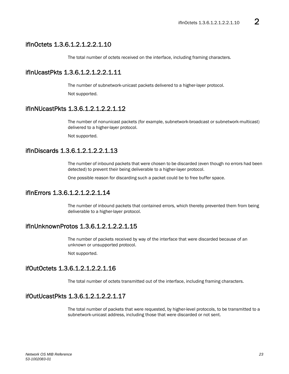### <span id="page-34-0"></span>ifInOctets 1.3.6.1.2.1.2.2.1.10

The total number of octets received on the interface, including framing characters.

### <span id="page-34-1"></span>ifInUcastPkts 1.3.6.1.2.1.2.2.1.11

The number of subnetwork-unicast packets delivered to a higher-layer protocol.

Not supported.

### <span id="page-34-2"></span>ifInNUcastPkts 1.3.6.1.2.1.2.2.1.12

The number of nonunicast packets (for example, subnetwork-broadcast or subnetwork-multicast) delivered to a higher-layer protocol.

Not supported.

#### <span id="page-34-3"></span>ifInDiscards 1.3.6.1.2.1.2.2.1.13

The number of inbound packets that were chosen to be discarded (even though no errors had been detected) to prevent their being deliverable to a higher-layer protocol.

One possible reason for discarding such a packet could be to free buffer space.

#### <span id="page-34-4"></span>ifInErrors 1.3.6.1.2.1.2.2.1.14

The number of inbound packets that contained errors, which thereby prevented them from being deliverable to a higher-layer protocol.

#### <span id="page-34-5"></span>ifInUnknownProtos 1.3.6.1.2.1.2.2.1.15

The number of packets received by way of the interface that were discarded because of an unknown or unsupported protocol.

Not supported.

#### <span id="page-34-6"></span>ifOutOctets 1.3.6.1.2.1.2.2.1.16

The total number of octets transmitted out of the interface, including framing characters.

#### <span id="page-34-7"></span>ifOutUcastPkts 1.3.6.1.2.1.2.2.1.17

The total number of packets that were requested, by higher-level protocols, to be transmitted to a subnetwork-unicast address, including those that were discarded or not sent.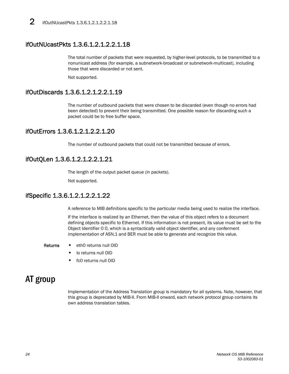#### <span id="page-35-1"></span>ifOutNUcastPkts 1.3.6.1.2.1.2.2.1.18

The total number of packets that were requested, by higher-level protocols, to be transmitted to a nonunicast address (for example, a subnetwork-broadcast or subnetwork-multicast), including those that were discarded or not sent.

Not supported.

#### <span id="page-35-2"></span>ifOutDiscards 1.3.6.1.2.1.2.2.1.19

The number of outbound packets that were chosen to be discarded (even though no errors had been detected) to prevent their being transmitted. One possible reason for discarding such a packet could be to free buffer space.

#### <span id="page-35-3"></span>ifOutErrors 1.3.6.1.2.1.2.2.1.20

The number of outbound packets that could not be transmitted because of errors.

#### <span id="page-35-4"></span>ifOutQLen 1.3.6.1.2.1.2.2.1.21

The length of the output packet queue (in packets).

Not supported.

#### <span id="page-35-5"></span>ifSpecific 1.3.6.1.2.1.2.2.1.22

A reference to MIB definitions specific to the particular media being used to realize the interface.

If the interface is realized by an Ethernet, then the value of this object refers to a document defining objects specific to Ethernet. If this information is not present, its value must be set to the Object Identifier 0 0, which is a syntactically valid object identifier, and any conferment implementation of ASN.1 and BER must be able to generate and recognize this value.

- Returns eth0 returns null OID
	- lo returns null OID
	- fc0 returns null OID

### <span id="page-35-0"></span>AT group

Implementation of the Address Translation group is mandatory for all systems. Note, however, that this group is deprecated by MIB-II. From MIB-II onward, each network protocol group contains its own address translation tables.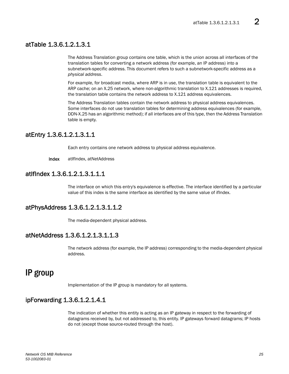## atTable 1.3.6.1.2.1.3.1

The Address Translation group contains one table, which is the union across all interfaces of the translation tables for converting a network address (for example, an IP address) into a subnetwork-specific address. This document refers to such a subnetwork-specific address as a *physical address*.

For example, for broadcast media, where ARP is in use, the translation table is equivalent to the ARP cache; on an X.25 network, where non-algorithmic translation to X.121 addresses is required, the translation table contains the network address to X.121 address equivalences.

The Address Translation tables contain the network address to physical address equivalences. Some interfaces do not use translation tables for determining address equivalences (for example, DDN-X.25 has an algorithmic method); if all interfaces are of this type, then the Address Translation table is empty.

## atEntry 1.3.6.1.2.1.3.1.1

Each entry contains one network address to physical address equivalence.

Index atIfIndex, atNetAddress

# atIfIndex 1.3.6.1.2.1.3.1.1.1

The interface on which this entry's equivalence is effective. The interface identified by a particular value of this index is the same interface as identified by the same value of ifIndex.

### atPhysAddress 1.3.6.1.2.1.3.1.1.2

The media-dependent physical address.

# atNetAddress 1.3.6.1.2.1.3.1.1.3

The network address (for example, the IP address) corresponding to the media-dependent physical address.

# IP group

Implementation of the IP group is mandatory for all systems.

# ipForwarding 1.3.6.1.2.1.4.1

The indication of whether this entity is acting as an IP gateway in respect to the forwarding of datagrams received by, but not addressed to, this entity. IP gateways forward datagrams; IP hosts do not (except those source-routed through the host).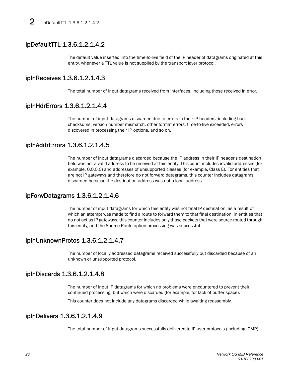# ipDefaultTTL 1.3.6.1.2.1.4.2

The default value inserted into the time-to-live field of the IP header of datagrams originated at this entity, whenever a TTL value is not supplied by the transport layer protocol.

# ipInReceives 1.3.6.1.2.1.4.3

The total number of input datagrams received from interfaces, including those received in error.

# ipInHdrErrors 1.3.6.1.2.1.4.4

The number of input datagrams discarded due to errors in their IP headers, including bad checksums, version number mismatch, other format errors, time-to-live exceeded, errors discovered in processing their IP options, and so on.

## ipInAddrErrors 1.3.6.1.2.1.4.5

The number of input datagrams discarded because the IP address in their IP header's destination field was not a valid address to be received at this entity. This count includes invalid addresses (for example, 0.0.0.0) and addresses of unsupported classes (for example, Class E). For entities that are not IP gateways and therefore do not forward datagrams, this counter includes datagrams discarded because the destination address was not a local address.

# ipForwDatagrams 1.3.6.1.2.1.4.6

The number of input datagrams for which this entity was not final IP destination, as a result of which an attempt was made to find a route to forward them to that final destination. In entities that do not act as IP gateways, this counter includes only those packets that were source-routed through this entity, and the Source-Route option processing was successful.

### ipInUnknownProtos 1.3.6.1.2.1.4.7

The number of locally addressed datagrams received successfully but discarded because of an unknown or unsupported protocol.

### ipInDiscards 1.3.6.1.2.1.4.8

The number of input IP datagrams for which no problems were encountered to prevent their continued processing, but which were discarded (for example, for lack of buffer space).

This counter does not include any datagrams discarded while awaiting reassembly.

### ipInDelivers 1.3.6.1.2.1.4.9

The total number of input datagrams successfully delivered to IP user protocols (including ICMP).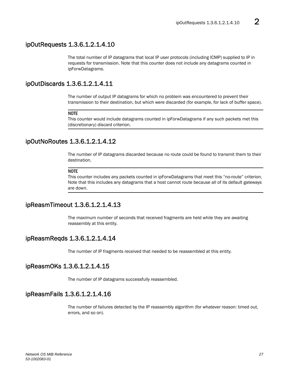# ipOutRequests 1.3.6.1.2.1.4.10

The total number of IP datagrams that local IP user protocols (including ICMP) supplied to IP in requests for transmission. Note that this counter does not include any datagrams counted in ipForwDatagrams.

## ipOutDiscards 1.3.6.1.2.1.4.11

The number of output IP datagrams for which no problem was encountered to prevent their transmission to their destination, but which were discarded (for example, for lack of buffer space).

#### NOTE

This counter would include datagrams counted in ipForwDatagrams if any such packets met this (discretionary) discard criterion.

### ipOutNoRoutes 1.3.6.1.2.1.4.12

The number of IP datagrams discarded because no route could be found to transmit them to their destination.

#### NOTE

This counter includes any packets counted in ipForwDatagrams that meet this "no-route" criterion. Note that this includes any datagrams that a host cannot route because all of its default gateways are down.

### ipReasmTimeout 1.3.6.1.2.1.4.13

The maximum number of seconds that received fragments are held while they are awaiting reassembly at this entity.

# ipReasmReqds 1.3.6.1.2.1.4.14

The number of IP fragments received that needed to be reassembled at this entity.

### ipReasmOKs 1.3.6.1.2.1.4.15

The number of IP datagrams successfully reassembled.

# ipReasmFails 1.3.6.1.2.1.4.16

The number of failures detected by the IP reassembly algorithm (for whatever reason: timed out, errors, and so on).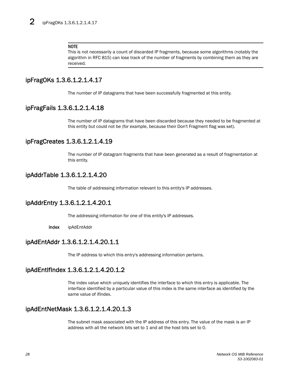#### **NOTE**

This is not necessarily a count of discarded IP fragments, because some algorithms (notably the algorithm in RFC 815) can lose track of the number of fragments by combining them as they are received.

### ipFragOKs 1.3.6.1.2.1.4.17

The number of IP datagrams that have been successfully fragmented at this entity.

### ipFragFails 1.3.6.1.2.1.4.18

The number of IP datagrams that have been discarded because they needed to be fragmented at this entity but could not be (for example, because their Don't Fragment flag was set).

## ipFragCreates 1.3.6.1.2.1.4.19

The number of IP datagram fragments that have been generated as a result of fragmentation at this entity.

### ipAddrTable 1.3.6.1.2.1.4.20

The table of addressing information relevant to this entity's IP addresses.

### ipAddrEntry 1.3.6.1.2.1.4.20.1

The addressing information for one of this entity's IP addresses.

Index ipAdEntAddr

# ipAdEntAddr 1.3.6.1.2.1.4.20.1.1

The IP address to which this entry's addressing information pertains.

### ipAdEntIfIndex 1.3.6.1.2.1.4.20.1.2

The index value which uniquely identifies the interface to which this entry is applicable. The interface identified by a particular value of this index is the same interface as identified by the same value of ifIndex.

### ipAdEntNetMask 1.3.6.1.2.1.4.20.1.3

The subnet mask associated with the IP address of this entry. The value of the mask is an IP address with all the network bits set to 1 and all the host bits set to 0.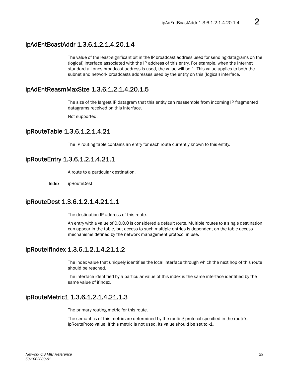# ipAdEntBcastAddr 1.3.6.1.2.1.4.20.1.4

The value of the least-significant bit in the IP broadcast address used for sending datagrams on the (logical) interface associated with the IP address of this entry. For example, when the Internet standard all-ones broadcast address is used, the value will be 1. This value applies to both the subnet and network broadcasts addresses used by the entity on this (logical) interface.

# ipAdEntReasmMaxSize 1.3.6.1.2.1.4.20.1.5

The size of the largest IP datagram that this entity can reassemble from incoming IP fragmented datagrams received on this interface.

Not supported.

# ipRouteTable 1.3.6.1.2.1.4.21

The IP routing table contains an entry for each route currently known to this entity.

## ipRouteEntry 1.3.6.1.2.1.4.21.1

A route to a particular destination.

Index ipRouteDest

### ipRouteDest 1.3.6.1.2.1.4.21.1.1

The destination IP address of this route.

An entry with a value of 0.0.0.0 is considered a default route. Multiple routes to a single destination can appear in the table, but access to such multiple entries is dependent on the table-access mechanisms defined by the network management protocol in use.

# ipRouteIfIndex 1.3.6.1.2.1.4.21.1.2

The index value that uniquely identifies the local interface through which the next hop of this route should be reached.

The interface identified by a particular value of this index is the same interface identified by the same value of ifIndex.

### ipRouteMetric1 1.3.6.1.2.1.4.21.1.3

The primary routing metric for this route.

The semantics of this metric are determined by the routing protocol specified in the route's ipRouteProto value. If this metric is not used, its value should be set to -1.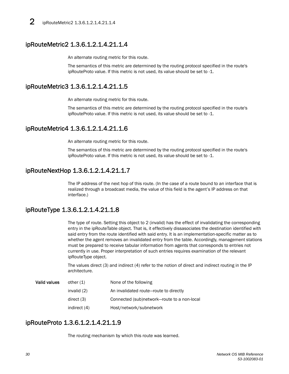# ipRouteMetric2 1.3.6.1.2.1.4.21.1.4

An alternate routing metric for this route.

The semantics of this metric are determined by the routing protocol specified in the route's ipRouteProto value. If this metric is not used, its value should be set to -1.

# ipRouteMetric3 1.3.6.1.2.1.4.21.1.5

An alternate routing metric for this route.

The semantics of this metric are determined by the routing protocol specified in the route's ipRouteProto value. If this metric is not used, its value should be set to -1.

### ipRouteMetric4 1.3.6.1.2.1.4.21.1.6

An alternate routing metric for this route.

The semantics of this metric are determined by the routing protocol specified in the route's ipRouteProto value. If this metric is not used, its value should be set to -1.

# ipRouteNextHop 1.3.6.1.2.1.4.21.1.7

The IP address of the next hop of this route. (In the case of a route bound to an interface that is realized through a broadcast media, the value of this field is the agent's IP address on that interface.)

# ipRouteType 1.3.6.1.2.1.4.21.1.8

The type of route. Setting this object to 2 (invalid) has the effect of invalidating the corresponding entry in the ipRouteTable object. That is, it effectively dissasociates the destination identified with said entry from the route identified with said entry. It is an implementation-specific matter as to whether the agent removes an invalidated entry from the table. Accordingly, management stations must be prepared to receive tabular information from agents that corresponds to entries not currently in use. Proper interpretation of such entries requires examination of the relevant ipRouteType object.

The values direct (3) and indirect (4) refer to the notion of direct and indirect routing in the IP architecture.

| Valid values | other $(1)$    | None of the following                       |
|--------------|----------------|---------------------------------------------|
|              | invalid (2)    | An invalidated route-route to directly      |
|              | direct $(3)$   | Connected (sub)network-route to a non-local |
|              | indirect $(4)$ | Host/network/subnetwork                     |

### ipRouteProto 1.3.6.1.2.1.4.21.1.9

The routing mechanism by which this route was learned.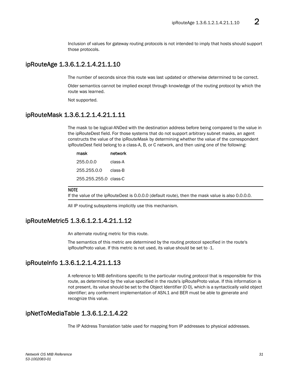Inclusion of values for gateway routing protocols is not intended to imply that hosts should support those protocols.

## ipRouteAge 1.3.6.1.2.1.4.21.1.10

The number of seconds since this route was last updated or otherwise determined to be correct.

Older semantics cannot be implied except through knowledge of the routing protocol by which the route was learned.

Not supported.

# ipRouteMask 1.3.6.1.2.1.4.21.1.11

The mask to be logical-ANDed with the destination address before being compared to the value in the ipRouteDest field. For those systems that do not support arbitrary subnet masks, an agent constructs the value of the ipRouteMask by determining whether the value of the correspondent ipRouteDest field belong to a class-A, B, or C network, and then using one of the following:

| mask                  | network |
|-----------------------|---------|
| 255.0.0.0             | class-A |
| 255.255.0.0           | class-B |
| 255.255.255.0 class-C |         |

#### **NOTE**

If the value of the ipRouteDest is 0.0.0.0 (default route), then the mask value is also 0.0.0.0.

All IP routing subsystems implicitly use this mechanism.

# ipRouteMetric5 1.3.6.1.2.1.4.21.1.12

An alternate routing metric for this route.

The semantics of this metric are determined by the routing protocol specified in the route's ipRouteProto value. If this metric is not used, its value should be set to -1.

### ipRouteInfo 1.3.6.1.2.1.4.21.1.13

A reference to MIB definitions specific to the particular routing protocol that is responsible for this route, as determined by the value specified in the route's ipRouteProto value. If this information is not present, its value should be set to the Object Identifier {0 0}, which is a syntactically valid object identifier; any conferment implementation of ASN.1 and BER must be able to generate and recognize this value.

### ipNetToMediaTable 1.3.6.1.2.1.4.22

The IP Address Translation table used for mapping from IP addresses to physical addresses.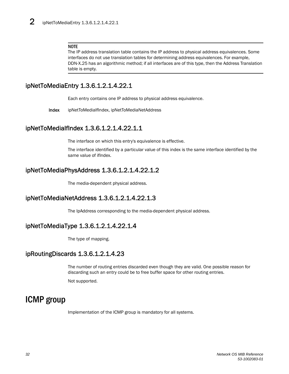#### **NOTE**

The IP address translation table contains the IP address to physical address equivalences. Some interfaces do not use translation tables for determining address equivalences. For example, DDN-X.25 has an algorithmic method; if all interfaces are of this type, then the Address Translation table is empty.

### ipNetToMediaEntry 1.3.6.1.2.1.4.22.1

Each entry contains one IP address to physical address equivalence.

Index ipNetToMediaIfIndex, ipNetToMediaNetAddress

### ipNetToMediaIfIndex 1.3.6.1.2.1.4.22.1.1

The interface on which this entry's equivalence is effective.

The interface identified by a particular value of this index is the same interface identified by the same value of ifIndex.

### ipNetToMediaPhysAddress 1.3.6.1.2.1.4.22.1.2

The media-dependent physical address.

### ipNetToMediaNetAddress 1.3.6.1.2.1.4.22.1.3

The IpAddress corresponding to the media-dependent physical address.

### ipNetToMediaType 1.3.6.1.2.1.4.22.1.4

The type of mapping.

### ipRoutingDiscards 1.3.6.1.2.1.4.23

The number of routing entries discarded even though they are valid. One possible reason for discarding such an entry could be to free buffer space for other routing entries.

Not supported.

# ICMP group

Implementation of the ICMP group is mandatory for all systems.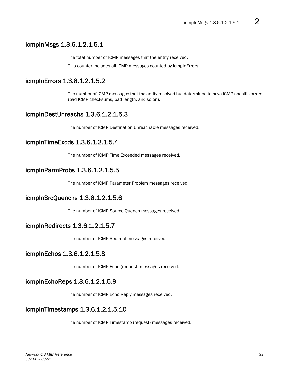# icmpInMsgs 1.3.6.1.2.1.5.1

The total number of ICMP messages that the entity received.

This counter includes all ICMP messages counted by icmpInErrors.

# icmpInErrors 1.3.6.1.2.1.5.2

The number of ICMP messages that the entity received but determined to have ICMP-specific errors (bad ICMP checksums, bad length, and so on).

# icmpInDestUnreachs 1.3.6.1.2.1.5.3

The number of ICMP Destination Unreachable messages received.

# icmpInTimeExcds 1.3.6.1.2.1.5.4

The number of ICMP Time Exceeded messages received.

# icmpInParmProbs 1.3.6.1.2.1.5.5

The number of ICMP Parameter Problem messages received.

# icmpInSrcQuenchs 1.3.6.1.2.1.5.6

The number of ICMP Source Quench messages received.

# icmpInRedirects 1.3.6.1.2.1.5.7

The number of ICMP Redirect messages received.

# icmpInEchos 1.3.6.1.2.1.5.8

The number of ICMP Echo (request) messages received.

# icmpInEchoReps 1.3.6.1.2.1.5.9

The number of ICMP Echo Reply messages received.

# icmpInTimestamps 1.3.6.1.2.1.5.10

The number of ICMP Timestamp (request) messages received.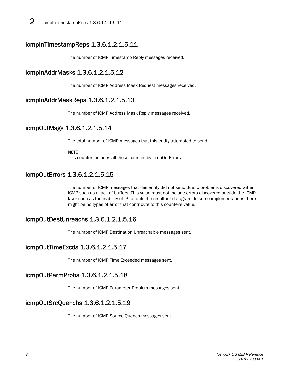

# icmpInTimestampReps 1.3.6.1.2.1.5.11

The number of ICMP Timestamp Reply messages received.

# icmpInAddrMasks 1.3.6.1.2.1.5.12

The number of ICMP Address Mask Request messages received.

# icmpInAddrMaskReps 1.3.6.1.2.1.5.13

The number of ICMP Address Mask Reply messages received.

# icmpOutMsgs 1.3.6.1.2.1.5.14

The total number of ICMP messages that this entity attempted to send.

```
NOTE
This counter includes all those counted by icmpOutErrors.
```
# icmpOutErrors 1.3.6.1.2.1.5.15

The number of ICMP messages that this entity did not send due to problems discovered within ICMP such as a lack of buffers. This value must not include errors discovered outside the ICMP layer such as the inability of IP to route the resultant datagram. In some implementations there might be no types of error that contribute to this counter's value.

# icmpOutDestUnreachs 1.3.6.1.2.1.5.16

The number of ICMP Destination Unreachable messages sent.

# icmpOutTimeExcds 1.3.6.1.2.1.5.17

The number of ICMP Time Exceeded messages sent.

# icmpOutParmProbs 1.3.6.1.2.1.5.18

The number of ICMP Parameter Problem messages sent.

# icmpOutSrcQuenchs 1.3.6.1.2.1.5.19

The number of ICMP Source Quench messages sent.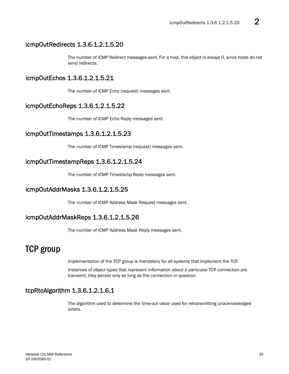# icmpOutRedirects 1.3.6.1.2.1.5.20

The number of ICMP Redirect messages sent. For a host, this object is always 0, since hosts do not send redirects.

## icmpOutEchos 1.3.6.1.2.1.5.21

The number of ICMP Echo (request) messages sent.

## icmpOutEchoReps 1.3.6.1.2.1.5.22

The number of ICMP Echo Reply messages sent.

### icmpOutTimestamps 1.3.6.1.2.1.5.23

The number of ICMP Timestamp (request) messages sent.

# icmpOutTimestampReps 1.3.6.1.2.1.5.24

The number of ICMP Timestamp Reply messages sent.

# icmpOutAddrMasks 1.3.6.1.2.1.5.25

The number of ICMP Address Mask Request messages sent.

# icmpOutAddrMaskReps 1.3.6.1.2.1.5.26

The number of ICMP Address Mask Reply messages sent.

# TCP group

Implementation of the TCP group is mandatory for all systems that implement the TCP.

Instances of object types that represent information about a particular TCP connection are transient; they persist only as long as the connection in question.

# tcpRtoAlgorithm 1.3.6.1.2.1.6.1

The algorithm used to determine the time-out value used for retransmitting unacknowledged octets.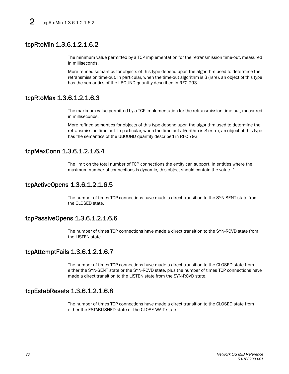# tcpRtoMin 1.3.6.1.2.1.6.2

The minimum value permitted by a TCP implementation for the retransmission time-out, measured in milliseconds.

More refined semantics for objects of this type depend upon the algorithm used to determine the retransmission time-out. In particular, when the time-out algorithm is 3 (rsre), an object of this type has the semantics of the LBOUND quantity described in RFC 793.

# tcpRtoMax 1.3.6.1.2.1.6.3

The maximum value permitted by a TCP implementation for the retransmission time-out, measured in milliseconds.

More refined semantics for objects of this type depend upon the algorithm used to determine the retransmission time-out. In particular, when the time-out algorithm is 3 (rsre), an object of this type has the semantics of the UBOUND quantity described in RFC 793.

## tcpMaxConn 1.3.6.1.2.1.6.4

The limit on the total number of TCP connections the entity can support. In entities where the maximum number of connections is dynamic, this object should contain the value -1.

### tcpActiveOpens 1.3.6.1.2.1.6.5

The number of times TCP connections have made a direct transition to the SYN-SENT state from the CLOSED state.

# tcpPassiveOpens 1.3.6.1.2.1.6.6

The number of times TCP connections have made a direct transition to the SYN-RCVD state from the LISTEN state.

### tcpAttemptFails 1.3.6.1.2.1.6.7

The number of times TCP connections have made a direct transition to the CLOSED state from either the SYN-SENT state or the SYN-RCVD state, plus the number of times TCP connections have made a direct transition to the LISTEN state from the SYN-RCVD state.

### tcpEstabResets 1.3.6.1.2.1.6.8

The number of times TCP connections have made a direct transition to the CLOSED state from either the ESTABLISHED state or the CLOSE-WAIT state.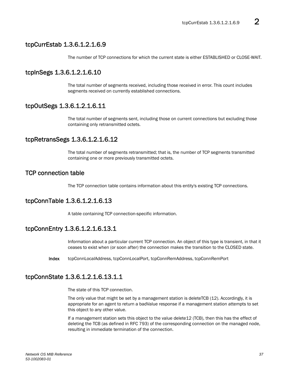# tcpCurrEstab 1.3.6.1.2.1.6.9

The number of TCP connections for which the current state is either ESTABLISHED or CLOSE-WAIT.

### tcpInSegs 1.3.6.1.2.1.6.10

The total number of segments received, including those received in error. This count includes segments received on currently established connections.

# tcpOutSegs 1.3.6.1.2.1.6.11

The total number of segments sent, including those on current connections but excluding those containing only retransmitted octets.

## tcpRetransSegs 1.3.6.1.2.1.6.12

The total number of segments retransmitted; that is, the number of TCP segments transmitted containing one or more previously transmitted octets.

### TCP connection table

The TCP connection table contains information about this entity's existing TCP connections.

### tcpConnTable 1.3.6.1.2.1.6.13

A table containing TCP connection-specific information.

### tcpConnEntry 1.3.6.1.2.1.6.13.1

Information about a particular current TCP connection. An object of this type is transient, in that it ceases to exist when (or soon after) the connection makes the transition to the CLOSED state.

Index tcpConnLocalAddress, tcpConnLocalPort, tcpConnRemAddress, tcpConnRemPort

## tcpConnState 1.3.6.1.2.1.6.13.1.1

The state of this TCP connection.

The only value that might be set by a management station is deleteTCB (12). Accordingly, it is appropriate for an agent to return a badValue response if a management station attempts to set this object to any other value.

If a management station sets this object to the value delete12 (TCB), then this has the effect of deleting the TCB (as defined in RFC 793) of the corresponding connection on the managed node, resulting in immediate termination of the connection.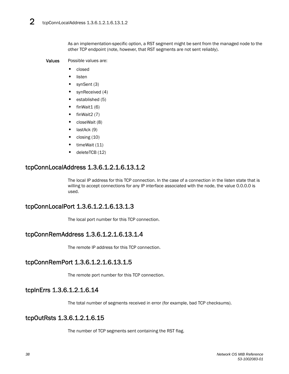As an implementation-specific option, a RST segment might be sent from the managed node to the other TCP endpoint (note, however, that RST segments are not sent reliably).

#### Values Possible values are:

- closed
- listen
- synSent (3)
- synReceived (4)
- established (5)
- $\bullet$  finWait1 $(6)$
- finWait2 (7)
- closeWait (8)
- lastAck (9)
- closing (10)
- timeWait (11)
- deleteTCB (12)

## tcpConnLocalAddress 1.3.6.1.2.1.6.13.1.2

The local IP address for this TCP connection. In the case of a connection in the listen state that is willing to accept connections for any IP interface associated with the node, the value 0.0.0.0 is used.

# tcpConnLocalPort 1.3.6.1.2.1.6.13.1.3

The local port number for this TCP connection.

### tcpConnRemAddress 1.3.6.1.2.1.6.13.1.4

The remote IP address for this TCP connection.

### tcpConnRemPort 1.3.6.1.2.1.6.13.1.5

The remote port number for this TCP connection.

### tcpInErrs 1.3.6.1.2.1.6.14

The total number of segments received in error (for example, bad TCP checksums).

# tcpOutRsts 1.3.6.1.2.1.6.15

The number of TCP segments sent containing the RST flag.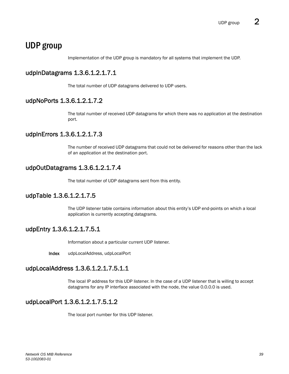# UDP group

Implementation of the UDP group is mandatory for all systems that implement the UDP.

# udpInDatagrams 1.3.6.1.2.1.7.1

The total number of UDP datagrams delivered to UDP users.

## udpNoPorts 1.3.6.1.2.1.7.2

The total number of received UDP datagrams for which there was no application at the destination port.

### udpInErrors 1.3.6.1.2.1.7.3

The number of received UDP datagrams that could not be delivered for reasons other than the lack of an application at the destination port.

# udpOutDatagrams 1.3.6.1.2.1.7.4

The total number of UDP datagrams sent from this entity.

## udpTable 1.3.6.1.2.1.7.5

The UDP listener table contains information about this entity's UDP end-points on which a local application is currently accepting datagrams.

### udpEntry 1.3.6.1.2.1.7.5.1

Information about a particular current UDP listener.

Index udpLocalAddress, udpLocalPort

## udpLocalAddress 1.3.6.1.2.1.7.5.1.1

The local IP address for this UDP listener. In the case of a UDP listener that is willing to accept datagrams for any IP interface associated with the node, the value 0.0.0.0 is used.

# udpLocalPort 1.3.6.1.2.1.7.5.1.2

The local port number for this UDP listener.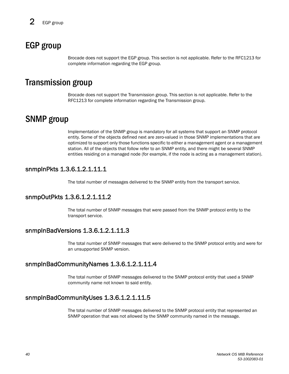# EGP group

Brocade does not support the EGP group. This section is not applicable. Refer to the RFC1213 for complete information regarding the EGP group.

# Transmission group

Brocade does not support the Transmission group. This section is not applicable. Refer to the RFC1213 for complete information regarding the Transmission group.

# SNMP group

Implementation of the SNMP group is mandatory for all systems that support an SNMP protocol entity. Some of the objects defined next are zero-valued in those SNMP implementations that are optimized to support only those functions specific to either a management agent or a management station. All of the objects that follow refer to an SNMP entity, and there might be several SNMP entities residing on a managed node (for example, if the node is acting as a management station).

# snmpInPkts 1.3.6.1.2.1.11.1

The total number of messages delivered to the SNMP entity from the transport service.

# snmpOutPkts 1.3.6.1.2.1.11.2

The total number of SNMP messages that were passed from the SNMP protocol entity to the transport service.

# snmpInBadVersions 1.3.6.1.2.1.11.3

The total number of SNMP messages that were delivered to the SNMP protocol entity and were for an unsupported SNMP version.

# snmpInBadCommunityNames 1.3.6.1.2.1.11.4

The total number of SNMP messages delivered to the SNMP protocol entity that used a SNMP community name not known to said entity.

### snmpInBadCommunityUses 1.3.6.1.2.1.11.5

The total number of SNMP messages delivered to the SNMP protocol entity that represented an SNMP operation that was not allowed by the SNMP community named in the message.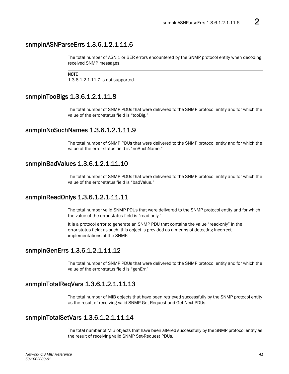# snmpInASNParseErrs 1.3.6.1.2.1.11.6

The total number of ASN.1 or BER errors encountered by the SNMP protocol entity when decoding received SNMP messages.

```
NOTE
```
1.3.6.1.2.1.11.7 is not supported.

## snmpInTooBigs 1.3.6.1.2.1.11.8

The total number of SNMP PDUs that were delivered to the SNMP protocol entity and for which the value of the error-status field is "tooBig."

### snmpInNoSuchNames 1.3.6.1.2.1.11.9

The total number of SNMP PDUs that were delivered to the SNMP protocol entity and for which the value of the error-status field is "noSuchName."

## snmpInBadValues 1.3.6.1.2.1.11.10

The total number of SNMP PDUs that were delivered to the SNMP protocol entity and for which the value of the error-status field is "badValue."

### snmpInReadOnlys 1.3.6.1.2.1.11.11

The total number valid SNMP PDUs that were delivered to the SNMP protocol entity and for which the value of the error-status field is "read-only."

It is a protocol error to generate an SNMP PDU that contains the value "read-only" in the error-status field; as such, this object is provided as a means of detecting incorrect implementations of the SNMP.

### snmpInGenErrs 1.3.6.1.2.1.11.12

The total number of SNMP PDUs that were delivered to the SNMP protocol entity and for which the value of the error-status field is "genErr."

### snmpInTotalReqVars 1.3.6.1.2.1.11.13

The total number of MIB objects that have been retrieved successfully by the SNMP protocol entity as the result of receiving valid SNMP Get-Request and Get-Next PDUs.

# snmpInTotalSetVars 1.3.6.1.2.1.11.14

The total number of MIB objects that have been altered successfully by the SNMP protocol entity as the result of receiving valid SNMP Set-Request PDUs.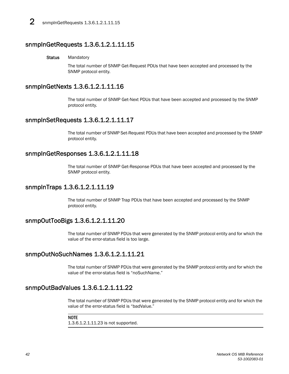

## snmpInGetRequests 1.3.6.1.2.1.11.15

#### Status Mandatory

The total number of SNMP Get-Request PDUs that have been accepted and processed by the SNMP protocol entity.

### snmpInGetNexts 1.3.6.1.2.1.11.16

The total number of SNMP Get-Next PDUs that have been accepted and processed by the SNMP protocol entity.

### snmpInSetRequests 1.3.6.1.2.1.11.17

The total number of SNMP Set-Request PDUs that have been accepted and processed by the SNMP protocol entity.

### snmpInGetResponses 1.3.6.1.2.1.11.18

The total number of SNMP Get-Response PDUs that have been accepted and processed by the SNMP protocol entity.

### snmpInTraps 1.3.6.1.2.1.11.19

The total number of SNMP Trap PDUs that have been accepted and processed by the SNMP protocol entity.

### snmpOutTooBigs 1.3.6.1.2.1.11.20

The total number of SNMP PDUs that were generated by the SNMP protocol entity and for which the value of the error-status field is too large.

### snmpOutNoSuchNames 1.3.6.1.2.1.11.21

The total number of SNMP PDUs that were generated by the SNMP protocol entity and for which the value of the error-status field is "noSuchName."

### snmpOutBadValues 1.3.6.1.2.1.11.22

The total number of SNMP PDUs that were generated by the SNMP protocol entity and for which the value of the error-status field is "badValue."

**NOTE** 1.3.6.1.2.1.11.23 is not supported.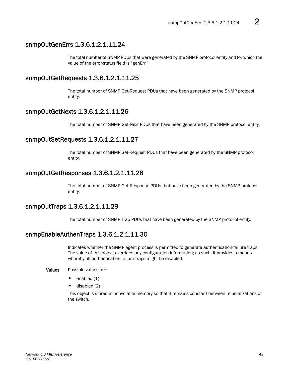# snmpOutGenErrs 1.3.6.1.2.1.11.24

The total number of SNMP PDUs that were generated by the SNMP protocol entity and for which the value of the error-status field is "genErr."

### snmpOutGetRequests 1.3.6.1.2.1.11.25

The total number of SNMP Get-Request PDUs that have been generated by the SNMP protocol entity.

### snmpOutGetNexts 1.3.6.1.2.1.11.26

The total number of SNMP Get-Next PDUs that have been generated by the SNMP protocol entity.

### snmpOutSetRequests 1.3.6.1.2.1.11.27

The total number of SNMP Set-Request PDUs that have been generated by the SNMP protocol entity.

### snmpOutGetResponses 1.3.6.1.2.1.11.28

The total number of SNMP Get-Response PDUs that have been generated by the SNMP protocol entity.

### snmpOutTraps 1.3.6.1.2.1.11.29

The total number of SNMP Trap PDUs that have been generated by the SNMP protocol entity.

### snmpEnableAuthenTraps 1.3.6.1.2.1.11.30

Indicates whether the SNMP agent process is permitted to generate authentication-failure traps. The value of this object overrides any configuration information; as such, it provides a means whereby all authentication-failure traps might be disabled.

#### Values Possible values are:

- $\bullet$  enabled  $(1)$
- disabled (2)

This object is stored in nonvolatile memory so that it remains constant between reinitializations of the switch.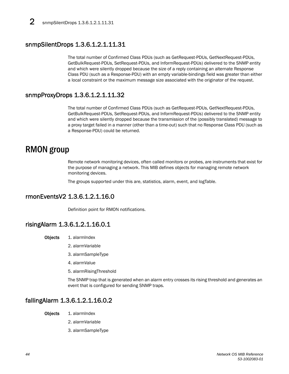# snmpSilentDrops 1.3.6.1.2.1.11.31

The total number of Confirmed Class PDUs (such as GetRequest-PDUs, GetNextRequest-PDUs, GetBulkRequest-PDUs, SetRequest-PDUs, and InformRequest-PDUs) delivered to the SNMP entity and which were silently dropped because the size of a reply containing an alternate Response Class PDU (such as a Response-PDU) with an empty variable-bindings field was greater than either a local constraint or the maximum message size associated with the originator of the request.

## snmpProxyDrops 1.3.6.1.2.1.11.32

The total number of Confirmed Class PDUs (such as GetRequest-PDUs, GetNextRequest-PDUs, GetBulkRequest-PDUs, SetRequest-PDUs, and InformRequest-PDUs) delivered to the SNMP entity and which were silently dropped because the transmission of the (possibly translated) message to a proxy target failed in a manner (other than a time-out) such that no Response Class PDU (such as a Response-PDU) could be returned.

# RMON group

Remote network monitoring devices, often called monitors or probes, are instruments that exist for the purpose of managing a network. This MIB defines objects for managing remote network monitoring devices.

The groups supported under this are, statistics, alarm, event, and logTable.

# rmonEventsV2 1.3.6.1.2.1.16.0

Definition point for RMON notifications.

# risingAlarm 1.3.6.1.2.1.16.0.1

- Objects 1. alarmIndex
	- 2. alarmVariable
	- 3. alarmSampleType
	- 4. alarmValue
	- 5. alarmRisingThreshold

The SNMP trap that is generated when an alarm entry crosses its rising threshold and generates an event that is configured for sending SNMP traps.

# fallingAlarm 1.3.6.1.2.1.16.0.2

- Objects 1. alarmIndex
	- 2. alarmVariable
	- 3. alarmSampleType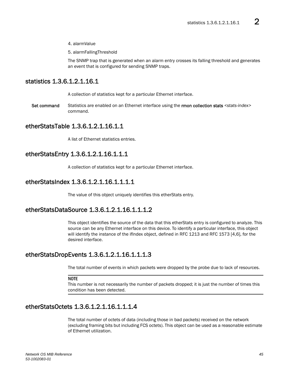4. alarmValue

5. alarmFallingThreshold

The SNMP trap that is generated when an alarm entry crosses its falling threshold and generates an event that is configured for sending SNMP traps.

### statistics 1.3.6.1.2.1.16.1

A collection of statistics kept for a particular Ethernet interface.

Set command Statistics are enabled on an Ethernet interface using the rmon collection stats <stats-index> command.

### etherStatsTable 1.3.6.1.2.1.16.1.1

A list of Ethernet statistics entries.

# etherStatsEntry 1.3.6.1.2.1.16.1.1.1

A collection of statistics kept for a particular Ethernet interface.

## etherStatsIndex 1.3.6.1.2.1.16.1.1.1.1

The value of this object uniquely identifies this etherStats entry.

# etherStatsDataSource 1.3.6.1.2.1.16.1.1.1.2

This object identifies the source of the data that this etherStats entry is configured to analyze. This source can be any Ethernet interface on this device. To identify a particular interface, this object will identify the instance of the ifIndex object, defined in RFC 1213 and RFC 1573 [4,6], for the desired interface.

### etherStatsDropEvents 1.3.6.1.2.1.16.1.1.1.3

The total number of events in which packets were dropped by the probe due to lack of resources.

#### **NOTE**

This number is not necessarily the number of packets dropped; it is just the number of times this condition has been detected.

# etherStatsOctets 1.3.6.1.2.1.16.1.1.1.4

The total number of octets of data (including those in bad packets) received on the network (excluding framing bits but including FCS octets). This object can be used as a reasonable estimate of Ethernet utilization.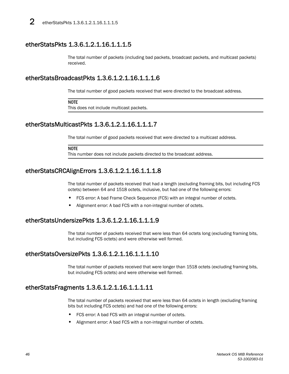# etherStatsPkts 1.3.6.1.2.1.16.1.1.1.5

The total number of packets (including bad packets, broadcast packets, and multicast packets) received.

## etherStatsBroadcastPkts 1.3.6.1.2.1.16.1.1.1.6

The total number of good packets received that were directed to the broadcast address.

```
NOTE
This does not include multicast packets.
```
## etherStatsMulticastPkts 1.3.6.1.2.1.16.1.1.1.7

The total number of good packets received that were directed to a multicast address.

```
NOTE
```
This number does not include packets directed to the broadcast address.

# etherStatsCRCAlignErrors 1.3.6.1.2.1.16.1.1.1.8

The total number of packets received that had a length (excluding framing bits, but including FCS octets) between 64 and 1518 octets, inclusive, but had one of the following errors:

- FCS error: A bad Frame Check Sequence (FCS) with an integral number of octets.
- Alignment error: A bad FCS with a non-integral number of octets.

# etherStatsUndersizePkts 1.3.6.1.2.1.16.1.1.1.9

The total number of packets received that were less than 64 octets long (excluding framing bits, but including FCS octets) and were otherwise well formed.

### etherStatsOversizePkts 1.3.6.1.2.1.16.1.1.1.10

The total number of packets received that were longer than 1518 octets (excluding framing bits, but including FCS octets) and were otherwise well formed.

# etherStatsFragments 1.3.6.1.2.1.16.1.1.1.11

The total number of packets received that were less than 64 octets in length (excluding framing bits but including FCS octets) and had one of the following errors:

- FCS error: A bad FCS with an integral number of octets.
- Alignment error: A bad FCS with a non-integral number of octets.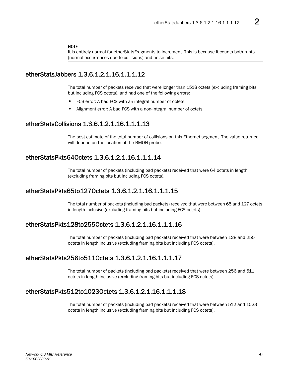#### **NOTE**

It is entirely normal for etherStatsFragments to increment. This is because it counts both runts (normal occurrences due to collisions) and noise hits.

### etherStatsJabbers 1.3.6.1.2.1.16.1.1.1.12

The total number of packets received that were longer than 1518 octets (excluding framing bits, but including FCS octets), and had one of the following errors:

- FCS error: A bad FCS with an integral number of octets.
- Alignment error: A bad FCS with a non-integral number of octets.

### etherStatsCollisions 1.3.6.1.2.1.16.1.1.1.13

The best estimate of the total number of collisions on this Ethernet segment. The value returned will depend on the location of the RMON probe.

## etherStatsPkts64Octets 1.3.6.1.2.1.16.1.1.1.14

The total number of packets (including bad packets) received that were 64 octets in length (excluding framing bits but including FCS octets).

### etherStatsPkts65to127Octets 1.3.6.1.2.1.16.1.1.1.15

The total number of packets (including bad packets) received that were between 65 and 127 octets in length inclusive (excluding framing bits but including FCS octets).

### etherStatsPkts128to255Octets 1.3.6.1.2.1.16.1.1.1.16

The total number of packets (including bad packets) received that were between 128 and 255 octets in length inclusive (excluding framing bits but including FCS octets).

### etherStatsPkts256to511Octets 1.3.6.1.2.1.16.1.1.1.17

The total number of packets (including bad packets) received that were between 256 and 511 octets in length inclusive (excluding framing bits but including FCS octets).

### etherStatsPkts512to1023Octets 1.3.6.1.2.1.16.1.1.1.18

The total number of packets (including bad packets) received that were between 512 and 1023 octets in length inclusive (excluding framing bits but including FCS octets).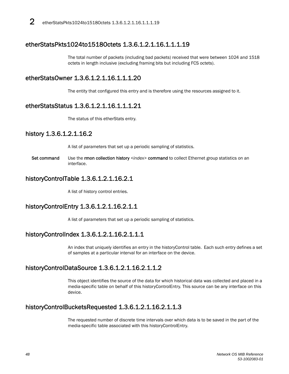# etherStatsPkts1024to1518Octets 1.3.6.1.2.1.16.1.1.1.19

The total number of packets (including bad packets) received that were between 1024 and 1518 octets in length inclusive (excluding framing bits but including FCS octets).

# etherStatsOwner 1.3.6.1.2.1.16.1.1.1.20

The entity that configured this entry and is therefore using the resources assigned to it.

## etherStatsStatus 1.3.6.1.2.1.16.1.1.1.21

The status of this etherStats entry.

## history 1.3.6.1.2.1.16.2

A list of parameters that set up a periodic sampling of statistics.

Set command Use the rmon collection history <index> command to collect Ethernet group statistics on an interface.

# historyControlTable 1.3.6.1.2.1.16.2.1

A list of history control entries.

# historyControlEntry 1.3.6.1.2.1.16.2.1.1

A list of parameters that set up a periodic sampling of statistics.

### historyControlIndex 1.3.6.1.2.1.16.2.1.1.1

An index that uniquely identifies an entry in the historyControl table. Each such entry defines a set of samples at a particular interval for an interface on the device.

# historyControlDataSource 1.3.6.1.2.1.16.2.1.1.2

This object identifies the source of the data for which historical data was collected and placed in a media-specific table on behalf of this historyControlEntry. This source can be any interface on this device.

# historyControlBucketsRequested 1.3.6.1.2.1.16.2.1.1.3

The requested number of discrete time intervals over which data is to be saved in the part of the media-specific table associated with this historyControlEntry.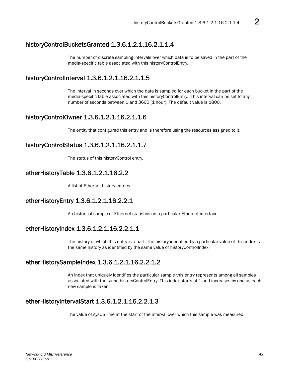# historyControlBucketsGranted 1.3.6.1.2.1.16.2.1.1.4

The number of discrete sampling intervals over which data is to be saved in the part of the media-specific table associated with this historyControlEntry.

### historyControlInterval 1.3.6.1.2.1.16.2.1.1.5

The interval in seconds over which the data is sampled for each bucket in the part of the media-specific table associated with this historyControlEntry. This interval can be set to any number of seconds between 1 and 3600 (1 hour). The default value is 1800.

# historyControlOwner 1.3.6.1.2.1.16.2.1.1.6

The entity that configured this entry and is therefore using the resources assigned to it.

### historyControlStatus 1.3.6.1.2.1.16.2.1.1.7

The status of this historyControl entry.

### etherHistoryTable 1.3.6.1.2.1.16.2.2

A list of Ethernet history entries.

### etherHistoryEntry 1.3.6.1.2.1.16.2.2.1

An historical sample of Ethernet statistics on a particular Ethernet interface.

### etherHistoryIndex 1.3.6.1.2.1.16.2.2.1.1

The history of which this entry is a part. The history identified by a particular value of this index is the same history as identified by the same value of historyControlIndex.

### etherHistorySampleIndex 1.3.6.1.2.1.16.2.2.1.2

An index that uniquely identifies the particular sample this entry represents among all samples associated with the same historyControlEntry. This index starts at 1 and increases by one as each new sample is taken.

### etherHistoryIntervalStart 1.3.6.1.2.1.16.2.2.1.3

The value of sysUpTime at the start of the interval over which this sample was measured.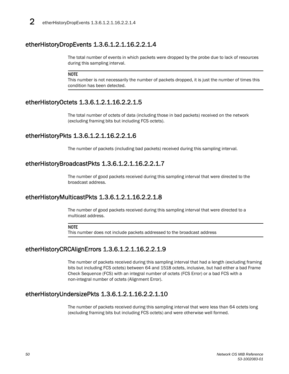# etherHistoryDropEvents 1.3.6.1.2.1.16.2.2.1.4

The total number of events in which packets were dropped by the probe due to lack of resources during this sampling interval.

#### NOTE

This number is not necessarily the number of packets dropped, it is just the number of times this condition has been detected.

### etherHistoryOctets 1.3.6.1.2.1.16.2.2.1.5

The total number of octets of data (including those in bad packets) received on the network (excluding framing bits but including FCS octets).

### etherHistoryPkts 1.3.6.1.2.1.16.2.2.1.6

The number of packets (including bad packets) received during this sampling interval.

### etherHistoryBroadcastPkts 1.3.6.1.2.1.16.2.2.1.7

The number of good packets received during this sampling interval that were directed to the broadcast address.

### etherHistoryMulticastPkts 1.3.6.1.2.1.16.2.2.1.8

The number of good packets received during this sampling interval that were directed to a multicast address.

#### NOTE

This number does not include packets addressed to the broadcast address

### etherHistoryCRCAlignErrors 1.3.6.1.2.1.16.2.2.1.9

The number of packets received during this sampling interval that had a length (excluding framing bits but including FCS octets) between 64 and 1518 octets, inclusive, but had either a bad Frame Check Sequence (FCS) with an integral number of octets (FCS Error) or a bad FCS with a non-integral number of octets (Alignment Error).

### etherHistoryUndersizePkts 1.3.6.1.2.1.16.2.2.1.10

The number of packets received during this sampling interval that were less than 64 octets long (excluding framing bits but including FCS octets) and were otherwise well formed.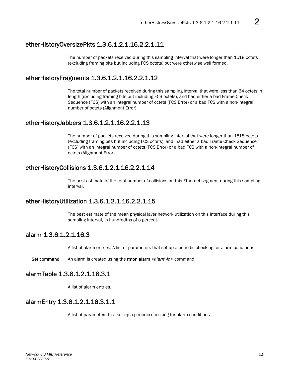# etherHistoryOversizePkts 1.3.6.1.2.1.16.2.2.1.11

The number of packets received during this sampling interval that were longer than 1518 octets (excluding framing bits but including FCS octets) but were otherwise well formed.

# etherHistoryFragments 1.3.6.1.2.1.16.2.2.1.12

The total number of packets received during this sampling interval that were less than 64 octets in length (excluding framing bits but including FCS octets), and had either a bad Frame Check Sequence (FCS) with an integral number of octets (FCS Error) or a bad FCS with a non-integral number of octets (Alignment Error).

# etherHistoryJabbers 1.3.6.1.2.1.16.2.2.1.13

The number of packets received during this sampling interval that were longer than 1518 octets (excluding framing bits but including FCS octets), and had either a bad Frame Check Sequence (FCS) with an integral number of octets (FCS Error) or a bad FCS with a non-integral number of octets (Alignment Error).

# etherHistoryCollisions 1.3.6.1.2.1.16.2.2.1.14

The best estimate of the total number of collisions on this Ethernet segment during this sampling interval.

# etherHistoryUtilization 1.3.6.1.2.1.16.2.2.1.15

The best estimate of the mean physical layer network utilization on this interface during this sampling interval, in hundredths of a percent.

### alarm 1.3.6.1.2.1.16.3

A list of alarm entries. A list of parameters that set up a periodic checking for alarm conditions.

Set command An alarm is created using the rmon alarm <alarm-id> command.

### alarmTable 1.3.6.1.2.1.16.3.1

A list of alarm entries.

# alarmEntry 1.3.6.1.2.1.16.3.1.1

A list of parameters that set up a periodic checking for alarm conditions.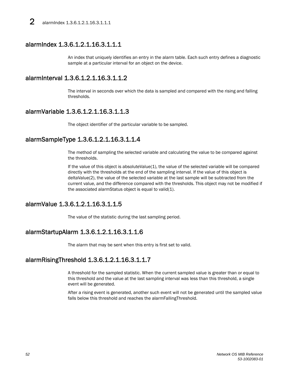# alarmIndex 1.3.6.1.2.1.16.3.1.1.1

An index that uniquely identifies an entry in the alarm table. Each such entry defines a diagnostic sample at a particular interval for an object on the device.

## alarmInterval 1.3.6.1.2.1.16.3.1.1.2

The interval in seconds over which the data is sampled and compared with the rising and falling thresholds.

# alarmVariable 1.3.6.1.2.1.16.3.1.1.3

The object identifier of the particular variable to be sampled.

# alarmSampleType 1.3.6.1.2.1.16.3.1.1.4

The method of sampling the selected variable and calculating the value to be compared against the thresholds.

If the value of this object is absoluteValue(1), the value of the selected variable will be compared directly with the thresholds at the end of the sampling interval. If the value of this object is deltaValue(2), the value of the selected variable at the last sample will be subtracted from the current value, and the difference compared with the thresholds. This object may not be modified if the associated alarmStatus object is equal to valid(1).

# alarmValue 1.3.6.1.2.1.16.3.1.1.5

The value of the statistic during the last sampling period.

# alarmStartupAlarm 1.3.6.1.2.1.16.3.1.1.6

The alarm that may be sent when this entry is first set to valid.

# alarmRisingThreshold 1.3.6.1.2.1.16.3.1.1.7

A threshold for the sampled statistic. When the current sampled value is greater than or equal to this threshold and the value at the last sampling interval was less than this threshold, a single event will be generated.

After a rising event is generated, another such event will not be generated until the sampled value falls below this threshold and reaches the alarmFallingThreshold.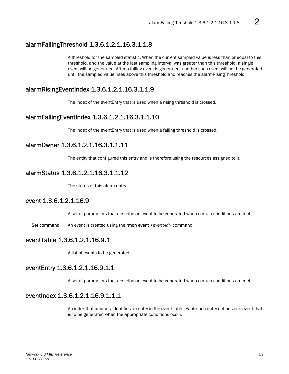# alarmFallingThreshold 1.3.6.1.2.1.16.3.1.1.8

A threshold for the sampled statistic. When the current sampled value is less than or equal to this threshold, and the value at the last sampling interval was greater than this threshold, a single event will be generated. After a falling event is generated, another such event will not be generated until the sampled value rises above this threshold and reaches the alarmRisingThreshold.

# alarmRisingEventIndex 1.3.6.1.2.1.16.3.1.1.9

The index of the eventEntry that is used when a rising threshold is crossed.

# alarmFallingEventIndex 1.3.6.1.2.1.16.3.1.1.10

The index of the eventEntry that is used when a falling threshold is crossed.

## alarmOwner 1.3.6.1.2.1.16.3.1.1.11

The entity that configured this entry and is therefore using the resources assigned to it.

## alarmStatus 1.3.6.1.2.1.16.3.1.1.12

The status of this alarm entry.

### event 1.3.6.1.2.1.16.9

A set of parameters that describe an event to be generated when certain conditions are met.

Set command An event is created using the rmon event *<event-id>* command.

# eventTable 1.3.6.1.2.1.16.9.1

A list of events to be generated.

# eventEntry 1.3.6.1.2.1.16.9.1.1

A set of parameters that describe an event to be generated when certain conditions are met.

### eventIndex 1.3.6.1.2.1.16.9.1.1.1

An index that uniquely identifies an entry in the event table. Each such entry defines one event that is to be generated when the appropriate conditions occur.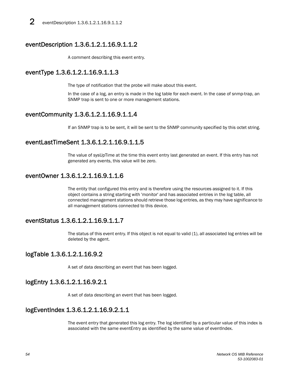# eventDescription 1.3.6.1.2.1.16.9.1.1.2

A comment describing this event entry.

# eventType 1.3.6.1.2.1.16.9.1.1.3

The type of notification that the probe will make about this event.

In the case of a log, an entry is made in the log table for each event. In the case of snmp-trap, an SNMP trap is sent to one or more management stations.

## eventCommunity 1.3.6.1.2.1.16.9.1.1.4

If an SNMP trap is to be sent, it will be sent to the SNMP community specified by this octet string.

### eventLastTimeSent 1.3.6.1.2.1.16.9.1.1.5

The value of sysUpTime at the time this event entry last generated an event. If this entry has not generated any events, this value will be zero.

# eventOwner 1.3.6.1.2.1.16.9.1.1.6

The entity that configured this entry and is therefore using the resources assigned to it. If this object contains a string starting with 'monitor' and has associated entries in the log table, all connected management stations should retrieve those log entries, as they may have significance to all management stations connected to this device.

### eventStatus 1.3.6.1.2.1.16.9.1.1.7

The status of this event entry. If this object is not equal to valid (1), all associated log entries will be deleted by the agent.

### logTable 1.3.6.1.2.1.16.9.2

A set of data describing an event that has been logged.

# logEntry 1.3.6.1.2.1.16.9.2.1

A set of data describing an event that has been logged.

# logEventIndex 1.3.6.1.2.1.16.9.2.1.1

The event entry that generated this log entry. The log identified by a particular value of this index is associated with the same eventEntry as identified by the same value of eventIndex.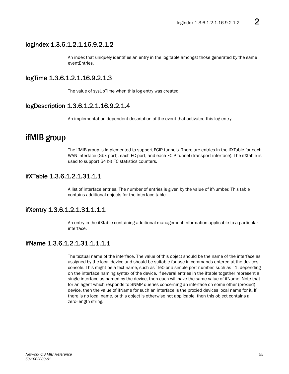# logIndex 1.3.6.1.2.1.16.9.2.1.2

An index that uniquely identifies an entry in the log table amongst those generated by the same eventEntries.

## logTime 1.3.6.1.2.1.16.9.2.1.3

The value of sysUpTime when this log entry was created.

# logDescription 1.3.6.1.2.1.16.9.2.1.4

An implementation-dependent description of the event that activated this log entry.

# ifMIB group

The ifMIB group is implemented to support FCIP tunnels. There are entries in the ifXTable for each WAN interface (GbE port), each FC port, and each FCIP tunnel (transport interface). The ifXtable is used to support 64 bit FC statistics counters.

## ifXTable 1.3.6.1.2.1.31.1.1

A list of interface entries. The number of entries is given by the value of ifNumber. This table contains additional objects for the interface table.

# ifXentry 1.3.6.1.2.1.31.1.1.1

An entry in the ifXtable containing additional management information applicable to a particular interface.

# ifName 1.3.6.1.2.1.31.1.1.1.1

The textual name of the interface. The value of this object should be the name of the interface as assigned by the local device and should be suitable for use in commands entered at the devices console. This might be a text name, such as `le0 or a simple port number, such as `1, depending on the interface naming syntax of the device. If several entries in the iftable together represent a single interface as named by the device, then each will have the same value of ifName. Note that for an agent which responds to SNMP queries concerning an interface on some other (proxied) device, then the value of ifName for such an interface is the proxied devices local name for it. If there is no local name, or this object is otherwise not applicable, then this object contains a zero-length string.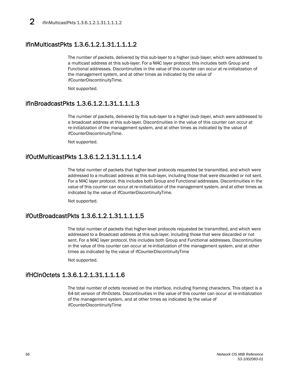# ifInMulticastPkts 1.3.6.1.2.1.31.1.1.1.2

The number of packets, delivered by this sub-layer to a higher (sub-)layer, which were addressed to a multicast address at this sub-layer. For a MAC layer protocol, this includes both Group and Functional addresses. Discontinuities in the value of this counter can occur at re-initialization of the management system, and at other times as indicated by the value of ifCounterDiscontinuityTime.

Not supported.

## ifInBroadcastPkts 1.3.6.1.2.1.31.1.1.1.3

The number of packets, delivered by this sub-layer to a higher (sub-)layer, which were addressed to a broadcast address at this sub-layer. Discontinuities in the value of this counter can occur at re-initialization of the management system, and at other times as indicated by the value of ifCounterDiscontinuityTime.

Not supported.

### ifOutMulticastPkts 1.3.6.1.2.1.31.1.1.1.4

The total number of packets that higher-level protocols requested be transmitted, and which were addressed to a multicast address at this sub-layer, including those that were discarded or not sent. For a MAC layer protocol, this includes both Group and Functional addresses. Discontinuities in the value of this counter can occur at re-initialization of the management system, and at other times as indicated by the value of ifCounterDiscontinuityTime.

Not supported.

### ifOutBroadcastPkts 1.3.6.1.2.1.31.1.1.1.5

The total number of packets that higher-level protocols requested be transmitted, and which were addressed to a Broadcast address at this sub-layer, including those that were discarded or not sent. For a MAC layer protocol, this includes both Group and Functional addresses. Discontinuities in the value of this counter can occur at re-initialization of the management system, and at other times as indicated by the value of ifCounterDiscontinuityTime

Not supported.

# ifHCInOctets 1.3.6.1.2.1.31.1.1.1.6

The total number of octets received on the interface, including framing characters. This object is a 64-bit version of ifInOctets. Discontinuities in the value of this counter can occur at re-initialization of the management system, and at other times as indicated by the value of ifCounterDiscontinuityTime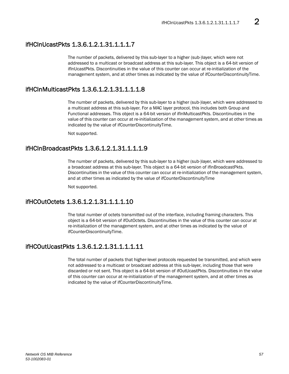# ifHCInUcastPkts 1.3.6.1.2.1.31.1.1.1.7

The number of packets, delivered by this sub-layer to a higher (sub-)layer, which were not addressed to a multicast or broadcast address at this sub-layer. This object is a 64-bit version of ifInUcastPkts. Discontinuities in the value of this counter can occur at re-initialization of the management system, and at other times as indicated by the value of ifCounterDiscontinuityTime.

# ifHCInMulticastPkts 1.3.6.1.2.1.31.1.1.1.8

The number of packets, delivered by this sub-layer to a higher (sub-)layer, which were addressed to a multicast address at this sub-layer. For a MAC layer protocol, this includes both Group and Functional addresses. This object is a 64-bit version of ifInMulticastPkts. Discontinuities in the value of this counter can occur at re-initialization of the management system, and at other times as indicated by the value of ifCounterDiscontinuityTime.

Not supported.

## ifHCInBroadcastPkts 1.3.6.1.2.1.31.1.1.1.9

The number of packets, delivered by this sub-layer to a higher (sub-)layer, which were addressed to a broadcast address at this sub-layer. This object is a 64-bit version of ifInBroadcastPkts. Discontinuities in the value of this counter can occur at re-initialization of the management system, and at other times as indicated by the value of ifCounterDiscontinuityTime

Not supported.

### ifHCOutOctets 1.3.6.1.2.1.31.1.1.1.10

The total number of octets transmitted out of the interface, including framing characters. This object is a 64-bit version of ifOutOctets. Discontinuities in the value of this counter can occur at re-initialization of the management system, and at other times as indicated by the value of ifCounterDiscontinuityTime.

### ifHCOutUcastPkts 1.3.6.1.2.1.31.1.1.1.11

The total number of packets that higher-level protocols requested be transmitted, and which were not addressed to a multicast or broadcast address at this sub-layer, including those that were discarded or not sent. This object is a 64-bit version of ifOutUcastPkts. Discontinuities in the value of this counter can occur at re-initialization of the management system, and at other times as indicated by the value of ifCounterDiscontinuityTime.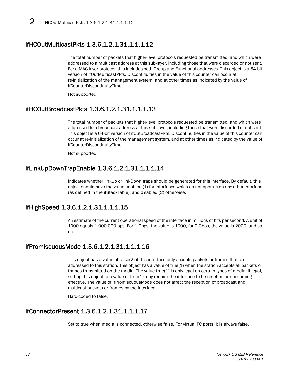# ifHCOutMulticastPkts 1.3.6.1.2.1.31.1.1.1.12

The total number of packets that higher-level protocols requested be transmitted, and which were addressed to a multicast address at this sub-layer, including those that were discarded or not sent. For a MAC layer protocol, this includes both Group and Functional addresses. This object is a 64-bit version of ifOutMulticastPkts. Discontinuities in the value of this counter can occur at re-initialization of the management system, and at other times as indicated by the value of ifCounterDiscontinuityTime

Not supported.

### ifHCOutBroadcastPkts 1.3.6.1.2.1.31.1.1.1.13

The total number of packets that higher-level protocols requested be transmitted, and which were addressed to a broadcast address at this sub-layer, including those that were discarded or not sent. This object is a 64-bit version of ifOutBroadcastPkts. Discontinuities in the value of this counter can occur at re-initialization of the management system, and at other times as indicated by the value of ifCounterDiscontinuityTime.

Not supported.

## ifLinkUpDownTrapEnable 1.3.6.1.2.1.31.1.1.1.14

Indicates whether linkUp or linkDown traps should be generated for this interface. By default, this object should have the value enabled (1) for interfaces which do not operate on any other interface (as defined in the ifStackTable), and disabled (2) otherwise.

### ifHighSpeed 1.3.6.1.2.1.31.1.1.1.15

An estimate of the current operational speed of the interface in millions of bits per second. A unit of 1000 equals 1,000,000 bps. For 1 Gbps, the value is 1000, for 2 Gbps, the value is 2000, and so on.

### ifPromiscuousMode 1.3.6.1.2.1.31.1.1.1.16

This object has a value of false $(2)$  if this interface only accepts packets or frames that are addressed to this station. This object has a value of true(1) when the station accepts all packets or frames transmitted on the media. The value true(1) is only legal on certain types of media. If legal, setting this object to a value of true(1) may require the interface to be reset before becoming effective. The value of ifPromiscuousMode does not affect the reception of broadcast and multicast packets or frames by the interface.

Hard-coded to false.

### ifConnectorPresent 1.3.6.1.2.1.31.1.1.1.17

Set to true when media is connected, otherwise false. For virtual FC ports, it is always false.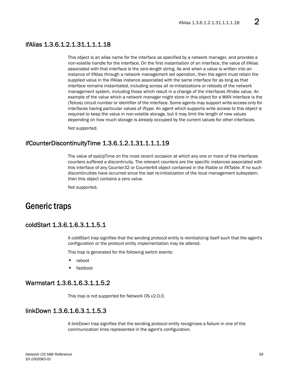# ifAlias 1.3.6.1.2.1.31.1.1.1.18

This object is an alias name for the interface as specified by a network manager, and provides a non-volatile handle for the interface. On the first instantiation of an interface, the value of ifAlias associated with that interface is the zero-length string. As and when a value is written into an instance of ifAlias through a network management set operation, then the agent must retain the supplied value in the ifAlias instance associated with the same interface for as long as that interface remains instantiated, including across all re-initializations or reboots of the network management system, including those which result in a change of the interfaces ifIndex value. An example of the value which a network manager might store in this object for a WAN interface is the (Telcos) circuit number or identifier of the interface. Some agents may support write-access only for interfaces having particular values of iftype. An agent which supports write access to this object is required to keep the value in non-volatile storage, but it may limit the length of new values depending on how much storage is already occupied by the current values for other interfaces.

Not supported.

### ifCounterDiscontinuityTime 1.3.6.1.2.1.31.1.1.1.19

The value of sysUpTime on the most recent occasion at which any one or more of this interfaces counters suffered a discontinuity. The relevant counters are the specific instances associated with this interface of any Counter32 or Counter64 object contained in the iftable or ifXTable. If no such discontinuities have occurred since the last re-initialization of the local management subsystem, then this object contains a zero value.

Not supported.

# Generic traps

# coldStart 1.3.6.1.6.3.1.1.5.1

A coldStart trap signifies that the sending protocol entity is reinitializing itself such that the agent's configuration or the protocol entity implementation may be altered.

This trap is generated for the following switch events:

- reboot
- fastboot

# Warmstart 1.3.6.1.6.3.1.1.5.2

This trap is not supported for Network OS v2.0.0.

# linkDown 1.3.6.1.6.3.1.1.5.3

A linkDown trap signifies that the sending protocol entity recognizes a failure in one of the communication links represented in the agent's configuration.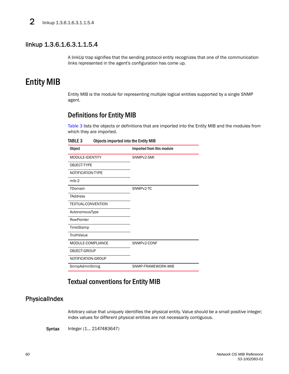# linkup 1.3.6.1.6.3.1.1.5.4

A linkUp trap signifies that the sending protocol entity recognizes that one of the communication links represented in the agent's configuration has come up.

# Entity MIB

Entity MIB is the module for representing multiple logical entities supported by a single SNMP agent.

# Definitions for Entity MIB

[Table 3](#page-71-0) lists the objects or definitions that are imported into the Entity MIB and the modules from which they are imported.

| …⊌⊾∟<br>oppoco importou mto the Entry mile |                           |  |
|--------------------------------------------|---------------------------|--|
| <b>Object</b>                              | Imported from this module |  |
| MODULE-IDENTITY                            | SNMP <sub>v2-SMI</sub>    |  |
| OBJECT-TYPE                                |                           |  |
| NOTIFICATION-TYPE                          |                           |  |
| $min-2$                                    |                           |  |
| TDomain                                    | SNMP <sub>v2-TC</sub>     |  |
| <b>TAddress</b>                            |                           |  |
| <b>TEXTUAL-CONVENTION</b>                  |                           |  |
| AutonomousType                             |                           |  |
| RowPointer                                 |                           |  |
| TimeStamp                                  |                           |  |
| <b>TruthValue</b>                          |                           |  |
| MODULE-COMPLIANCE                          | SNMP <sub>v2</sub> -CONF  |  |
| OBJECT-GROUP                               |                           |  |
| NOTIFICATION-GROUP                         |                           |  |
| SnmpAdminString                            | SNMP-FRAMEWORK-MIB        |  |

#### <span id="page-71-0"></span>TABLE 3 Objects imported into the Entity MIB

# Textual conventions for Entity MIB

# PhysicalIndex

Arbitrary value that uniquely identifies the physical entity. Value should be a small positive integer; index values for different physical entities are not necessarily contiguous.

**Syntax** Integer (1... 2147483647)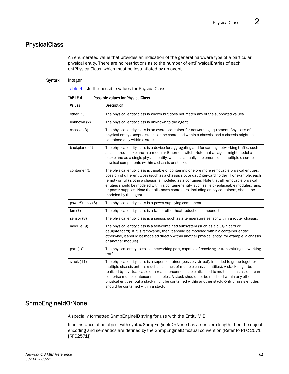### PhysicalClass

An enumerated value that provides an indication of the general hardware type of a particular physical entity. There are no restrictions as to the number of entPhysicalEntries of each entPhysicalClass, which must be instantiated by an agent.

#### Syntax Integer

[Table 4](#page-72-0) lists the possible values for PhysicalClass.

| IABLE 4<br>POSSIDIE VAIUES TOT PHYSICAIUMSS |                                                                                                                                                                                                                                                                                                                                                                                                                                                                                                                                  |  |  |  |
|---------------------------------------------|----------------------------------------------------------------------------------------------------------------------------------------------------------------------------------------------------------------------------------------------------------------------------------------------------------------------------------------------------------------------------------------------------------------------------------------------------------------------------------------------------------------------------------|--|--|--|
| <b>Values</b>                               | <b>Description</b>                                                                                                                                                                                                                                                                                                                                                                                                                                                                                                               |  |  |  |
| other $(1)$                                 | The physical entity class is known but does not match any of the supported values.                                                                                                                                                                                                                                                                                                                                                                                                                                               |  |  |  |
| unknown (2)                                 | The physical entity class is unknown to the agent.                                                                                                                                                                                                                                                                                                                                                                                                                                                                               |  |  |  |
| chassis (3)                                 | The physical entity class is an overall container for networking equipment. Any class of<br>physical entity except a stack can be contained within a chassis, and a chassis might be<br>contained only within a stack.                                                                                                                                                                                                                                                                                                           |  |  |  |
| backplane (4)                               | The physical entity class is a device for aggregating and forwarding networking traffic, such<br>as a shared backplane in a modular Ethernet switch. Note that an agent might model a<br>backplane as a single physical entity, which is actually implemented as multiple discrete<br>physical components (within a chassis or stack).                                                                                                                                                                                           |  |  |  |
| container (5)                               | The physical entity class is capable of containing one ore more removable physical entities,<br>possibly of different types (such as a chassis slot or daughter-card holder). For example, each<br>(empty or full) slot in a chassis is modeled as a container. Note that all removable physical<br>entities should be modeled within a container entity, such as field-replaceable modules, fans,<br>or power supplies. Note that all known containers, including empty containers, should be<br>modeled by the agent.          |  |  |  |
| powerSupply (6)                             | The physical entity class is a power-supplying component.                                                                                                                                                                                                                                                                                                                                                                                                                                                                        |  |  |  |
| fan $(7)$                                   | The physical entity class is a fan or other heat-reduction component.                                                                                                                                                                                                                                                                                                                                                                                                                                                            |  |  |  |
| sensor (8)                                  | The physical entity class is a sensor, such as a temperature sensor within a router chassis.                                                                                                                                                                                                                                                                                                                                                                                                                                     |  |  |  |
| module (9)                                  | The physical entity class is a self-contained subsystem (such as a plug-in card or<br>daughter-card). If it is removable, then it should be modeled within a container entity;<br>otherwise, it should be modeled directly within another physical entity (for example, a chassis<br>or another module).                                                                                                                                                                                                                         |  |  |  |
| port (10)                                   | The physical entity class is a networking port, capable of receiving or transmitting networking<br>traffic.                                                                                                                                                                                                                                                                                                                                                                                                                      |  |  |  |
| stack $(11)$                                | The physical entity class is a super-container (possibly virtual), intended to group together<br>multiple chassis entities (such as a stack of multiple chassis entities). A stack might be<br>realized by a virtual cable or a real interconnect cable attached to multiple chassis, or it can<br>comprise multiple interconnect cables. A stack should not be modeled within any other<br>physical entities, but a stack might be contained within another stack. Only chassis entities<br>should be contained within a stack. |  |  |  |

<span id="page-72-0"></span>TABLE 4 Possible values for PhysicalClass

# SnmpEngineIdOrNone

A specially formatted SnmpEngineID string for use with the Entity MIB.

If an instance of an object with syntax SnmpEngineIdOrNone has a non-zero length, then the object encoding and semantics are defined by the SnmpEngineID textual convention (Refer to RFC 2571 [RFC2571]).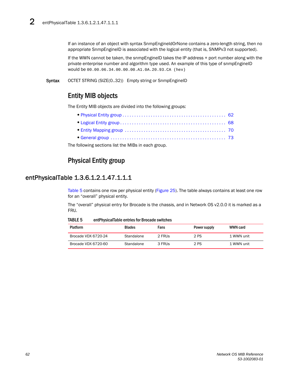If an instance of an object with syntax SnmpEngineIdOrNone contains a zero-length string, then no appropriate SnmpEngineID is associated with the logical entity (that is, SNMPv3 not supported).

If the WWN cannot be taken, the snmpEngineID takes the IP address + port number along with the private enterprise number and algorithm type used. An example of this type of snmpEngineID would be 00.00.06.34.00.00.00.A1.0A.20.93.CA (hex)

Syntax OCTET STRING (SIZE(0..32)) Empty string or SnmpEngineID

# Entity MIB objects

The Entity MIB objects are divided into the following groups:

| $\mathcal{L}$ in the contract of the contract of the contract of the contract of the contract of the contract of the contract of the contract of the contract of the contract of the contract of the contract of the contract of t |  |
|------------------------------------------------------------------------------------------------------------------------------------------------------------------------------------------------------------------------------------|--|

The following sections list the MIBs in each group.

# <span id="page-73-0"></span>Physical Entity group

# entPhysicalTable 1.3.6.1.2.1.47.1.1.1

[Table 5](#page-73-1) contains one row per physical entity [\(Figure 25\)](#page-74-0). The table always contains at least one row for an "overall" physical entity.

The "overall" physical entry for Brocade is the chassis, and in Network OS v2.0.0 it is marked as a FRU.

#### <span id="page-73-1"></span>TABLE 5 entPhysicalTable entries for Brocade switches

| <b>Platform</b>     | <b>Blades</b> | Fans     | Power supply | <b>WWN card</b> |
|---------------------|---------------|----------|--------------|-----------------|
| Brocade VDX 6720-24 | Standalone    | $2$ FRUs | 2 PS         | 1 WWN unit      |
| Brocade VDX 6720-60 | Standalone    | 3 FRUS   | 2 PS         | 1 WWN unit      |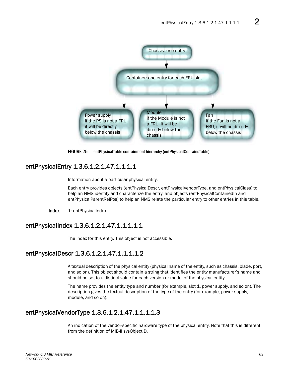

<span id="page-74-0"></span>FIGURE 25 entPhysicalTable containment hierarchy (entPhysicalContainsTable)

# entPhysicalEntry 1.3.6.1.2.1.47.1.1.1.1

Information about a particular physical entity.

Each entry provides objects (entPhysicalDescr, entPhysicalVendorType, and entPhysicalClass) to help an NMS identify and characterize the entry, and objects (entPhysicalContainedIn and entPhysicalParentRelPos) to help an NMS relate the particular entry to other entries in this table.

Index 1: entPhysicalIndex

# entPhysicalIndex 1.3.6.1.2.1.47.1.1.1.1.1

The index for this entry. This object is not accessible.

### entPhysicalDescr 1.3.6.1.2.1.47.1.1.1.1.2

A textual description of the physical entity (physical name of the entity, such as chassis, blade, port, and so on). This object should contain a string that identifies the entity manufacturer's name and should be set to a distinct value for each version or model of the physical entity.

The name provides the entity type and number (for example, slot 1, power supply, and so on). The description gives the textual description of the type of the entry (for example, power supply, module, and so on).

# entPhysicalVendorType 1.3.6.1.2.1.47.1.1.1.1.3

An indication of the vendor-specific hardware type of the physical entity. Note that this is different from the definition of MIB-II sysObjectID.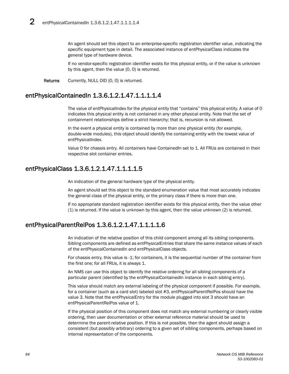An agent should set this object to an enterprise-specific registration identifier value, indicating the specific equipment type in detail. The associated instance of entPhysicalClass indicates the general type of hardware device.

If no vendor-specific registration identifier exists for this physical entity, or if the value is unknown by this agent, then the value {0, 0} is returned.

Returns Currently, NULL OID {0, 0} is returned.

### entPhysicalContainedIn 1.3.6.1.2.1.47.1.1.1.1.4

The value of entPhysicalIndex for the physical entity that "contains" this physical entity. A value of 0 indicates this physical entity is not contained in any other physical entity. Note that the set of containment relationships define a strict hierarchy; that is, recursion is not allowed.

In the event a physical entity is contained by more than one physical entity (for example, double-wide modules), this object should identify the containing entity with the lowest value of entPhysicalIndex.

Value 0 for chassis entry. All containers have ContainedIn set to 1. All FRUs are contained in their respective slot container entries.

### entPhysicalClass 1.3.6.1.2.1.47.1.1.1.1.5

An indication of the general hardware type of the physical entity.

An agent should set this object to the standard enumeration value that most accurately indicates the general class of the physical entity, or the primary class if there is more than one.

If no appropriate standard registration identifier exists for this physical entity, then the value other (1) is returned. If the value is unknown by this agent, then the value unknown (2) is returned.

### entPhysicalParentRelPos 1.3.6.1.2.1.47.1.1.1.1.6

An indication of the relative position of this child component among all its *sibling* components. Sibling components are defined as entPhysicalEntries that share the same instance values of each of the entPhysicalContainedIn and entPhysicalClass objects.

For chassis entry, this value is -1; for containers, it is the sequential number of the container from the first one; for all FRUs, it is always 1.

An NMS can use this object to identify the relative ordering for all sibling components of a particular parent (identified by the entPhysicalContainedIn instance in each sibling entry).

This value should match any external labeling of the physical component if possible. For example, for a container (such as a card slot) labeled slot #3, entPhysicalParentRelPos should have the value 3. Note that the entPhysicalEntry for the module plugged into slot 3 should have an entPhysicalParentRelPos value of 1.

If the physical position of this component does not match any external numbering or clearly visible ordering, then user documentation or other external reference material should be used to determine the parent-relative position. If this is not possible, then the agent should assign a consistent (but possibly arbitrary) ordering to a given set of sibling components, perhaps based on internal representation of the components.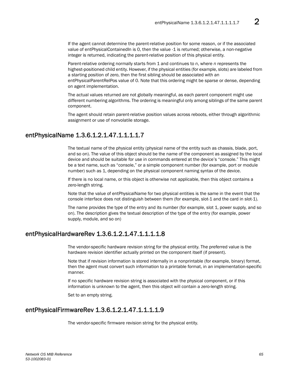If the agent cannot determine the parent-relative position for some reason, or if the associated value of entPhysicalContainedIn is 0, then the value -1 is returned; otherwise, a non-negative integer is returned, indicating the parent-relative position of this physical entity.

Parent-relative ordering normally starts from 1 and continues to *n*, where *n* represents the highest-positioned child entity. However, if the physical entities (for example, slots) are labeled from a starting position of zero, then the first sibling should be associated with an entPhysicalParentRelPos value of 0. Note that this ordering might be sparse or dense, depending on agent implementation.

The actual values returned are not globally meaningful, as each parent component might use different numbering algorithms. The ordering is meaningful only among siblings of the same parent component.

The agent should retain parent-relative position values across reboots, either through algorithmic assignment or use of nonvolatile storage.

### entPhysicalName 1.3.6.1.2.1.47.1.1.1.1.7

The textual name of the physical entity (physical name of the entity such as chassis, blade, port, and so on). The value of this object should be the name of the component as assigned by the local device and should be suitable for use in commands entered at the device's "console." This might be a text name, such as "console," or a simple component number (for example, port or module number) such as 1, depending on the physical component naming syntax of the device.

If there is no local name, or this object is otherwise not applicable, then this object contains a zero-length string.

Note that the value of entPhysicalName for two physical entities is the same in the event that the console interface does not distinguish between them (for example, slot-1 and the card in slot-1).

The name provides the type of the entry and its number (for example, slot 1, power supply, and so on). The description gives the textual description of the type of the entry (for example, power supply, module, and so on)

### entPhysicalHardwareRev 1.3.6.1.2.1.47.1.1.1.1.8

The vendor-specific hardware revision string for the physical entity. The preferred value is the hardware revision identifier actually printed on the component itself (if present).

Note that if revision information is stored internally in a nonprintable (for example, binary) format, then the agent must convert such information to a printable format, in an implementation-specific manner.

If no specific hardware revision string is associated with the physical component, or if this information is unknown to the agent, then this object will contain a zero-length string.

Set to an empty string.

#### entPhysicalFirmwareRev 1.3.6.1.2.1.47.1.1.1.1.9

The vendor-specific firmware revision string for the physical entity.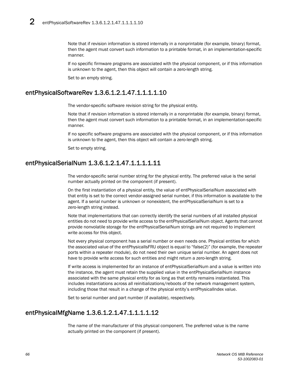Note that if revision information is stored internally in a nonprintable (for example, binary) format, then the agent must convert such information to a printable format, in an implementation-specific manner.

If no specific firmware programs are associated with the physical component, or if this information is unknown to the agent, then this object will contain a zero-length string.

Set to an empty string.

# entPhysicalSoftwareRev 1.3.6.1.2.1.47.1.1.1.1.10

The vendor-specific software revision string for the physical entity.

Note that if revision information is stored internally in a nonprintable (for example, binary) format, then the agent must convert such information to a printable format, in an implementation-specific manner.

If no specific software programs are associated with the physical component, or if this information is unknown to the agent, then this object will contain a zero-length string.

Set to empty string.

# entPhysicalSerialNum 1.3.6.1.2.1.47.1.1.1.1.11

The vendor-specific serial number string for the physical entity. The preferred value is the serial number actually printed on the component (if present).

On the first instantiation of a physical entity, the value of entPhysicalSerialNum associated with that entity is set to the correct vendor-assigned serial number, if this information is available to the agent. If a serial number is unknown or nonexistent, the entPhysicalSerialNum is set to a zero-length string instead.

Note that implementations that can correctly identify the serial numbers of all installed physical entities do not need to provide write access to the entPhysicalSerialNum object. Agents that cannot provide nonvolatile storage for the entPhysicalSerialNum strings are not required to implement write access for this object.

Not every physical component has a serial number or even needs one. Physical entities for which the associated value of the entPhysicalIsFRU object is equal to "false(2)" (for example, the repeater ports within a repeater module), do not need their own unique serial number. An agent does not have to provide write access for such entities and might return a zero-length string.

If write access is implemented for an instance of entPhysicalSerialNum and a value is written into the instance, the agent must retain the supplied value in the entPhysicalSerialNum instance associated with the same physical entity for as long as that entity remains instantiated. This includes instantiations across all reinitializations/reboots of the network management system, including those that result in a change of the physical entity's entPhysicalIndex value.

Set to serial number and part number (if available), respectively.

# entPhysicalMfgName 1.3.6.1.2.1.47.1.1.1.1.12

The name of the manufacturer of this physical component. The preferred value is the name actually printed on the component (if present).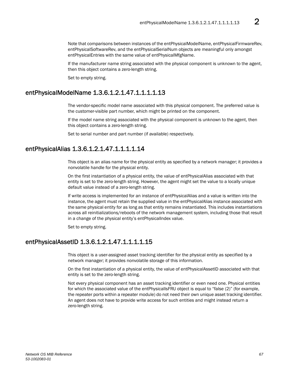Note that comparisons between instances of the entPhysicalModelName, entPhysicalFirmwareRev, entPhysicalSoftwareRev, and the entPhysicalSerialNum objects are meaningful only amongst entPhysicalEntries with the same value of entPhysicalMfgName.

If the manufacturer name string associated with the physical component is unknown to the agent, then this object contains a zero-length string.

Set to empty string.

### entPhysicalModelName 1.3.6.1.2.1.47.1.1.1.1.13

The vendor-specific model name associated with this physical component. The preferred value is the customer-visible part number, which might be printed on the component.

If the model name string associated with the physical component is unknown to the agent, then this object contains a zero-length string.

Set to serial number and part number (if available) respectively.

# entPhysicalAlias 1.3.6.1.2.1.47.1.1.1.1.14

This object is an alias name for the physical entity as specified by a network manager; it provides a nonvolatile handle for the physical entity.

On the first instantiation of a physical entity, the value of entPhysicalAlias associated with that entity is set to the zero-length string. However, the agent might set the value to a locally unique default value instead of a zero-length string.

If write access is implemented for an instance of entPhysicalAlias and a value is written into the instance, the agent must retain the supplied value in the entPhysicalAlias instance associated with the same physical entity for as long as that entity remains instantiated. This includes instantiations across all reinitializations/reboots of the network management system, including those that result in a change of the physical entity's entPhysicalIndex value.

Set to empty string.

# entPhysicalAssetID 1.3.6.1.2.1.47.1.1.1.1.15

This object is a user-assigned asset tracking identifier for the physical entity as specified by a network manager; it provides nonvolatile storage of this information.

On the first instantiation of a physical entity, the value of entPhysicalAssetID associated with that entity is set to the zero-length string.

Not every physical component has an asset tracking identifier or even need one. Physical entities for which the associated value of the entPhysicalIsFRU object is equal to "false (2)" (for example, the repeater ports within a repeater module) do not need their own unique asset tracking identifier. An agent does not have to provide write access for such entities and might instead return a zero-length string.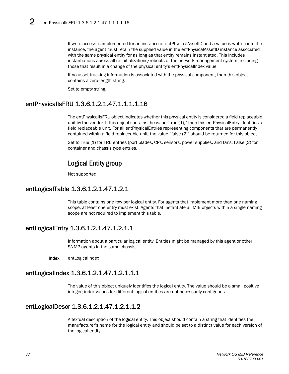If write access is implemented for an instance of entPhysicalAssetID and a value is written into the instance, the agent must retain the supplied value in the entPhysicalAssetID instance associated with the same physical entity for as long as that entity remains instantiated. This includes instantiations across all re-initializations/reboots of the network management system, including those that result in a change of the physical entity's entPhysicalIndex value.

If no asset tracking information is associated with the physical component, then this object contains a zero-length string.

Set to empty string.

### entPhysicalIsFRU 1.3.6.1.2.1.47.1.1.1.1.16

The entPhysicalIsFRU object indicates whether this physical entity is considered a field replaceable unit by the vendor. If this object contains the value "true (1)," then this entPhysicalEntry identifies a field replaceable unit. For all entPhysicalEntries representing components that are permanently contained within a field replaceable unit, the value "false (2)" should be returned for this object.

Set to True (1) for FRU entries (port blades, CPs, sensors, power supplies, and fans; False (2) for container and chassis type entries.

# <span id="page-79-0"></span>Logical Entity group

Not supported.

### entLogicalTable 1.3.6.1.2.1.47.1.2.1

This table contains one row per logical entity. For agents that implement more than one naming scope, at least one entry must exist. Agents that instantiate all MIB objects within a single naming scope are not required to implement this table.

### entLogicalEntry 1.3.6.1.2.1.47.1.2.1.1

Information about a particular logical entity. Entities might be managed by this agent or other SNMP agents in the same chassis.

Index entLogicalIndex

#### entLogicalIndex 1.3.6.1.2.1.47.1.2.1.1.1

The value of this object uniquely identifies the logical entity. The value should be a small positive integer; index values for different logical entities are not necessarily contiguous.

#### entLogicalDescr 1.3.6.1.2.1.47.1.2.1.1.2

A textual description of the logical entity. This object should contain a string that identifies the manufacturer's name for the logical entity and should be set to a distinct value for each version of the logical entity.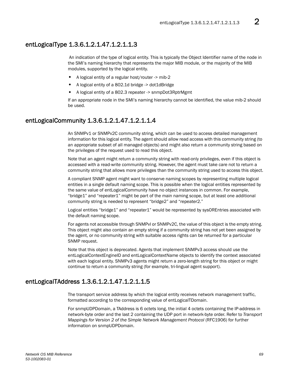# entLogicalType 1.3.6.1.2.1.47.1.2.1.1.3

 An indication of the type of logical entity. This is typically the Object Identifier name of the node in the SMI's naming hierarchy that represents the major MIB module, or the majority of the MIB modules, supported by the logical entity.

- A logical entity of a regular host/router -> mib-2
- A logical entity of a 802.1d bridge -> dot1dBridge
- A logical entity of a 802.3 repeater -> snmpDot3RptrMgmt

If an appropriate node in the SMI's naming hierarchy cannot be identified, the value mib-2 should be used.

### entLogicalCommunity 1.3.6.1.2.1.47.1.2.1.1.4

An SNMPv1 or SNMPv2C community string, which can be used to access detailed management information for this logical entity. The agent should allow read access with this community string (to an appropriate subset of all managed objects) and might also return a community string based on the privileges of the request used to read this object.

Note that an agent might return a community string with read-only privileges, even if this object is accessed with a read-write community string. However, the agent must take care not to return a community string that allows more privileges than the community string used to access this object.

A compliant SNMP agent might want to conserve naming scopes by representing multiple logical entities in a single default naming scope. This is possible when the logical entities represented by the same value of entLogicalCommunity have no object instances in common. For example, "bridge1" and "repeater1" might be part of the main naming scope, but at least one additional community string is needed to represent "bridge2" and "repeater2."

Logical entities "bridge1" and "repeater1" would be represented by sysOREntries associated with the default naming scope.

For agents not accessible through SNMPvl or SNMPv2C, the value of this object is the empty string. This object might also contain an empty string if a community string has not yet been assigned by the agent, or no community string with suitable access rights can be returned for a particular SNMP request.

Note that this object is deprecated. Agents that implement SNMPv3 access should use the entLogicalContextEngineID and entLogicalContextName objects to identify the context associated with each logical entity. SNMPv3 agents might return a zero-length string for this object or might continue to return a community string (for example, tri-lingual agent support).

#### entLogicalTAddress 1.3.6.1.2.1.47.1.2.1.1.5

The transport service address by which the logical entity receives network management traffic, formatted according to the corresponding value of entLogicalTDomain.

For snmpUDPDomain, a TAddress is 6 octets long, the initial 4 octets containing the IP-address in network-byte order and the last 2 containing the UDP port in network-byte order. Refer to *Transport Mappings for Version 2 of the Simple Network Management Protocol* (RFC1906) for further information on snmpUDPDomain.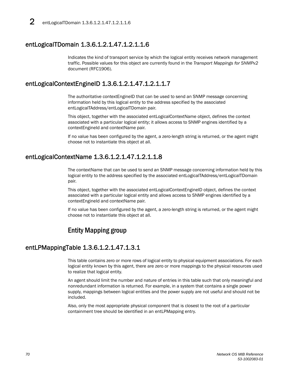# entLogicalTDomain 1.3.6.1.2.1.47.1.2.1.1.6

Indicates the kind of transport service by which the logical entity receives network management traffic. Possible values for this object are currently found in the *Transport Mappings for SNMPv2* document (RFC1906).

### entLogicalContextEngineID 1.3.6.1.2.1.47.1.2.1.1.7

The authoritative contextEngineID that can be used to send an SNMP message concerning information held by this logical entity to the address specified by the associated entLogicalTAddress/entLogicalTDomain pair.

This object, together with the associated entLogicalContextName object, defines the context associated with a particular logical entity; it allows access to SNMP engines identified by a contextEngineId and contextName pair.

If no value has been configured by the agent, a zero-length string is returned, or the agent might choose not to instantiate this object at all.

### entLogicalContextName 1.3.6.1.2.1.47.1.2.1.1.8

The contextName that can be used to send an SNMP message concerning information held by this logical entity to the address specified by the associated entLogicalTAddress/entLogicalTDomain pair.

This object, together with the associated entLogicalContextEngineID object, defines the context associated with a particular logical entity and allows access to SNMP engines identified by a contextEngineId and contextName pair.

If no value has been configured by the agent, a zero-length string is returned, or the agent might choose not to instantiate this object at all.

# <span id="page-81-0"></span>Entity Mapping group

### entLPMappingTable 1.3.6.1.2.1.47.1.3.1

This table contains zero or more rows of logical entity to physical equipment associations. For each logical entity known by this agent, there are zero or more mappings to the physical resources used to realize that logical entity.

An agent should limit the number and nature of entries in this table such that only meaningful and nonredundant information is returned. For example, in a system that contains a single power supply, mappings between logical entities and the power supply are not useful and should not be included.

Also, only the most appropriate physical component that is closest to the root of a particular containment tree should be identified in an entLPMapping entry.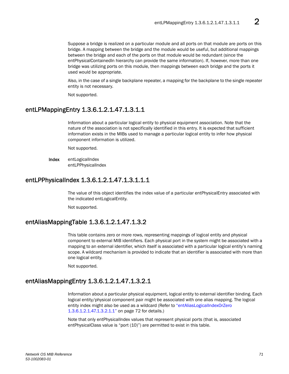Suppose a bridge is realized on a particular module and all ports on that module are ports on this bridge. A mapping between the bridge and the module would be useful, but additional mappings between the bridge and each of the ports on that module would be redundant (since the entPhysicalContainedIn hierarchy can provide the same information). If, however, more than one bridge was utilizing ports on this module, then mappings between each bridge and the ports it used would be appropriate.

Also, in the case of a single backplane repeater, a mapping for the backplane to the single repeater entity is not necessary.

Not supported.

# entLPMappingEntry 1.3.6.1.2.1.47.1.3.1.1

Information about a particular logical entity to physical equipment association. Note that the nature of the association is not specifically identified in this entry. It is expected that sufficient information exists in the MIBs used to manage a particular logical entity to infer how physical component information is utilized.

Not supported.

Index entLogicalIndex entLPPhysicalIndex

# entLPPhysicalIndex 1.3.6.1.2.1.47.1.3.1.1.1

The value of this object identifies the index value of a particular entPhysicalEntry associated with the indicated entLogicalEntity.

Not supported.

### entAliasMappingTable 1.3.6.1.2.1.47.1.3.2

This table contains zero or more rows, representing mappings of logical entity and physical component to external MIB identifiers. Each physical port in the system might be associated with a mapping to an external identifier, which itself is associated with a particular logical entity's naming scope. A wildcard mechanism is provided to indicate that an identifier is associated with more than one logical entity.

Not supported.

# entAliasMappingEntry 1.3.6.1.2.1.47.1.3.2.1

Information about a particular physical equipment, logical entity to external identifier binding. Each logical entity/physical component pair might be associated with one alias mapping. The logical entity index might also be used as a wildcard (Refer to ["entAliasLogicalIndexOrZero](#page-83-0)  [1.3.6.1.2.1.47.1.3.2.1.1" on page 72](#page-83-0) for details.)

Note that only entPhysicalIndex values that represent physical ports (that is, associated entPhysicalClass value is "port (10)") are permitted to exist in this table.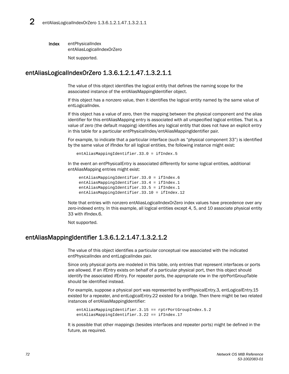Index entPhysicalIndex entAliasLogicalIndexOrZero

Not supported.

### <span id="page-83-0"></span>entAliasLogicalIndexOrZero 1.3.6.1.2.1.47.1.3.2.1.1

The value of this object identifies the logical entity that defines the naming scope for the associated instance of the entAliasMappingIdentifier object.

If this object has a nonzero value, then it identifies the logical entity named by the same value of entLogicalIndex.

If this object has a value of zero, then the mapping between the physical component and the alias identifier for this entAliasMapping entry is associated with all unspecified logical entities. That is, a value of zero (the default mapping) identifies any logical entity that does not have an explicit entry in this table for a particular entPhysicalIndex/entAliasMappingIdentifier pair.

For example, to indicate that a particular interface (such as "physical component 33") is identified by the same value of ifIndex for all logical entities, the following instance might exist:

```
entAliasMappingIdentifier.33.0 = ifIndex.5
```
In the event an entPhysicalEntry is associated differently for some logical entities, additional entAliasMapping entries might exist:

```
 entAliasMappingIdentifier.33.0 = ifIndex.6
 entAliasMappingIdentifier.33.4 = ifIndex.1
 entAliasMappingIdentifier.33.5 = ifIndex.1
 entAliasMappingIdentifier.33.10 = ifIndex.12
```
Note that entries with nonzero entAliasLogicalIndexOrZero index values have precedence over any zero-indexed entry. In this example, all logical entities except 4, 5, and 10 associate physical entity 33 with ifIndex.6.

Not supported.

### entAliasMappingIdentifier 1.3.6.1.2.1.47.1.3.2.1.2

The value of this object identifies a particular conceptual row associated with the indicated entPhysicalIndex and entLogicalIndex pair.

Since only physical ports are modeled in this table, only entries that represent interfaces or ports are allowed. If an ifEntry exists on behalf of a particular physical port, then this object should identify the associated ifEntry. For repeater ports, the appropriate row in the rptrPortGroupTable should be identified instead.

For example, suppose a physical port was represented by entPhysicalEntry.3, entLogicalEntry.15 existed for a repeater, and entLogicalEntry.22 existed for a bridge. Then there might be two related instances of entAliasMappingIdentifier:

```
entAliasMappingIdentifier.3.15 == rptrPortGroupIndex.5.2
entAliasMappingIdentifier.3.22 == ifIndex.17
```
It is possible that other mappings (besides interfaces and repeater ports) might be defined in the future, as required.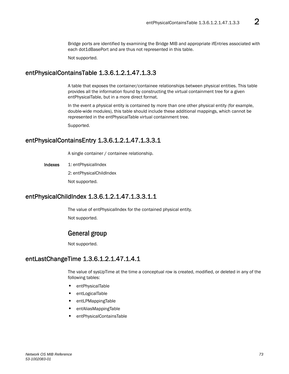Bridge ports are identified by examining the Bridge MIB and appropriate ifEntries associated with each dot1dBasePort and are thus not represented in this table.

Not supported.

# entPhysicalContainsTable 1.3.6.1.2.1.47.1.3.3

A table that exposes the container/containee relationships between physical entities. This table provides all the information found by constructing the virtual containment tree for a given entPhysicalTable, but in a more direct format.

In the event a physical entity is contained by more than one other physical entity (for example, double-wide modules), this table should include these additional mappings, which cannot be represented in the entPhysicalTable virtual containment tree.

Supported.

# entPhysicalContainsEntry 1.3.6.1.2.1.47.1.3.3.1

A single container / containee relationship.

Indexes 1: entPhysicalIndex

2: entPhysicalChildIndex

Not supported.

# entPhysicalChildIndex 1.3.6.1.2.1.47.1.3.3.1.1

The value of entPhysicalIndex for the contained physical entity. Not supported.

# <span id="page-84-0"></span>General group

Not supported.

# entLastChangeTime 1.3.6.1.2.1.47.1.4.1

The value of sysUpTime at the time a conceptual row is created, modified, or deleted in any of the following tables:

- entPhysicalTable
- entLogicalTable
- entLPMappingTable
- entAliasMappingTable
- entPhysicalContainsTable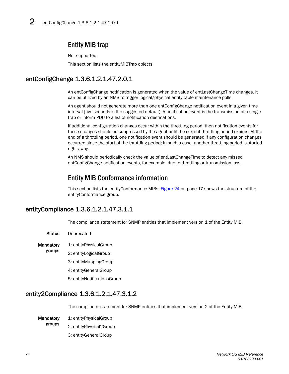# Entity MIB trap

Not supported.

This section lists the entityMIBTrap objects.

# entConfigChange 1.3.6.1.2.1.47.2.0.1

An entConfigChange notification is generated when the value of entLastChangeTime changes. It can be utilized by an NMS to trigger logical/physical entity table maintenance polls.

An agent should not generate more than one entConfigChange notification event in a given time interval (five seconds is the suggested default). A notification event is the transmission of a single trap or inform PDU to a list of notification destinations.

If additional configuration changes occur within the throttling period, then notification events for these changes should be suppressed by the agent until the current throttling period expires. At the end of a throttling period, one notification event should be generated if any configuration changes occurred since the start of the throttling period; in such a case, another throttling period is started right away.

An NMS should periodically check the value of entLastChangeTime to detect any missed entConfigChange notification events, for example, due to throttling or transmission loss.

# Entity MIB Conformance information

This section lists the entityConformance MIBs. [Figure 24 on page 17](#page-28-0) shows the structure of the entityConformance group.

# entityCompliance 1.3.6.1.2.1.47.3.1.1

The compliance statement for SNMP entities that implement version 1 of the Entity MIB.

Status Deprecated

groups

groups

**Mandatory** 1: entityPhysicalGroup

- 2: entityLogicalGroup
	- 3: entityMappingGroup
	- 4: entityGeneralGroup
	- 5: entityNotificationsGroup

### entity2Compliance 1.3.6.1.2.1.47.3.1.2

The compliance statement for SNMP entities that implement version 2 of the Entity MIB.

**Mandatory** 1: entityPhysicalGroup

- 2: entityPhysical2Group
- 3: entityGeneralGroup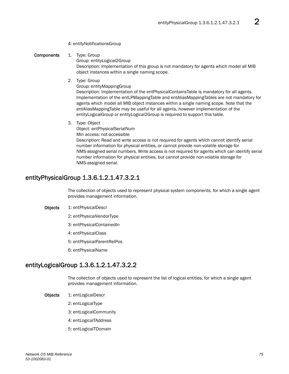4: entityNotificationsGroup

#### Components 1. Type: Group

Group: entityLogical2Group

Description: Implementation of this group is not mandatory for agents which model all MIB object instances within a single naming scope.

2. Type: Group

Group: entityMappingGroup

Description: Implementation of the entPhysicalContainsTable is mandatory for all agents. Implementation of the entLPMappingTable and entAliasMappingTables are not mandatory for agents which model all MIB object instances within a single naming scope. Note that the entAliasMappingTable may be useful for all agents, however implementation of the entityLogicalGroup or entityLogical2Group is required to support this table.

3. Type: Object

Object: entPhysicalSerialNum

Min access: not-accessible

Description: Read and write access is not required for agents which cannot identify serial number information for physical entities, or cannot provide non-volatile storage for NMS-assigned serial numbers. Write access is not required for agents which can identify serial number information for physical entities, but cannot provide non-volatile storage for NMS-assigned serial.

### entityPhysicalGroup 1.3.6.1.2.1.47.3.2.1

The collection of objects used to represent physical system components, for which a single agent provides management information.

- Objects 1: entPhysicalDescr
	- 2: entPhysicalVendorType
	- 3: entPhysicalContainedIn
	- 4: entPhysicalClass
	- 5: entPhysicalParentRelPos
	- 6: entPhysicalName

# entityLogicalGroup 1.3.6.1.2.1.47.3.2.2

The collection of objects used to represent the list of logical entities, for which a single agent provides management information.

- Objects 1: entLogicalDescr
	- 2: entLogicalType
	- 3: entLogicalCommunity
	- 4: entLogicalTAddress
	- 5: entLogicalTDomain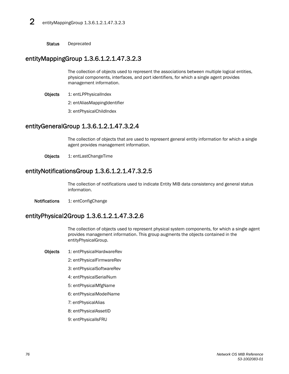Status Deprecated

# entityMappingGroup 1.3.6.1.2.1.47.3.2.3

The collection of objects used to represent the associations between multiple logical entities, physical components, interfaces, and port identifiers, for which a single agent provides management information.

- Objects 1: entLPPhysicalIndex
	- 2: entAliasMappingIdentifier
	- 3: entPhysicalChildIndex

# entityGeneralGroup 1.3.6.1.2.1.47.3.2.4

The collection of objects that are used to represent general entity information for which a single agent provides management information.

Objects 1: entLastChangeTime

### entityNotificationsGroup 1.3.6.1.2.1.47.3.2.5

The collection of notifications used to indicate Entity MIB data consistency and general status information.

Notifications 1: entConfigChange

### entityPhysical2Group 1.3.6.1.2.1.47.3.2.6

The collection of objects used to represent physical system components, for which a single agent provides management information. This group augments the objects contained in the entityPhysicalGroup.

- Objects 1: entPhysicalHardwareRev
	- 2: entPhysicalFirmwareRev
	- 3: entPhysicalSoftwareRev
	- 4: entPhysicalSerialNum
	- 5: entPhysicalMfgName
	- 6: entPhysicalModelName
	- 7: entPhysicalAlias
	- 8: entPhysicalAssetID
	- 9: entPhysicalIsFRU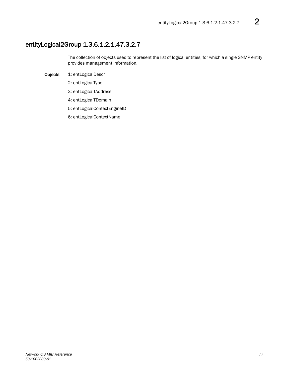# entityLogical2Group 1.3.6.1.2.1.47.3.2.7

The collection of objects used to represent the list of logical entities, for which a single SNMP entity provides management information.

- Objects 1: entLogicalDescr
	- 2: entLogicalType
	- 3: entLogicalTAddress
	- 4: entLogicalTDomain
	- 5: entLogicalContextEngineID
	- 6: entLogicalContextName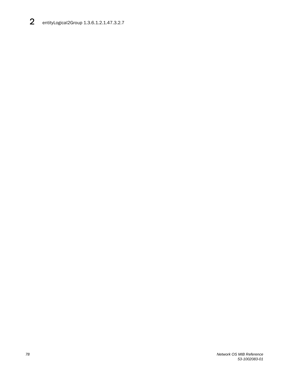entityLogical2Group 1.3.6.1.2.1.47.3.2.7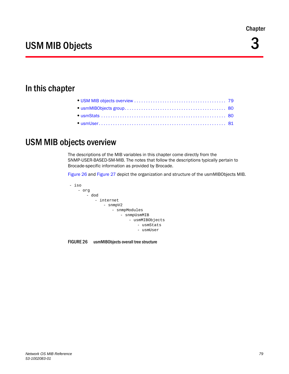### **Chapter**

# USM MIB Objects 3

# In this chapter

# <span id="page-90-0"></span>USM MIB objects overview

The descriptions of the MIB variables in this chapter come directly from the SNMP-USER-BASED-SM-MIB. The notes that follow the descriptions typically pertain to Brocade-specific information as provided by Brocade.

[Figure 26](#page-90-1) and [Figure 27](#page-91-0) depict the organization and structure of the usmMIBObjects MIB.



<span id="page-90-1"></span>FIGURE 26 usmMIBObjects overall tree structure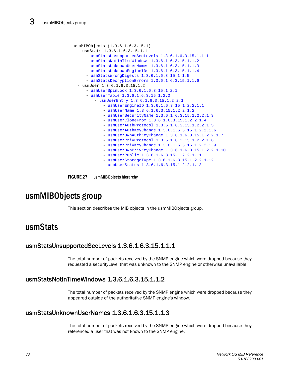```
- usmMIBObjects (1.3.6.1.6.3.15.1)
   - usmStats 1.3.6.1.6.3.15.1.1
       - usmStatsUnsupportedSecLevels 1.3.6.1.6.3.15.1.1.1
       - usmStatsNotInTimeWindows 1.3.6.1.6.3.15.1.1.2
       - usmStatsUnknownUserNames 1.3.6.1.6.3.15.1.1.3
       - usmStatsUnknownEngineIDs 1.3.6.1.6.3.15.1.1.4
       - usmStatsWrongDigests 1.3.6.1.6.3.15.1.1.5
       - usmStatsDecryptionErrors 1.3.6.1.6.3.15.1.1.6
   - usmUser 1.3.6.1.6.3.15.1.2
       - usmUserSpinLock 1.3.6.1.6.3.15.1.2.1
       - usmUserTable 1.3.6.1.6.3.15.1.2.2
          - usmUserEntry 1.3.6.1.6.3.15.1.2.2.1
              - usmUserEngineID 1.3.6.1.6.3.15.1.2.2.1.1
              - usmUserName 1.3.6.1.6.3.15.1.2.2.1.2
              - usmUserSecurityName 1.3.6.1.6.3.15.1.2.2.1.3
              - usmUserCloneFrom 1.3.6.1.6.3.15.1.2.2.1.4
              - usmUserAuthProtocol 1.3.6.1.6.3.15.1.2.2.1.5
              - usmUserAuthKeyChange 1.3.6.1.6.3.15.1.2.2.1.6
              - usmUserOwnAuthKeyChange 1.3.6.1.6.3.15.1.2.2.1.7
              - usmUserPrivProtocol 1.3.6.1.6.3.15.1.2.2.1.8
              - usmUserPrivKeyChange 1.3.6.1.6.3.15.1.2.2.1.9
              - usmUserOwnPrivKeyChange 1.3.6.1.6.3.15.1.2.2.1.10
              - usmUserPublic 1.3.6.1.6.3.15.1.2.2.1.11
              - usmUserStorageType 1.3.6.1.6.3.15.1.2.2.1.12
              - usmUserStatus 1.3.6.1.6.3.15.1.2.2.1.13
```
<span id="page-91-0"></span>

# <span id="page-91-1"></span>usmMIBObjects group

This section describes the MIB objects in the usmMIBObjects group.

# <span id="page-91-2"></span>usmStats

# <span id="page-91-3"></span>usmStatsUnsupportedSecLevels 1.3.6.1.6.3.15.1.1.1

The total number of packets received by the SNMP engine which were dropped because they requested a securityLevel that was unknown to the SNMP engine or otherwise unavailable.

# <span id="page-91-4"></span>usmStatsNotInTimeWindows 1.3.6.1.6.3.15.1.1.2

The total number of packets received by the SNMP engine which were dropped because they appeared outside of the authoritative SNMP engine's window.

# <span id="page-91-5"></span>usmStatsUnknownUserNames 1.3.6.1.6.3.15.1.1.3

The total number of packets received by the SNMP engine which were dropped because they referenced a user that was not known to the SNMP engine.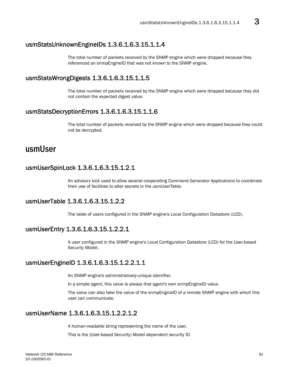# <span id="page-92-1"></span>usmStatsUnknownEngineIDs 1.3.6.1.6.3.15.1.1.4

The total number of packets received by the SNMP engine which were dropped because they referenced an snmpEngineID that was not known to the SNMP engine.

### <span id="page-92-2"></span>usmStatsWrongDigests 1.3.6.1.6.3.15.1.1.5

The total number of packets received by the SNMP engine which were dropped because they did not contain the expected digest value.

# <span id="page-92-3"></span>usmStatsDecryptionErrors 1.3.6.1.6.3.15.1.1.6

The total number of packets received by the SNMP engine which were dropped because they could not be decrypted.

# <span id="page-92-0"></span>usmUser

# <span id="page-92-4"></span>usmUserSpinLock 1.3.6.1.6.3.15.1.2.1

An advisory lock used to allow several cooperating Command Generator Applications to coordinate their use of facilities to alter secrets in the usmUserTable.

# <span id="page-92-5"></span>usmUserTable 1.3.6.1.6.3.15.1.2.2

The table of users configured in the SNMP engine's Local Configuration Datastore (LCD).

### <span id="page-92-6"></span>usmUserEntry 1.3.6.1.6.3.15.1.2.2.1

A user configured in the SNMP engine's Local Configuration Datastore (LCD) for the User-based Security Model.

### <span id="page-92-7"></span>usmUserEngineID 1.3.6.1.6.3.15.1.2.2.1.1

An SNMP engine's administratively-unique identifier.

In a simple agent, this value is always that agent's own snmpEngineID value.

The value can also take the value of the snmpEngineID of a remote SNMP engine with which this user can communicate.

### <span id="page-92-8"></span>usmUserName 1.3.6.1.6.3.15.1.2.2.1.2

A human-readable string representing the name of the user.

This is the (User-based Security) Model dependent security ID.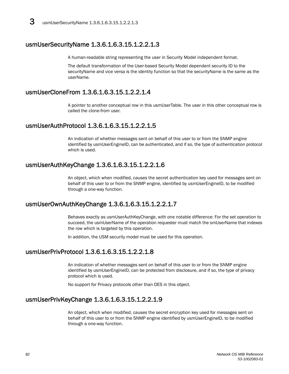# <span id="page-93-0"></span>usmUserSecurityName 1.3.6.1.6.3.15.1.2.2.1.3

A human-readable string representing the user in Security Model independent format.

The default transformation of the User-based Security Model dependent security ID to the securityName and vice versa is the identity function so that the securityName is the same as the userName.

### <span id="page-93-1"></span>usmUserCloneFrom 1.3.6.1.6.3.15.1.2.2.1.4

A pointer to another conceptual row in this usmUserTable. The user in this other conceptual row is called the clone-from user.

### <span id="page-93-2"></span>usmUserAuthProtocol 1.3.6.1.6.3.15.1.2.2.1.5

An indication of whether messages sent on behalf of this user to or from the SNMP engine identified by usmUserEngineID, can be authenticated, and if so, the type of authentication protocol which is used.

### <span id="page-93-3"></span>usmUserAuthKeyChange 1.3.6.1.6.3.15.1.2.2.1.6

An object, which when modified, causes the secret authentication key used for messages sent on behalf of this user to or from the SNMP engine, identified by usmUserEngineID, to be modified through a one-way function.

### <span id="page-93-4"></span>usmUserOwnAuthKeyChange 1.3.6.1.6.3.15.1.2.2.1.7

Behaves exactly as usmUserAuthKeyChange, with one notable difference: For the set operation to succeed, the usmUserName of the operation requester must match the smUserName that indexes the row which is targeted by this operation.

In addition, the USM security model must be used for this operation.

### <span id="page-93-5"></span>usmUserPrivProtocol 1.3.6.1.6.3.15.1.2.2.1.8

An indication of whether messages sent on behalf of this user to or from the SNMP engine identified by usmUserEngineID, can be protected from disclosure, and if so, the type of privacy protocol which is used.

No support for Privacy protocols other than DES in this object.

### <span id="page-93-6"></span>usmUserPrivKeyChange 1.3.6.1.6.3.15.1.2.2.1.9

An object, which when modified, causes the secret encryption key used for messages sent on behalf of this user to or from the SNMP engine identified by usmUserEngineID, to be modified through a one-way function.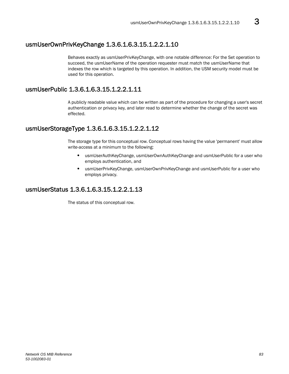# <span id="page-94-0"></span>usmUserOwnPrivKeyChange 1.3.6.1.6.3.15.1.2.2.1.10

Behaves exactly as usmUserPrivKeyChange, with one notable difference: For the Set operation to succeed, the usmUserName of the operation requester must match the usmUserName that indexes the row which is targeted by this operation. In addition, the USM security model must be used for this operation.

# <span id="page-94-1"></span>usmUserPublic 1.3.6.1.6.3.15.1.2.2.1.11

A publicly readable value which can be written as part of the procedure for changing a user's secret authentication or privacy key, and later read to determine whether the change of the secret was effected.

# <span id="page-94-2"></span>usmUserStorageType 1.3.6.1.6.3.15.1.2.2.1.12

The storage type for this conceptual row. Conceptual rows having the value 'permanent' must allow write-access at a minimum to the following:

- usmUserAuthKeyChange, usmUserOwnAuthKeyChange and usmUserPublic for a user who employs authentication, and
- usmUserPrivKeyChange, usmUserOwnPrivKeyChange and usmUserPublic for a user who employs privacy.

# <span id="page-94-3"></span>usmUserStatus 1.3.6.1.6.3.15.1.2.2.1.13

The status of this conceptual row.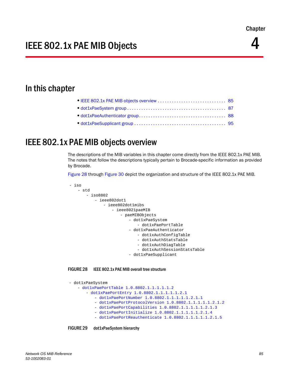# In this chapter

# <span id="page-96-0"></span>IEEE 802.1x PAE MIB objects overview

The descriptions of the MIB variables in this chapter come directly from the IEEE 802.1x PAE MIB. The notes that follow the descriptions typically pertain to Brocade-specific information as provided by Brocade.

[Figure 28](#page-96-1) through [Figure 30](#page-98-7) depict the organization and structure of the IEEE 802.1x PAE MIB.



<span id="page-96-1"></span>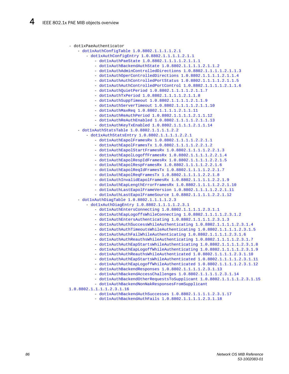- dot1xPaeAuthenticator - [dot1xAuthConfigTable 1.0.8802.1.1.1.1.2.1](#page-99-2) - [dot1xAuthConfigEntry 1.0.8802.1.1.1.1.2.1.1](#page-99-3) - [dot1xAuthPaeState 1.0.8802.1.1.1.1.2.1.1.1](#page-99-4) - [dot1xAuthBackendAuthState 1.0.8802.1.1.1.1.2.1.1.2](#page-99-5) - [dot1xAuthAdminControlledDirections 1.0.8802.1.1.1.1.2.1.1.3](#page-100-0) - [dot1xAuthOperControlledDirections 1.0.8802.1.1.1.1.2.1.1.4](#page-100-1) - [dot1xAuthAuthControlledPortStatus 1.0.8802.1.1.1.1.2.1.1.5](#page-100-2) - [dot1xAuthAuthControlledPortControl 1.0.8802.1.1.1.1.2.1.1.6](#page-100-3) - [dot1xAuthQuietPeriod 1.0.8802.1.1.1.1.2.1.1.7](#page-100-4) - [dot1xAuthTxPeriod 1.0.8802.1.1.1.1.2.1.1.8](#page-100-5) - [dot1xAuthSuppTimeout 1.0.8802.1.1.1.1.2.1.1.9](#page-100-6) - [dot1xAuthServerTimeout 1.0.8802.1.1.1.1.2.1.1.10](#page-100-7) - [dot1xAuthMaxReq 1.0.8802.1.1.1.1.2.1.1.11](#page-101-0) - [dot1xAuthReAuthPeriod 1.0.8802.1.1.1.1.2.1.1.12](#page-101-1) - [dot1xAuthReAuthEnabled 1.0.8802.1.1.1.1.2.1.1.13](#page-101-2) - [dot1xAuthKeyTxEnabled 1.0.8802.1.1.1.1.2.1.1.14](#page-101-3) - [dot1xAuthStatsTable 1.0.8802.1.1.1.1.2.2](#page-101-4) - [dot1xAuthStatsEntry 1.0.8802.1.1.1.1.2.2.1](#page-101-5) - [dot1xAuthEapolFramesRx 1.0.8802.1.1.1.1.2.2.1.1](#page-101-6) - [dot1xAuthEapolFramesTx 1.0.8802.1.1.1.1.2.2.1.2](#page-101-7) - [dot1xAuthEapolStartFramesRx 1.0.8802.1.1.1.1.2.2.1.3](#page-101-8) - [dot1xAuthEapolLogoffFramesRx 1.0.8802.1.1.1.1.2.2.1.4](#page-101-9) - [dot1xAuthEapolRespIdFramesRx 1.0.8802.1.1.1.1.2.2.1.5](#page-102-0) - [dot1xAuthEapolRespFramesRx 1.0.8802.1.1.1.1.2.2.1.6](#page-102-1) - [dot1xAuthEapolReqIdFramesTx 1.0.8802.1.1.1.1.2.2.1.7](#page-102-2) - [dot1xAuthEapolReqFramesTx 1.0.8802.1.1.1.1.2.2.1.8](#page-102-3) - [dot1xAuthInvalidEapolFramesRx 1.0.8802.1.1.1.1.2.2.1.9](#page-102-4) - [dot1xAuthEapLengthErrorFramesRx 1.0.8802.1.1.1.1.2.2.1.10](#page-102-5) - [dot1xAuthLastEapolFrameVersion 1.0.8802.1.1.1.1.2.2.1.11](#page-102-6) - [dot1xAuthLastEapolFrameSource 1.0.8802.1.1.1.1.2.2.1.12](#page-102-7) - [dot1xAuthDiagTable 1.0.8802.1.1.1.1.2.3](#page-102-8) - [dot1xAuthDiagEntry 1.0.8802.1.1.1.1.2.3.1](#page-102-9) - [dot1xAuthEntersConnecting 1.0.8802.1.1.1.1.2.3.1.1](#page-103-0) - [dot1xAuthEapLogoffsWhileConnecting 1.0.8802.1.1.1.1.2.3.1.2](#page-103-1) - [dot1xAuthEntersAuthenticating 1.0.8802.1.1.1.1.2.3.1.3](#page-103-2) - [dot1xAuthAuthSuccessWhileAuthenticating 1.0.8802.1.1.1.1.2.3.1.4](#page-103-3) - [dot1xAuthAuthTimeoutsWhileAuthenticating 1.0.8802.1.1.1.1.2.3.1.5](#page-103-4) - [dot1xAuthAuthFailWhileAuthenticating 1.0.8802.1.1.1.1.2.3.1.6](#page-103-5) - [dot1xAuthAuthReauthsWhileAuthenticating 1.0.8802.1.1.1.1.2.3.1.7](#page-103-6) - [dot1xAuthAuthEapStartsWhileAuthenticating 1.0.8802.1.1.1.1.2.3.1.8](#page-103-7) - [dot1xAuthAuthEapLogoffWhileAuthenticating 1.0.8802.1.1.1.1.2.3.1.9](#page-104-0) - [dot1xAuthAuthReauthsWhileAuthenticated 1.0.8802.1.1.1.1.2.3.1.10](#page-104-1) - [dot1xAuthAuthEapStartsWhileAuthenticated 1.0.8802.1.1.1.1.2.3.1.11](#page-104-2) - [dot1xAuthAuthEapLogoffWhileAuthenticated 1.0.8802.1.1.1.1.2.3.1.12](#page-104-3) - [dot1xAuthBackendResponses 1.0.8802.1.1.1.1.2.3.1.13](#page-104-4) - [dot1xAuthBackendAccessChallenges 1.0.8802.1.1.1.1.2.3.1.14](#page-104-5) - [dot1xAuthBackendOtherRequestsToSupplicant 1.0.8802.1.1.1.1.2.3.1.15](#page-104-6) - [dot1xAuthBackendNonNakResponsesFromSupplicant](#page-105-0)  [1.0.8802.1.1.1.1.2.3.1.16](#page-105-0)

- [dot1xAuthBackendAuthSuccesses 1.0.8802.1.1.1.1.2.3.1.17](#page-105-1)

- [dot1xAuthBackendAuthFails 1.0.8802.1.1.1.1.2.3.1.18](#page-105-2)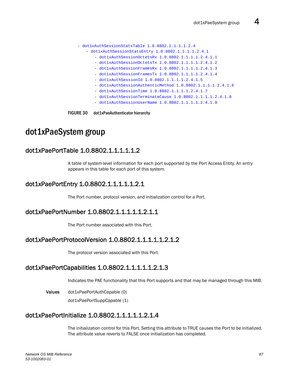- [dot1xAuthSessionStatsTable 1.0.8802.1.1.1.1.2.4](#page-105-3) - [dot1xAuthSessionStatsEntry 1.0.8802.1.1.1.1.2.4.1](#page-105-4) - [dot1xAuthSessionOctetsRx 1.0.8802.1.1.1.1.2.4.1.1](#page-105-5) - [dot1xAuthSessionOctetsTx 1.0.8802.1.1.1.1.2.4.1.2](#page-105-6) - [dot1xAuthSessionFramesRx 1.0.8802.1.1.1.1.2.4.1.3](#page-105-7) - [dot1xAuthSessionFramesTx 1.0.8802.1.1.1.1.2.4.1.4](#page-106-1) - [dot1xAuthSessionId 1.0.8802.1.1.1.1.2.4.1.5](#page-106-2) - [dot1xAuthSessionAuthenticMethod 1.0.8802.1.1.1.1.2.4.1.6](#page-106-3) - [dot1xAuthSessionTime 1.0.8802.1.1.1.1.2.4.1.7](#page-106-4) - [dot1xAuthSessionTerminateCause 1.0.8802.1.1.1.1.2.4.1.8](#page-106-5) - [dot1xAuthSessionUserName 1.0.8802.1.1.1.1.2.4.1.9](#page-106-6)

<span id="page-98-7"></span>FIGURE 30 dot1xPaeAuthenticator hierarchy

# <span id="page-98-0"></span>dot1xPaeSystem group

# <span id="page-98-1"></span>dot1xPaePortTable 1.0.8802.1.1.1.1.1.2

A table of system-level information for each port supported by the Port Access Entity. An entry appears in this table for each port of this system.

### <span id="page-98-2"></span>dot1xPaePortEntry 1.0.8802.1.1.1.1.1.2.1

The Port number, protocol version, and initialization control for a Port.

### <span id="page-98-3"></span>dot1xPaePortNumber 1.0.8802.1.1.1.1.1.2.1.1

The Port number associated with this Port.

#### <span id="page-98-4"></span>dot1xPaePortProtocolVersion 1.0.8802.1.1.1.1.1.2.1.2

The protocol version associated with this Port.

### <span id="page-98-5"></span>dot1xPaePortCapabilities 1.0.8802.1.1.1.1.1.2.1.3

Indicates the PAE functionality that this Port supports and that may be managed through this MIB.

Values dot1xPaePortAuthCapable (0)

dot1xPaePortSuppCapable (1)

### <span id="page-98-6"></span>dot1xPaePortInitialize 1.0.8802.1.1.1.1.1.2.1.4

The initialization control for this Port. Setting this attribute to TRUE causes the Port to be initialized. The attribute value reverts to FALSE once initialization has completed.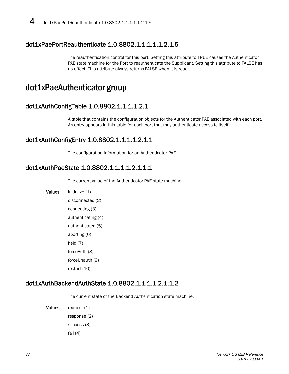# <span id="page-99-1"></span>dot1xPaePortReauthenticate 1.0.8802.1.1.1.1.1.2.1.5

The reauthentication control for this port. Setting this attribute to TRUE causes the Authenticator PAE state machine for the Port to reauthenticate the Supplicant. Setting this attribute to FALSE has no effect. This attribute always returns FALSE when it is read.

# <span id="page-99-0"></span>dot1xPaeAuthenticator group

### <span id="page-99-2"></span>dot1xAuthConfigTable 1.0.8802.1.1.1.1.2.1

A table that contains the configuration objects for the Authenticator PAE associated with each port. An entry appears in this table for each port that may authenticate access to itself.

### <span id="page-99-3"></span>dot1xAuthConfigEntry 1.0.8802.1.1.1.1.2.1.1

The configuration information for an Authenticator PAE.

### <span id="page-99-4"></span>dot1xAuthPaeState 1.0.8802.1.1.1.1.2.1.1.1

The current value of the Authenticator PAE state machine.

Values initialize (1)

disconnected (2) connecting (3) authenticating (4) authenticated (5) aborting (6) held (7) forceAuth (8) forceUnauth (9) restart (10)

# <span id="page-99-5"></span>dot1xAuthBackendAuthState 1.0.8802.1.1.1.1.2.1.1.2

The current state of the Backend Authentication state machine.

Values request (1) response (2) success (3) fail (4)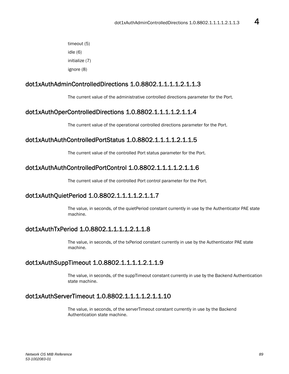timeout (5) idle (6) initialize (7) ignore (8)

# <span id="page-100-0"></span>dot1xAuthAdminControlledDirections 1.0.8802.1.1.1.1.2.1.1.3

The current value of the administrative controlled directions parameter for the Port.

# <span id="page-100-1"></span>dot1xAuthOperControlledDirections 1.0.8802.1.1.1.1.2.1.1.4

The current value of the operational controlled directions parameter for the Port.

# <span id="page-100-2"></span>dot1xAuthAuthControlledPortStatus 1.0.8802.1.1.1.1.2.1.1.5

The current value of the controlled Port status parameter for the Port.

# <span id="page-100-3"></span>dot1xAuthAuthControlledPortControl 1.0.8802.1.1.1.1.2.1.1.6

The current value of the controlled Port control parameter for the Port.

# <span id="page-100-4"></span>dot1xAuthQuietPeriod 1.0.8802.1.1.1.1.2.1.1.7

The value, in seconds, of the quietPeriod constant currently in use by the Authenticator PAE state machine.

# <span id="page-100-5"></span>dot1xAuthTxPeriod 1.0.8802.1.1.1.1.2.1.1.8

The value, in seconds, of the txPeriod constant currently in use by the Authenticator PAE state machine.

# <span id="page-100-6"></span>dot1xAuthSuppTimeout 1.0.8802.1.1.1.1.2.1.1.9

The value, in seconds, of the suppTimeout constant currently in use by the Backend Authentication state machine.

# <span id="page-100-7"></span>dot1xAuthServerTimeout 1.0.8802.1.1.1.1.2.1.1.10

The value, in seconds, of the serverTimeout constant currently in use by the Backend Authentication state machine.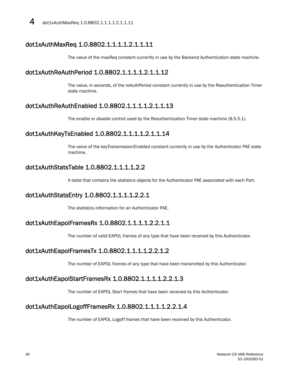# <span id="page-101-0"></span>dot1xAuthMaxReq 1.0.8802.1.1.1.1.2.1.1.11

The value of the maxReq constant currently in use by the Backend Authentication state machine.

# <span id="page-101-1"></span>dot1xAuthReAuthPeriod 1.0.8802.1.1.1.1.2.1.1.12

The value, in seconds, of the reAuthPeriod constant currently in use by the Reauthentication Timer state machine.

# <span id="page-101-2"></span>dot1xAuthReAuthEnabled 1.0.8802.1.1.1.1.2.1.1.13

The enable or disable control used by the Reauthentication Timer state machine (8.5.5.1).

### <span id="page-101-3"></span>dot1xAuthKeyTxEnabled 1.0.8802.1.1.1.1.2.1.1.14

The value of the keyTransmissionEnabled constant currently in use by the Authenticator PAE state machine.

### <span id="page-101-4"></span>dot1xAuthStatsTable 1.0.8802.1.1.1.1.2.2

A table that contains the statistics objects for the Authenticator PAE associated with each Port.

# <span id="page-101-5"></span>dot1xAuthStatsEntry 1.0.8802.1.1.1.1.2.2.1

The statistics information for an Authenticator PAE.

### <span id="page-101-6"></span>dot1xAuthEapolFramesRx 1.0.8802.1.1.1.1.2.2.1.1

The number of valid EAPOL frames of any type that have been received by this Authenticator.

### <span id="page-101-7"></span>dot1xAuthEapolFramesTx 1.0.8802.1.1.1.1.2.2.1.2

The number of EAPOL frames of any type that have been transmitted by this Authenticator.

### <span id="page-101-8"></span>dot1xAuthEapolStartFramesRx 1.0.8802.1.1.1.1.2.2.1.3

The number of EAPOL Start frames that have been received by this Authenticator.

# <span id="page-101-9"></span>dot1xAuthEapolLogoffFramesRx 1.0.8802.1.1.1.1.2.2.1.4

The number of EAPOL Logoff frames that have been received by this Authenticator.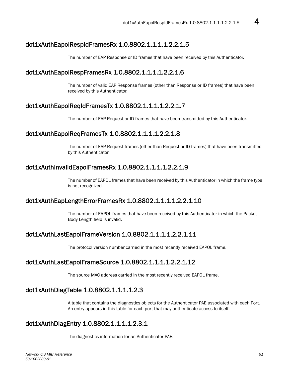# <span id="page-102-0"></span>dot1xAuthEapolRespIdFramesRx 1.0.8802.1.1.1.1.2.2.1.5

The number of EAP Response or ID frames that have been received by this Authenticator.

# <span id="page-102-1"></span>dot1xAuthEapolRespFramesRx 1.0.8802.1.1.1.1.2.2.1.6

The number of valid EAP Response frames (other than Response or ID frames) that have been received by this Authenticator.

# <span id="page-102-2"></span>dot1xAuthEapolReqIdFramesTx 1.0.8802.1.1.1.1.2.2.1.7

The number of EAP Request or ID frames that have been transmitted by this Authenticator.

### <span id="page-102-3"></span>dot1xAuthEapolReqFramesTx 1.0.8802.1.1.1.1.2.2.1.8

The number of EAP Request frames (other than Request or ID frames) that have been transmitted by this Authenticator.

# <span id="page-102-4"></span>dot1xAuthInvalidEapolFramesRx 1.0.8802.1.1.1.1.2.2.1.9

The number of EAPOL frames that have been received by this Authenticator in which the frame type is not recognized.

# <span id="page-102-5"></span>dot1xAuthEapLengthErrorFramesRx 1.0.8802.1.1.1.1.2.2.1.10

The number of EAPOL frames that have been received by this Authenticator in which the Packet Body Length field is invalid.

# <span id="page-102-6"></span>dot1xAuthLastEapolFrameVersion 1.0.8802.1.1.1.1.2.2.1.11

The protocol version number carried in the most recently received EAPOL frame.

# <span id="page-102-7"></span>dot1xAuthLastEapolFrameSource 1.0.8802.1.1.1.1.2.2.1.12

The source MAC address carried in the most recently received EAPOL frame.

# <span id="page-102-8"></span>dot1xAuthDiagTable 1.0.8802.1.1.1.1.2.3

A table that contains the diagnostics objects for the Authenticator PAE associated with each Port. An entry appears in this table for each port that may authenticate access to itself.

# <span id="page-102-9"></span>dot1xAuthDiagEntry 1.0.8802.1.1.1.1.2.3.1

The diagnostics information for an Authenticator PAE.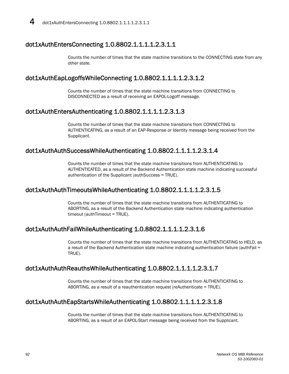# <span id="page-103-0"></span>dot1xAuthEntersConnecting 1.0.8802.1.1.1.1.2.3.1.1

Counts the number of times that the state machine transitions to the CONNECTING state from any other state.

### <span id="page-103-1"></span>dot1xAuthEapLogoffsWhileConnecting 1.0.8802.1.1.1.1.2.3.1.2

Counts the number of times that the state machine transitions from CONNECTING to DISCONNECTED as a result of receiving an EAPOL-Logoff message.

### <span id="page-103-2"></span>dot1xAuthEntersAuthenticating 1.0.8802.1.1.1.1.2.3.1.3

Counts the number of times that the state machine transitions from CONNECTING to AUTHENTICATING, as a result of an EAP-Response or Identity message being received from the Supplicant.

### <span id="page-103-3"></span>dot1xAuthAuthSuccessWhileAuthenticating 1.0.8802.1.1.1.1.2.3.1.4

Counts the number of times that the state machine transitions from AUTHENTICATING to AUTHENTICATED, as a result of the Backend Authentication state machine indicating successful authentication of the Supplicant (authSuccess = TRUE).

# <span id="page-103-4"></span>dot1xAuthAuthTimeoutsWhileAuthenticating 1.0.8802.1.1.1.1.2.3.1.5

Counts the number of times that the state machine transitions from AUTHENTICATING to ABORTING, as a result of the Backend Authentication state machine indicating authentication timeout (authTimeout = TRUE).

# <span id="page-103-5"></span>dot1xAuthAuthFailWhileAuthenticating 1.0.8802.1.1.1.1.2.3.1.6

Counts the number of times that the state machine transitions from AUTHENTICATING to HELD, as a result of the Backend Authentication state machine indicating authentication failure (authFail = TRUE).

### <span id="page-103-6"></span>dot1xAuthAuthReauthsWhileAuthenticating 1.0.8802.1.1.1.1.2.3.1.7

Counts the number of times that the state machine transitions from AUTHENTICATING to ABORTING, as a result of a reauthentication request (reAuthenticate = TRUE).

# <span id="page-103-7"></span>dot1xAuthAuthEapStartsWhileAuthenticating 1.0.8802.1.1.1.1.2.3.1.8

Counts the number of times that the state machine transitions from AUTHENTICATING to ABORTING, as a result of an EAPOL-Start message being received from the Supplicant.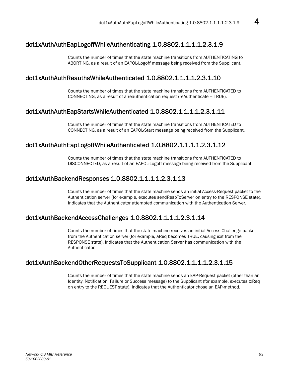# <span id="page-104-0"></span>dot1xAuthAuthEapLogoffWhileAuthenticating 1.0.8802.1.1.1.1.2.3.1.9

Counts the number of times that the state machine transitions from AUTHENTICATING to ABORTING, as a result of an EAPOL-Logoff message being received from the Supplicant.

### <span id="page-104-1"></span>dot1xAuthAuthReauthsWhileAuthenticated 1.0.8802.1.1.1.1.2.3.1.10

Counts the number of times that the state machine transitions from AUTHENTICATED to CONNECTING, as a result of a reauthentication request (reAuthenticate = TRUE).

### <span id="page-104-2"></span>dot1xAuthAuthEapStartsWhileAuthenticated 1.0.8802.1.1.1.1.2.3.1.11

Counts the number of times that the state machine transitions from AUTHENTICATED to CONNECTING, as a result of an EAPOL-Start message being received from the Supplicant.

### <span id="page-104-3"></span>dot1xAuthAuthEapLogoffWhileAuthenticated 1.0.8802.1.1.1.1.2.3.1.12

Counts the number of times that the state machine transitions from AUTHENTICATED to DISCONNECTED, as a result of an EAPOL-Logoff message being received from the Supplicant.

### <span id="page-104-4"></span>dot1xAuthBackendResponses 1.0.8802.1.1.1.1.2.3.1.13

Counts the number of times that the state machine sends an initial Access-Request packet to the Authentication server (for example, executes sendRespToServer on entry to the RESPONSE state). Indicates that the Authenticator attempted communication with the Authentication Server.

#### <span id="page-104-5"></span>dot1xAuthBackendAccessChallenges 1.0.8802.1.1.1.1.2.3.1.14

Counts the number of times that the state machine receives an initial Access-Challenge packet from the Authentication server (for example, aReq becomes TRUE, causing exit from the RESPONSE state). Indicates that the Authentication Server has communication with the Authenticator.

#### <span id="page-104-6"></span>dot1xAuthBackendOtherRequestsToSupplicant 1.0.8802.1.1.1.1.2.3.1.15

Counts the number of times that the state machine sends an EAP-Request packet (other than an Identity, Notification, Failure or Success message) to the Supplicant (for example, executes txReq on entry to the REQUEST state). Indicates that the Authenticator chose an EAP-method.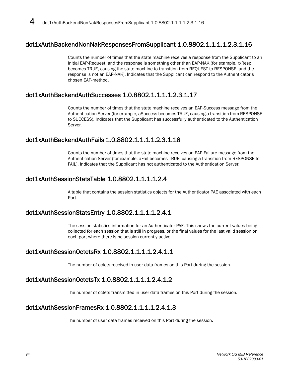### <span id="page-105-0"></span>dot1xAuthBackendNonNakResponsesFromSupplicant 1.0.8802.1.1.1.1.2.3.1.16

Counts the number of times that the state machine receives a response from the Supplicant to an initial EAP-Request, and the response is something other than EAP-NAK (for example, rxResp becomes TRUE, causing the state machine to transition from REQUEST to RESPONSE, and the response is not an EAP-NAK). Indicates that the Supplicant can respond to the Authenticator's chosen EAP-method.

### <span id="page-105-1"></span>dot1xAuthBackendAuthSuccesses 1.0.8802.1.1.1.1.2.3.1.17

Counts the number of times that the state machine receives an EAP-Success message from the Authentication Server (for example, aSuccess becomes TRUE, causing a transition from RESPONSE to SUCCESS). Indicates that the Supplicant has successfully authenticated to the Authentication Server.

### <span id="page-105-2"></span>dot1xAuthBackendAuthFails 1.0.8802.1.1.1.1.2.3.1.18

Counts the number of times that the state machine receives an EAP-Failure message from the Authentication Server (for example, aFail becomes TRUE, causing a transition from RESPONSE to FAIL). Indicates that the Supplicant has not authenticated to the Authentication Server.

# <span id="page-105-3"></span>dot1xAuthSessionStatsTable 1.0.8802.1.1.1.1.2.4

A table that contains the session statistics objects for the Authenticator PAE associated with each Port.

### <span id="page-105-4"></span>dot1xAuthSessionStatsEntry 1.0.8802.1.1.1.1.2.4.1

The session statistics information for an Authenticator PAE. This shows the current values being collected for each session that is still in progress, or the final values for the last valid session on each port where there is no session currently active.

### <span id="page-105-5"></span>dot1xAuthSessionOctetsRx 1.0.8802.1.1.1.1.2.4.1.1

The number of octets received in user data frames on this Port during the session.

# <span id="page-105-6"></span>dot1xAuthSessionOctetsTx 1.0.8802.1.1.1.1.2.4.1.2

The number of octets transmitted in user data frames on this Port during the session.

# <span id="page-105-7"></span>dot1xAuthSessionFramesRx 1.0.8802.1.1.1.1.2.4.1.3

The number of user data frames received on this Port during the session.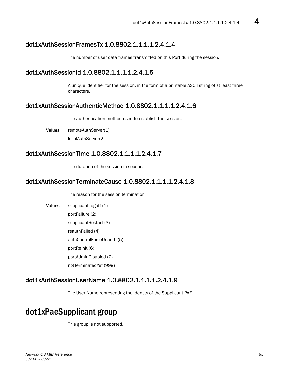# <span id="page-106-1"></span>dot1xAuthSessionFramesTx 1.0.8802.1.1.1.1.2.4.1.4

The number of user data frames transmitted on this Port during the session.

# <span id="page-106-2"></span>dot1xAuthSessionId 1.0.8802.1.1.1.1.2.4.1.5

A unique identifier for the session, in the form of a printable ASCII string of at least three characters.

# <span id="page-106-3"></span>dot1xAuthSessionAuthenticMethod 1.0.8802.1.1.1.1.2.4.1.6

The authentication method used to establish the session.

Values remoteAuthServer(1)

localAuthServer(2)

# <span id="page-106-4"></span>dot1xAuthSessionTime 1.0.8802.1.1.1.1.2.4.1.7

The duration of the session in seconds.

# <span id="page-106-5"></span>dot1xAuthSessionTerminateCause 1.0.8802.1.1.1.1.2.4.1.8

The reason for the session termination.

Values supplicantLogoff (1) portFailure (2) supplicantRestart (3) reauthFailed (4) authControlForceUnauth (5) portReInit (6) portAdminDisabled (7) notTerminatedYet (999)

# <span id="page-106-6"></span>dot1xAuthSessionUserName 1.0.8802.1.1.1.1.2.4.1.9

The User-Name representing the identity of the Supplicant PAE.

# <span id="page-106-0"></span>dot1xPaeSupplicant group

This group is not supported.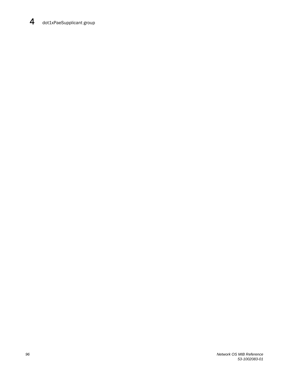# 4 dot1xPaeSupplicant group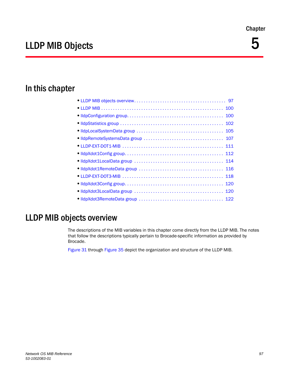### **Chapter**

# LLDP MIB Objects 5

# In this chapter

| 100 |
|-----|
| 102 |
| 105 |
|     |
|     |
| 112 |
| 114 |
|     |
| 118 |
| 120 |
| 120 |
|     |

# <span id="page-108-0"></span>LLDP MIB objects overview

The descriptions of the MIB variables in this chapter come directly from the LLDP MIB. The notes that follow the descriptions typically pertain to Brocade-specific information as provided by Brocade.

[Figure 31](#page-109-0) through [Figure 35](#page-111-0) depict the organization and structure of the LLDP MIB.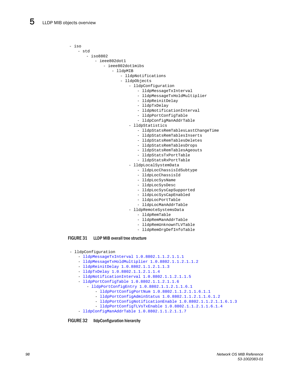```
- iso
   - std
       - iso8802
           - ieee802dot1
              - ieee802dot1mibs
                  - lldpMIB
                      - lldpNotifications
                      - lldpObjects 
                         - lldpConfiguration
                             - lldpMessageTxInterval
                             - lldpMessageTxHoldMultiplier
                             - lldpReinitDelay 
                             - lldpTxDelay 
                             - lldpNotificationInterval 
                             - lldpPortConfigTable
                             - lldpConfigManAddrTable
                         - lldpStatistics
                             - lldpStatsRemTablesLastChangeTime 
                             - lldpStatsRemTablesInserts 
                             - lldpStatsRemTablesDeletes 
                             - lldpStatsRemTablesDrops
                             - lldpStatsRemTablesAgeouts
                             - lldpStatsTxPortTable
                             - lldpStatsRxPortTable
                         - lldpLocalSystemData
                             - lldpLocChassisIdSubtype 
                             - lldpLocChassisId 
                             - lldpLocSysName 
                             - lldpLocSysDesc 
                             - lldpLocSysCapSupported 
                             - lldpLocSysCapEnabled 
                             - lldpLocPortTable
                             - lldpLocManAddrTable
                         - lldpRemoteSystemsData
                             - lldpRemTable
                             - lldpRemManAddrTable
                             - lldpRemUnknownTLVTable
                             - lldpRemOrgDefInfoTable
```
#### <span id="page-109-0"></span>FIGURE 31 LLDP MIB overall tree structure

- lldpConfiguration

```
- lldpMessageTxInterval 1.0.8802.1.1.2.1.1.1
```

```
- lldpMessageTxHoldMultiplier 1.0.8802.1.1.2.1.1.2
```

```
- lldpReinitDelay 1.0.8802.1.1.2.1.1.3
```

```
- lldpTxDelay 1.0.8802.1.1.2.1.1.4
```

```
- lldpNotificationInterval 1.0.8802.1.1.2.1.1.5
```

```
- lldpPortConfigTable 1.0.8802.1.1.2.1.1.6
```

```
- lldpPortConfigEntry 1.0.8802.1.1.2.1.1.6.1
```

```
- lldpPortConfigPortNum 1.0.8802.1.1.2.1.1.6.1.1
```

```
- lldpPortConfigAdminStatus 1.0.8802.1.1.2.1.1.6.1.2
```

```
- lldpPortConfigNotificationEnable 1.0.8802.1.1.2.1.1.6.1.3
```

```
- lldpPortConfigTLVsTxEnable 1.0.8802.1.1.2.1.1.6.1.4
```

```
- lldpConfigManAddrTable 1.0.8802.1.1.2.1.1.7
```
FIGURE 32 lldpConfiguration hierarchy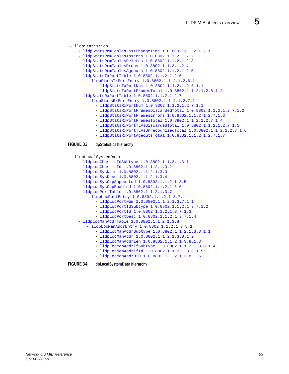- lldpStatistics
	- [lldpStatsRemTablesLastChangeTime 1.0.8802.1.1.2.1.2.1](#page-113-6)
	- [lldpStatsRemTablesInserts 1.0.8802.1.1.2.1.2.2](#page-113-7)
	- [lldpStatsRemTablesDeletes 1.0.8802.1.1.2.1.2.3](#page-113-8)
	- [lldpStatsRemTablesDrops 1.0.8802.1.1.2.1.2.4](#page-114-0)
	- [lldpStatsRemTablesAgeouts 1.0.8802.1.1.2.1.2.5](#page-114-1)
	- [lldpStatsTxPortTable 1.0.8802.1.1.2.1.2.6](#page-114-2)
		- [lldpStatsTxPortEntry 1.0.8802.1.1.2.1.2.6.1](#page-114-3)
			- [lldpStatsTxPortNum 1.0.8802.1.1.2.1.2.6.1.1](#page-114-4)
			- [lldpStatsTxPortFramesTotal 1.0.8802.1.1.2.1.2.6.1.2](#page-114-5)
	- [lldpStatsRxPortTable 1.0.8802.1.1.2.1.2.7](#page-114-6)
		- [lldpStatsRxPortEntry 1.0.8802.1.1.2.1.2.7.1](#page-114-7)
			- [lldpStatsRxPortNum 1.0.8802.1.1.2.1.2.7.1.1](#page-115-0)
			- [lldpStatsRxPortFramesDiscardedTotal 1.0.8802.1.1.2.1.2.7.1.2](#page-115-1)
			- [lldpStatsRxPortFramesErrors 1.0.8802.1.1.2.1.2.7.1.3](#page-115-2)
			- [lldpStatsRxPortFramesTotal 1.0.8802.1.1.2.1.2.7.1.4](#page-115-3)
			- [lldpStatsRxPortTLVsDiscardedTotal 1.0.8802.1.1.2.1.2.7.1.5](#page-115-4)
			- [lldpStatsRxPortTLVsUnrecognizedTotal 1.0.8802.1.1.2.1.2.7.1.6](#page-115-5)
			- [lldpStatsRxPortAgeoutsTotal 1.0.8802.1.1.2.1.2.7.1.7](#page-115-6)

#### FIGURE 33 lldpStatistics hierarchy

- lldpLocalSystemData
	- [lldpLocChassisIdSubtype 1.0.8802.1.1.2.1.3.1](#page-116-1)
	- [lldpLocChassisId 1.0.8802.1.1.2.1.3.2](#page-116-2)
	- [lldpLocSysName 1.0.8802.1.1.2.1.3.3](#page-116-3)
	- [lldpLocSysDesc 1.0.8802.1.1.2.1.3.4](#page-116-4)
	- [lldpLocSysCapSupported 1.0.8802.1.1.2.1.3.5](#page-116-5)
	- [lldpLocSysCapEnabled 1.0.8802.1.1.2.1.3.6](#page-116-6)
	- [lldpLocPortTable 1.0.8802.1.1.2.1.3.7](#page-116-7)
		- [lldpLocPortEntry 1.0.8802.1.1.2.1.3.7.1](#page-116-8)
			- [lldpLocPortNum 1.0.8802.1.1.2.1.3.7.1.1](#page-116-9)
			- [lldpLocPortIdSubtype 1.0.8802.1.1.2.1.3.7.1.2](#page-117-0)
			- [lldpLocPortId 1.0.8802.1.1.2.1.3.7.1.3](#page-117-1)
			- [lldpLocPortDesc 1.0.8802.1.1.2.1.3.7.1.4](#page-117-2)
	- [lldpLocManAddrTable 1.0.8802.1.1.2.1.3.8](#page-117-3)
		- [lldpLocManAddrEntry 1.0.8802.1.1.2.1.3.8.1](#page-117-4)
			- [lldpLocManAddrSubtype 1.0.8802.1.1.2.1.3.8.1.1](#page-117-5)
			- [lldpLocManAddr 1.0.8802.1.1.2.1.3.8.1.2](#page-117-6)
			- [lldpLocManAddrLen 1.0.8802.1.1.2.1.3.8.1.3](#page-117-7)
			- [lldpLocManAddrIfSubtype 1.0.8802.1.1.2.1.3.8.1.4](#page-118-1)
			- [lldpLocManAddrIfId 1.0.8802.1.1.2.1.3.8.1.5](#page-118-2)
			- [lldpLocManAddrOID 1.0.8802.1.1.2.1.3.8.1.6](#page-118-3)

FIGURE 34 IldpLocalSystemData hierarchy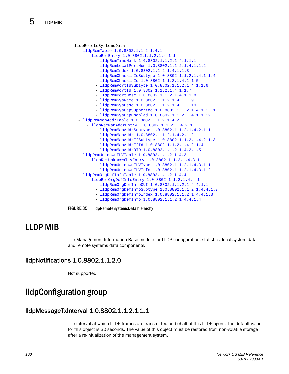```
- lldpRemoteSystemsData
   - lldpRemTable 1.0.8802.1.1.2.1.4.1
       - lldpRemEntry 1.0.8802.1.1.2.1.4.1.1
          - lldpRemTimeMark 1.0.8802.1.1.2.1.4.1.1.1
          - lldpRemLocalPortNum 1.0.8802.1.1.2.1.4.1.1.2
          - lldpRemIndex 1.0.8802.1.1.2.1.4.1.1.3
          - lldpRemChassisIdSubtype 1.0.8802.1.1.2.1.4.1.1.4
          - lldpRemChassisId 1.0.8802.1.1.2.1.4.1.1.5
          - lldpRemPortIdSubtype 1.0.8802.1.1.2.1.4.1.1.6
          - lldpRemPortId 1.0.8802.1.1.2.1.4.1.1.7
          - lldpRemPortDesc 1.0.8802.1.1.2.1.4.1.1.8
          - lldpRemSysName 1.0.8802.1.1.2.1.4.1.1.9
          - lldpRemSysDesc 1.0.8802.1.1.2.1.4.1.1.10
          - lldpRemSysCapSupported 1.0.8802.1.1.2.1.4.1.1.11
          - lldpRemSysCapEnabled 1.0.8802.1.1.2.1.4.1.1.12
   - lldpRemManAddrTable 1.0.8802.1.1.2.1.4.2
       - lldpRemManAddrEntry 1.0.8802.1.1.2.1.4.2.1
          - lldpRemManAddrSubtype 1.0.8802.1.1.2.1.4.2.1.1
          - lldpRemManAddr 1.0.8802.1.1.2.1.4.2.1.2
          - lldpRemManAddrIfSubtype 1.0.8802.1.1.2.1.4.2.1.3
          - lldpRemManAddrIfId 1.0.8802.1.1.2.1.4.2.1.4
          - lldpRemManAddrOID 1.0.8802.1.1.2.1.4.2.1.5
   - lldpRemUnknownTLVTable 1.0.8802.1.1.2.1.4.3
       - lldpRemUnknownTLVEntry 1.0.8802.1.1.2.1.4.3.1
          - lldpRemUnknownTLVType 1.0.8802.1.1.2.1.4.3.1.1
          - lldpRemUnknownTLVInfo 1.0.8802.1.1.2.1.4.3.1.2
   - lldpRemOrgDefInfoTable 1.0.8802.1.1.2.1.4.4
       - lldpRemOrgDefInfoEntry 1.0.8802.1.1.2.1.4.4.1
          - lldpRemOrgDefInfoOUI 1.0.8802.1.1.2.1.4.4.1.1
          - lldpRemOrgDefInfoSubtype 1.0.8802.1.1.2.1.4.4.1.2
          - lldpRemOrgDefInfoIndex 1.0.8802.1.1.2.1.4.4.1.3
          - lldpRemOrgDefInfo 1.0.8802.1.1.2.1.4.4.1.4
```
<span id="page-111-0"></span>FIGURE 35 lldpRemoteSystemsData hierarchy

## <span id="page-111-1"></span>LLDP MIB

The Management Information Base module for LLDP configuration, statistics, local system data and remote systems data components.

#### lldpNotifications 1.0.8802.1.1.2.0

Not supported.

## <span id="page-111-2"></span>lldpConfiguration group

#### <span id="page-111-3"></span>lldpMessageTxInterval 1.0.8802.1.1.2.1.1.1

The interval at which LLDP frames are transmitted on behalf of this LLDP agent. The default value for this object is 30 seconds. The value of this object must be restored from non-volatile storage after a re-initialization of the management system.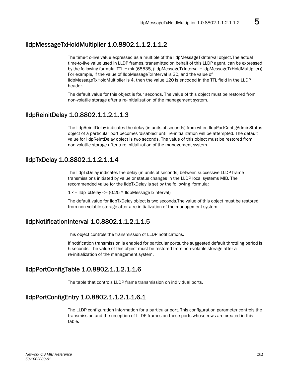#### <span id="page-112-0"></span>lldpMessageTxHoldMultiplier 1.0.8802.1.1.2.1.1.2

The time-t o-live value expressed as a multiple of the lldpMessageTxInterval object.The actual time-to-live value used in LLDP frames, transmitted on behalf of this LLDP agent, can be expressed by the following formula: TTL = min(65535, (lldpMessageTxInterval \* ldpMessageTxHoldMultiplier)) For example, if the value of lldpMessageTxInterval is 30, and the value of lldpMessageTxHoldMultiplier is 4, then the value 120 is encoded in the TTL field in the LLDP header.

The default value for this object is four seconds. The value of this object must be restored from non-volatile storage after a re-initialization of the management system.

#### <span id="page-112-1"></span>lldpReinitDelay 1.0.8802.1.1.2.1.1.3

The lldpReinitDelay indicates the delay (in units of seconds) from when lldpPortConfigAdminStatus object of a particular port becomes 'disabled' until re-initialization will be attempted. The default value for lldpReintDelay object is two seconds. The value of this object must be restored from non-volatile storage after a re-initialization of the management system.

#### <span id="page-112-2"></span>lldpTxDelay 1.0.8802.1.1.2.1.1.4

The lldpTxDelay indicates the delay (in units of seconds) between successive LLDP frame transmissions initiated by value or status changes in the LLDP local systems MIB. The recommended value for the lldpTxDelay is set by the following formula:

1 <= lldpTxDelay <= (0.25 \* lldpMessageTxInterval)

The default value for lldpTxDelay object is two seconds.The value of this object must be restored from non-volatile storage after a re-initialization of the management system.

#### <span id="page-112-3"></span>lldpNotificationInterval 1.0.8802.1.1.2.1.1.5

This object controls the transmission of LLDP notifications.

If notification transmission is enabled for particular ports, the suggested default throttling period is 5 seconds. The value of this object must be restored from non-volatile storage after a re-initialization of the management system.

### <span id="page-112-4"></span>lldpPortConfigTable 1.0.8802.1.1.2.1.1.6

The table that controls LLDP frame transmission on individual ports.

#### <span id="page-112-5"></span>lldpPortConfigEntry 1.0.8802.1.1.2.1.1.6.1

The LLDP configuration information for a particular port. This configuration parameter controls the transmission and the reception of LLDP frames on those ports whose rows are created in this table.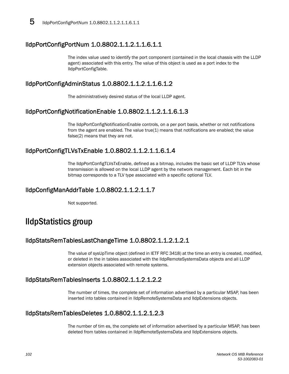

## <span id="page-113-1"></span>lldpPortConfigPortNum 1.0.8802.1.1.2.1.1.6.1.1

The index value used to identify the port component (contained in the local chassis with the LLDP agent) associated with this entry. The value of this object is used as a port index to the lldpPortConfigTable.

#### <span id="page-113-2"></span>lldpPortConfigAdminStatus 1.0.8802.1.1.2.1.1.6.1.2

The administratively desired status of the local LLDP agent.

#### <span id="page-113-3"></span>lldpPortConfigNotificationEnable 1.0.8802.1.1.2.1.1.6.1.3

The lldpPortConfigNotificationEnable controls, on a per port basis, whether or not notifications from the agent are enabled. The value true(1) means that notifications are enabled; the value false(2) means that they are not.

### <span id="page-113-4"></span>lldpPortConfigTLVsTxEnable 1.0.8802.1.1.2.1.1.6.1.4

The lldpPortConfigTLVsTxEnable, defined as a bitmap, includes the basic set of LLDP TLVs whose transmission is allowed on the local LLDP agent by the network management. Each bit in the bitmap corresponds to a TLV type associated with a specific optional TLV.

## <span id="page-113-5"></span>lldpConfigManAddrTable 1.0.8802.1.1.2.1.1.7

Not supported.

## <span id="page-113-0"></span>lldpStatistics group

#### <span id="page-113-6"></span>lldpStatsRemTablesLastChangeTime 1.0.8802.1.1.2.1.2.1

The value of sysUpTime object (defined in IETF RFC 3418) at the time an entry is created, modified, or deleted in the in tables associated with the lldpRemoteSystemsData objects and all LLDP extension objects associated with remote systems.

#### <span id="page-113-7"></span>lldpStatsRemTablesInserts 1.0.8802.1.1.2.1.2.2

The number of times, the complete set of information advertised by a particular MSAP, has been inserted into tables contained in lldpRemoteSystemsData and lldpExtensions objects.

#### <span id="page-113-8"></span>lldpStatsRemTablesDeletes 1.0.8802.1.1.2.1.2.3

The number of tim es, the complete set of information advertised by a particular MSAP, has been deleted from tables contained in lldpRemoteSystemsData and lldpExtensions objects.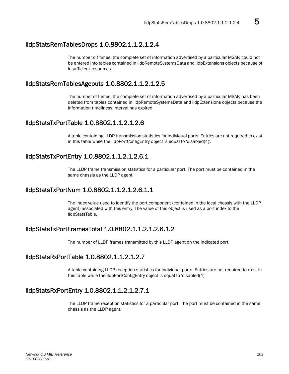### <span id="page-114-0"></span>lldpStatsRemTablesDrops 1.0.8802.1.1.2.1.2.4

The number o f times, the complete set of information advertised by a particular MSAP, could not be entered into tables contained in lldpRemoteSystemsData and lldpExtensions objects because of insufficient resources.

#### <span id="page-114-1"></span>lldpStatsRemTablesAgeouts 1.0.8802.1.1.2.1.2.5

The number of t imes, the complete set of information advertised by a particular MSAP, has been deleted from tables contained in lldpRemoteSystemsData and lldpExtensions objects because the information timeliness interval has expired.

#### <span id="page-114-2"></span>lldpStatsTxPortTable 1.0.8802.1.1.2.1.2.6

A table containing LLDP transmission statistics for individual ports. Entries are not required to exist in this table while the lldpPortConfigEntry object is equal to 'disabled(4)'.

#### <span id="page-114-3"></span>lldpStatsTxPortEntry 1.0.8802.1.1.2.1.2.6.1

The LLDP frame transmission statistics for a particular port. The port must be contained in the same chassis as the LLDP agent.

#### <span id="page-114-4"></span>lldpStatsTxPortNum 1.0.8802.1.1.2.1.2.6.1.1

The index value used to identify the port component (contained in the local chassis with the LLDP agent) associated with this entry. The value of this object is used as a port index to the lldpStatsTable.

#### <span id="page-114-5"></span>lldpStatsTxPortFramesTotal 1.0.8802.1.1.2.1.2.6.1.2

The number of LLDP frames transmitted by this LLDP agent on the indicated port.

#### <span id="page-114-6"></span>lldpStatsRxPortTable 1.0.8802.1.1.2.1.2.7

A table containing LLDP reception statistics for individual ports. Entries are not required to exist in this table while the lldpPortConfigEntry object is equal to 'disabled(4)'.

#### <span id="page-114-7"></span>lldpStatsRxPortEntry 1.0.8802.1.1.2.1.2.7.1

The LLDP frame reception statistics for a particular port. The port must be contained in the same chassis as the LLDP agent.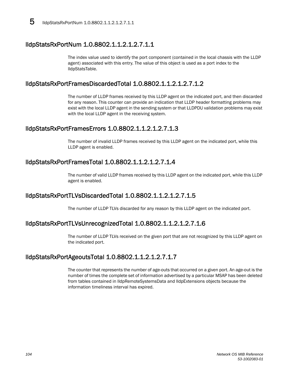

## <span id="page-115-0"></span>lldpStatsRxPortNum 1.0.8802.1.1.2.1.2.7.1.1

The index value used to identify the port component (contained in the local chassis with the LLDP agent) associated with this entry. The value of this object is used as a port index to the lldpStatsTable.

## <span id="page-115-1"></span>lldpStatsRxPortFramesDiscardedTotal 1.0.8802.1.1.2.1.2.7.1.2

The number of LLDP frames received by this LLDP agent on the indicated port, and then discarded for any reason. This counter can provide an indication that LLDP header formatting problems may exist with the local LLDP agent in the sending system or that LLDPDU validation problems may exist with the local LLDP agent in the receiving system.

#### <span id="page-115-2"></span>lldpStatsRxPortFramesErrors 1.0.8802.1.1.2.1.2.7.1.3

The number of invalid LLDP frames received by this LLDP agent on the indicated port, while this LLDP agent is enabled.

#### <span id="page-115-3"></span>lldpStatsRxPortFramesTotal 1.0.8802.1.1.2.1.2.7.1.4

The number of valid LLDP frames received by this LLDP agent on the indicated port, while this LLDP agent is enabled.

#### <span id="page-115-4"></span>lldpStatsRxPortTLVsDiscardedTotal 1.0.8802.1.1.2.1.2.7.1.5

The number of LLDP TLVs discarded for any reason by this LLDP agent on the indicated port.

#### <span id="page-115-5"></span>lldpStatsRxPortTLVsUnrecognizedTotal 1.0.8802.1.1.2.1.2.7.1.6

The number of LLDP TLVs received on the given port that are not recognized by this LLDP agent on the indicated port.

#### <span id="page-115-6"></span>lldpStatsRxPortAgeoutsTotal 1.0.8802.1.1.2.1.2.7.1.7

The counter that represents the number of age-outs that occurred on a given port. An age-out is the number of times the complete set of information advertised by a particular MSAP has been deleted from tables contained in lldpRemoteSystemsData and lldpExtensions objects because the information timeliness interval has expired.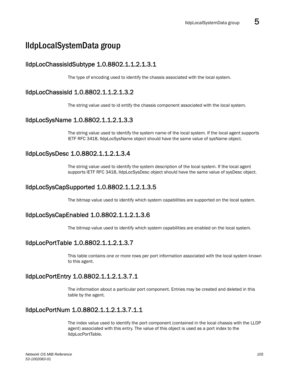## <span id="page-116-0"></span>lldpLocalSystemData group

## <span id="page-116-1"></span>lldpLocChassisIdSubtype 1.0.8802.1.1.2.1.3.1

The type of encoding used to identify the chassis associated with the local system.

## <span id="page-116-2"></span>lldpLocChassisId 1.0.8802.1.1.2.1.3.2

The string value used to id entify the chassis component associated with the local system.

### <span id="page-116-3"></span>lldpLocSysName 1.0.8802.1.1.2.1.3.3

The string value used to identify the system name of the local system. If the local agent supports IETF RFC 3418, lldpLocSysName object should have the same value of sysName object.

#### <span id="page-116-4"></span>lldpLocSysDesc 1.0.8802.1.1.2.1.3.4

The string value used to identify the system description of the local system. If the local agent supports IETF RFC 3418, lldpLocSysDesc object should have the same value of sysDesc object.

## <span id="page-116-5"></span>lldpLocSysCapSupported 1.0.8802.1.1.2.1.3.5

The bitmap value used to identify which system capabilities are supported on the local system.

#### <span id="page-116-6"></span>lldpLocSysCapEnabled 1.0.8802.1.1.2.1.3.6

The bitmap value used to identify which system capabilities are enabled on the local system.

#### <span id="page-116-7"></span>lldpLocPortTable 1.0.8802.1.1.2.1.3.7

This table contains one or more rows per port information associated with the local system known to this agent.

#### <span id="page-116-8"></span>lldpLocPortEntry 1.0.8802.1.1.2.1.3.7.1

The information about a particular port component. Entries may be created and deleted in this table by the agent.

## <span id="page-116-9"></span>lldpLocPortNum 1.0.8802.1.1.2.1.3.7.1.1

The index value used to identify the port component (contained in the local chassis with the LLDP agent) associated with this entry. The value of this object is used as a port index to the lldpLocPortTable.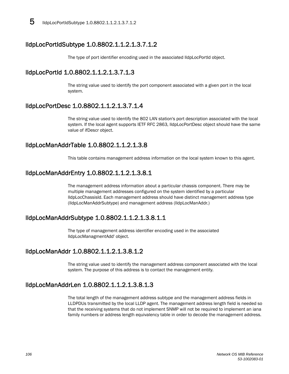

## <span id="page-117-0"></span>lldpLocPortIdSubtype 1.0.8802.1.1.2.1.3.7.1.2

The type of port identifier encoding used in the associated lldpLocPortId object.

#### <span id="page-117-1"></span>lldpLocPortId 1.0.8802.1.1.2.1.3.7.1.3

The string value used to identify the port component associated with a given port in the local system.

#### <span id="page-117-2"></span>lldpLocPortDesc 1.0.8802.1.1.2.1.3.7.1.4

The string value used to identify the 802 LAN station's port description associated with the local system. If the local agent supports IETF RFC 2863, lldpLocPortDesc object should have the same value of ifDescr object.

### <span id="page-117-3"></span>lldpLocManAddrTable 1.0.8802.1.1.2.1.3.8

This table contains management address information on the local system known to this agent.

#### <span id="page-117-4"></span>lldpLocManAddrEntry 1.0.8802.1.1.2.1.3.8.1

The management address information about a particular chassis component. There may be multiple management addresses configured on the system identified by a particular lldpLocChassisId. Each management address should have distinct management address type (lldpLocManAddrSubtype) and management address (lldpLocManAddr.)

#### <span id="page-117-5"></span>lldpLocManAddrSubtype 1.0.8802.1.1.2.1.3.8.1.1

The type of management address identifier encoding used in the associated lldpLocManagmentAdd' object.

#### <span id="page-117-6"></span>lldpLocManAddr 1.0.8802.1.1.2.1.3.8.1.2

The string value used to identify the management address component associated with the local system. The purpose of this address is to contact the management entity.

#### <span id="page-117-7"></span>lldpLocManAddrLen 1.0.8802.1.1.2.1.3.8.1.3

The total length of the management address subtype and the management address fields in LLDPDUs transmitted by the local LLDP agent. The management address length field is needed so that the receiving systems that do not implement SNMP will not be required to implement an iana family numbers or address length equivalency table in order to decode the management address.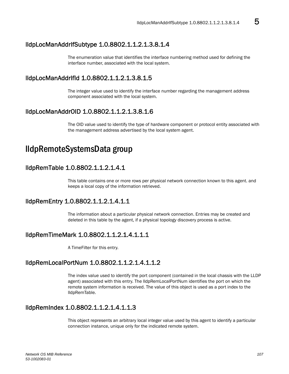### <span id="page-118-1"></span>lldpLocManAddrIfSubtype 1.0.8802.1.1.2.1.3.8.1.4

The enumeration value that identifies the interface numbering method used for defining the interface number, associated with the local system.

#### <span id="page-118-2"></span>lldpLocManAddrIfId 1.0.8802.1.1.2.1.3.8.1.5

The integer value used to identify the interface number regarding the management address component associated with the local system.

#### <span id="page-118-3"></span>lldpLocManAddrOID 1.0.8802.1.1.2.1.3.8.1.6

The OID value used to identify the type of hardware component or protocol entity associated with the management address advertised by the local system agent.

## <span id="page-118-0"></span>lldpRemoteSystemsData group

#### <span id="page-118-4"></span>lldpRemTable 1.0.8802.1.1.2.1.4.1

This table contains one or more rows per physical network connection known to this agent. and keeps a local copy of the information retrieved.

#### <span id="page-118-5"></span>lldpRemEntry 1.0.8802.1.1.2.1.4.1.1

The information about a particular physical network connection. Entries may be created and deleted in this table by the agent, if a physical topology discovery process is active.

#### <span id="page-118-6"></span>lldpRemTimeMark 1.0.8802.1.1.2.1.4.1.1.1

A TimeFilter for this entry.

#### <span id="page-118-7"></span>lldpRemLocalPortNum 1.0.8802.1.1.2.1.4.1.1.2

The index value used to identify the port component (contained in the local chassis with the LLDP agent) associated with this entry. The lldpRemLocalPortNum identifies the port on which the remote system information is received. The value of this object is used as a port index to the lldpRemTable.

#### <span id="page-118-8"></span>lldpRemIndex 1.0.8802.1.1.2.1.4.1.1.3

This object represents an arbitrary local integer value used by this agent to identify a particular connection instance, unique only for the indicated remote system.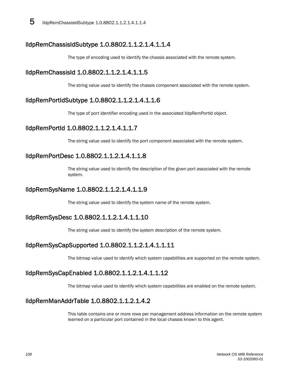

### <span id="page-119-0"></span>lldpRemChassisIdSubtype 1.0.8802.1.1.2.1.4.1.1.4

The type of encoding used to identify the chassis associated with the remote system.

## <span id="page-119-1"></span>lldpRemChassisId 1.0.8802.1.1.2.1.4.1.1.5

The string value used to identify the chassis component associated with the remote system.

## <span id="page-119-2"></span>lldpRemPortIdSubtype 1.0.8802.1.1.2.1.4.1.1.6

The type of port identifier encoding used in the associated lldpRemPortId object.

#### <span id="page-119-3"></span>lldpRemPortId 1.0.8802.1.1.2.1.4.1.1.7

The string value used to identify the port component associated with the remote system.

### <span id="page-119-4"></span>lldpRemPortDesc 1.0.8802.1.1.2.1.4.1.1.8

The string value used to identify the description of the given port associated with the remote system.

#### <span id="page-119-5"></span>lldpRemSysName 1.0.8802.1.1.2.1.4.1.1.9

The string value used to identify the system name of the remote system.

## <span id="page-119-6"></span>lldpRemSysDesc 1.0.8802.1.1.2.1.4.1.1.10

The string value used to identify the system description of the remote system.

## <span id="page-119-7"></span>lldpRemSysCapSupported 1.0.8802.1.1.2.1.4.1.1.11

The bitmap value used to identify which system capabilities are supported on the remote system.

## <span id="page-119-8"></span>lldpRemSysCapEnabled 1.0.8802.1.1.2.1.4.1.1.12

The bitmap value used to identify which system capabilities are enabled on the remote system.

#### <span id="page-119-9"></span>lldpRemManAddrTable 1.0.8802.1.1.2.1.4.2

This table contains one or more rows per management address information on the remote system learned on a particular port contained in the local chassis known to this agent.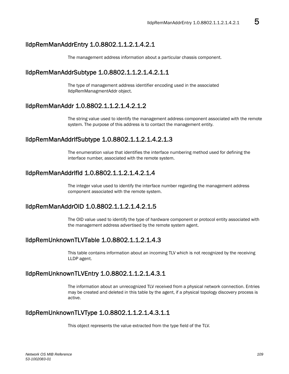#### <span id="page-120-0"></span>lldpRemManAddrEntry 1.0.8802.1.1.2.1.4.2.1

The management address information about a particular chassis component.

### <span id="page-120-1"></span>lldpRemManAddrSubtype 1.0.8802.1.1.2.1.4.2.1.1

The type of management address identifier encoding used in the associated lldpRemManagmentAddr object.

#### <span id="page-120-2"></span>lldpRemManAddr 1.0.8802.1.1.2.1.4.2.1.2

The string value used to identify the management address component associated with the remote system. The purpose of this address is to contact the management entity.

#### <span id="page-120-3"></span>lldpRemManAddrIfSubtype 1.0.8802.1.1.2.1.4.2.1.3

The enumeration value that identifies the interface numbering method used for defining the interface number, associated with the remote system.

#### <span id="page-120-4"></span>lldpRemManAddrIfId 1.0.8802.1.1.2.1.4.2.1.4

The integer value used to identify the interface number regarding the management address component associated with the remote system.

#### <span id="page-120-5"></span>lldpRemManAddrOID 1.0.8802.1.1.2.1.4.2.1.5

The OID value used to identify the type of hardware component or protocol entity associated with the management address advertised by the remote system agent.

#### <span id="page-120-6"></span>lldpRemUnknownTLVTable 1.0.8802.1.1.2.1.4.3

This table contains information about an incoming TLV which is not recognized by the receiving LLDP agent.

#### <span id="page-120-7"></span>lldpRemUnknownTLVEntry 1.0.8802.1.1.2.1.4.3.1

The information about an unrecognized TLV received from a physical network connection. Entries may be created and deleted in this table by the agent, if a physical topology discovery process is active.

#### <span id="page-120-8"></span>lldpRemUnknownTLVType 1.0.8802.1.1.2.1.4.3.1.1

This object represents the value extracted from the type field of the TLV.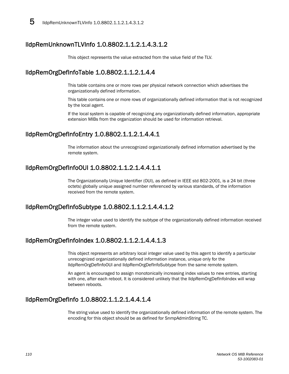

### <span id="page-121-0"></span>lldpRemUnknownTLVInfo 1.0.8802.1.1.2.1.4.3.1.2

This object represents the value extracted from the value field of the TLV.

### <span id="page-121-1"></span>lldpRemOrgDefInfoTable 1.0.8802.1.1.2.1.4.4

This table contains one or more rows per physical network connection which advertises the organizationally defined information.

This table contains one or more rows of organizationally defined information that is not recognized by the local agent.

If the local system is capable of recognizing any organizationally defined information, appropriate extension MIBs from the organization should be used for information retrieval.

#### <span id="page-121-2"></span>lldpRemOrgDefInfoEntry 1.0.8802.1.1.2.1.4.4.1

The information about the unrecognized organizationally defined information advertised by the remote system.

#### <span id="page-121-3"></span>lldpRemOrgDefInfoOUI 1.0.8802.1.1.2.1.4.4.1.1

The Organizationally Unique Identifier (OUI), as defined in IEEE std 802-2001, is a 24 bit (three octets) globally unique assigned number referenced by various standards, of the information received from the remote system.

#### <span id="page-121-4"></span>lldpRemOrgDefInfoSubtype 1.0.8802.1.1.2.1.4.4.1.2

The integer value used to identify the subtype of the organizationally defined information received from the remote system.

#### <span id="page-121-5"></span>lldpRemOrgDefInfoIndex 1.0.8802.1.1.2.1.4.4.1.3

This object represents an arbitrary local integer value used by this agent to identify a particular unrecognized organizationally defined information instance, unique only for the lldpRemOrgDefInfoOUI and lldpRemOrgDefInfoSubtype from the same remote system.

An agent is encouraged to assign monotonically increasing index values to new entries, starting with one, after each reboot. It is considered unlikely that the IldpRemOrgDefInfoIndex will wrap between reboots.

#### <span id="page-121-6"></span>lldpRemOrgDefInfo 1.0.8802.1.1.2.1.4.4.1.4

The string value used to identify the organizationally defined information of the remote system. The encoding for this object should be as defined for SnmpAdminString TC.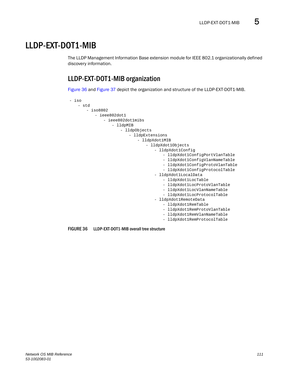## <span id="page-122-0"></span>LLDP-EXT-DOT1-MIB

The LLDP Management Information Base extension module for IEEE 802.1 organizationally defined discovery information.

## LLDP-EXT-DOT1-MIB organization

[Figure 36](#page-122-1) and [Figure 37](#page-123-1) depict the organization and structure of the LLDP-EXT-DOT1-MIB.

```
- iso
   - std
       - iso8802
          - ieee802dot1
              - ieee802dot1mibs
                  - lldpMIB
                     - lldpObjects 
                         - lldpExtensions
                            - lldpXdot1MIB
                                - lldpXdot1Objects
                                    - lldpXdot1Config
                                       - lldpXdot1ConfigPortVlanTable
                                       - lldpXdot1ConfigVlanNameTable
                                       - lldpXdot1ConfigProtoVlanTable
                                        - lldpXdot1ConfigProtocolTable
                                    - lldpXdot1LocalData
                                        - lldpXdot1LocTable
                                        - lldpXdot1LocProtoVlanTable
                                       - lldpXdot1LocVlanNameTable
                                        - lldpXdot1LocProtocolTable
                                    - lldpXdot1RemoteData
                                        - lldpXdot1RemTable
                                       - lldpXdot1RemProtoVlanTable
                                        - lldpXdot1RemVlanNameTable
                                       - lldpXdot1RemProtocolTable
```
<span id="page-122-1"></span>FIGURE 36 LLDP-EXT-DOT1-MIB overall tree structure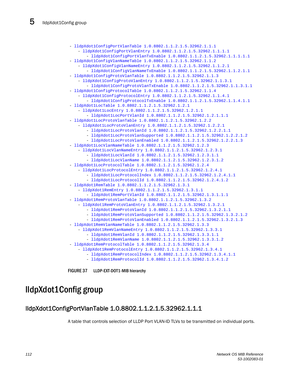```
- lldpXdot1ConfigPortVlanTable 1.0.8802.1.1.2.1.5.32962.1.1.1
   - lldpXdot1ConfigPortVlanEntry 1.0.8802.1.1.2.1.5.32962.1.1.1.1
       - lldpXdot1ConfigPortVlanTxEnable 1.0.8802.1.1.2.1.5.32962.1.1.1.1.1
- lldpXdot1ConfigVlanNameTable 1.0.8802.1.1.2.1.5.32962.1.1.2
   - lldpXdot1ConfigVlanNameEntry 1.0.8802.1.1.2.1.5.32962.1.1.2.1
       - lldpXdot1ConfigVlanNameTxEnable 1.0.8802.1.1.2.1.5.32962.1.1.2.1.1
- lldpXdot1ConfigProtoVlanTable 1.0.8802.1.1.2.1.5.32962.1.1.3
   - lldpXdot1ConfigProtoVlanEntry 1.0.8802.1.1.2.1.5.32962.1.1.3.1
       - lldpXdot1ConfigProtoVlanTxEnable 1.0.8802.1.1.2.1.5.32962.1.1.3.1.1
- lldpXdot1ConfigProtocolTable 1.0.8802.1.1.2.1.5.32962.1.1.4
   - lldpXdot1ConfigProtocolEntry 1.0.8802.1.1.2.1.5.32962.1.1.4.1
       - lldpXdot1ConfigProtocolTxEnable 1.0.8802.1.1.2.1.5.32962.1.1.4.1.1
- lldpXdot1LocTable 1.0.8802.1.1.2.1.5.32962.1.2.1
   - lldpXdot1LocEntry 1.0.8802.1.1.2.1.5.32962.1.2.1.1
       - lldpXdot1LocPortVlanId 1.0.8802.1.1.2.1.5.32962.1.2.1.1.1
- lldpXdot1LocProtoVlanTable 1.0.8802.1.1.2.1.5.32962.1.2.2
   - lldpXdot1LocProtoVlanEntry 1.0.8802.1.1.2.1.5.32962.1.2.2.1
       - lldpXdot1LocProtoVlanId 1.0.8802.1.1.2.1.5.32962.1.2.2.1.1
       - lldpXdot1LocProtoVlanSupported 1.0.8802.1.1.2.1.5.32962.1.2.2.1.2
       - lldpXdot1LocProtoVlanEnabled 1.0.8802.1.1.2.1.5.32962.1.2.2.1.3
- lldpXdot1LocVlanNameTable 1.0.8802.1.1.2.1.5.32962.1.2.3
   - lldpXdot1LocVlanNameEntry 1.0.8802.1.1.2.1.5.32962.1.2.3.1
       - lldpXdot1LocVlanId 1.0.8802.1.1.2.1.5.32962.1.2.3.1.1
       - lldpXdot1LocVlanName 1.0.8802.1.1.2.1.5.32962.1.2.3.1.2
- lldpXdot1LocProtocolTable 1.0.8802.1.1.2.1.5.32962.1.2.4
   - lldpXdot1LocProtocolEntry 1.0.8802.1.1.2.1.5.32962.1.2.4.1
       - lldpXdot1LocProtocolIndex 1.0.8802.1.1.2.1.5.32962.1.2.4.1.1
       - lldpXdot1LocProtocolId 1.0.8802.1.1.2.1.5.32962.1.2.4.1.2
- lldpXdot1RemTable 1.0.8802.1.1.2.1.5.32962.1.3.1
   - lldpXdot1RemEntry 1.0.8802.1.1.2.1.5.32962.1.3.1.1
       - lldpXdot1RemPortVlanId 1.0.8802.1.1.2.1.5.32962.1.3.1.1.1
- lldpXdot1RemProtoVlanTable 1.0.8802.1.1.2.1.5.32962.1.3.2
   - lldpXdot1RemProtoVlanEntry 1.0.8802.1.1.2.1.5.32962.1.3.2.1
       - lldpXdot1RemProtoVlanId 1.0.8802.1.1.2.1.5.32962.1.3.2.1.1
       - lldpXdot1RemProtoVlanSupported 1.0.8802.1.1.2.1.5.32962.1.3.2.1.2
       - lldpXdot1RemProtoVlanEnabled 1.0.8802.1.1.2.1.5.32962.1.3.2.1.3
- lldpXdot1RemVlanNameTable 1.0.8802.1.1.2.1.5.32962.1.3.3
   - lldpXdot1RemVlanNameEntry 1.0.8802.1.1.2.1.5.32962.1.3.3.1
       - lldpXdot1RemVlanId 1.0.8802.1.1.2.1.5.32962.1.3.3.1.1
       - lldpXdot1RemVlanName 1.0.8802.1.1.2.1.5.32962.1.3.3.1.2
- lldpXdot1RemProtocolTable 1.0.8802.1.1.2.1.5.32962.1.3.4
   - lldpXdot1RemProtocolEntry 1.0.8802.1.1.2.1.5.32962.1.3.4.1
       - lldpXdot1RemProtocolIndex 1.0.8802.1.1.2.1.5.32962.1.3.4.1.1
       - lldpXdot1RemProtocolId 1.0.8802.1.1.2.1.5.32962.1.3.4.1.2
```
<span id="page-123-1"></span>

## <span id="page-123-0"></span>lldpXdot1Config group

## <span id="page-123-2"></span>lldpXdot1ConfigPortVlanTable 1.0.8802.1.1.2.1.5.32962.1.1.1

A table that controls selection of LLDP Port VLAN-ID TLVs to be transmitted on individual ports.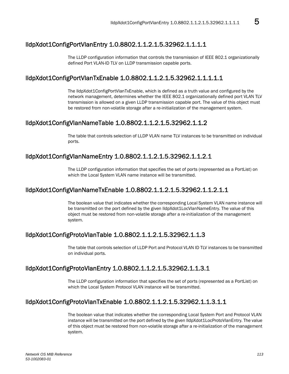## <span id="page-124-0"></span>lldpXdot1ConfigPortVlanEntry 1.0.8802.1.1.2.1.5.32962.1.1.1.1

The LLDP configuration information that controls the transmission of IEEE 802.1 organizationally defined Port VLAN-ID TLV on LLDP transmission capable ports.

#### <span id="page-124-1"></span>lldpXdot1ConfigPortVlanTxEnable 1.0.8802.1.1.2.1.5.32962.1.1.1.1.1

The lldpXdot1ConfigPortVlanTxEnable, which is defined as a truth value and configured by the network management, determines whether the IEEE 802.1 organizationally defined port VLAN TLV transmission is allowed on a given LLDP transmission capable port. The value of this object must be restored from non-volatile storage after a re-initialization of the management system.

#### <span id="page-124-7"></span>lldpXdot1ConfigVlanNameTable 1.0.8802.1.1.2.1.5.32962.1.1.2

The table that controls selection of LLDP VLAN name TLV instances to be transmitted on individual ports.

### <span id="page-124-2"></span>lldpXdot1ConfigVlanNameEntry 1.0.8802.1.1.2.1.5.32962.1.1.2.1

The LLDP configuration information that specifies the set of ports (represented as a PortList) on which the Local System VLAN name instance will be transmitted.

#### <span id="page-124-3"></span>lldpXdot1ConfigVlanNameTxEnable 1.0.8802.1.1.2.1.5.32962.1.1.2.1.1

The boolean value that indicates whether the corresponding Local System VLAN name instance will be transmitted on the port defined by the given IldpXdot1LocVlanNameEntry. The value of this object must be restored from non-volatile storage after a re-initialization of the management system.

#### <span id="page-124-6"></span>lldpXdot1ConfigProtoVlanTable 1.0.8802.1.1.2.1.5.32962.1.1.3

The table that controls selection of LLDP Port and Protocol VLAN ID TLV instances to be transmitted on individual ports.

#### <span id="page-124-4"></span>lldpXdot1ConfigProtoVlanEntry 1.0.8802.1.1.2.1.5.32962.1.1.3.1

The LLDP configuration information that specifies the set of ports (represented as a PortList) on which the Local System Protocol VLAN instance will be transmitted.

## <span id="page-124-5"></span>lldpXdot1ConfigProtoVlanTxEnable 1.0.8802.1.1.2.1.5.32962.1.1.3.1.1

The boolean value that indicates whether the corresponding Local System Port and Protocol VLAN instance will be transmitted on the port defined by the given lldpXdot1LocProtoVlanEntry. The value of this object must be restored from non-volatile storage after a re-initialization of the management system.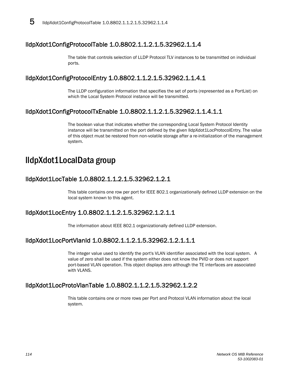

### <span id="page-125-7"></span>lldpXdot1ConfigProtocolTable 1.0.8802.1.1.2.1.5.32962.1.1.4

The table that controls selection of LLDP Protocol TLV instances to be transmitted on individual ports.

#### <span id="page-125-1"></span>lldpXdot1ConfigProtocolEntry 1.0.8802.1.1.2.1.5.32962.1.1.4.1

The LLDP configuration information that specifies the set of ports (represented as a PortList) on which the Local System Protocol instance will be transmitted.

#### <span id="page-125-2"></span>lldpXdot1ConfigProtocolTxEnable 1.0.8802.1.1.2.1.5.32962.1.1.4.1.1

The boolean value that indicates whether the corresponding Local System Protocol Identity instance will be transmitted on the port defined by the given lldpXdot1LocProtocolEntry. The value of this object must be restored from non-volatile storage after a re-initialization of the management system.

## <span id="page-125-0"></span>lldpXdot1LocalData group

#### <span id="page-125-6"></span>lldpXdot1LocTable 1.0.8802.1.1.2.1.5.32962.1.2.1

This table contains one row per port for IEEE 802.1 organizationally defined LLDP extension on the local system known to this agent.

#### <span id="page-125-3"></span>lldpXdot1LocEntry 1.0.8802.1.1.2.1.5.32962.1.2.1.1

The information about IEEE 802.1 organizationally defined LLDP extension.

#### <span id="page-125-4"></span>lldpXdot1LocPortVlanId 1.0.8802.1.1.2.1.5.32962.1.2.1.1.1

The integer value used to identify the port's VLAN identifier associated with the local system. A value of zero shall be used if the system either does not know the PVID or does not support port-based VLAN operation. This object displays zero although the TE interfaces are associated with VLANS.

#### <span id="page-125-5"></span>lldpXdot1LocProtoVlanTable 1.0.8802.1.1.2.1.5.32962.1.2.2

This table contains one or more rows per Port and Protocol VLAN information about the local system.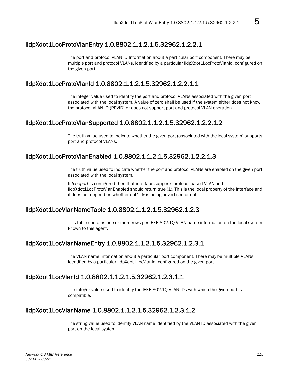### <span id="page-126-0"></span>lldpXdot1LocProtoVlanEntry 1.0.8802.1.1.2.1.5.32962.1.2.2.1

The port and protocol VLAN ID Information about a particular port component. There may be multiple port and protocol VLANs, identified by a particular lldpXdot1LocProtoVlanId, configured on the given port.

#### <span id="page-126-1"></span>lldpXdot1LocProtoVlanId 1.0.8802.1.1.2.1.5.32962.1.2.2.1.1

The integer value used to identify the port and protocol VLANs associated with the given port associated with the local system. A value of zero shall be used if the system either does not know the protocol VLAN ID (PPVID) or does not support port and protocol VLAN operation.

#### <span id="page-126-2"></span>lldpXdot1LocProtoVlanSupported 1.0.8802.1.1.2.1.5.32962.1.2.2.1.2

The truth value used to indicate whether the given port (associated with the local system) supports port and protocol VLANs.

#### <span id="page-126-3"></span>lldpXdot1LocProtoVlanEnabled 1.0.8802.1.1.2.1.5.32962.1.2.2.1.3

The truth value used to indicate whether the port and protocol VLANs are enabled on the given port associated with the local system.

If *fcoeport* is configured then that interface supports protocol-based VLAN and lldpXdot1LocProtoVlanEnabled should return true (1). This is the local property of the interface and it does not depend on whether dot1-tlv is being advertised or not.

#### <span id="page-126-7"></span>lldpXdot1LocVlanNameTable 1.0.8802.1.1.2.1.5.32962.1.2.3

This table contains one or more rows per IEEE 802.1Q VLAN name information on the local system known to this agent.

#### <span id="page-126-4"></span>lldpXdot1LocVlanNameEntry 1.0.8802.1.1.2.1.5.32962.1.2.3.1

The VLAN name Information about a particular port component. There may be multiple VLANs, identified by a particular lldpXdot1LocVlanId, configured on the given port.

#### <span id="page-126-5"></span>lldpXdot1LocVlanId 1.0.8802.1.1.2.1.5.32962.1.2.3.1.1

The integer value used to identify the IEEE 802.1Q VLAN IDs with which the given port is compatible.

#### <span id="page-126-6"></span>lldpXdot1LocVlanName 1.0.8802.1.1.2.1.5.32962.1.2.3.1.2

The string value used to identify VLAN name identified by the VLAN ID associated with the given port on the local system.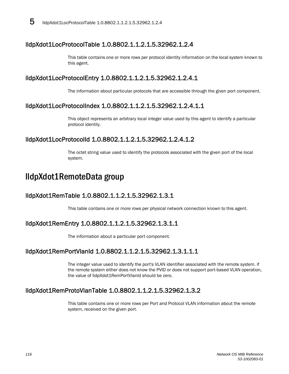

#### <span id="page-127-8"></span>lldpXdot1LocProtocolTable 1.0.8802.1.1.2.1.5.32962.1.2.4

This table contains one or more rows per protocol identity information on the local system known to this agent.

#### <span id="page-127-1"></span>lldpXdot1LocProtocolEntry 1.0.8802.1.1.2.1.5.32962.1.2.4.1

The information about particular protocols that are accessible through the given port component.

#### <span id="page-127-2"></span>lldpXdot1LocProtocolIndex 1.0.8802.1.1.2.1.5.32962.1.2.4.1.1

This object represents an arbitrary local integer value used by this agent to identify a particular protocol identity.

#### <span id="page-127-3"></span>lldpXdot1LocProtocolId 1.0.8802.1.1.2.1.5.32962.1.2.4.1.2

The octet string value used to identify the protocols associated with the given port of the local system.

## <span id="page-127-0"></span>lldpXdot1RemoteData group

#### <span id="page-127-7"></span>lldpXdot1RemTable 1.0.8802.1.1.2.1.5.32962.1.3.1

This table contains one or more rows per physical network connection known to this agent.

#### <span id="page-127-4"></span>lldpXdot1RemEntry 1.0.8802.1.1.2.1.5.32962.1.3.1.1

The information about a particular port component.

#### <span id="page-127-5"></span>lldpXdot1RemPortVlanId 1.0.8802.1.1.2.1.5.32962.1.3.1.1.1

The integer value used to identify the port's VLAN identifier associated with the remote system. if the remote system either does not know the PVID or does not support port-based VLAN operation, the value of IldpXdot1RemPortVlanId should be zero.

#### <span id="page-127-6"></span>lldpXdot1RemProtoVlanTable 1.0.8802.1.1.2.1.5.32962.1.3.2

This table contains one or more rows per Port and Protocol VLAN information about the remote system, received on the given port.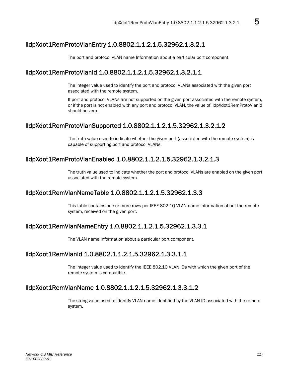## <span id="page-128-0"></span>lldpXdot1RemProtoVlanEntry 1.0.8802.1.1.2.1.5.32962.1.3.2.1

The port and protocol VLAN name Information about a particular port component.

### <span id="page-128-1"></span>lldpXdot1RemProtoVlanId 1.0.8802.1.1.2.1.5.32962.1.3.2.1.1

The integer value used to identify the port and protocol VLANs associated with the given port associated with the remote system.

If port and protocol VLANs are not supported on the given port associated with the remote system, or if the port is not enabled with any port and protocol VLAN, the value of lldpXdot1RemProtoVlanId should be zero.

#### <span id="page-128-2"></span>lldpXdot1RemProtoVlanSupported 1.0.8802.1.1.2.1.5.32962.1.3.2.1.2

The truth value used to indicate whether the given port (associated with the remote system) is capable of supporting port and protocol VLANs.

#### <span id="page-128-3"></span>lldpXdot1RemProtoVlanEnabled 1.0.8802.1.1.2.1.5.32962.1.3.2.1.3

The truth value used to indicate whether the port and protocol VLANs are enabled on the given port associated with the remote system.

#### <span id="page-128-7"></span>lldpXdot1RemVlanNameTable 1.0.8802.1.1.2.1.5.32962.1.3.3

This table contains one or more rows per IEEE 802.1Q VLAN name information about the remote system, received on the given port.

#### <span id="page-128-4"></span>lldpXdot1RemVlanNameEntry 1.0.8802.1.1.2.1.5.32962.1.3.3.1

The VLAN name Information about a particular port component.

#### <span id="page-128-5"></span>lldpXdot1RemVlanId 1.0.8802.1.1.2.1.5.32962.1.3.3.1.1

The integer value used to identify the IEEE 802.1Q VLAN IDs with which the given port of the remote system is compatible.

#### <span id="page-128-6"></span>lldpXdot1RemVlanName 1.0.8802.1.1.2.1.5.32962.1.3.3.1.2

The string value used to identify VLAN name identified by the VLAN ID associated with the remote system.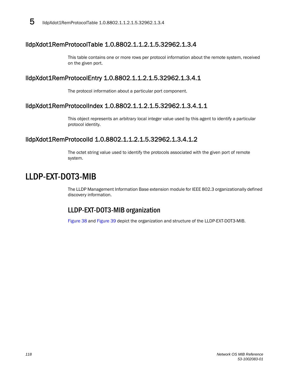

#### <span id="page-129-4"></span>lldpXdot1RemProtocolTable 1.0.8802.1.1.2.1.5.32962.1.3.4

This table contains one or more rows per protocol information about the remote system, received on the given port.

#### <span id="page-129-1"></span>lldpXdot1RemProtocolEntry 1.0.8802.1.1.2.1.5.32962.1.3.4.1

The protocol information about a particular port component.

#### <span id="page-129-2"></span>lldpXdot1RemProtocolIndex 1.0.8802.1.1.2.1.5.32962.1.3.4.1.1

This object represents an arbitrary local integer value used by this agent to identify a particular protocol identity.

#### <span id="page-129-3"></span>lldpXdot1RemProtocolId 1.0.8802.1.1.2.1.5.32962.1.3.4.1.2

The octet string value used to identify the protocols associated with the given port of remote system.

## <span id="page-129-0"></span>LLDP-EXT-DOT3-MIB

The LLDP Management Information Base extension module for IEEE 802.3 organizationally defined discovery information.

## LLDP-EXT-DOT3-MIB organization

[Figure 38](#page-130-0) and [Figure 39](#page-130-1) depict the organization and structure of the LLDP-EXT-DOT3-MIB.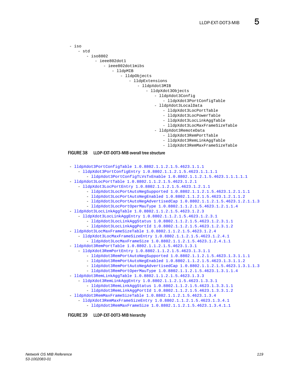```
- iso
   - std
       - iso8802
           - ieee802dot1
              - ieee802dot1mibs
                  - lldpMIB
                      - lldpObjects 
                         - lldpExtensions
                             - lldpXdot3MIB
                                 - lldpXdot3Objects
                                    - lldpXdot3Config
                                        - lldpXdot3PortConfigTable
                                    - lldpXdot3LocalData
                                        - lldpXdot3LocPortTable
                                        - lldpXdot3LocPowerTable
                                        - lldpXdot3LocLinkAggTable
                                        - lldpXdot3LocMaxFrameSizeTable
                                    - lldpXdot3RemoteData
                                        - lldpXdot3RemPortTable
                                        - lldpXdot3RemLinkAggTable
                                        - lldpXdot3RemMaxFrameSizeTable
```
#### <span id="page-130-0"></span>FIGURE 38 LLDP-EXT-DOT3-MIB overall tree structure

```
- lldpXdot3PortConfigTable 1.0.8802.1.1.2.1.5.4623.1.1.1
   - lldpXdot3PortConfigEntry 1.0.8802.1.1.2.1.5.4623.1.1.1.1
       - lldpXdot3PortConfigTLVsTxEnable 1.0.8802.1.1.2.1.5.4623.1.1.1.1.1
- lldpXdot3LocPortTable 1.0.8802.1.1.2.1.5.4623.1.2.1
   - lldpXdot3LocPortEntry 1.0.8802.1.1.2.1.5.4623.1.2.1.1
       - lldpXdot3LocPortAutoNegSupported 1.0.8802.1.1.2.1.5.4623.1.2.1.1.1
       - lldpXdot3LocPortAutoNegEnabled 1.0.8802.1.1.2.1.5.4623.1.2.1.1.2
       - lldpXdot3LocPortAutoNegAdvertisedCap 1.0.8802.1.1.2.1.5.4623.1.2.1.1.3
       - lldpXdot3LocPortOperMauType 1.0.8802.1.1.2.1.5.4623.1.2.1.1.4
- lldpXdot3LocLinkAggTable 1.0.8802.1.1.2.1.5.4623.1.2.3
   - lldpXdot3LocLinkAggEntry 1.0.8802.1.1.2.1.5.4623.1.2.3.1
       - lldpXdot3LocLinkAggStatus 1.0.8802.1.1.2.1.5.4623.1.2.3.1.1
       - lldpXdot3LocLinkAggPortId 1.0.8802.1.1.2.1.5.4623.1.2.3.1.2
- lldpXdot3LocMaxFrameSizeTable 1.0.8802.1.1.2.1.5.4623.1.2.4
   - lldpXdot3LocMaxFrameSizeEntry 1.0.8802.1.1.2.1.5.4623.1.2.4.1
       - lldpXdot3LocMaxFrameSize 1.0.8802.1.1.2.1.5.4623.1.2.4.1.1
- lldpXdot3RemPortTable 1.0.8802.1.1.2.1.5.4623.1.3.1
   - lldpXdot3RemPortEntry 1.0.8802.1.1.2.1.5.4623.1.3.1.1
       - lldpXdot3RemPortAutoNegSupported 1.0.8802.1.1.2.1.5.4623.1.3.1.1.1
       - lldpXdot3RemPortAutoNegEnabled 1.0.8802.1.1.2.1.5.4623.1.3.1.1.2
       - lldpXdot3RemPortAutoNegAdvertisedCap 1.0.8802.1.1.2.1.5.4623.1.3.1.1.3
       - lldpXdot3RemPortOperMauType 1.0.8802.1.1.2.1.5.4623.1.3.1.1.4
- lldpXdot3RemLinkAggTable 1.0.8802.1.1.2.1.5.4623.1.3.3
   - lldpXdot3RemLinkAggEntry 1.0.8802.1.1.2.1.5.4623.1.3.3.1
       - lldpXdot3RemLinkAggStatus 1.0.8802.1.1.2.1.5.4623.1.3.3.1.1
       - lldpXdot3RemLinkAggPortId 1.0.8802.1.1.2.1.5.4623.1.3.3.1.2
- lldpXdot3RemMaxFrameSizeTable 1.0.8802.1.1.2.1.5.4623.1.3.4
   - lldpXdot3RemMaxFrameSizeEntry 1.0.8802.1.1.2.1.5.4623.1.3.4.1
```
- [lldpXdot3RemMaxFrameSize 1.0.8802.1.1.2.1.5.4623.1.3.4.1.1](#page-134-5)

```
FIGURE 39 LLDP-EXT-DOT3-MIB hierarchy
```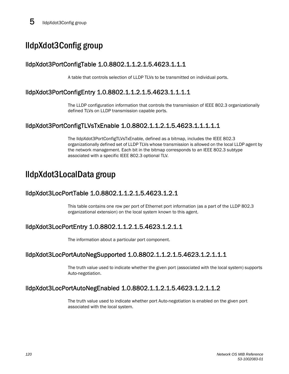# <span id="page-131-0"></span>lldpXdot3Config group

## <span id="page-131-2"></span>lldpXdot3PortConfigTable 1.0.8802.1.1.2.1.5.4623.1.1.1

A table that controls selection of LLDP TLVs to be transmitted on individual ports.

## <span id="page-131-3"></span>lldpXdot3PortConfigEntry 1.0.8802.1.1.2.1.5.4623.1.1.1.1

The LLDP configuration information that controls the transmission of IEEE 802.3 organizationally defined TLVs on LLDP transmission capable ports.

### <span id="page-131-4"></span>lldpXdot3PortConfigTLVsTxEnable 1.0.8802.1.1.2.1.5.4623.1.1.1.1.1

The lldpXdot3PortConfigTLVsTxEnable, defined as a bitmap, includes the IEEE 802.3 organizationally defined set of LLDP TLVs whose transmission is allowed on the local LLDP agent by the network management. Each bit in the bitmap corresponds to an IEEE 802.3 subtype associated with a specific IEEE 802.3 optional TLV.

## <span id="page-131-1"></span>lldpXdot3LocalData group

## <span id="page-131-5"></span>lldpXdot3LocPortTable 1.0.8802.1.1.2.1.5.4623.1.2.1

This table contains one row per port of Ethernet port information (as a part of the LLDP 802.3 organizational extension) on the local system known to this agent.

## <span id="page-131-6"></span>lldpXdot3LocPortEntry 1.0.8802.1.1.2.1.5.4623.1.2.1.1

The information about a particular port component.

#### <span id="page-131-7"></span>lldpXdot3LocPortAutoNegSupported 1.0.8802.1.1.2.1.5.4623.1.2.1.1.1

The truth value used to indicate whether the given port (associated with the local system) supports Auto-negotiation.

## <span id="page-131-8"></span>lldpXdot3LocPortAutoNegEnabled 1.0.8802.1.1.2.1.5.4623.1.2.1.1.2

The truth value used to indicate whether port Auto-negotiation is enabled on the given port associated with the local system.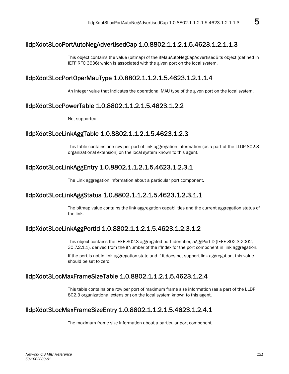### <span id="page-132-0"></span>lldpXdot3LocPortAutoNegAdvertisedCap 1.0.8802.1.1.2.1.5.4623.1.2.1.1.3

This object contains the value (bitmap) of the ifMauAutoNegCapAdvertisedBits object (defined in IETF RFC 3636) which is associated with the given port on the local system.

### <span id="page-132-1"></span>lldpXdot3LocPortOperMauType 1.0.8802.1.1.2.1.5.4623.1.2.1.1.4

An integer value that indicates the operational MAU type of the given port on the local system.

#### lldpXdot3LocPowerTable 1.0.8802.1.1.2.1.5.4623.1.2.2

Not supported.

#### <span id="page-132-2"></span>lldpXdot3LocLinkAggTable 1.0.8802.1.1.2.1.5.4623.1.2.3

This table contains one row per port of link aggregation information (as a part of the LLDP 802.3 organizational extension) on the local system known to this agent.

#### <span id="page-132-3"></span>lldpXdot3LocLinkAggEntry 1.0.8802.1.1.2.1.5.4623.1.2.3.1

The Link aggregation information about a particular port component.

#### <span id="page-132-4"></span>lldpXdot3LocLinkAggStatus 1.0.8802.1.1.2.1.5.4623.1.2.3.1.1

The bitmap value contains the link aggregation capabilities and the current aggregation status of the link.

#### <span id="page-132-5"></span>lldpXdot3LocLinkAggPortId 1.0.8802.1.1.2.1.5.4623.1.2.3.1.2

This object contains the IEEE 802.3 aggregated port identifier, aAggPortID (IEEE 802.3-2002, 30.7.2.1.1), derived from the ifNumber of the ifIndex for the port component in link aggregation.

If the port is not in link aggregation state and if it does not support link aggregation, this value should be set to zero.

#### <span id="page-132-6"></span>lldpXdot3LocMaxFrameSizeTable 1.0.8802.1.1.2.1.5.4623.1.2.4

This table contains one row per port of maximum frame size information (as a part of the LLDP 802.3 organizational extension) on the local system known to this agent.

#### <span id="page-132-7"></span>lldpXdot3LocMaxFrameSizeEntry 1.0.8802.1.1.2.1.5.4623.1.2.4.1

The maximum frame size information about a particular port component.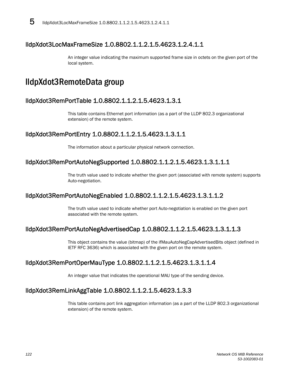

### <span id="page-133-1"></span>lldpXdot3LocMaxFrameSize 1.0.8802.1.1.2.1.5.4623.1.2.4.1.1

An integer value indicating the maximum supported frame size in octets on the given port of the local system.

## <span id="page-133-0"></span>lldpXdot3RemoteData group

#### <span id="page-133-2"></span>lldpXdot3RemPortTable 1.0.8802.1.1.2.1.5.4623.1.3.1

This table contains Ethernet port information (as a part of the LLDP 802.3 organizational extension) of the remote system.

#### <span id="page-133-3"></span>lldpXdot3RemPortEntry 1.0.8802.1.1.2.1.5.4623.1.3.1.1

The information about a particular physical network connection.

#### <span id="page-133-4"></span>lldpXdot3RemPortAutoNegSupported 1.0.8802.1.1.2.1.5.4623.1.3.1.1.1

The truth value used to indicate whether the given port (associated with remote system) supports Auto-negotiation.

#### <span id="page-133-5"></span>lldpXdot3RemPortAutoNegEnabled 1.0.8802.1.1.2.1.5.4623.1.3.1.1.2

The truth value used to indicate whether port Auto-negotiation is enabled on the given port associated with the remote system.

#### <span id="page-133-6"></span>lldpXdot3RemPortAutoNegAdvertisedCap 1.0.8802.1.1.2.1.5.4623.1.3.1.1.3

This object contains the value (bitmap) of the ifMauAutoNegCapAdvertisedBits object (defined in IETF RFC 3636) which is associated with the given port on the remote system.

#### <span id="page-133-7"></span>lldpXdot3RemPortOperMauType 1.0.8802.1.1.2.1.5.4623.1.3.1.1.4

An integer value that indicates the operational MAU type of the sending device.

#### <span id="page-133-8"></span>lldpXdot3RemLinkAggTable 1.0.8802.1.1.2.1.5.4623.1.3.3

This table contains port link aggregation information (as a part of the LLDP 802.3 organizational extension) of the remote system.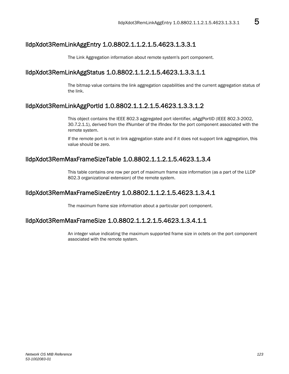## <span id="page-134-0"></span>lldpXdot3RemLinkAggEntry 1.0.8802.1.1.2.1.5.4623.1.3.3.1

The Link Aggregation information about remote system's port component.

## <span id="page-134-1"></span>lldpXdot3RemLinkAggStatus 1.0.8802.1.1.2.1.5.4623.1.3.3.1.1

The bitmap value contains the link aggregation capabilities and the current aggregation status of the link.

### <span id="page-134-2"></span>lldpXdot3RemLinkAggPortId 1.0.8802.1.1.2.1.5.4623.1.3.3.1.2

This object contains the IEEE 802.3 aggregated port identifier, aAggPortID (IEEE 802.3-2002, 30.7.2.1.1), derived from the ifNumber of the ifIndex for the port component associated with the remote system.

If the remote port is not in link aggregation state and if it does not support link aggregation, this value should be zero.

#### <span id="page-134-3"></span>lldpXdot3RemMaxFrameSizeTable 1.0.8802.1.1.2.1.5.4623.1.3.4

This table contains one row per port of maximum frame size information (as a part of the LLDP 802.3 organizational extension) of the remote system.

## <span id="page-134-4"></span>lldpXdot3RemMaxFrameSizeEntry 1.0.8802.1.1.2.1.5.4623.1.3.4.1

The maximum frame size information about a particular port component.

#### <span id="page-134-5"></span>lldpXdot3RemMaxFrameSize 1.0.8802.1.1.2.1.5.4623.1.3.4.1.1

An integer value indicating the maximum supported frame size in octets on the port component associated with the remote system.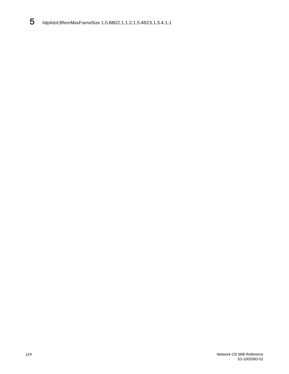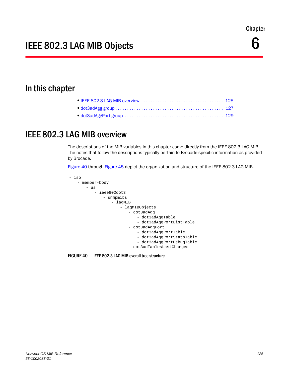Chapter

# IEEE 802.3 LAG MIB Objects  $\qquad \qquad 6$

## In this chapter

## <span id="page-136-0"></span>IEEE 802.3 LAG MIB overview

The descriptions of the MIB variables in this chapter come directly from the IEEE 802.3 LAG MIB. The notes that follow the descriptions typically pertain to Brocade-specific information as provided by Brocade.

[Figure 40](#page-136-1) through [Figure 45](#page-138-1) depict the organization and structure of the IEEE 802.3 LAG MIB.

```
- iso 
   - member-body 
       - us
          - ieee802dot3
              - snmpmibs
                  - lagMIB
                     - lagMIBObjects
                         - dot3adAgg
                             - dot3adAggTable
                             - dot3adAggPortListTable
                         - dot3adAggPort
                             - dot3adAggPortTable
                             - dot3adAggPortStatsTable
                             - dot3adAggPortDebugTable
                         - dot3adTablesLastChanged
```
<span id="page-136-1"></span>FIGURE 40 IEEE 802.3 LAG MIB overall tree structure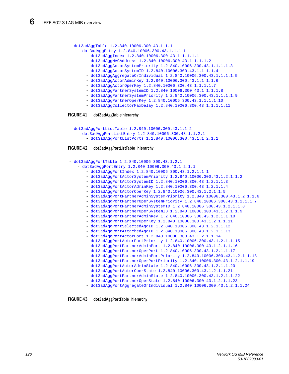```
- dot3adAggTable 1.2.840.10006.300.43.1.1.1
```
- - [dot3adAggEntry 1.2.840.10006.300.43.1.1.1.1](#page-138-3)
	- - [dot3adAggIndex 1.2.840.10006.300.43.1.1.1.1.1](#page-138-4)
	- - [dot3adAggMACAddress 1.2.840.10006.300.43.1.1.1.1.2](#page-139-0)
	- - [dot3adAggActorSystemPriority 1.2.840.10006.300.43.1.1.1.1.3](#page-139-1)
	- - [dot3adAggActorSystemID 1.2.840.10006.300.43.1.1.1.1.4](#page-139-2)
	- - [dot3adAggAggregateOrIndividual 1.2.840.10006.300.43.1.1.1.1.5](#page-139-3)
	- - [dot3adAggActorAdminKey 1.2.840.10006.300.43.1.1.1.1.6](#page-139-4)
	- - [dot3adAggActorOperKey 1.2.840.10006.300.43.1.1.1.1.7](#page-139-5)
	- - [dot3adAggPartnerSystemID 1.2.840.10006.300.43.1.1.1.1.8](#page-139-6)
	- - [dot3adAggPartnerSystemPriority 1.2.840.10006.300.43.1.1.1.1.9](#page-139-7)
	- - [dot3adAggPartnerOperKey 1.2.840.10006.300.43.1.1.1.1.10](#page-140-1)
	- - [dot3adAggCollectorMaxDelay 1.2.840.10006.300.43.1.1.1.1.11](#page-140-2)

#### FIGURE 41 dot3adAggTable hierarchy

```
- dot3adAggPortListTable 1.2.840.10006.300.43.1.1.2
```

```
- dot3adAggPortListEntry 1.2.840.10006.300.43.1.1.2.1
```

```
- dot3adAggPortListPorts 1.2.840.10006.300.43.1.1.2.1.1
```
#### FIGURE 42 dot3adAggPortListTable hierarchy

```
- dot3adAggPortTable 1.2.840.10006.300.43.1.2.1
   - dot3adAggPortEntry 1.2.840.10006.300.43.1.2.1.1
       - dot3adAggPortIndex 1.2.840.10006.300.43.1.2.1.1.1
       - dot3adAggPortActorSystemPriority 1.2.840.10006.300.43.1.2.1.1.2
       - dot3adAggPortActorSystemID 1.2.840.10006.300.43.1.2.1.1.3
       - dot3adAggPortActorAdminKey 1.2.840.10006.300.43.1.2.1.1.4
       - dot3adAggPortActorOperKey 1.2.840.10006.300.43.1.2.1.1.5
       - dot3adAggPortPartnerAdminSystemPriority 1.2.840.10006.300.43.1.2.1.1.6
       - dot3adAggPortPartnerOperSystemPriority 1.2.840.10006.300.43.1.2.1.1.7
       - dot3adAggPortPartnerAdminSystemID 1.2.840.10006.300.43.1.2.1.1.8
       - dot3adAggPortPartnerOperSystemID 1.2.840.10006.300.43.1.2.1.1.9
       - dot3adAggPortPartnerAdminKey 1.2.840.10006.300.43.1.2.1.1.10
       - dot3adAggPortPartnerOperKey 1.2.840.10006.300.43.1.2.1.1.11
       - dot3adAggPortSelectedAggID 1.2.840.10006.300.43.1.2.1.1.12
       - dot3adAggPortAttachedAggID 1.2.840.10006.300.43.1.2.1.1.13
       - dot3adAggPortActorPort 1.2.840.10006.300.43.1.2.1.1.14
       - dot3adAggPortActorPortPriority 1.2.840.10006.300.43.1.2.1.1.15
       - dot3adAggPortPartnerAdminPort 1.2.840.10006.300.43.1.2.1.1.16
       - dot3adAggPortPartnerOperPort 1.2.840.10006.300.43.1.2.1.1.17
       - dot3adAggPortPartnerAdminPortPriority 1.2.840.10006.300.43.1.2.1.1.18
       - dot3adAggPortPartnerOperPortPriority 1.2.840.10006.300.43.1.2.1.1.19
       - dot3adAggPortActorAdminState 1.2.840.10006.300.43.1.2.1.1.20
       - dot3adAggPortActorOperState 1.2.840.10006.300.43.1.2.1.1.21
       - dot3adAggPortPartnerAdminState 1.2.840.10006.300.43.1.2.1.1.22
       - dot3adAggPortPartnerOperState 1.2.840.10006.300.43.1.2.1.1.23
       - dot3adAggPortAggregateOrIndividual 1.2.840.10006.300.43.1.2.1.1.24
```
FIGURE 43 dot3adAggPortTable hierarchy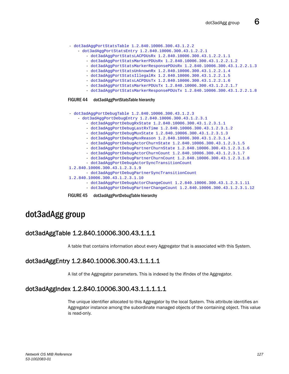```
FIGURE 44 dot3adAggPortStatsTable hierarchy
- dot3adAggPortStatsTable 1.2.840.10006.300.43.1.2.2
   - dot3adAggPortStatsEntry 1.2.840.10006.300.43.1.2.2.1
       - dot3adAggPortStatsLACPDUsRx 1.2.840.10006.300.43.1.2.2.1.1
       - dot3adAggPortStatsMarkerPDUsRx 1.2.840.10006.300.43.1.2.2.1.2
       - dot3adAggPortStatsMarkerResponsePDUsRx 1.2.840.10006.300.43.1.2.2.1.3
       - dot3adAggPortStatsUnknownRx 1.2.840.10006.300.43.1.2.2.1.4
       - dot3adAggPortStatsIllegalRx 1.2.840.10006.300.43.1.2.2.1.5
       - dot3adAggPortStatsLACPDUsTx 1.2.840.10006.300.43.1.2.2.1.6
       - dot3adAggPortStatsMarkerPDUsTx 1.2.840.10006.300.43.1.2.2.1.7
       - dot3adAggPortStatsMarkerResponsePDUsTx 1.2.840.10006.300.43.1.2.2.1.8
- dot3adAggPortDebugTable 1.2.840.10006.300.43.1.2.3
    - dot3adAggPortDebugEntry 1.2.840.10006.300.43.1.2.3.1
       - dot3adAggPortDebugRxState 1.2.840.10006.300.43.1.2.3.1.1
       - dot3adAggPortDebugLastRxTime 1.2.840.10006.300.43.1.2.3.1.2
       - dot3adAggPortDebugMuxState 1.2.840.10006.300.43.1.2.3.1.3
       - dot3adAggPortDebugMuxReason 1.2.840.10006.300.43.1.2.3.1.4
       - dot3adAggPortDebugActorChurnState 1.2.840.10006.300.43.1.2.3.1.5
       - dot3adAggPortDebugPartnerChurnState 1.2.840.10006.300.43.1.2.3.1.6
       - dot3adAggPortDebugActorChurnCount 1.2.840.10006.300.43.1.2.3.1.7
       - dot3adAggPortDebugPartnerChurnCount 1.2.840.10006.300.43.1.2.3.1.8
       - dot3adAggPortDebugActorSyncTransitionCount 
1.2.840.10006.300.43.1.2.3.1.9
       - dot3adAggPortDebugPartnerSyncTransitionCount 
1.2.840.10006.300.43.1.2.3.1.10
       - dot3adAggPortDebugActorChangeCount 1.2.840.10006.300.43.1.2.3.1.11
       - dot3adAggPortDebugPartnerChangeCount 1.2.840.10006.300.43.1.2.3.1.12
```
<span id="page-138-1"></span>FIGURE 45 dot3adAggPortDebugTable hierarchy

## <span id="page-138-0"></span>dot3adAgg group

## <span id="page-138-2"></span>dot3adAggTable 1.2.840.10006.300.43.1.1.1

A table that contains information about every Aggregator that is associated with this System.

#### <span id="page-138-3"></span>dot3adAggEntry 1.2.840.10006.300.43.1.1.1.1

A list of the Aggregator parameters. This is indexed by the ifIndex of the Aggregator.

### <span id="page-138-4"></span>dot3adAggIndex 1.2.840.10006.300.43.1.1.1.1.1

The unique identifier allocated to this Aggregator by the local System. This attribute identifies an Aggregator instance among the subordinate managed objects of the containing object. This value is read-only.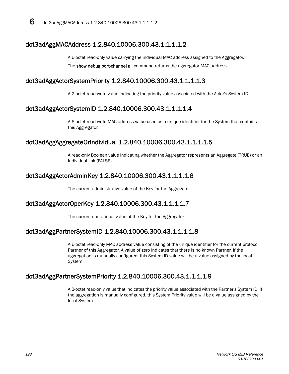

#### <span id="page-139-0"></span>dot3adAggMACAddress 1.2.840.10006.300.43.1.1.1.1.2

A 6-octet read-only value carrying the individual MAC address assigned to the Aggregator. The show debug port-channel all command returns the aggregator MAC address.

### <span id="page-139-1"></span>dot3adAggActorSystemPriority 1.2.840.10006.300.43.1.1.1.1.3

A 2-octet read-write value indicating the priority value associated with the Actor's System ID.

## <span id="page-139-2"></span>dot3adAggActorSystemID 1.2.840.10006.300.43.1.1.1.1.4

A 6-octet read-write MAC address value used as a unique identifier for the System that contains this Aggregator.

#### <span id="page-139-3"></span>dot3adAggAggregateOrIndividual 1.2.840.10006.300.43.1.1.1.1.5

A read-only Boolean value indicating whether the Aggregator represents an Aggregate (TRUE) or an Individual link (FALSE).

#### <span id="page-139-4"></span>dot3adAggActorAdminKey 1.2.840.10006.300.43.1.1.1.1.6

The current administrative value of the Key for the Aggregator.

#### <span id="page-139-5"></span>dot3adAggActorOperKey 1.2.840.10006.300.43.1.1.1.1.7

The current operational value of the Key for the Aggregator.

#### <span id="page-139-6"></span>dot3adAggPartnerSystemID 1.2.840.10006.300.43.1.1.1.1.8

A 6-octet read-only MAC address value consisting of the unique identifier for the current protocol Partner of this Aggregator. A value of zero indicates that there is no known Partner. If the aggregation is manually configured, this System ID value will be a value assigned by the local System.

#### <span id="page-139-7"></span>dot3adAggPartnerSystemPriority 1.2.840.10006.300.43.1.1.1.1.9

A 2-octet read-only value that indicates the priority value associated with the Partner's System ID. If the aggregation is manually configured, this System Priority value will be a value assigned by the local System.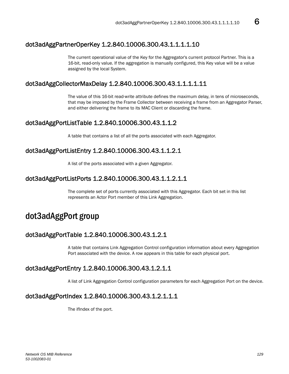## <span id="page-140-1"></span>dot3adAggPartnerOperKey 1.2.840.10006.300.43.1.1.1.1.10

The current operational value of the Key for the Aggregator's current protocol Partner. This is a 16-bit, read-only value. If the aggregation is manually configured, this Key value will be a value assigned by the local System.

#### <span id="page-140-2"></span>dot3adAggCollectorMaxDelay 1.2.840.10006.300.43.1.1.1.1.11

The value of this 16-bit read-write attribute defines the maximum delay, in tens of microseconds, that may be imposed by the Frame Collector between receiving a frame from an Aggregator Parser, and either delivering the frame to its MAC Client or discarding the frame.

### <span id="page-140-3"></span>dot3adAggPortListTable 1.2.840.10006.300.43.1.1.2

A table that contains a list of all the ports associated with each Aggregator.

#### <span id="page-140-4"></span>dot3adAggPortListEntry 1.2.840.10006.300.43.1.1.2.1

A list of the ports associated with a given Aggregator.

## <span id="page-140-5"></span>dot3adAggPortListPorts 1.2.840.10006.300.43.1.1.2.1.1

The complete set of ports currently associated with this Aggregator. Each bit set in this list represents an Actor Port member of this Link Aggregation.

## <span id="page-140-0"></span>dot3adAggPort group

#### <span id="page-140-6"></span>dot3adAggPortTable 1.2.840.10006.300.43.1.2.1

A table that contains Link Aggregation Control configuration information about every Aggregation Port associated with the device. A row appears in this table for each physical port.

#### <span id="page-140-7"></span>dot3adAggPortEntry 1.2.840.10006.300.43.1.2.1.1

A list of Link Aggregation Control configuration parameters for each Aggregation Port on the device.

## <span id="page-140-8"></span>dot3adAggPortIndex 1.2.840.10006.300.43.1.2.1.1.1

The ifIndex of the port.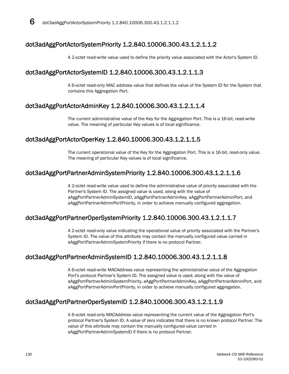### <span id="page-141-0"></span>dot3adAggPortActorSystemPriority 1.2.840.10006.300.43.1.2.1.1.2

A 2-octet read-write value used to define the priority value associated with the Actor's System ID.

## <span id="page-141-1"></span>dot3adAggPortActorSystemID 1.2.840.10006.300.43.1.2.1.1.3

A 6-octet read-only MAC address value that defines the value of the System ID for the System that contains this Aggregation Port.

#### <span id="page-141-2"></span>dot3adAggPortActorAdminKey 1.2.840.10006.300.43.1.2.1.1.4

The current administrative value of the Key for the Aggregation Port. This is a 16-bit, read-write value. The meaning of particular Key values is of local significance.

#### <span id="page-141-3"></span>dot3adAggPortActorOperKey 1.2.840.10006.300.43.1.2.1.1.5

The current operational value of the Key for the Aggregation Port. This is a 16-bit, read-only value. The meaning of particular Key values is of local significance.

#### <span id="page-141-4"></span>dot3adAggPortPartnerAdminSystemPriority 1.2.840.10006.300.43.1.2.1.1.6

A 2-octet read-write value used to define the administrative value of priority associated with the Partner's System ID. The assigned value is used, along with the value of aAggPortPartnerAdminSystemID, aAggPortPartnerAdminKey, aAggPortPartnerAdminPort, and aAggPortPartnerAdminPortPriority, in order to achieve manually configured aggregation.

#### <span id="page-141-5"></span>dot3adAggPortPartnerOperSystemPriority 1.2.840.10006.300.43.1.2.1.1.7

A 2-octet read-only value indicating the operational value of priority associated with the Partner's System ID. The value of this attribute may contain the manually configured value carried in aAggPortPartnerAdminSystemPriority if there is no protocol Partner.

## <span id="page-141-6"></span>dot3adAggPortPartnerAdminSystemID 1.2.840.10006.300.43.1.2.1.1.8

A 6-octet read-write MACAddress value representing the administrative value of the Aggregation Port's protocol Partner's System ID. The assigned value is used, along with the value of aAggPortPartnerAdminSystemPriority, aAggPortPartnerAdminKey, aAggPortPartnerAdminPort, and aAggPortPartnerAdminPortPriority, in order to achieve manually configured aggregation.

## <span id="page-141-7"></span>dot3adAggPortPartnerOperSystemID 1.2.840.10006.300.43.1.2.1.1.9

A 6-octet read-only MACAddress value representing the current value of the Aggregation Port's protocol Partner's System ID. A value of zero indicates that there is no known protocol Partner. The value of this attribute may contain the manually configured value carried in aAggPortPartnerAdminSystemID if there is no protocol Partner.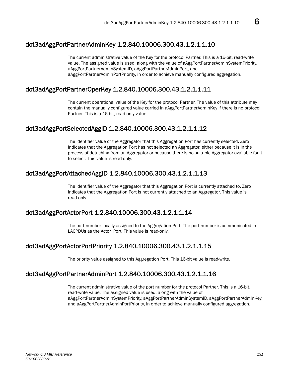### <span id="page-142-0"></span>dot3adAggPortPartnerAdminKey 1.2.840.10006.300.43.1.2.1.1.10

The current administrative value of the Key for the protocol Partner. This is a 16-bit, read-write value. The assigned value is used, along with the value of aAggPortPartnerAdminSystemPriority, aAggPortPartnerAdminSystemID, aAggPortPartnerAdminPort, and aAggPortPartnerAdminPortPriority, in order to achieve manually configured aggregation.

#### <span id="page-142-1"></span>dot3adAggPortPartnerOperKey 1.2.840.10006.300.43.1.2.1.1.11

The current operational value of the Key for the protocol Partner. The value of this attribute may contain the manually configured value carried in aAggPortPartnerAdminKey if there is no protocol Partner. This is a 16-bit, read-only value.

#### <span id="page-142-2"></span>dot3adAggPortSelectedAggID 1.2.840.10006.300.43.1.2.1.1.12

The identifier value of the Aggregator that this Aggregation Port has currently selected. Zero indicates that the Aggregation Port has not selected an Aggregator, either because it is in the process of detaching from an Aggregator or because there is no suitable Aggregator available for it to select. This value is read-only.

#### <span id="page-142-3"></span>dot3adAggPortAttachedAggID 1.2.840.10006.300.43.1.2.1.1.13

The identifier value of the Aggregator that this Aggregation Port is currently attached to. Zero indicates that the Aggregation Port is not currently attached to an Aggregator. This value is read-only.

#### <span id="page-142-4"></span>dot3adAggPortActorPort 1.2.840.10006.300.43.1.2.1.1.14

The port number locally assigned to the Aggregation Port. The port number is communicated in LACPDUs as the Actor\_Port. This value is read-only.

#### <span id="page-142-5"></span>dot3adAggPortActorPortPriority 1.2.840.10006.300.43.1.2.1.1.15

The priority value assigned to this Aggregation Port. This 16-bit value is read-write.

#### <span id="page-142-6"></span>dot3adAggPortPartnerAdminPort 1.2.840.10006.300.43.1.2.1.1.16

The current administrative value of the port number for the protocol Partner. This is a 16-bit, read-write value. The assigned value is used, along with the value of aAggPortPartnerAdminSystemPriority, aAggPortPartnerAdminSystemID, aAggPortPartnerAdminKey, and aAggPortPartnerAdminPortPriority, in order to achieve manually configured aggregation.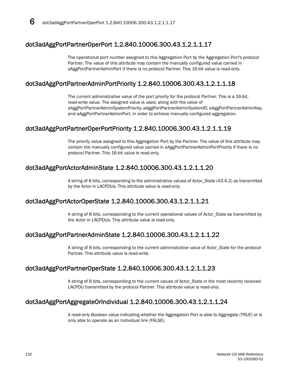## <span id="page-143-0"></span>dot3adAggPortPartnerOperPort 1.2.840.10006.300.43.1.2.1.1.17

The operational port number assigned to this Aggregation Port by the Aggregation Port's protocol Partner. The value of this attribute may contain the manually configured value carried in aAggPortPartnerAdminPort if there is no protocol Partner. This 16-bit value is read-only.

### <span id="page-143-1"></span>dot3adAggPortPartnerAdminPortPriority 1.2.840.10006.300.43.1.2.1.1.18

The current administrative value of the port priority for the protocol Partner. This is a 16-bit, read-write value. The assigned value is used, along with the value of aAggPortPartnerAdminSystemPriority, aAggPortPartnerAdminSystemID, aAggPortPartnerAdminKey, and aAggPortPartnerAdminPort, in order to achieve manually configured aggregation.

#### <span id="page-143-2"></span>dot3adAggPortPartnerOperPortPriority 1.2.840.10006.300.43.1.2.1.1.19

The priority value assigned to this Aggregation Port by the Partner. The value of this attribute may contain the manually configured value carried in aAggPortPartnerAdminPortPriority if there is no protocol Partner. This 16-bit value is read-only.

#### <span id="page-143-3"></span>dot3adAggPortActorAdminState 1.2.840.10006.300.43.1.2.1.1.20

A string of 8 bits, corresponding to the administrative values of Actor\_State (43.4.2) as transmitted by the Actor in LACPDUs. This attribute value is read-only.

#### <span id="page-143-4"></span>dot3adAggPortActorOperState 1.2.840.10006.300.43.1.2.1.1.21

A string of 8 bits, corresponding to the current operational values of Actor State as transmitted by the Actor in LACPDUs. This attribute value is read-only.

#### <span id="page-143-5"></span>dot3adAggPortPartnerAdminState 1.2.840.10006.300.43.1.2.1.1.22

A string of 8 bits, corresponding to the current administrative value of Actor\_State for the protocol Partner. This attribute value is read-write.

#### <span id="page-143-6"></span>dot3adAggPortPartnerOperState 1.2.840.10006.300.43.1.2.1.1.23

A string of 8 bits, corresponding to the current values of Actor\_State in the most recently received LACPDU transmitted by the protocol Partner. This attribute value is read-only.

#### <span id="page-143-7"></span>dot3adAggPortAggregateOrIndividual 1.2.840.10006.300.43.1.2.1.1.24

A read-only Boolean value indicating whether the Aggregation Port is able to Aggregate (TRUE) or is only able to operate as an Individual link (FALSE).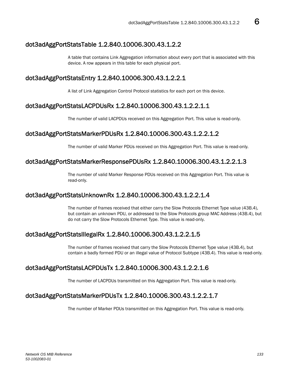#### dot3adAggPortStatsTable 1.2.840.10006.300.43.1.2.2

A table that contains Link Aggregation information about every port that is associated with this device. A row appears in this table for each physical port.

#### dot3adAggPortStatsEntry 1.2.840.10006.300.43.1.2.2.1

A list of Link Aggregation Control Protocol statistics for each port on this device.

#### dot3adAggPortStatsLACPDUsRx 1.2.840.10006.300.43.1.2.2.1.1

The number of valid LACPDUs received on this Aggregation Port. This value is read-only.

#### dot3adAggPortStatsMarkerPDUsRx 1.2.840.10006.300.43.1.2.2.1.2

The number of valid Marker PDUs received on this Aggregation Port. This value is read-only.

#### dot3adAggPortStatsMarkerResponsePDUsRx 1.2.840.10006.300.43.1.2.2.1.3

The number of valid Marker Response PDUs received on this Aggregation Port. This value is read-only.

#### dot3adAggPortStatsUnknownRx 1.2.840.10006.300.43.1.2.2.1.4

The number of frames received that either carry the Slow Protocols Ethernet Type value (43B.4), but contain an unknown PDU, or addressed to the Slow Protocols group MAC Address (43B.4), but do not carry the Slow Protocols Ethernet Type. This value is read-only.

#### dot3adAggPortStatsIllegalRx 1.2.840.10006.300.43.1.2.2.1.5

The number of frames received that carry the Slow Protocols Ethernet Type value (43B.4), but contain a badly formed PDU or an illegal value of Protocol Subtype (43B.4). This value is read-only.

#### dot3adAggPortStatsLACPDUsTx 1.2.840.10006.300.43.1.2.2.1.6

The number of LACPDUs transmitted on this Aggregation Port. This value is read-only.

#### dot3adAggPortStatsMarkerPDUsTx 1.2.840.10006.300.43.1.2.2.1.7

The number of Marker PDUs transmitted on this Aggregation Port. This value is read-only.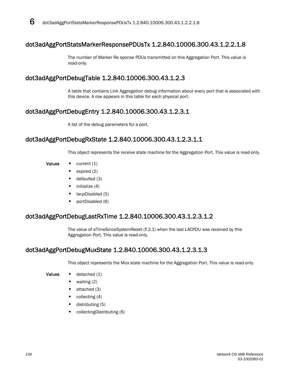#### dot3adAggPortStatsMarkerResponsePDUsTx 1.2.840.10006.300.43.1.2.2.1.8

The number of Marker Re sponse PDUs transmitted on this Aggregation Port. This value is read-only.

#### dot3adAggPortDebugTable 1.2.840.10006.300.43.1.2.3

A table that contains Link Aggregation debug information about every port that is associated with this device. A row appears in this table for each physical port.

#### dot3adAggPortDebugEntry 1.2.840.10006.300.43.1.2.3.1

A list of the debug parameters for a port.

#### dot3adAggPortDebugRxState 1.2.840.10006.300.43.1.2.3.1.1

This object represents the receive state machine for the Aggregation Port. This value is read-only.

- Values current (1)
	- expired (2)
	- defaulted (3)
	- $\bullet$  initialize (4)
	- lacpDisabled (5)
	- portDisabled (6)

#### dot3adAggPortDebugLastRxTime 1.2.840.10006.300.43.1.2.3.1.2

The value of aTimeSinceSystemReset (F.2.1) when the last LACPDU was received by this Aggregation Port. This value is read-only.

#### dot3adAggPortDebugMuxState 1.2.840.10006.300.43.1.2.3.1.3

This object represents the Mux state machine for the Aggregation Port. This value is read-only.

- Values detached (1)
	- waiting (2)
	- attached (3)
	- $\bullet$  collecting (4)
	- distributing (5)
	- collectingDistributing (6)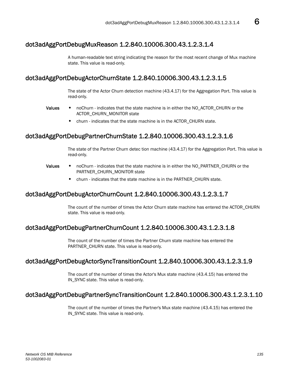#### dot3adAggPortDebugMuxReason 1.2.840.10006.300.43.1.2.3.1.4

A human-readable text string indicating the reason for the most recent change of Mux machine state. This value is read-only.

#### dot3adAggPortDebugActorChurnState 1.2.840.10006.300.43.1.2.3.1.5

The state of the Actor Churn detection machine (43.4.17) for the Aggregation Port. This value is read-only.

- Values noChurn indicates that the state machine is in either the NO\_ACTOR\_CHURN or the ACTOR CHURN MONITOR state
	- churn indicates that the state machine is in the ACTOR\_CHURN state.

#### dot3adAggPortDebugPartnerChurnState 1.2.840.10006.300.43.1.2.3.1.6

The state of the Partner Churn detec tion machine (43.4.17) for the Aggregation Port. This value is read-only.

- Values noChurn indicates that the state machine is in either the NO\_PARTNER\_CHURN or the PARTNER\_CHURN\_MONITOR state
	- churn indicates that the state machine is in the PARTNER\_CHURN state.

#### dot3adAggPortDebugActorChurnCount 1.2.840.10006.300.43.1.2.3.1.7

The count of the number of times the Actor Churn state machine has entered the ACTOR\_CHURN state. This value is read-only.

#### dot3adAggPortDebugPartnerChurnCount 1.2.840.10006.300.43.1.2.3.1.8

The count of the number of times the Partner Churn state machine has entered the PARTNER\_CHURN state. This value is read-only.

#### dot3adAggPortDebugActorSyncTransitionCount 1.2.840.10006.300.43.1.2.3.1.9

The count of the number of times the Actor's Mux state machine (43.4.15) has entered the IN\_SYNC state. This value is read-only.

#### dot3adAggPortDebugPartnerSyncTransitionCount 1.2.840.10006.300.43.1.2.3.1.10

The count of the number of times the Partner's Mux state machine (43.4.15) has entered the IN SYNC state. This value is read-only.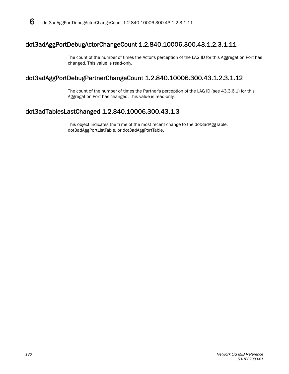#### dot3adAggPortDebugActorChangeCount 1.2.840.10006.300.43.1.2.3.1.11

The count of the number of times the Actor's perception of the LAG ID for this Aggregation Port has changed. This value is read-only.

#### dot3adAggPortDebugPartnerChangeCount 1.2.840.10006.300.43.1.2.3.1.12

The count of the number of times the Partner's perception of the LAG ID (see 43.3.6.1) for this Aggregation Port has changed. This value is read-only.

#### dot3adTablesLastChanged 1.2.840.10006.300.43.1.3

This object indicates the ti me of the most recent change to the dot3adAggTable, dot3adAggPortListTable, or dot3adAggPortTable.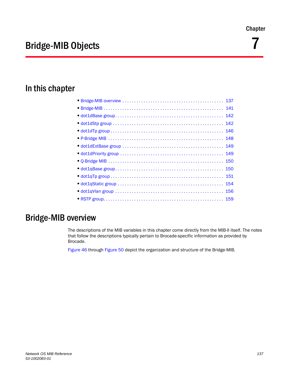#### **Chapter**

# Bridge-MIB Objects 7

## In this chapter

| 142 |
|-----|
| 142 |
| 146 |
| 148 |
| 149 |
| 149 |
| 150 |
| 150 |
| 151 |
| 154 |
|     |
|     |

## <span id="page-148-0"></span>Bridge-MIB overview

The descriptions of the MIB variables in this chapter come directly from the MIB-II itself. The notes that follow the descriptions typically pertain to Brocade-specific information as provided by Brocade.

[Figure 46](#page-149-0) through [Figure 50](#page-152-0) depict the organization and structure of the Bridge-MIB.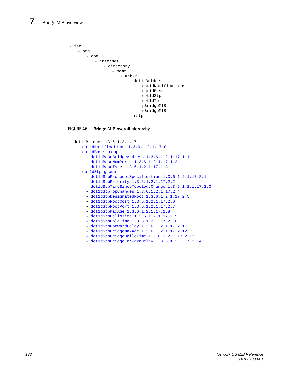```
- iso
   - org
       - dod
           - internet
              - directory
                  - mgmt
                      - mib-2
                         - dot1dBridge
                             - dot1dNotifications
                             - dot1dBase
                             - dot1dStp
                             - dot1dTp
                             - pBridgeMIB
                             - qBridgeMIB
                          - rstp
```
<span id="page-149-0"></span>

```
- dot1dBridge 1.3.6.1.2.1.17
   - dot1dNotifications 1.3.6.1.2.1.17.0
   - dot1dBase group
       - dot1dBaseBridgeAddress 1.3.6.1.2.1.17.1.1
       - dot1dBaseNumPorts 1.3.6.1.2.1.17.1.2
       - dot1dBaseType 1.3.6.1.2.1.17.1.3
   - dot1dStp group
       - dot1dStpProtocolSpecification 1.3.6.1.2.1.17.2.1
       - dot1dStpPriority 1.3.6.1.2.1.17.2.2
       - dot1dStpTimeSinceTopologyChange 1.3.6.1.2.1.17.2.3
       - dot1dStpTopChanges 1.3.6.1.2.1.17.2.4
       - dot1dStpDesignatedRoot 1.3.6.1.2.1.17.2.5
       - dot1dStpRootCost 1.3.6.1.2.1.17.2.6
       - dot1dStpRootPort 1.3.6.1.2.1.17.2.7
       - dot1dStpMaxAge 1.3.6.1.2.1.17.2.8
       - dot1dStpHelloTime 1.3.6.1.2.1.17.2.9
       - dot1dStpHoldTime 1.3.6.1.2.1.17.2.10
       - dot1dStpForwardDelay 1.3.6.1.2.1.17.2.11
       - dot1dStpBridgeMaxAge 1.3.6.1.2.1.17.2.12
       - dot1dStpBridgeHelloTime 1.3.6.1.2.1.17.2.13
       - dot1dStpBridgeForwardDelay 1.3.6.1.2.1.17.2.14
```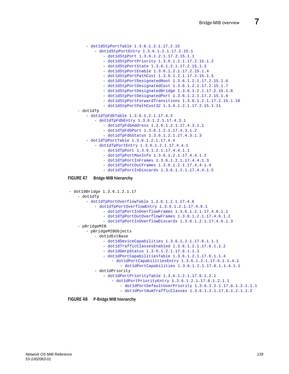```
FIGURE 47 Bridge-MIB hierarchy
       - dot1dStpPortTable 1.3.6.1.2.1.17.2.15
           - dot1dStpPortEntry 1.3.6.1.2.1.17.2.15.1
              - dot1dStpPort 1.3.6.1.2.1.17.2.15.1.1
              - dot1dStpPortPriority 1.3.6.1.2.1.17.2.15.1.2
              - dot1dStpPortState 1.3.6.1.2.1.17.2.15.1.3
              - dot1dStpPortEnable 1.3.6.1.2.1.17.2.15.1.4
              - dot1dStpPortPathCost 1.3.6.1.2.1.17.2.15.1.5
              - dot1dStpPortDesignatedRoot 1.3.6.1.2.1.17.2.15.1.6
              - dot1dStpPortDesignatedCost 1.3.6.1.2.1.17.2.15.1.7
              - dot1dStpPortDesignatedBridge 1.3.6.1.2.1.17.2.15.1.8
              - dot1dStpPortDesignatedPort 1.3.6.1.2.1.17.2.15.1.9
              - dot1dStpPortForwardTransitions 1.3.6.1.2.1.17.2.15.1.10
              - dot1dStpPortPathCost32 1.3.6.1.2.1.17.2.15.1.11
    - dot1dTp 
       - dot1dTpFdbTable 1.3.6.1.2.1.17.4.3
           - dot1dTpFdbEntry 1.3.6.1.2.1.17.4.3.1
              - dot1dTpFdbAddress 1.3.6.1.2.1.17.4.3.1.1
              - dot1dTpFdbPort 1.3.6.1.2.1.17.4.3.1.2
              - dot1dTpFdbStatus 1.3.6.1.2.1.17.4.3.1.3
       - dot1dTpPortTable 1.3.6.1.2.1.17.4.4
           - dot1dTpPortEntry 1.3.6.1.2.1.17.4.4.1
              - dot1dTpPort 1.3.6.1.2.1.17.4.4.1.1
              - dot1dTpPortMaxInfo 1.3.6.1.2.1.17.4.4.1.2
              - dot1dTpPortInFrames 1.3.6.1.2.1.17.4.4.1.3
              - dot1dTpPortOutFrames 1.3.6.1.2.1.17.4.4.1.4
               - dot1dTpPortInDiscards 1.3.6.1.2.1.17.4.4.1.5
- dot1dBridge 1.3.6.1.2.1.17
    - dot1dTp
       - dot1dTpPortOverflowTable 1.3.6.1.2.1.17.4.6
           - dot1dTpPortOverflowEntry 1.3.6.1.2.1.17.4.6.1
              - dot1dTpPortInOverflowFrames 1.3.6.1.2.1.17.4.6.1.1
              - dot1dTpPortOutOverflowFrames 1.3.6.1.2.1.17.4.6.1.2
              - dot1dTpPortInOverflowDiscards 1.3.6.1.2.1.17.4.6.1.3
    - pBridgeMIB
       - pBridgeMIBObjects
           - dot1dExtBase 
              - dot1dDeviceCapabilities 1.3.6.1.2.1.17.6.1.1.1
              - dot1dTrafficClassesEnabled 1.3.6.1.2.1.17.6.1.1.2
              - dot1dGmrpStatus 1.3.6.1.2.1.17.6.1.1.3
              - dot1dPortCapabilitiesTable 1.3.6.1.2.1.17.6.1.1.4
                  - dot1dPortCapabilitiesEntry 1.3.6.1.2.1.17.6.1.1.4.1
                      - dot1dPortCapabilities 1.3.6.1.2.1.17.6.1.1.4.1.1
           - dot1dPriority
              - dot1dPortPriorityTable 1.3.6.1.2.1.17.6.1.2.1
                  - dot1dPortPriorityEntry 1.3.6.1.2.1.17.6.1.2.1.1
                      - dot1dPortDefaultUserPriority 1.3.6.1.2.1.17.6.1.2.1.1.1
                      - dot1dPortNumTrafficClasses 1.3.6.1.2.1.17.6.1.2.1.1.2
```
FIGURE 48 P-Bridge MIB hierarchy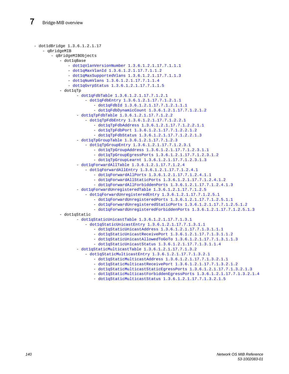```
- dot1dBridge 1.3.6.1.2.1.17
   - qBridgeMIB
       - qBridgeMIBObjects
          - dot1qBase
              - dot1qVlanVersionNumber 1.3.6.1.2.1.17.7.1.1.1
              - dot1qMaxVlanId 1.3.6.1.2.1.17.7.1.1.2
              - dot1qMaxSupportedVlans 1.3.6.1.2.1.17.7.1.1.3
              - dot1qNumVlans 1.3.6.1.2.1.17.7.1.1.4
              - dot1qGvrpStatus 1.3.6.1.2.1.17.7.1.1.5
          - dot1qTp
                  - dot1qFdbTable 1.3.6.1.2.1.17.7.1.2.1
                     - dot1qFdbEntry 1.3.6.1.2.1.17.7.1.2.1.1
                         - dot1qFdbId 1.3.6.1.2.1.17.7.1.2.1.1.1
                         - dot1qFdbDynamicCount 1.3.6.1.2.1.17.7.1.2.1.2
                 - dot1qTpFdbTable 1.3.6.1.2.1.17.7.1.2.2
                     - dot1qTpFdbEntry 1.3.6.1.2.1.17.7.1.2.2.1
                         - dot1qTpFdbAddress 1.3.6.1.2.1.17.7.1.2.2.1.1
                         - dot1qTpFdbPort 1.3.6.1.2.1.17.7.1.2.2.1.2
                         - dot1qTpFdbStatus 1.3.6.1.2.1.17.7.1.2.2.1.3
                 - dot1qTpGroupTable 1.3.6.1.2.1.17.7.1.2.3
                     - dot1qTpGroupEntry 1.3.6.1.2.1.17.7.1.2.3.1
                         - dot1qTpGroupAddress 1.3.6.1.2.1.17.7.1.2.3.1.1
                         - dot1qTpGroupEgressPorts 1.3.6.1.2.1.17.7.1.2.3.1.2
                         - dot1qTpGroupLearnt 1.3.6.1.2.1.17.7.1.2.3.1.3
                 - dot1qForwardAllTable 1.3.6.1.2.1.17.7.1.2.4
                     - dot1qForwardAllEntry 1.3.6.1.2.1.17.7.1.2.4.1
                         - dot1qForwardAllPorts 1.3.6.1.2.1.17.7.1.2.4.1.1
                         - dot1qForwardAllStaticPorts 1.3.6.1.2.1.17.7.1.2.4.1.2
                         - dot1qForwardAllForbiddenPorts 1.3.6.1.2.1.17.7.1.2.4.1.3
                 - dot1qForwardUnregisteredTable 1.3.6.1.2.1.17.7.1.2.5
                     - dot1qForwardUnregisteredEntry 1.3.6.1.2.1.17.7.1.2.5.1
                         - dot1qForwardUnregisteredPorts 1.3.6.1.2.1.17.7.1.2.5.1.1
                         - dot1qForwardUnregisteredStaticPorts 1.3.6.1.2.1.17.7.1.2.5.1.2
                         - dot1qForwardUnregisteredForbiddenPorts 1.3.6.1.2.1.17.7.1.2.5.1.3
          - dot1qStatic
                  - dot1qStaticUnicastTable 1.3.6.1.2.1.17.7.1.3.1
                     - dot1qStaticUnicastEntry 1.3.6.1.2.1.17.7.1.3.1.1
                         - dot1qStaticUnicastAddress 1.3.6.1.2.1.17.7.1.3.1.1.1
                         - dot1qStaticUnicastReceivePort 1.3.6.1.2.1.17.7.1.3.1.1.2
                         - dot1qStaticUnicastAllowedToGoTo 1.3.6.1.2.1.17.7.1.3.1.1.3
                         - dot1qStaticUnicastStatus 1.3.6.1.2.1.17.7.1.3.1.1.4
                 - dot1qStaticMulticastTable 1.3.6.1.2.1.17.7.1.3.2
                     - dot1qStaticMulticastEntry 1.3.6.1.2.1.17.7.1.3.2.1
                         - dot1qStaticMulticastAddress 1.3.6.1.2.1.17.7.1.3.2.1.1
                         - dot1qStaticMulticastReceivePort 1.3.6.1.2.1.17.7.1.3.2.1.2
                         - dot1qStaticMulticastStaticEgressPorts 1.3.6.1.2.1.17.7.1.3.2.1.3
                         - dot1qStaticMulticastForbiddenEgressPorts 1.3.6.1.2.1.17.7.1.3.2.1.4
```

```
- dot1qStaticMulticastStatus 1.3.6.1.2.1.17.7.1.3.2.1.5
```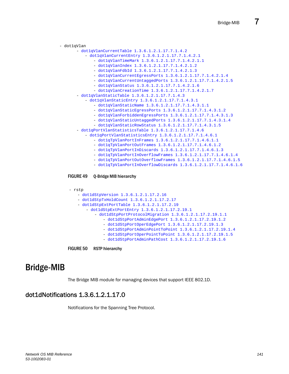

- - [dot1dStpPortAdminEdgePort 1.3.6.1.2.1.17.2.19.1.2](#page-171-0)
- - [dot1dStpPortOperEdgePort 1.3.6.1.2.1.17.2.19.1.3](#page-171-1)
- - [dot1dStpPortAdminPointToPoint 1.3.6.1.2.1.17.2.19.1.4](#page-171-2)
- - [dot1dStpPortOperPointToPoint 1.3.6.1.2.1.17.2.19.1.5](#page-171-3)
- - [dot1dStpPortAdminPathCost 1.3.6.1.2.1.17.2.19.1.6](#page-171-4)

<span id="page-152-0"></span>FIGURE 50 RSTP hierarchy

### <span id="page-152-1"></span>Bridge-MIB

The Bridge MIB module for managing devices that support IEEE 802.1D.

#### <span id="page-152-2"></span>dot1dNotifications 1.3.6.1.2.1.17.0

Notifications for the Spanning Tree Protocol.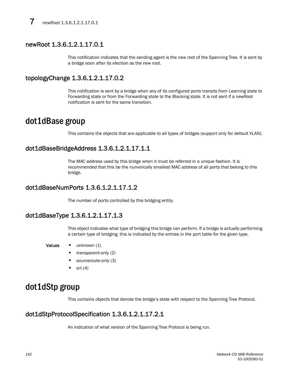#### newRoot 1.3.6.1.2.1.17.0.1

This notification indicates that the sending agent is the new root of the Spanning Tree. It is sent by a bridge soon after its election as the new root.

#### topologyChange 1.3.6.1.2.1.17.0.2

This notification is sent by a bridge when any of its configured ports transits from Learning state to Forwarding state or from the Forwarding state to the Blocking state. It is not sent if a newRoot notification is sent for the same transition.

### <span id="page-153-0"></span>dot1dBase group

This contains the objects that are applicable to all types of bridges (support only for default VLAN).

#### <span id="page-153-2"></span>dot1dBaseBridgeAddress 1.3.6.1.2.1.17.1.1

The MAC address used by this bridge when it must be referred in a unique fashion. It is recommended that this be the numerically smallest MAC address of all ports that belong to this bridge.

#### <span id="page-153-3"></span>dot1dBaseNumPorts 1.3.6.1.2.1.17.1.2

The number of ports controlled by this bridging entity.

#### <span id="page-153-4"></span>dot1dBaseType 1.3.6.1.2.1.17.1.3

This object indicates what type of bridging this bridge can perform. If a bridge is actually performing a certain type of bridging, this is indicated by the entries in the port table for the given type.

#### Values • unknown (1)

- 
- transparent-only (2)
- sourceroute-only (3)
- $str(4)$

### <span id="page-153-1"></span>dot1dStp group

This contains objects that denote the bridge's state with respect to the Spanning Tree Protocol.

#### <span id="page-153-5"></span>dot1dStpProtocolSpecification 1.3.6.1.2.1.17.2.1

An indication of what version of the Spanning Tree Protocol is being run.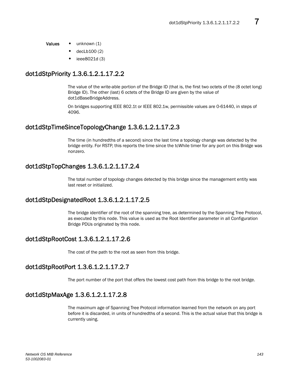- Values unknown (1)
	- $\bullet$  decLb100 $(2)$
	- ieee8021d (3)

#### <span id="page-154-0"></span>dot1dStpPriority 1.3.6.1.2.1.17.2.2

The value of the write-able portion of the Bridge ID (that is, the first two octets of the (8 octet long) Bridge ID). The other (last) 6 octets of the Bridge ID are given by the value of dot1dBaseBridgeAddress.

On bridges supporting IEEE 802.1t or IEEE 802.1w, permissible values are 0-61440, in steps of 4096.

#### <span id="page-154-1"></span>dot1dStpTimeSinceTopologyChange 1.3.6.1.2.1.17.2.3

The time (in hundredths of a second) since the last time a topology change was detected by the bridge entity. For RSTP, this reports the time since the tcWhile timer for any port on this Bridge was nonzero.

#### <span id="page-154-2"></span>dot1dStpTopChanges 1.3.6.1.2.1.17.2.4

The total number of topology changes detected by this bridge since the management entity was last reset or initialized.

#### <span id="page-154-3"></span>dot1dStpDesignatedRoot 1.3.6.1.2.1.17.2.5

The bridge identifier of the root of the spanning tree, as determined by the Spanning Tree Protocol, as executed by this node. This value is used as the Root Identifier parameter in all Configuration Bridge PDUs originated by this node.

#### <span id="page-154-4"></span>dot1dStpRootCost 1.3.6.1.2.1.17.2.6

The cost of the path to the root as seen from this bridge.

#### <span id="page-154-5"></span>dot1dStpRootPort 1.3.6.1.2.1.17.2.7

The port number of the port that offers the lowest cost path from this bridge to the root bridge.

#### <span id="page-154-6"></span>dot1dStpMaxAge 1.3.6.1.2.1.17.2.8

The maximum age of Spanning Tree Protocol information learned from the network on any port before it is discarded, in units of hundredths of a second. This is the actual value that this bridge is currently using.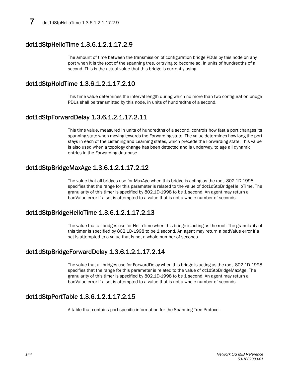#### <span id="page-155-0"></span>dot1dStpHelloTime 1.3.6.1.2.1.17.2.9

The amount of time between the transmission of configuration bridge PDUs by this node on any port when it is the root of the spanning tree, or trying to become so, in units of hundredths of a second. This is the actual value that this bridge is currently using.

#### <span id="page-155-1"></span>dot1dStpHoldTime 1.3.6.1.2.1.17.2.10

This time value determines the interval length during which no more than two configuration bridge PDUs shall be transmitted by this node, in units of hundredths of a second.

#### <span id="page-155-2"></span>dot1dStpForwardDelay 1.3.6.1.2.1.17.2.11

This time value, measured in units of hundredths of a second, controls how fast a port changes its spanning state when moving towards the Forwarding state. The value determines how long the port stays in each of the Listening and Learning states, which precede the Forwarding state. This value is also used when a topology change has been detected and is underway, to age all dynamic entries in the Forwarding database.

#### <span id="page-155-3"></span>dot1dStpBridgeMaxAge 1.3.6.1.2.1.17.2.12

The value that all bridges use for MaxAge when this bridge is acting as the root. 802.1D-1998 specifies that the range for this parameter is related to the value of dot1dStpBridgeHelloTime. The granularity of this timer is specified by 802.1D-1998 to be 1 second. An agent may return a badValue error if a set is attempted to a value that is not a whole number of seconds.

#### <span id="page-155-4"></span>dot1dStpBridgeHelloTime 1.3.6.1.2.1.17.2.13

The value that all bridges use for HelloTime when this bridge is acting as the root. The granularity of this timer is specified by 802.1D-1998 to be 1 second. An agent may return a badValue error if a set is attempted to a value that is not a whole number of seconds.

#### <span id="page-155-5"></span>dot1dStpBridgeForwardDelay 1.3.6.1.2.1.17.2.14

The value that all bridges use for ForwardDelay when this bridge is acting as the root. 802.1D-1998 specifies that the range for this parameter is related to the value of ot1dStpBridgeMaxAge. The granularity of this timer is specified by 802.1D-1998 to be 1 second. An agent may return a badValue error if a set is attempted to a value that is not a whole number of seconds.

#### <span id="page-155-6"></span>dot1dStpPortTable 1.3.6.1.2.1.17.2.15

A table that contains port-specific information for the Spanning Tree Protocol.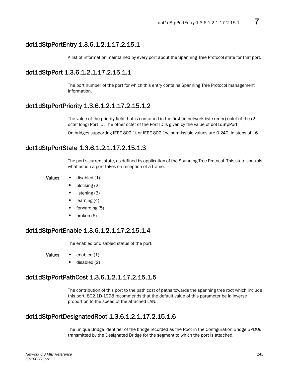#### <span id="page-156-0"></span>dot1dStpPortEntry 1.3.6.1.2.1.17.2.15.1

A list of information maintained by every port about the Spanning Tree Protocol state for that port.

#### <span id="page-156-1"></span>dot1dStpPort 1.3.6.1.2.1.17.2.15.1.1

The port number of the port for which this entry contains Spanning Tree Protocol management information.

#### <span id="page-156-2"></span>dot1dStpPortPriority 1.3.6.1.2.1.17.2.15.1.2

The value of the priority field that is contained in the first (in network byte order) octet of the (2 octet long) Port ID. The other octet of the Port ID is given by the value of dot1dStpPort.

On bridges supporting IEEE 802.1t or IEEE 802.1w, permissible values are 0-240, in steps of 16.

#### <span id="page-156-3"></span>dot1dStpPortState 1.3.6.1.2.1.17.2.15.1.3

The port's current state, as defined by application of the Spanning Tree Protocol. This state controls what action a port takes on reception of a frame.

- Values  $\bullet$  disabled (1)
	- blocking (2)
	- listening (3)
	- learning  $(4)$
	- forwarding (5)
	- broken (6)

#### <span id="page-156-4"></span>dot1dStpPortEnable 1.3.6.1.2.1.17.2.15.1.4

The enabled or disabled status of the port.

- Values  $\bullet$  enabled (1)
	- disabled (2)

#### <span id="page-156-5"></span>dot1dStpPortPathCost 1.3.6.1.2.1.17.2.15.1.5

The contribution of this port to the path cost of paths towards the spanning tree root which include this port. 802.1D-1998 recommends that the default value of this parameter be in inverse proportion to the speed of the attached LAN.

#### <span id="page-156-6"></span>dot1dStpPortDesignatedRoot 1.3.6.1.2.1.17.2.15.1.6

The unique Bridge Identifier of the bridge recorded as the Root in the Configuration Bridge BPDUs transmitted by the Designated Bridge for the segment to which the port is attached.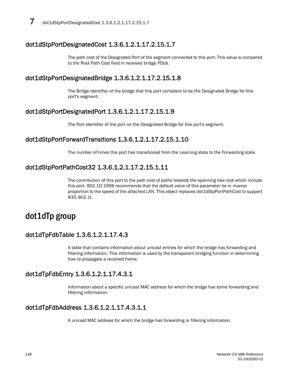#### <span id="page-157-1"></span>dot1dStpPortDesignatedCost 1.3.6.1.2.1.17.2.15.1.7

The path cost of the Designated Port of the segment connected to this port. This value is compared to the Root Path Cost field in received bridge PDUs.

#### <span id="page-157-2"></span>dot1dStpPortDesignatedBridge 1.3.6.1.2.1.17.2.15.1.8

The Bridge Identifier of the bridge that this port considers to be the Designated Bridge for this port's segment.

#### <span id="page-157-3"></span>dot1dStpPortDesignatedPort 1.3.6.1.2.1.17.2.15.1.9

The Port Identifier of the port on the Designated Bridge for this port's segment.

#### <span id="page-157-4"></span>dot1dStpPortForwardTransitions 1.3.6.1.2.1.17.2.15.1.10

The number of times this port has transitioned from the Learning state to the Forwarding state.

#### <span id="page-157-5"></span>dot1dStpPortPathCost32 1.3.6.1.2.1.17.2.15.1.11

The contribution of this port to the path cost of paths towards the spanning tree root which include this port. 802.1D-1998 recommends that the default value of this parameter be in inverse proportion to the speed of the attached LAN. This object replaces dot1dStpPortPathCost to support IEEE 802.1t.

### <span id="page-157-0"></span>dot1dTp group

#### <span id="page-157-6"></span>dot1dTpFdbTable 1.3.6.1.2.1.17.4.3

A table that contains information about unicast entries for which the bridge has forwarding and filtering information. This information is used by the transparent bridging function in determining how to propagate a received frame.

#### <span id="page-157-7"></span>dot1dTpFdbEntry 1.3.6.1.2.1.17.4.3.1

Information about a specific unicast MAC address for which the bridge has some forwarding and filtering information.

#### <span id="page-157-8"></span>dot1dTpFdbAddress 1.3.6.1.2.1.17.4.3.1.1

A unicast MAC address for which the bridge has forwarding or filtering information.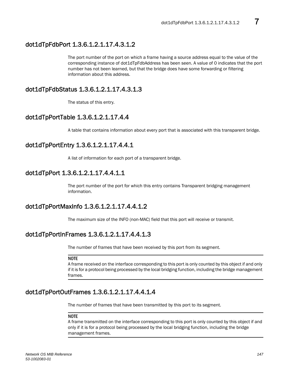### <span id="page-158-0"></span>dot1dTpFdbPort 1.3.6.1.2.1.17.4.3.1.2

The port number of the port on which a frame having a source address equal to the value of the corresponding instance of dot1dTpFdbAddress has been seen. A value of 0 indicates that the port number has not been learned, but that the bridge does have some forwarding or filtering information about this address.

#### <span id="page-158-1"></span>dot1dTpFdbStatus 1.3.6.1.2.1.17.4.3.1.3

The status of this entry.

#### <span id="page-158-2"></span>dot1dTpPortTable 1.3.6.1.2.1.17.4.4

A table that contains information about every port that is associated with this transparent bridge.

#### <span id="page-158-3"></span>dot1dTpPortEntry 1.3.6.1.2.1.17.4.4.1

A list of information for each port of a transparent bridge.

#### <span id="page-158-4"></span>dot1dTpPort 1.3.6.1.2.1.17.4.4.1.1

The port number of the port for which this entry contains Transparent bridging management information.

#### <span id="page-158-5"></span>dot1dTpPortMaxInfo 1.3.6.1.2.1.17.4.4.1.2

The maximum size of the INFO (non-MAC) field that this port will receive or transmit.

#### <span id="page-158-6"></span>dot1dTpPortInFrames 1.3.6.1.2.1.17.4.4.1.3

The number of frames that have been received by this port from its segment.

#### NOTE

A frame received on the interface corresponding to this port is only counted by this object if and only if it is for a protocol being processed by the local bridging function, including the bridge management frames.

#### <span id="page-158-7"></span>dot1dTpPortOutFrames 1.3.6.1.2.1.17.4.4.1.4

The number of frames that have been transmitted by this port to its segment.

#### **NOTE**

A frame transmitted on the interface corresponding to this port is only counted by this object if and only if it is for a protocol being processed by the local bridging function, including the bridge management frames.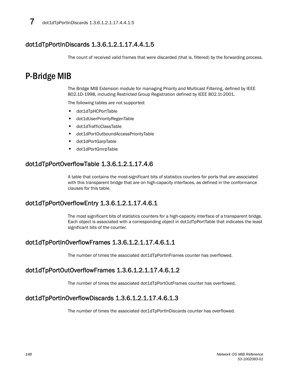### <span id="page-159-1"></span>dot1dTpPortInDiscards 1.3.6.1.2.1.17.4.4.1.5

The count of received valid frames that were discarded (that is, filtered) by the forwarding process.

### <span id="page-159-0"></span>P-Bridge MIB

The Bridge MIB Extension module for managing Priority and Multicast Filtering, defined by IEEE 802.1D-1998, including Restricted Group Registration defined by IEEE 802.1t-2001.

The following tables are not supported:

- dot1dTpHCPortTable
- dot1dUserPriorityRegenTable
- dot1dTrafficClassTable
- dot1dPortOutboundAccessPriorityTable
- dot1dPortGarpTable
- dot1dPortGmrpTable

#### <span id="page-159-2"></span>dot1dTpPortOverflowTable 1.3.6.1.2.1.17.4.6

A table that contains the most-significant bits of statistics counters for ports that are associated with this transparent bridge that are on high-capacity interfaces, as defined in the conformance clauses for this table.

#### <span id="page-159-3"></span>dot1dTpPortOverflowEntry 1.3.6.1.2.1.17.4.6.1

The most significant bits of statistics counters for a high-capacity interface of a transparent bridge. Each object is associated with a corresponding object in dot1dTpPortTable that indicates the least significant bits of the counter.

#### <span id="page-159-4"></span>dot1dTpPortInOverflowFrames 1.3.6.1.2.1.17.4.6.1.1

The number of times the associated dot1dTpPortInFrames counter has overflowed.

#### <span id="page-159-5"></span>dot1dTpPortOutOverflowFrames 1.3.6.1.2.1.17.4.6.1.2

The number of times the associated dot1dTpPortOutFrames counter has overflowed.

#### <span id="page-159-6"></span>dot1dTpPortInOverflowDiscards 1.3.6.1.2.1.17.4.6.1.3

The number of times the associated dot1dTpPortInDiscards counter has overflowed.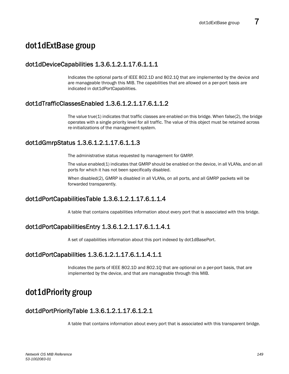## <span id="page-160-0"></span>dot1dExtBase group

#### <span id="page-160-2"></span>dot1dDeviceCapabilities 1.3.6.1.2.1.17.6.1.1.1

Indicates the optional parts of IEEE 802.1D and 802.1Q that are implemented by the device and are manageable through this MIB. The capabilities that are allowed on a per-port basis are indicated in dot1dPortCapabilities.

#### <span id="page-160-3"></span>dot1dTrafficClassesEnabled 1.3.6.1.2.1.17.6.1.1.2

The value true(1) indicates that traffic classes are enabled on this bridge. When false(2), the bridge operates with a single priority level for all traffic. The value of this object must be retained across re-initializations of the management system.

#### <span id="page-160-4"></span>dot1dGmrpStatus 1.3.6.1.2.1.17.6.1.1.3

The administrative status requested by management for GMRP.

The value enabled(1) indicates that GMRP should be enabled on the device, in all VLANs, and on all ports for which it has not been specifically disabled.

When disabled(2), GMRP is disabled in all VLANs, on all ports, and all GMRP packets will be forwarded transparently.

#### <span id="page-160-5"></span>dot1dPortCapabilitiesTable 1.3.6.1.2.1.17.6.1.1.4

A table that contains capabilities information about every port that is associated with this bridge.

#### <span id="page-160-6"></span>dot1dPortCapabilitiesEntry 1.3.6.1.2.1.17.6.1.1.4.1

A set of capabilities information about this port indexed by dot1dBasePort.

#### <span id="page-160-7"></span>dot1dPortCapabilities 1.3.6.1.2.1.17.6.1.1.4.1.1

Indicates the parts of IEEE 802.1D and 802.1Q that are optional on a per-port basis, that are implemented by the device, and that are manageable through this MIB.

## <span id="page-160-1"></span>dot1dPriority group

### <span id="page-160-8"></span>dot1dPortPriorityTable 1.3.6.1.2.1.17.6.1.2.1

A table that contains information about every port that is associated with this transparent bridge.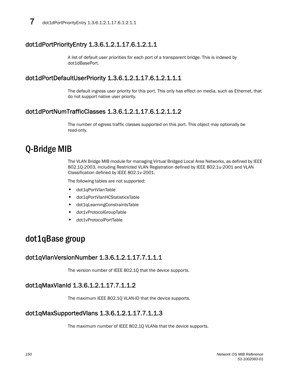### <span id="page-161-2"></span>dot1dPortPriorityEntry 1.3.6.1.2.1.17.6.1.2.1.1

A list of default user priorities for each port of a transparent bridge. This is indexed by dot1dBasePort.

#### <span id="page-161-3"></span>dot1dPortDefaultUserPriority 1.3.6.1.2.1.17.6.1.2.1.1.1

The default ingress user priority for this port. This only has effect on media, such as Ethernet, that do not support native user priority.

#### <span id="page-161-4"></span>dot1dPortNumTrafficClasses 1.3.6.1.2.1.17.6.1.2.1.1.2

The number of egress traffic classes supported on this port. This object may optionally be read-only.

### <span id="page-161-0"></span>Q-Bridge MIB

The VLAN Bridge MIB module for managing Virtual Bridged Local Area Networks, as defined by IEEE 802.1Q-2003, including Restricted VLAN Registration defined by IEEE 802.1u-2001 and VLAN Classification defined by IEEE 802.1v-2001.

The following tables are not supported:

- dot1qPortVlanTable
- dot1qPortVlanHCStatisticsTable
- dot1qLearningConstraintsTable
- dot1vProtocolGroupTable
- dot1vProtocolPortTable

### <span id="page-161-1"></span>dot1qBase group

#### <span id="page-161-5"></span>dot1qVlanVersionNumber 1.3.6.1.2.1.17.7.1.1.1

The version number of IEEE 802.1Q that the device supports.

#### <span id="page-161-6"></span>dot1qMaxVlanId 1.3.6.1.2.1.17.7.1.1.2

The maximum IEEE 802.1Q VLAN-ID that the device supports.

#### <span id="page-161-7"></span>dot1qMaxSupportedVlans 1.3.6.1.2.1.17.7.1.1.3

The maximum number of IEEE 802.1Q VLANs that the device supports.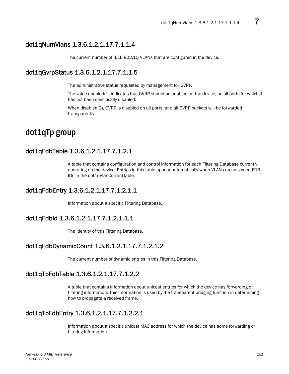### <span id="page-162-1"></span>dot1qNumVlans 1.3.6.1.2.1.17.7.1.1.4

The current number of IEEE 802.1Q VLANs that are configured in the device.

### <span id="page-162-2"></span>dot1qGvrpStatus 1.3.6.1.2.1.17.7.1.1.5

The administrative status requested by management for GVRP.

The value enabled(1) indicates that GVRP should be enabled on the device, on all ports for which it has not been specifically disabled.

When disabled(2), GVRP is disabled on all ports, and all GVRP packets will be forwarded transparently.

### <span id="page-162-0"></span>dot1qTp group

#### <span id="page-162-3"></span>dot1qFdbTable 1.3.6.1.2.1.17.7.1.2.1

A table that contains configuration and control information for each Filtering Database currently operating on the device. Entries in this table appear automatically when VLANs are assigned FDB IDs in the dot1qVlanCurrentTable.

#### <span id="page-162-4"></span>dot1qFdbEntry 1.3.6.1.2.1.17.7.1.2.1.1

Information about a specific Filtering Database.

#### <span id="page-162-5"></span>dot1qFdbId 1.3.6.1.2.1.17.7.1.2.1.1.1

The identity of this Filtering Database.

#### <span id="page-162-6"></span>dot1qFdbDynamicCount 1.3.6.1.2.1.17.7.1.2.1.2

The current number of dynamic entries in this Filtering Database.

#### <span id="page-162-7"></span>dot1qTpFdbTable 1.3.6.1.2.1.17.7.1.2.2

A table that contains information about unicast entries for which the device has forwarding or filtering information. This information is used by the transparent bridging function in determining how to propagate a received frame.

#### <span id="page-162-8"></span>dot1qTpFdbEntry 1.3.6.1.2.1.17.7.1.2.2.1

Information about a specific unicast MAC address for which the device has some forwarding or filtering information.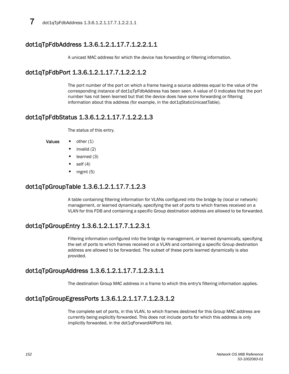### <span id="page-163-0"></span>dot1qTpFdbAddress 1.3.6.1.2.1.17.7.1.2.2.1.1

A unicast MAC address for which the device has forwarding or filtering information.

#### <span id="page-163-1"></span>dot1qTpFdbPort 1.3.6.1.2.1.17.7.1.2.2.1.2

The port number of the port on which a frame having a source address equal to the value of the corresponding instance of dot1qTpFdbAddress has been seen. A value of 0 indicates that the port number has not been learned but that the device does have some forwarding or filtering information about this address (for example, in the dot1qStaticUnicastTable).

#### <span id="page-163-2"></span>dot1qTpFdbStatus 1.3.6.1.2.1.17.7.1.2.2.1.3

The status of this entry.

- Values  $\bullet$  other (1)
	- $\bullet$  invalid (2)
	- learned (3)
	- self  $(4)$
	- mgmt (5)

#### <span id="page-163-3"></span>dot1qTpGroupTable 1.3.6.1.2.1.17.7.1.2.3

A table containing filtering information for VLANs configured into the bridge by (local or network) management, or learned dynamically, specifying the set of ports to which frames received on a VLAN for this FDB and containing a specific Group destination address are allowed to be forwarded.

#### <span id="page-163-4"></span>dot1qTpGroupEntry 1.3.6.1.2.1.17.7.1.2.3.1

Filtering information configured into the bridge by management, or learned dynamically, specifying the set of ports to which frames received on a VLAN and containing a specific Group destination address are allowed to be forwarded. The subset of these ports learned dynamically is also provided.

#### <span id="page-163-5"></span>dot1qTpGroupAddress 1.3.6.1.2.1.17.7.1.2.3.1.1

The destination Group MAC address in a frame to which this entry's filtering information applies.

#### <span id="page-163-6"></span>dot1qTpGroupEgressPorts 1.3.6.1.2.1.17.7.1.2.3.1.2

The complete set of ports, in this VLAN, to which frames destined for this Group MAC address are currently being explicitly forwarded. This does not include ports for which this address is only implicitly forwarded, in the dot1qForwardAllPorts list.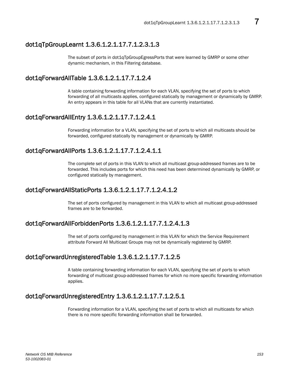### <span id="page-164-0"></span>dot1qTpGroupLearnt 1.3.6.1.2.1.17.7.1.2.3.1.3

The subset of ports in dot1qTpGroupEgressPorts that were learned by GMRP or some other dynamic mechanism, in this Filtering database.

#### <span id="page-164-1"></span>dot1qForwardAllTable 1.3.6.1.2.1.17.7.1.2.4

A table containing forwarding information for each VLAN, specifying the set of ports to which forwarding of all multicasts applies, configured statically by management or dynamically by GMRP. An entry appears in this table for all VLANs that are currently instantiated.

#### <span id="page-164-2"></span>dot1qForwardAllEntry 1.3.6.1.2.1.17.7.1.2.4.1

Forwarding information for a VLAN, specifying the set of ports to which all multicasts should be forwarded, configured statically by management or dynamically by GMRP.

#### <span id="page-164-3"></span>dot1qForwardAllPorts 1.3.6.1.2.1.17.7.1.2.4.1.1

The complete set of ports in this VLAN to which all multicast group-addressed frames are to be forwarded. This includes ports for which this need has been determined dynamically by GMRP, or configured statically by management.

#### <span id="page-164-4"></span>dot1qForwardAllStaticPorts 1.3.6.1.2.1.17.7.1.2.4.1.2

The set of ports configured by management in this VLAN to which all multicast group-addressed frames are to be forwarded.

#### <span id="page-164-5"></span>dot1qForwardAllForbiddenPorts 1.3.6.1.2.1.17.7.1.2.4.1.3

The set of ports configured by management in this VLAN for which the Service Requirement attribute Forward All Multicast Groups may not be dynamically registered by GMRP.

#### <span id="page-164-6"></span>dot1qForwardUnregisteredTable 1.3.6.1.2.1.17.7.1.2.5

A table containing forwarding information for each VLAN, specifying the set of ports to which forwarding of multicast group-addressed frames for which no more specific forwarding information applies.

#### <span id="page-164-7"></span>dot1qForwardUnregisteredEntry 1.3.6.1.2.1.17.7.1.2.5.1

Forwarding information for a VLAN, specifying the set of ports to which all multicasts for which there is no more specific forwarding information shall be forwarded.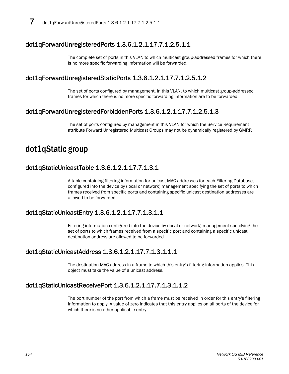#### <span id="page-165-1"></span>dot1qForwardUnregisteredPorts 1.3.6.1.2.1.17.7.1.2.5.1.1

The complete set of ports in this VLAN to which multicast group-addressed frames for which there is no more specific forwarding information will be forwarded.

#### <span id="page-165-2"></span>dot1qForwardUnregisteredStaticPorts 1.3.6.1.2.1.17.7.1.2.5.1.2

The set of ports configured by management, in this VLAN, to which multicast group-addressed frames for which there is no more specific forwarding information are to be forwarded.

#### <span id="page-165-3"></span>dot1qForwardUnregisteredForbiddenPorts 1.3.6.1.2.1.17.7.1.2.5.1.3

The set of ports configured by management in this VLAN for which the Service Requirement attribute Forward Unregistered Multicast Groups may not be dynamically registered by GMRP.

## <span id="page-165-0"></span>dot1qStatic group

#### <span id="page-165-4"></span>dot1qStaticUnicastTable 1.3.6.1.2.1.17.7.1.3.1

A table containing filtering information for unicast MAC addresses for each Filtering Database, configured into the device by (local or network) management specifying the set of ports to which frames received from specific ports and containing specific unicast destination addresses are allowed to be forwarded.

#### <span id="page-165-5"></span>dot1qStaticUnicastEntry 1.3.6.1.2.1.17.7.1.3.1.1

Filtering information configured into the device by (local or network) management specifying the set of ports to which frames received from a specific port and containing a specific unicast destination address are allowed to be forwarded.

#### <span id="page-165-6"></span>dot1qStaticUnicastAddress 1.3.6.1.2.1.17.7.1.3.1.1.1

The destination MAC address in a frame to which this entry's filtering information applies. This object must take the value of a unicast address.

#### <span id="page-165-7"></span>dot1qStaticUnicastReceivePort 1.3.6.1.2.1.17.7.1.3.1.1.2

The port number of the port from which a frame must be received in order for this entry's filtering information to apply. A value of zero indicates that this entry applies on all ports of the device for which there is no other applicable entry.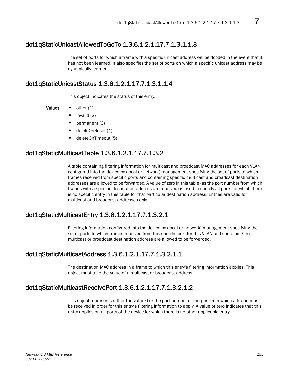#### <span id="page-166-0"></span>dot1qStaticUnicastAllowedToGoTo 1.3.6.1.2.1.17.7.1.3.1.1.3

The set of ports for which a frame with a specific unicast address will be flooded in the event that it has not been learned. It also specifies the set of ports on which a specific unicast address may be dynamically learned.

#### <span id="page-166-1"></span>dot1qStaticUnicastStatus 1.3.6.1.2.1.17.7.1.3.1.1.4

This object indicates the status of this entry.

- **Values**  $\bullet$  other (1)
	- invalid (2)
	- permanent (3)
	- deleteOnReset (4)
	- deleteOnTimeout (5)

#### <span id="page-166-2"></span>dot1qStaticMulticastTable 1.3.6.1.2.1.17.7.1.3.2

A table containing filtering information for multicast and broadcast MAC addresses for each VLAN, configured into the device by (local or network) management specifying the set of ports to which frames received from specific ports and containing specific multicast and broadcast destination addresses are allowed to be forwarded. A value of zero in this table (as the port number from which frames with a specific destination address are received) is used to specify all ports for which there is no specific entry in this table for that particular destination address. Entries are valid for multicast and broadcast addresses only.

#### <span id="page-166-3"></span>dot1qStaticMulticastEntry 1.3.6.1.2.1.17.7.1.3.2.1

Filtering information configured into the device by (local or network) management specifying the set of ports to which frames received from this specific port for this VLAN and containing this multicast or broadcast destination address are allowed to be forwarded.

#### <span id="page-166-4"></span>dot1qStaticMulticastAddress 1.3.6.1.2.1.17.7.1.3.2.1.1

The destination MAC address in a frame to which this entry's filtering information applies. This object must take the value of a multicast or broadcast address.

#### <span id="page-166-5"></span>dot1qStaticMulticastReceivePort 1.3.6.1.2.1.17.7.1.3.2.1.2

This object represents either the value 0 or the port number of the port from which a frame must be received in order for this entry's filtering information to apply. A value of zero indicates that this entry applies on all ports of the device for which there is no other applicable entry.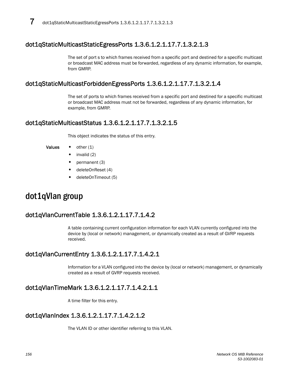### <span id="page-167-1"></span>dot1qStaticMulticastStaticEgressPorts 1.3.6.1.2.1.17.7.1.3.2.1.3

The set of port s to which frames received from a specific port and destined for a specific multicast or broadcast MAC address must be forwarded, regardless of any dynamic information, for example, from GMRP.

#### <span id="page-167-2"></span>dot1qStaticMulticastForbiddenEgressPorts 1.3.6.1.2.1.17.7.1.3.2.1.4

The set of ports to which frames received from a specific port and destined for a specific multicast or broadcast MAC address must not be forwarded, regardless of any dynamic information, for example, from GMRP.

#### <span id="page-167-3"></span>dot1qStaticMulticastStatus 1.3.6.1.2.1.17.7.1.3.2.1.5

This object indicates the status of this entry.

- **Values**  $\bullet$  other (1)
	- $\bullet$  invalid (2)
	- permanent (3)
	- deleteOnReset (4)
	- deleteOnTimeout (5)

### <span id="page-167-0"></span>dot1qVlan group

#### <span id="page-167-4"></span>dot1qVlanCurrentTable 1.3.6.1.2.1.17.7.1.4.2

A table containing current configuration information for each VLAN currently configured into the device by (local or network) management, or dynamically created as a result of GVRP requests received.

#### <span id="page-167-5"></span>dot1qVlanCurrentEntry 1.3.6.1.2.1.17.7.1.4.2.1

Information for a VLAN configured into the device by (local or network) management, or dynamically created as a result of GVRP requests received.

#### <span id="page-167-6"></span>dot1qVlanTimeMark 1.3.6.1.2.1.17.7.1.4.2.1.1

A time filter for this entry.

#### <span id="page-167-7"></span>dot1qVlanIndex 1.3.6.1.2.1.17.7.1.4.2.1.2

The VLAN ID or other identifier referring to this VLAN.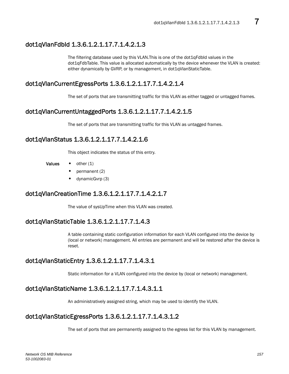#### <span id="page-168-0"></span>dot1qVlanFdbId 1.3.6.1.2.1.17.7.1.4.2.1.3

The filtering database used by this VLAN.This is one of the dot1qFdbId values in the dot1qFdbTable. This value is allocated automatically by the device whenever the VLAN is created: either dynamically by GVRP, or by management, in dot1qVlanStaticTable.

#### <span id="page-168-1"></span>dot1qVlanCurrentEgressPorts 1.3.6.1.2.1.17.7.1.4.2.1.4

The set of ports that are transmitting traffic for this VLAN as either tagged or untagged frames.

#### <span id="page-168-2"></span>dot1qVlanCurrentUntaggedPorts 1.3.6.1.2.1.17.7.1.4.2.1.5

The set of ports that are transmitting traffic for this VLAN as untagged frames.

#### <span id="page-168-3"></span>dot1qVlanStatus 1.3.6.1.2.1.17.7.1.4.2.1.6

This object indicates the status of this entry.

- Values  $\bullet$  other (1)
	- permanent (2)
	- dynamicGvrp (3)

#### <span id="page-168-4"></span>dot1qVlanCreationTime 1.3.6.1.2.1.17.7.1.4.2.1.7

The value of sysUpTime when this VLAN was created.

#### <span id="page-168-5"></span>dot1qVlanStaticTable 1.3.6.1.2.1.17.7.1.4.3

A table containing static configuration information for each VLAN configured into the device by (local or network) management. All entries are permanent and will be restored after the device is reset.

#### <span id="page-168-6"></span>dot1qVlanStaticEntry 1.3.6.1.2.1.17.7.1.4.3.1

Static information for a VLAN configured into the device by (local or network) management.

#### <span id="page-168-7"></span>dot1qVlanStaticName 1.3.6.1.2.1.17.7.1.4.3.1.1

An administratively assigned string, which may be used to identify the VLAN.

#### <span id="page-168-8"></span>dot1qVlanStaticEgressPorts 1.3.6.1.2.1.17.7.1.4.3.1.2

The set of ports that are permanently assigned to the egress list for this VLAN by management.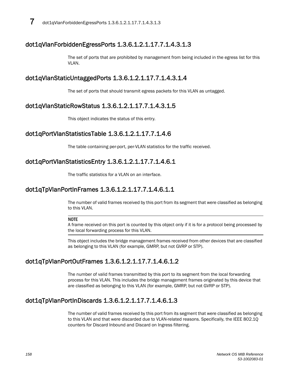#### <span id="page-169-0"></span>dot1qVlanForbiddenEgressPorts 1.3.6.1.2.1.17.7.1.4.3.1.3

The set of ports that are prohibited by management from being included in the egress list for this VLAN.

#### <span id="page-169-1"></span>dot1qVlanStaticUntaggedPorts 1.3.6.1.2.1.17.7.1.4.3.1.4

The set of ports that should transmit egress packets for this VLAN as untagged.

#### <span id="page-169-2"></span>dot1qVlanStaticRowStatus 1.3.6.1.2.1.17.7.1.4.3.1.5

This object indicates the status of this entry.

#### <span id="page-169-3"></span>dot1qPortVlanStatisticsTable 1.3.6.1.2.1.17.7.1.4.6

The table containing per-port, per-VLAN statistics for the traffic received.

#### <span id="page-169-4"></span>dot1qPortVlanStatisticsEntry 1.3.6.1.2.1.17.7.1.4.6.1

The traffic statistics for a VLAN on an interface.

#### <span id="page-169-5"></span>dot1qTpVlanPortInFrames 1.3.6.1.2.1.17.7.1.4.6.1.1

The number of valid frames received by this port from its segment that were classified as belonging to this VLAN.

#### NOTE

A frame received on this port is counted by this object only if it is for a protocol being processed by the local forwarding process for this VLAN.

This object includes the bridge management frames received from other devices that are classified as belonging to this VLAN (for example, GMRP, but not GVRP or STP).

#### <span id="page-169-6"></span>dot1qTpVlanPortOutFrames 1.3.6.1.2.1.17.7.1.4.6.1.2

The number of valid frames transmitted by this port to its segment from the local forwarding process for this VLAN. This includes the bridge management frames originated by this device that are classified as belonging to this VLAN (for example, GMRP, but not GVRP or STP).

#### <span id="page-169-7"></span>dot1qTpVlanPortInDiscards 1.3.6.1.2.1.17.7.1.4.6.1.3

The number of valid frames received by this port from its segment that were classified as belonging to this VLAN and that were discarded due to VLAN-related reasons. Specifically, the IEEE 802.1Q counters for Discard Inbound and Discard on Ingress filtering.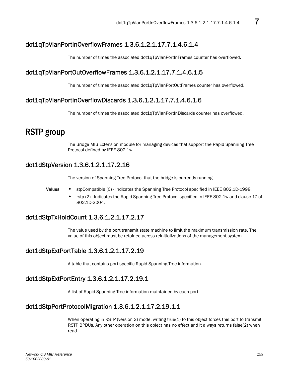#### <span id="page-170-1"></span>dot1qTpVlanPortInOverflowFrames 1.3.6.1.2.1.17.7.1.4.6.1.4

The number of times the associated dot1qTpVlanPortInFrames counter has overflowed.

### <span id="page-170-2"></span>dot1qTpVlanPortOutOverflowFrames 1.3.6.1.2.1.17.7.1.4.6.1.5

The number of times the associated dot1qTpVlanPortOutFrames counter has overflowed.

#### <span id="page-170-3"></span>dot1qTpVlanPortInOverflowDiscards 1.3.6.1.2.1.17.7.1.4.6.1.6

The number of times the associated dot1qTpVlanPortInDiscards counter has overflowed.

### <span id="page-170-0"></span>RSTP group

The Bridge MIB Extension module for managing devices that support the Rapid Spanning Tree Protocol defined by IEEE 802.1w.

#### <span id="page-170-4"></span>dot1dStpVersion 1.3.6.1.2.1.17.2.16

The version of Spanning Tree Protocol that the bridge is currently running.

- 
- Values stpCompatible (0) Indicates the Spanning Tree Protocol specified in IEEE 802.1D-1998.
	- rstp (2) Indicates the Rapid Spanning Tree Protocol specified in IEEE 802.1w and clause 17 of 802.1D-2004.

#### <span id="page-170-5"></span>dot1dStpTxHoldCount 1.3.6.1.2.1.17.2.17

The value used by the port transmit state machine to limit the maximum transmission rate. The value of this object must be retained across reinitializations of the management system.

#### <span id="page-170-6"></span>dot1dStpExtPortTable 1.3.6.1.2.1.17.2.19

A table that contains port-specific Rapid Spanning Tree information.

#### <span id="page-170-7"></span>dot1dStpExtPortEntry 1.3.6.1.2.1.17.2.19.1

A list of Rapid Spanning Tree information maintained by each port.

#### <span id="page-170-8"></span>dot1dStpPortProtocolMigration 1.3.6.1.2.1.17.2.19.1.1

When operating in RSTP (version 2) mode, writing true(1) to this object forces this port to transmit RSTP BPDUs. Any other operation on this object has no effect and it always returns false(2) when read.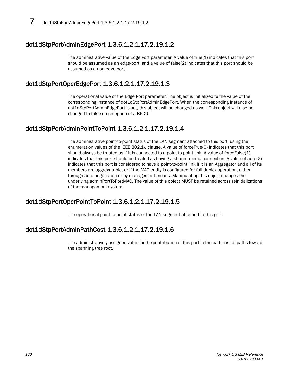#### <span id="page-171-0"></span>dot1dStpPortAdminEdgePort 1.3.6.1.2.1.17.2.19.1.2

The administrative value of the Edge Port parameter. A value of true(1) indicates that this port should be assumed as an edge-port, and a value of false(2) indicates that this port should be assumed as a non-edge-port.

#### <span id="page-171-1"></span>dot1dStpPortOperEdgePort 1.3.6.1.2.1.17.2.19.1.3

The operational value of the Edge Port parameter. The object is initialized to the value of the corresponding instance of dot1dStpPortAdminEdgePort. When the corresponding instance of dot1dStpPortAdminEdgePort is set, this object will be changed as well. This object will also be changed to false on reception of a BPDU.

#### <span id="page-171-2"></span>dot1dStpPortAdminPointToPoint 1.3.6.1.2.1.17.2.19.1.4

The administrative point-to-point status of the LAN segment attached to this port, using the enumeration values of the IEEE 802.1w clause. A value of forceTrue(0) indicates that this port should always be treated as if it is connected to a point-to-point link. A value of forceFalse(1) indicates that this port should be treated as having a shared media connection. A value of auto(2) indicates that this port is considered to have a point-to-point link if it is an Aggregator and all of its members are aggregatable, or if the MAC entity is configured for full duplex operation, either through auto-negotiation or by management means. Manipulating this object changes the underlying adminPortToPortMAC. The value of this object MUST be retained across reinitializations of the management system.

#### <span id="page-171-3"></span>dot1dStpPortOperPointToPoint 1.3.6.1.2.1.17.2.19.1.5

The operational point-to-point status of the LAN segment attached to this port.

#### <span id="page-171-4"></span>dot1dStpPortAdminPathCost 1.3.6.1.2.1.17.2.19.1.6

The administratively assigned value for the contribution of this port to the path cost of paths toward the spanning tree root.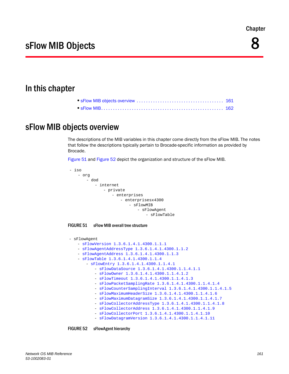#### **Chapter**

## In this chapter

### <span id="page-172-0"></span>sFlow MIB objects overview

The descriptions of the MIB variables in this chapter come directly from the sFlow MIB. The notes that follow the descriptions typically pertain to Brocade-specific information as provided by Brocade.

[Figure 51](#page-172-2) and [Figure 52](#page-172-1) depict the organization and structure of the sFlow MIB.

```
FIGURE 51 sFlow MIB overall tree structure
- iso
    - org
       - dod
           - internet
               - private
                  - enterprises
                      - enterprisesx4300
                         - sFlowMIB
                             - sFlowAgent
                                 - sFlowTable
- sFlowAgent
   - sFlowVersion 1.3.6.1.4.1.4300.1.1.1
   - sFlowAgentAddressType 1.3.6.1.4.1.4300.1.1.2
   - sFlowAgentAddress 1.3.6.1.4.1.4300.1.1.3
    - sFlowTable 1.3.6.1.4.1.4300.1.1.4
       - sFlowEntry 1.3.6.1.4.1.4300.1.1.4.1
           - sFlowDataSource 1.3.6.1.4.1.4300.1.1.4.1.1
           - sFlowOwner 1.3.6.1.4.1.4300.1.1.4.1.2
           - sFlowTimeout 1.3.6.1.4.1.4300.1.1.4.1.3
           - sFlowPacketSamplingRate 1.3.6.1.4.1.4300.1.1.4.1.4
           - sFlowCounterSamplingInterval 1.3.6.1.4.1.4300.1.1.4.1.5
           - sFlowMaximumHeaderSize 1.3.6.1.4.1.4300.1.1.4.1.6
           - sFlowMaximumDatagramSize 1.3.6.1.4.1.4300.1.1.4.1.7
           - sFlowCollectorAddressType 1.3.6.1.4.1.4300.1.1.4.1.8
           - sFlowCollectorAddress 1.3.6.1.4.1.4300.1.1.4.1.9
           - sFlowCollectorPort 1.3.6.1.4.1.4300.1.1.4.1.10
           - sFlowDatagramVersion 1.3.6.1.4.1.4300.1.1.4.1.11
```
<span id="page-172-1"></span>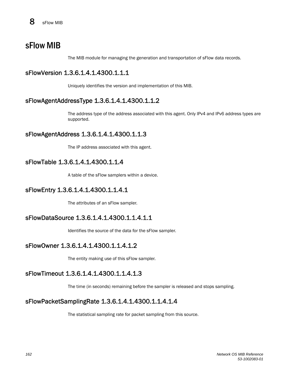## <span id="page-173-9"></span>sFlow MIB

The MIB module for managing the generation and transportation of sFlow data records.

### <span id="page-173-1"></span>sFlowVersion 1.3.6.1.4.1.4300.1.1.1

Uniquely identifies the version and implementation of this MIB.

### <span id="page-173-0"></span>sFlowAgentAddressType 1.3.6.1.4.1.4300.1.1.2

The address type of the address associated with this agent. Only IPv4 and IPv6 address types are supported.

#### <span id="page-173-2"></span>sFlowAgentAddress 1.3.6.1.4.1.4300.1.1.3

The IP address associated with this agent.

### <span id="page-173-3"></span>sFlowTable 1.3.6.1.4.1.4300.1.1.4

A table of the sFlow samplers within a device.

#### <span id="page-173-4"></span>sFlowEntry 1.3.6.1.4.1.4300.1.1.4.1

The attributes of an sFlow sampler.

#### <span id="page-173-5"></span>sFlowDataSource 1.3.6.1.4.1.4300.1.1.4.1.1

Identifies the source of the data for the sFlow sampler.

#### <span id="page-173-6"></span>sFlowOwner 1.3.6.1.4.1.4300.1.1.4.1.2

The entity making use of this sFlow sampler.

#### <span id="page-173-7"></span>sFlowTimeout 1.3.6.1.4.1.4300.1.1.4.1.3

The time (in seconds) remaining before the sampler is released and stops sampling.

#### <span id="page-173-8"></span>sFlowPacketSamplingRate 1.3.6.1.4.1.4300.1.1.4.1.4

The statistical sampling rate for packet sampling from this source.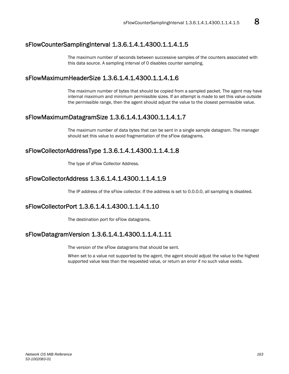#### <span id="page-174-0"></span>sFlowCounterSamplingInterval 1.3.6.1.4.1.4300.1.1.4.1.5

The maximum number of seconds between successive samples of the counters associated with this data source. A sampling interval of 0 disables counter sampling.

#### <span id="page-174-1"></span>sFlowMaximumHeaderSize 1.3.6.1.4.1.4300.1.1.4.1.6

The maximum number of bytes that should be copied from a sampled packet. The agent may have internal maximum and minimum permissible sizes. If an attempt is made to set this value outside the permissible range, then the agent should adjust the value to the closest permissible value.

#### <span id="page-174-2"></span>sFlowMaximumDatagramSize 1.3.6.1.4.1.4300.1.1.4.1.7

The maximum number of data bytes that can be sent in a single sample datagram. The manager should set this value to avoid fragmentation of the sFlow datagrams.

#### <span id="page-174-3"></span>sFlowCollectorAddressType 1.3.6.1.4.1.4300.1.1.4.1.8

The type of sFlow Collector Address.

#### <span id="page-174-4"></span>sFlowCollectorAddress 1.3.6.1.4.1.4300.1.1.4.1.9

The IP address of the sFlow collector. If the address is set to 0.0.0.0, all sampling is disabled.

#### <span id="page-174-5"></span>sFlowCollectorPort 1.3.6.1.4.1.4300.1.1.4.1.10

The destination port for sFlow datagrams.

#### <span id="page-174-6"></span>sFlowDatagramVersion 1.3.6.1.4.1.4300.1.1.4.1.11

The version of the sFlow datagrams that should be sent.

When set to a value not supported by the agent, the agent should adjust the value to the highest supported value less than the requested value, or return an error if no such value exists.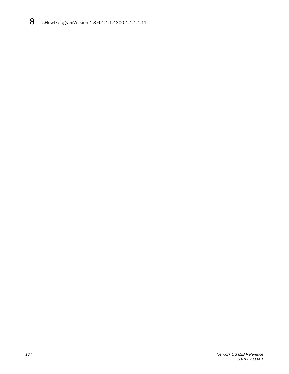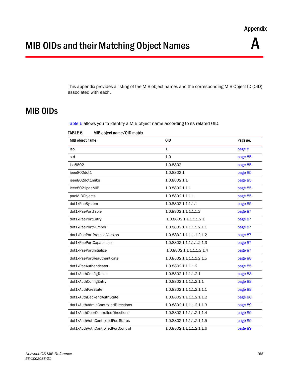# MIB OIDs and their Matching Object Names  $A$

This appendix provides a listing of the MIB object names and the corresponding MIB Object ID (OID) associated with each.

### MIB OIDs

[Table 6](#page-176-0) allows you to identify a MIB object name according to its related OID.

<span id="page-176-0"></span>

| TABLE 6 |  | MIB object name/OID matrix |  |  |
|---------|--|----------------------------|--|--|
|---------|--|----------------------------|--|--|

| MIB object name                    | <b>OID</b>               | Page no. |
|------------------------------------|--------------------------|----------|
| iso                                | $\mathbf{1}$             | page 8   |
| std                                | 1.0                      | page 85  |
| iso8802                            | 1.0.8802                 | page 85  |
| ieee802dot1                        | 1.0.8802.1               | page 85  |
| ieee802dot1mibs                    | 1.0.8802.1.1             | page 85  |
| ieee8021paeMIB                     | 1.0.8802.1.1.1           | page 85  |
| paeMIBObjects                      | 1.0.8802.1.1.1.1         | page 85  |
| dot1xPaeSystem                     | 1.0.8802.1.1.1.1.1       | page 85  |
| dot1xPaePortTable                  | 1.0.8802.1.1.1.1.1.2     | page 87  |
| dot1xPaePortEntry                  | 1.0.8802.1.1.1.1.1.2.1   | page 87  |
| dot1xPaePortNumber                 | 1.0.8802.1.1.1.1.1.2.1.1 | page 87  |
| dot1xPaePortProtocolVersion        | 1.0.8802.1.1.1.1.1.2.1.2 | page 87  |
| dot1xPaePortCapabilities           | 1.0.8802.1.1.1.1.1.2.1.3 | page 87  |
| dot1xPaePortInitialize             | 1.0.8802.1.1.1.1.1.2.1.4 | page 87  |
| dot1xPaePortReauthenticate         | 1.0.8802.1.1.1.1.1.2.1.5 | page 88  |
| dot1xPaeAuthenticator              | 1.0.8802.1.1.1.1.2       | page 85  |
| dot1xAuthConfigTable               | 1.0.8802.1.1.1.1.2.1     | page 88  |
| dot1xAuthConfigEntry               | 1.0.8802.1.1.1.1.2.1.1   | page 88  |
| dot1xAuthPaeState                  | 1.0.8802.1.1.1.1.2.1.1.1 | page 88  |
| dot1xAuthBackendAuthState          | 1.0.8802.1.1.1.1.2.1.1.2 | page 88  |
| dot1xAuthAdminControlledDirections | 1.0.8802.1.1.1.1.2.1.1.3 | page 89  |
| dot1xAuthOperControlledDirections  | 1.0.8802.1.1.1.1.2.1.1.4 | page 89  |
| dot1xAuthAuthControlledPortStatus  | 1.0.8802.1.1.1.1.2.1.1.5 | page 89  |
| dot1xAuthAuthControlledPortControl | 1.0.8802.1.1.1.1.2.1.1.6 | page 89  |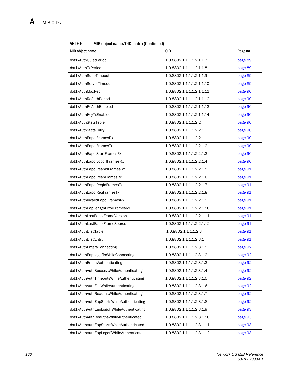| MIB object name                           | 0ID                       | Page no. |
|-------------------------------------------|---------------------------|----------|
| dot1xAuthQuietPeriod                      | 1.0.8802.1.1.1.1.2.1.1.7  | page 89  |
| dot1xAuthTxPeriod                         | 1.0.8802.1.1.1.1.2.1.1.8  | page 89  |
| dot1xAuthSuppTimeout                      | 1.0.8802.1.1.1.1.2.1.1.9  | page 89  |
| dot1xAuthServerTimeout                    | 1.0.8802.1.1.1.1.2.1.1.10 | page 89  |
| dot1xAuthMaxReq                           | 1.0.8802.1.1.1.1.2.1.1.11 | page 90  |
| dot1xAuthReAuthPeriod                     | 1.0.8802.1.1.1.1.2.1.1.12 | page 90  |
| dot1xAuthReAuthEnabled                    | 1.0.8802.1.1.1.1.2.1.1.13 | page 90  |
| dot1xAuthKeyTxEnabled                     | 1.0.8802.1.1.1.1.2.1.1.14 | page 90  |
| dot1xAuthStatsTable                       | 1.0.8802.1.1.1.1.2.2      | page 90  |
| dot1xAuthStatsEntry                       | 1.0.8802.1.1.1.1.2.2.1    | page 90  |
| dot1xAuthEapolFramesRx                    | 1.0.8802.1.1.1.1.2.2.1.1  | page 90  |
| dot1xAuthEapolFramesTx                    | 1.0.8802.1.1.1.1.2.2.1.2  | page 90  |
| dot1xAuthEapolStartFramesRx               | 1.0.8802.1.1.1.1.2.2.1.3  | page 90  |
| dot1xAuthEapolLogoffFramesRx              | 1.0.8802.1.1.1.1.2.2.1.4  | page 90  |
| dot1xAuthEapolRespIdFramesRx              | 1.0.8802.1.1.1.1.2.2.1.5  | page 91  |
| dot1xAuthEapolRespFramesRx                | 1.0.8802.1.1.1.1.2.2.1.6  | page 91  |
| dot1xAuthEapolReqIdFramesTx               | 1.0.8802.1.1.1.1.2.2.1.7  | page 91  |
| dot1xAuthEapolReqFramesTx                 | 1.0.8802.1.1.1.1.2.2.1.8  | page 91  |
| dot1xAuthInvalidEapolFramesRx             | 1.0.8802.1.1.1.1.2.2.1.9  | page 91  |
| dot1xAuthEapLengthErrorFramesRx           | 1.0.8802.1.1.1.1.2.2.1.10 | page 91  |
| dot1xAuthLastEapolFrameVersion            | 1.0.8802.1.1.1.1.2.2.1.11 | page 91  |
| dot1xAuthLastEapolFrameSource             | 1.0.8802.1.1.1.1.2.2.1.12 | page 91  |
| dot1xAuthDiagTable                        | 1.0.8802.1.1.1.1.2.3      | page 91  |
| dot1xAuthDiagEntry                        | 1.0.8802.1.1.1.1.2.3.1    | page 91  |
| dot1xAuthEntersConnecting                 | 1.0.8802.1.1.1.1.2.3.1.1  | page 92  |
| dot1xAuthEapLogoffsWhileConnecting        | 1.0.8802.1.1.1.1.2.3.1.2  | page 92  |
| dot1xAuthEntersAuthenticating             | 1.0.8802.1.1.1.1.2.3.1.3  | page 92  |
| dot1xAuthAuthSuccessWhileAuthenticating   | 1.0.8802.1.1.1.1.2.3.1.4  | page 92  |
| dot1xAuthAuthTimeoutsWhileAuthenticating  | 1.0.8802.1.1.1.1.2.3.1.5  | page 92  |
| dot1xAuthAuthFailWhileAuthenticating      | 1.0.8802.1.1.1.1.2.3.1.6  | page 92  |
| dot1xAuthAuthReauthsWhileAuthenticating   | 1.0.8802.1.1.1.1.2.3.1.7  | page 92  |
| dot1xAuthAuthEapStartsWhileAuthenticating | 1.0.8802.1.1.1.1.2.3.1.8  | page 92  |
| dot1xAuthAuthEapLogoffWhileAuthenticating | 1.0.8802.1.1.1.1.2.3.1.9  | page 93  |
| dot1xAuthAuthReauthsWhileAuthenticated    | 1.0.8802.1.1.1.1.2.3.1.10 | page 93  |
| dot1xAuthAuthEapStartsWhileAuthenticated  | 1.0.8802.1.1.1.1.2.3.1.11 | page 93  |
| dot1xAuthAuthEapLogoffWhileAuthenticated  | 1.0.8802.1.1.1.1.2.3.1.12 | page 93  |

TABLE 6 MIB object name/OID matrix (Continued)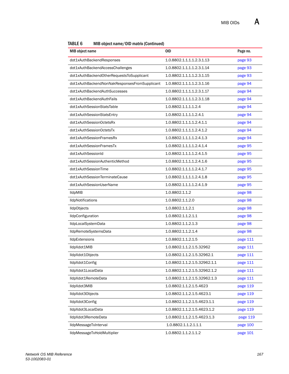### TABLE 6 MIB object name/OID matrix (Continued)

| MIB object name                               | 0ID                          | Page no. |
|-----------------------------------------------|------------------------------|----------|
| dot1xAuthBackendResponses                     | 1.0.8802.1.1.1.1.2.3.1.13    | page 93  |
| dot1xAuthBackendAccessChallenges              | 1.0.8802.1.1.1.1.2.3.1.14    | page 93  |
| dot1xAuthBackendOtherRequestsToSupplicant     | 1.0.8802.1.1.1.1.2.3.1.15    | page 93  |
| dot1xAuthBackendNonNakResponsesFromSupplicant | 1.0.8802.1.1.1.1.2.3.1.16    | page 94  |
| dot1xAuthBackendAuthSuccesses                 | 1.0.8802.1.1.1.1.2.3.1.17    | page 94  |
| dot1xAuthBackendAuthFails                     | 1.0.8802.1.1.1.1.2.3.1.18    | page 94  |
| dot1xAuthSessionStatsTable                    | 1.0.8802.1.1.1.1.2.4         | page 94  |
| dot1xAuthSessionStatsEntry                    | 1.0.8802.1.1.1.1.2.4.1       | page 94  |
| dot1xAuthSessionOctetsRx                      | 1.0.8802.1.1.1.1.2.4.1.1     | page 94  |
| dot1xAuthSessionOctetsTx                      | 1.0.8802.1.1.1.1.2.4.1.2     | page 94  |
| dot1xAuthSessionFramesRx                      | 1.0.8802.1.1.1.1.2.4.1.3     | page 94  |
| dot1xAuthSessionFramesTx                      | 1.0.8802.1.1.1.1.2.4.1.4     | page 95  |
| dot1xAuthSessionId                            | 1.0.8802.1.1.1.1.2.4.1.5     | page 95  |
| dot1xAuthSessionAuthenticMethod               | 1.0.8802.1.1.1.1.2.4.1.6     | page 95  |
| dot1xAuthSessionTime                          | 1.0.8802.1.1.1.1.2.4.1.7     | page 95  |
| dot1xAuthSessionTerminateCause                | 1.0.8802.1.1.1.1.2.4.1.8     | page 95  |
| dot1xAuthSessionUserName                      | 1.0.8802.1.1.1.1.2.4.1.9     | page 95  |
| <b>IIdpMIB</b>                                | 1.0.8802.1.1.2               | page 98  |
| IldpNotifications                             | 1.0.8802.1.1.2.0             | page 98  |
| <b>IldpObjects</b>                            | 1.0.8802.1.1.2.1             | page 98  |
| IldpConfiguration                             | 1.0.8802.1.1.2.1.1           | page 98  |
| IldpLocalSystemData                           | 1.0.8802.1.1.2.1.3           | page 98  |
| <b>IldpRemoteSystemsData</b>                  | 1.0.8802.1.1.2.1.4           | page 98  |
| IldpExtensions                                | 1.0.8802.1.1.2.1.5           | page 111 |
| lldpXdot1MIB                                  | 1.0.8802.1.1.2.1.5.32962     | page 111 |
| IldpXdot10bjects                              | 1.0.8802.1.1.2.1.5.32962.1   | page 111 |
| IldpXdot1Config                               | 1.0.8802.1.1.2.1.5.32962.1.1 | page 111 |
| lldpXdot1LocalData                            | 1.0.8802.1.1.2.1.5.32962.1.2 | page 111 |
| lldpXdot1RemoteData                           | 1.0.8802.1.1.2.1.5.32962.1.3 | page 111 |
| lldpXdot3MIB                                  | 1.0.8802.1.1.2.1.5.4623      | page 119 |
| IldpXdot30bjects                              | 1.0.8802.1.1.2.1.5.4623.1    | page 119 |
| IldpXdot3Config                               | 1.0.8802.1.1.2.1.5.4623.1.1  | page 119 |
| IldpXdot3LocalData                            | 1.0.8802.1.1.2.1.5.4623.1.2  | page 119 |
| lldpXdot3RemoteData                           | 1.0.8802.1.1.2.1.5.4623.1.3  | page 119 |
| <b>IldpMessageTxInterval</b>                  | 1.0.8802.1.1.2.1.1.1         | page 100 |
| lldpMessageTxHoldMultiplier                   | 1.0.8802.1.1.2.1.1.2         | page 101 |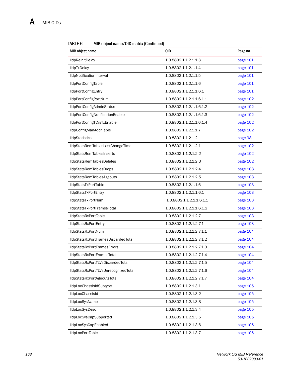| MIB object name                      | 0ID                      | Page no. |
|--------------------------------------|--------------------------|----------|
| <b>IldpReinitDelay</b>               | 1.0.8802.1.1.2.1.1.3     | page 101 |
| <b>IldpTxDelay</b>                   | 1.0.8802.1.1.2.1.1.4     | page 101 |
| IldpNotificationInterval             | 1.0.8802.1.1.2.1.1.5     | page 101 |
| <b>IldpPortConfigTable</b>           | 1.0.8802.1.1.2.1.1.6     | page 101 |
| <b>IldpPortConfigEntry</b>           | 1.0.8802.1.1.2.1.1.6.1   | page 101 |
| lldpPortConfigPortNum                | 1.0.8802.1.1.2.1.1.6.1.1 | page 102 |
| <b>IldpPortConfigAdminStatus</b>     | 1.0.8802.1.1.2.1.1.6.1.2 | page 102 |
| IldpPortConfigNotificationEnable     | 1.0.8802.1.1.2.1.1.6.1.3 | page 102 |
| <b>IldpPortConfigTLVsTxEnable</b>    | 1.0.8802.1.1.2.1.1.6.1.4 | page 102 |
| <b>IldpConfigManAddrTable</b>        | 1.0.8802.1.1.2.1.1.7     | page 102 |
| <b>IldpStatistics</b>                | 1.0.8802.1.1.2.1.2       | page 98  |
| IldpStatsRemTablesLastChangeTime     | 1.0.8802.1.1.2.1.2.1     | page 102 |
| <b>IldpStatsRemTablesInserts</b>     | 1.0.8802.1.1.2.1.2.2     | page 102 |
| <b>IldpStatsRemTablesDeletes</b>     | 1.0.8802.1.1.2.1.2.3     | page 102 |
| <b>IldpStatsRemTablesDrops</b>       | 1.0.8802.1.1.2.1.2.4     | page 103 |
| <b>IldpStatsRemTablesAgeouts</b>     | 1.0.8802.1.1.2.1.2.5     | page 103 |
| <b>IldpStatsTxPortTable</b>          | 1.0.8802.1.1.2.1.1.6     | page 103 |
| <b>IIdpStatsTxPortEntry</b>          | 1.0.8802.1.1.2.1.1.6.1   | page 103 |
| <b>IIdpStatsTxPortNum</b>            | 1.0.8802.1.1.2.1.1.6.1.1 | page 103 |
| IldpStatsTxPortFramesTotal           | 1.0.8802.1.1.2.1.1.6.1.2 | page 103 |
| <b>IldpStatsRxPortTable</b>          | 1.0.8802.1.1.2.1.2.7     | page 103 |
| <b>IldpStatsRxPortEntry</b>          | 1.0.8802.1.1.2.1.2.7.1   | page 103 |
| <b>IldpStatsRxPortNum</b>            | 1.0.8802.1.1.2.1.2.7.1.1 | page 104 |
| IldpStatsRxPortFramesDiscardedTotal  | 1.0.8802.1.1.2.1.2.7.1.2 | page 104 |
| <b>IldpStatsRxPortFramesErrors</b>   | 1.0.8802.1.1.2.1.2.7.1.3 | page 104 |
| IldpStatsRxPortFramesTotal           | 1.0.8802.1.1.2.1.2.7.1.4 | page 104 |
| IldpStatsRxPortTLVsDiscardedTotal    | 1.0.8802.1.1.2.1.2.7.1.5 | page 104 |
| IldpStatsRxPortTLVsUnrecognizedTotal | 1.0.8802.1.1.2.1.2.7.1.6 | page 104 |
| IldpStatsRxPortAgeoutsTotal          | 1.0.8802.1.1.2.1.2.7.1.7 | page 104 |
| <b>IldpLocChassisIdSubtype</b>       | 1.0.8802.1.1.2.1.3.1     | page 105 |
| <b>IldpLocChassisId</b>              | 1.0.8802.1.1.2.1.3.2     | page 105 |
| <b>IldpLocSysName</b>                | 1.0.8802.1.1.2.1.3.3     | page 105 |
| <b>IldpLocSysDesc</b>                | 1.0.8802.1.1.2.1.3.4     | page 105 |
| lldpLocSysCapSupported               | 1.0.8802.1.1.2.1.3.5     | page 105 |
| <b>IldpLocSysCapEnabled</b>          | 1.0.8802.1.1.2.1.3.6     | page 105 |
| <b>IldpLocPortTable</b>              | 1.0.8802.1.1.2.1.3.7     | page 105 |

TABLE 6 MIB object name/OID matrix (Continued)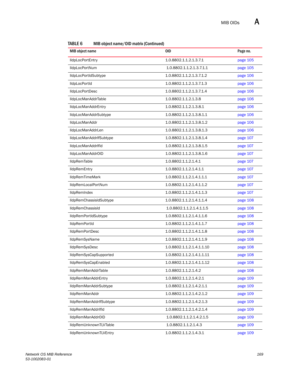TABLE 6 MIB object name/OID matrix (Continued)

| MIB object name               | 0ID                       | Page no. |
|-------------------------------|---------------------------|----------|
| <b>IldpLocPortEntry</b>       | 1.0.8802.1.1.2.1.3.7.1    | page 105 |
| <b>IldpLocPortNum</b>         | 1.0.8802.1.1.2.1.3.7.1.1  | page 105 |
| lldpLocPortIdSubtype          | 1.0.8802.1.1.2.1.3.7.1.2  | page 106 |
| <b>IldpLocPortId</b>          | 1.0.8802.1.1.2.1.3.7.1.3  | page 106 |
| <b>IldpLocPortDesc</b>        | 1.0.8802.1.1.2.1.3.7.1.4  | page 106 |
| <b>IldpLocManAddrTable</b>    | 1.0.8802.1.1.2.1.3.8      | page 106 |
| <b>IldpLocManAddrEntry</b>    | 1.0.8802.1.1.2.1.3.8.1    | page 106 |
| <b>IldpLocManAddrSubtype</b>  | 1.0.8802.1.1.2.1.3.8.1.1  | page 106 |
| <b>IldpLocManAddr</b>         | 1.0.8802.1.1.2.1.3.8.1.2  | page 106 |
| <b>IldpLocManAddrLen</b>      | 1.0.8802.1.1.2.1.3.8.1.3  | page 106 |
| lldpLocManAddrlfSubtype       | 1.0.8802.1.1.2.1.3.8.1.4  | page 107 |
| <b>IldpLocManAddrIfId</b>     | 1.0.8802.1.1.2.1.3.8.1.5  | page 107 |
| lldpLocManAddrOID             | 1.0.8802.1.1.2.1.3.8.1.6  | page 107 |
| <b>IldpRemTable</b>           | 1.0.8802.1.1.2.1.4.1      | page 107 |
| <b>IldpRemEntry</b>           | 1.0.8802.1.1.2.1.4.1.1    | page 107 |
| <b>IldpRemTimeMark</b>        | 1.0.8802.1.1.2.1.4.1.1.1  | page 107 |
| lldpRemLocalPortNum           | 1.0.8802.1.1.2.1.4.1.1.2  | page 107 |
| <b>IldpRemIndex</b>           | 1.0.8802.1.1.2.1.4.1.1.3  | page 107 |
| IldpRemChassisIdSubtype       | 1.0.8802.1.1.2.1.4.1.1.4  | page 108 |
| <b>IldpRemChassisId</b>       | 1.0.8802.1.1.2.1.4.1.1.5  | page 108 |
| <b>IldpRemPortIdSubtype</b>   | 1.0.8802.1.1.2.1.4.1.1.6  | page 108 |
| <b>IldpRemPortId</b>          | 1.0.8802.1.1.2.1.4.1.1.7  | page 108 |
| <b>IldpRemPortDesc</b>        | 1.0.8802.1.1.2.1.4.1.1.8  | page 108 |
| <b>IldpRemSysName</b>         | 1.0.8802.1.1.2.1.4.1.1.9  | page 108 |
| <b>IldpRemSysDesc</b>         | 1.0.8802.1.1.2.1.4.1.1.10 | page 108 |
| lldpRemSysCapSupported        | 1.0.8802.1.1.2.1.4.1.1.11 | page 108 |
| <b>IldpRemSysCapEnabled</b>   | 1.0.8802.1.1.2.1.4.1.1.12 | page 108 |
| <b>IldpRemManAddrTable</b>    | 1.0.8802.1.1.2.1.4.2      | page 108 |
| <b>IldpRemManAddrEntry</b>    | 1.0.8802.1.1.2.1.4.2.1    | page 109 |
| <b>IldpRemManAddrSubtype</b>  | 1.0.8802.1.1.2.1.4.2.1.1  | page 109 |
| <b>IldpRemManAddr</b>         | 1.0.8802.1.1.2.1.4.2.1.2  | page 109 |
| lldpRemManAddrlfSubtype       | 1.0.8802.1.1.2.1.4.2.1.3  | page 109 |
| <b>IldpRemManAddrIfId</b>     | 1.0.8802.1.1.2.1.4.2.1.4  | page 109 |
| lldpRemManAddrOID             | 1.0.8802.1.1.2.1.4.2.1.5  | page 109 |
| <b>IldpRemUnknownTLVTable</b> | 1.0.8802.1.1.2.1.4.3      | page 109 |
| IldpRemUnknownTLVEntry        | 1.0.8802.1.1.2.1.4.3.1    | page 109 |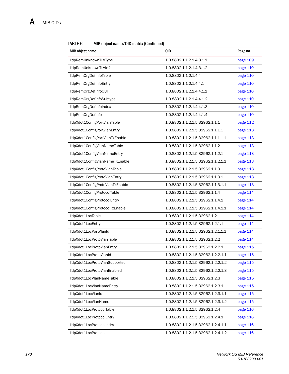| MIB object name                  | <b>OID</b>                         | Page no. |
|----------------------------------|------------------------------------|----------|
| IldpRemUnknownTLVType            | 1.0.8802.1.1.2.1.4.3.1.1           | page 109 |
| <b>IldpRemUnknownTLVInfo</b>     | 1.0.8802.1.1.2.1.4.3.1.2           | page 110 |
| lldpRemOrgDefInfoTable           | 1.0.8802.1.1.2.1.4.4               | page 110 |
| lldpRemOrgDefInfoEntry           | 1.0.8802.1.1.2.1.4.4.1             | page 110 |
| lldpRemOrgDefInfoOUI             | 1.0.8802.1.1.2.1.4.4.1.1           | page 110 |
| lldpRemOrgDefInfoSubtype         | 1.0.8802.1.1.2.1.4.4.1.2           | page 110 |
| lldpRemOrgDefInfoIndex           | 1.0.8802.1.1.2.1.4.4.1.3           | page 110 |
| lldpRemOrgDefInfo                | 1.0.8802.1.1.2.1.4.4.1.4           | page 110 |
| lldpXdot1ConfigPortVlanTable     | 1.0.8802.1.1.2.1.5.32962.1.1.1     | page 112 |
| lldpXdot1ConfigPortVlanEntry     | 1.0.8802.1.1.2.1.5.32962.1.1.1.1   | page 113 |
| lldpXdot1ConfigPortVlanTxEnable  | 1.0.8802.1.1.2.1.5.32962.1.1.1.1.1 | page 113 |
| lldpXdot1ConfigVlanNameTable     | 1.0.8802.1.1.2.1.5.32962.1.1.2     | page 113 |
| lldpXdot1ConfigVlanNameEntry     | 1.0.8802.1.1.2.1.5.32962.1.1.2.1   | page 113 |
| lldpXdot1ConfigVlanNameTxEnable  | 1.0.8802.1.1.2.1.5.32962.1.1.2.1.1 | page 113 |
| lldpXdot1ConfigProtoVlanTable    | 1.0.8802.1.1.2.1.5.32962.1.1.3     | page 113 |
| lldpXdot1ConfigProtoVlanEntry    | 1.0.8802.1.1.2.1.5.32962.1.1.3.1   | page 113 |
| lldpXdot1ConfigProtoVlanTxEnable | 1.0.8802.1.1.2.1.5.32962.1.1.3.1.1 | page 113 |
| lldpXdot1ConfigProtocolTable     | 1.0.8802.1.1.2.1.5.32962.1.1.4     | page 114 |
| lldpXdot1ConfigProtocolEntry     | 1.0.8802.1.1.2.1.5.32962.1.1.4.1   | page 114 |
| lldpXdot1ConfigProtocolTxEnable  | 1.0.8802.1.1.2.1.5.32962.1.1.4.1.1 | page 114 |
| lldpXdot1LocTable                | 1.0.8802.1.1.2.1.5.32962.1.2.1     | page 114 |
| lldpXdot1LocEntry                | 1.0.8802.1.1.2.1.5.32962.1.2.1.1   | page 114 |
| lldpXdot1LocPortVlanId           | 1.0.8802.1.1.2.1.5.32962.1.2.1.1.1 | page 114 |
| lldpXdot1LocProtoVlanTable       | 1.0.8802.1.1.2.1.5.32962.1.2.2     | page 114 |
| lldpXdot1LocProtoVlanEntry       | 1.0.8802.1.1.2.1.5.32962.1.2.2.1   | page 115 |
| lldpXdot1LocProtoVlanId          | 1.0.8802.1.1.2.1.5.32962.1.2.2.1.1 | page 115 |
| lldpXdot1LocProtoVlanSupported   | 1.0.8802.1.1.2.1.5.32962.1.2.2.1.2 | page 115 |
| lldpXdot1LocProtoVlanEnabled     | 1.0.8802.1.1.2.1.5.32962.1.2.2.1.3 | page 115 |
| lldpXdot1LocVlanNameTable        | 1.0.8802.1.1.2.1.5.32962.1.2.3     | page 115 |
| lldpXdot1LocVlanNameEntry        | 1.0.8802.1.1.2.1.5.32962.1.2.3.1   | page 115 |
| lldpXdot1LocVlanId               | 1.0.8802.1.1.2.1.5.32962.1.2.3.1.1 | page 115 |
| lldpXdot1LocVlanName             | 1.0.8802.1.1.2.1.5.32962.1.2.3.1.2 | page 115 |
| lldpXdot1LocProtocolTable        | 1.0.8802.1.1.2.1.5.32962.1.2.4     | page 116 |
| lldpXdot1LocProtocolEntry        | 1.0.8802.1.1.2.1.5.32962.1.2.4.1   | page 116 |
| lldpXdot1LocProtocolIndex        | 1.0.8802.1.1.2.1.5.32962.1.2.4.1.1 | page 116 |
| lldpXdot1LocProtocolld           | 1.0.8802.1.1.2.1.5.32962.1.2.4.1.2 | page 116 |

TABLE 6 MIB object name/OID matrix (Continued)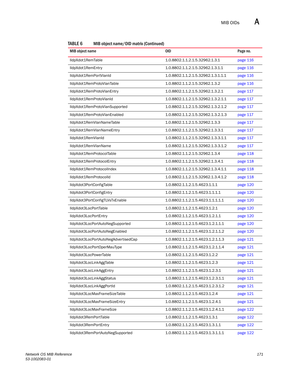| TABLE 6 | MIB object name/OID matrix (Continued) |
|---------|----------------------------------------|
|         |                                        |

| <b>MIB object name</b>               | 0ID                                | Page no. |
|--------------------------------------|------------------------------------|----------|
| lldpXdot1RemTable                    | 1.0.8802.1.1.2.1.5.32962.1.3.1     | page 116 |
| lldpXdot1RemEntry                    | 1.0.8802.1.1.2.1.5.32962.1.3.1.1   | page 116 |
| lldpXdot1RemPortVlanId               | 1.0.8802.1.1.2.1.5.32962.1.3.1.1.1 | page 116 |
| lldpXdot1RemProtoVlanTable           | 1.0.8802.1.1.2.1.5.32962.1.3.2     | page 116 |
| lldpXdot1RemProtoVlanEntry           | 1.0.8802.1.1.2.1.5.32962.1.3.2.1   | page 117 |
| lldpXdot1RemProtoVlanId              | 1.0.8802.1.1.2.1.5.32962.1.3.2.1.1 | page 117 |
| lldpXdot1RemProtoVlanSupported       | 1.0.8802.1.1.2.1.5.32962.1.3.2.1.2 | page 117 |
| lldpXdot1RemProtoVlanEnabled         | 1.0.8802.1.1.2.1.5.32962.1.3.2.1.3 | page 117 |
| lldpXdot1RemVlanNameTable            | 1.0.8802.1.1.2.1.5.32962.1.3.3     | page 117 |
| lldpXdot1RemVlanNameEntry            | 1.0.8802.1.1.2.1.5.32962.1.3.3.1   | page 117 |
| lldpXdot1RemVlanId                   | 1.0.8802.1.1.2.1.5.32962.1.3.3.1.1 | page 117 |
| lldpXdot1RemVlanName                 | 1.0.8802.1.1.2.1.5.32962.1.3.3.1.2 | page 117 |
| lldpXdot1RemProtocolTable            | 1.0.8802.1.1.2.1.5.32962.1.3.4     | page 118 |
| lldpXdot1RemProtocolEntry            | 1.0.8802.1.1.2.1.5.32962.1.3.4.1   | page 118 |
| lldpXdot1RemProtocolIndex            | 1.0.8802.1.1.2.1.5.32962.1.3.4.1.1 | page 118 |
| lldpXdot1RemProtocolld               | 1.0.8802.1.1.2.1.5.32962.1.3.4.1.2 | page 118 |
| lldpXdot3PortConfigTable             | 1.0.8802.1.1.2.1.5.4623.1.1.1      | page 120 |
| lldpXdot3PortConfigEntry             | 1.0.8802.1.1.2.1.5.4623.1.1.1.1    | page 120 |
| lldpXdot3PortConfigTLVsTxEnable      | 1.0.8802.1.1.2.1.5.4623.1.1.1.1.1  | page 120 |
| lldpXdot3LocPortTable                | 1.0.8802.1.1.2.1.5.4623.1.2.1      | page 120 |
| lldpXdot3LocPortEntry                | 1.0.8802.1.1.2.1.5.4623.1.2.1.1    | page 120 |
| lldpXdot3LocPortAutoNegSupported     | 1.0.8802.1.1.2.1.5.4623.1.2.1.1.1  | page 120 |
| lldpXdot3LocPortAutoNegEnabled       | 1.0.8802.1.1.2.1.5.4623.1.2.1.1.2  | page 120 |
| lldpXdot3LocPortAutoNegAdvertisedCap | 1.0.8802.1.1.2.1.5.4623.1.2.1.1.3  | page 121 |
| lldpXdot3LocPortOperMauType          | 1.0.8802.1.1.2.1.5.4623.1.2.1.1.4  | page 121 |
| lldpXdot3LocPowerTable               | 1.0.8802.1.1.2.1.5.4623.1.2.2      | page 121 |
| lldpXdot3LocLinkAggTable             | 1.0.8802.1.1.2.1.5.4623.1.2.3      | page 121 |
| lldpXdot3LocLinkAggEntry             | 1.0.8802.1.1.2.1.5.4623.1.2.3.1    | page 121 |
| IldpXdot3LocLinkAggStatus            | 1.0.8802.1.1.2.1.5.4623.1.2.3.1.1  | page 121 |
| lldpXdot3LocLinkAggPortId            | 1.0.8802.1.1.2.1.5.4623.1.2.3.1.2  | page 121 |
| IldpXdot3LocMaxFrameSizeTable        | 1.0.8802.1.1.2.1.5.4623.1.2.4      | page 121 |
| IldpXdot3LocMaxFrameSizeEntry        | 1.0.8802.1.1.2.1.5.4623.1.2.4.1    | page 121 |
| lldpXdot3LocMaxFrameSize             | 1.0.8802.1.1.2.1.5.4623.1.2.4.1.1  | page 122 |
| lldpXdot3RemPortTable                | 1.0.8802.1.1.2.1.5.4623.1.3.1      | page 122 |
| lldpXdot3RemPortEntry                | 1.0.8802.1.1.2.1.5.4623.1.3.1.1    | page 122 |
| lldpXdot3RemPortAutoNegSupported     | 1.0.8802.1.1.2.1.5.4623.1.3.1.1.1  | page 122 |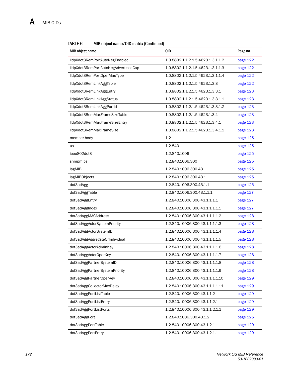| <b>MIB object name</b>               | 0ID                               | Page no. |
|--------------------------------------|-----------------------------------|----------|
| lldpXdot3RemPortAutoNegEnabled       | 1.0.8802.1.1.2.1.5.4623.1.3.1.1.2 | page 122 |
| IldpXdot3RemPortAutoNegAdvertisedCap | 1.0.8802.1.1.2.1.5.4623.1.3.1.1.3 | page 122 |
| lldpXdot3RemPortOperMauType          | 1.0.8802.1.1.2.1.5.4623.1.3.1.1.4 | page 122 |
| lldpXdot3RemLinkAggTable             | 1.0.8802.1.1.2.1.5.4623.1.3.3     | page 122 |
| IldpXdot3RemLinkAggEntry             | 1.0.8802.1.1.2.1.5.4623.1.3.3.1   | page 123 |
| IldpXdot3RemLinkAggStatus            | 1.0.8802.1.1.2.1.5.4623.1.3.3.1.1 | page 123 |
| lldpXdot3RemLinkAggPortId            | 1.0.8802.1.1.2.1.5.4623.1.3.3.1.2 | page 123 |
| IldpXdot3RemMaxFrameSizeTable        | 1.0.8802.1.1.2.1.5.4623.1.3.4     | page 123 |
| IldpXdot3RemMaxFrameSizeEntry        | 1.0.8802.1.1.2.1.5.4623.1.3.4.1   | page 123 |
| IldpXdot3RemMaxFrameSize             | 1.0.8802.1.1.2.1.5.4623.1.3.4.1.1 | page 123 |
| member-body                          | 1.2                               | page 125 |
| <b>us</b>                            | 1.2.840                           | page 125 |
| ieee802dot3                          | 1.2.840.1006                      | page 125 |
| snmpmibs                             | 1.2.840.1006.300                  | page 125 |
| lagMIB                               | 1.2.840.1006.300.43               | page 125 |
| lagMIBObjects                        | 1.2.840.1006.300.43.1             | page 125 |
| dot3adAgg                            | 1.2.840.1006.300.43.1.1           | page 125 |
| dot3adAggTable                       | 1.2.840.1006.300.43.1.1.1         | page 127 |
| dot3adAggEntry                       | 1.2.840.10006.300.43.1.1.1.1      | page 127 |
| dot3adAggIndex                       | 1.2.840.10006.300.43.1.1.1.1.1    | page 127 |
| dot3adAggMACAddress                  | 1.2.840.10006.300.43.1.1.1.1.2    | page 128 |
| dot3adAggActorSystemPriority         | 1.2.840.10006.300.43.1.1.1.1.3    | page 128 |
| dot3adAggActorSystemID               | 1.2.840.10006.300.43.1.1.1.1.4    | page 128 |
| dot3adAggAggregateOrIndividual       | 1.2.840.10006.300.43.1.1.1.1.5    | page 128 |
| dot3adAggActorAdminKey               | 1.2.840.10006.300.43.1.1.1.1.6    | page 128 |
| dot3adAggActorOperKey                | 1.2.840.10006.300.43.1.1.1.1.7    | page 128 |
| dot3adAggPartnerSystemID             | 1.2.840.10006.300.43.1.1.1.1.8    | page 128 |
| dot3adAggPartnerSystemPriority       | 1.2.840.10006.300.43.1.1.1.1.9    | page 128 |
| dot3adAggPartnerOperKey              | 1.2.840.10006.300.43.1.1.1.1.10   | page 129 |
| dot3adAggCollectorMaxDelay           | 1.2.840.10006.300.43.1.1.1.1.11   | page 129 |
| dot3adAggPortListTable               | 1.2.840.10006.300.43.1.1.2        | page 129 |
| dot3adAggPortListEntry               | 1.2.840.10006.300.43.1.1.2.1      | page 129 |
| dot3adAggPortListPorts               | 1.2.840.10006.300.43.1.1.2.1.1    | page 129 |
| dot3adAggPort                        | 1.2.840.1006.300.43.1.2           | page 125 |
| dot3adAggPortTable                   | 1.2.840.10006.300.43.1.2.1        | page 129 |
| dot3adAggPortEntry                   | 1.2.840.10006.300.43.1.2.1.1      | page 129 |

TABLE 6 MIB object name/OID matrix (Continued)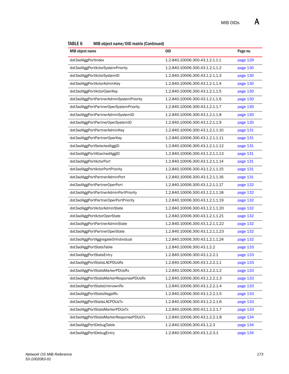| <b>MIB object name</b>                  | <b>OID</b>                      | Page no. |
|-----------------------------------------|---------------------------------|----------|
| dot3adAggPortIndex                      | 1.2.840.10006.300.43.1.2.1.1.1  | page 129 |
| dot3adAggPortActorSystemPriority        | 1.2.840.10006.300.43.1.2.1.1.2  | page 130 |
| dot3adAggPortActorSystemID              | 1.2.840.10006.300.43.1.2.1.1.3  | page 130 |
|                                         | 1.2.840.10006.300.43.1.2.1.1.4  |          |
| dot3adAggPortActorAdminKey              |                                 | page 130 |
| dot3adAggPortActorOperKey               | 1.2.840.10006.300.43.1.2.1.1.5  | page 130 |
| dot3adAggPortPartnerAdminSystemPriority | 1.2.840.10006.300.43.1.2.1.1.6  | page 130 |
| dot3adAggPortPartnerOperSystemPriority  | 1.2.840.10006.300.43.1.2.1.1.7  | page 130 |
| dot3adAggPortPartnerAdminSystemID       | 1.2.840.10006.300.43.1.2.1.1.8  | page 130 |
| dot3adAggPortPartnerOperSystemID        | 1.2.840.10006.300.43.1.2.1.1.9  | page 130 |
| dot3adAggPortPartnerAdminKey            | 1.2.840.10006.300.43.1.2.1.1.10 | page 131 |
| dot3adAggPortPartnerOperKey             | 1.2.840.10006.300.43.1.2.1.1.11 | page 131 |
| dot3adAggPortSelectedAggID              | 1.2.840.10006.300.43.1.2.1.1.12 | page 131 |
| dot3adAggPortAttachedAggID              | 1.2.840.10006.300.43.1.2.1.1.13 | page 131 |
| dot3adAggPortActorPort                  | 1.2.840.10006.300.43.1.2.1.1.14 | page 131 |
| dot3adAggPortActorPortPriority          | 1.2.840.10006.300.43.1.2.1.1.15 | page 131 |
| dot3adAggPortPartnerAdminPort           | 1.2.840.10006.300.43.1.2.1.1.16 | page 131 |
| dot3adAggPortPartnerOperPort            | 1.2.840.10006.300.43.1.2.1.1.17 | page 132 |
| dot3adAggPortPartnerAdminPortPriority   | 1.2.840.10006.300.43.1.2.1.1.18 | page 132 |
| dot3adAggPortPartnerOperPortPriority    | 1.2.840.10006.300.43.1.2.1.1.19 | page 132 |
| dot3adAggPortActorAdminState            | 1.2.840.10006.300.43.1.2.1.1.20 | page 132 |
| dot3adAggPortActorOperState             | 1.2.840.10006.300.43.1.2.1.1.21 | page 132 |
| dot3adAggPortPartnerAdminState          | 1.2.840.10006.300.43.1.2.1.1.22 | page 132 |
| dot3adAggPortPartnerOperState           | 1.2.840.10006.300.43.1.2.1.1.23 | page 132 |
| dot3adAggPortAggregateOrIndividual      | 1.2.840.10006.300.43.1.2.1.1.24 | page 132 |
| dot3adAggPortStatsTable                 | 1.2.840.10006.300.43.1.2.2      | page 133 |
| dot3adAggPortStatsEntry                 | 1.2.840.10006.300.43.1.2.2.1    | page 133 |
| dot3adAggPortStatsLACPDUsRx             | 1.2.840.10006.300.43.1.2.2.1.1  | page 133 |
| dot3adAggPortStatsMarkerPDUsRx          | 1.2.840.10006.300.43.1.2.2.1.2  | page 133 |
| dot3adAggPortStatsMarkerResponsePDUsRx  | 1.2.840.10006.300.43.1.2.2.1.3  | page 133 |
| dot3adAggPortStatsUnknownRx             | 1.2.840.10006.300.43.1.2.2.1.4  | page 133 |
| dot3adAggPortStatsIllegalRx             | 1.2.840.10006.300.43.1.2.2.1.5  | page 133 |
| dot3adAggPortStatsLACPDUsTx             | 1.2.840.10006.300.43.1.2.2.1.6  | page 133 |
| dot3adAggPortStatsMarkerPDUsTx          | 1.2.840.10006.300.43.1.2.2.1.7  | page 133 |
| dot3adAggPortStatsMarkerResponsePDUsTx  | 1.2.840.10006.300.43.1.2.2.1.8  | page 134 |
| dot3adAggPortDebugTable                 | 1.2.840.10006.300.43.1.2.3      | page 134 |
| dot3adAggPortDebugEntry                 | 1.2.840.10006.300.43.1.2.3.1    | page 134 |

| TABLE 6 | MIB object name/OID matrix (Continued) |  |  |  |
|---------|----------------------------------------|--|--|--|
|---------|----------------------------------------|--|--|--|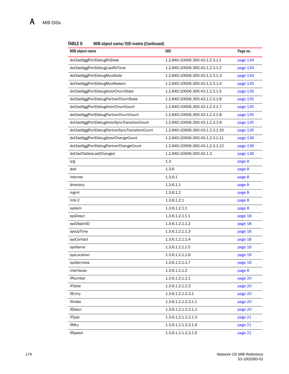| MIB object name                              | <b>OID</b>                      | Page no. |
|----------------------------------------------|---------------------------------|----------|
| dot3adAggPortDebugRxState                    | 1.2.840.10006.300.43.1.2.3.1.1  | page 134 |
| dot3adAggPortDebugLastRxTime                 | 1.2.840.10006.300.43.1.2.3.1.2  | page 134 |
| dot3adAggPortDebugMuxState                   | 1.2.840.10006.300.43.1.2.3.1.3  | page 134 |
| dot3adAggPortDebugMuxReason                  | 1.2.840.10006.300.43.1.2.3.1.4  | page 135 |
| dot3adAggPortDebugActorChurnState            | 1.2.840.10006.300.43.1.2.3.1.5  | page 135 |
| dot3adAggPortDebugPartnerChurnState          | 1.2.840.10006.300.43.1.2.3.1.6  | page 135 |
| dot3adAggPortDebugActorChurnCount            | 1.2.840.10006.300.43.1.2.3.1.7  | page 135 |
| dot3adAggPortDebugPartnerChurnCount          | 1.2.840.10006.300.43.1.2.3.1.8  | page 135 |
| dot3adAggPortDebugActorSyncTransitionCount   | 1.2.840.10006.300.43.1.2.3.1.9  | page 135 |
| dot3adAggPortDebugPartnerSyncTransitionCount | 1.2.840.10006.300.43.1.2.3.1.10 | page 135 |
| dot3adAggPortDebugActorChangeCount           | 1.2.840.10006.300.43.1.2.3.1.11 | page 136 |
| dot3adAggPortDebugPartnerChangeCount         | 1.2.840.10006.300.43.1.2.3.1.12 | page 136 |
| dot3adTablesLastChanged                      | 1.2.840.10006.300.43.1.3        | page 136 |
| org                                          | 1.3                             | page 8   |
| dod                                          | 1.3.6                           | page 8   |
| internet                                     | 1.3.6.1                         | page 8   |
| directory                                    | 1.3.6.1.1                       | page 8   |
| mgmt                                         | 1.3.6.1.2                       | page 8   |
| $mib-2$                                      | 1.3.6.1.2.1                     | page 8   |
| system                                       | 1.3.6.1.2.1.1                   | page 8   |
| sysDescr                                     | 1.3.6.1.2.1.1.1                 | page 18  |
| sysObjectID                                  | 1.3.6.1.2.1.1.2                 | page 18  |
| sysUpTime                                    | 1.3.6.1.2.1.1.3                 | page 18  |
| sysContact                                   | 1.3.6.1.2.1.1.4                 | page 18  |
| sysName                                      | 1.3.6.1.2.1.1.5                 | page 19  |
| sysLocation                                  | 1.3.6.1.2.1.1.6                 | page 19  |
| sysServices                                  | 1.3.6.1.2.1.1.7                 | page 19  |
| interfaces                                   | 1.3.6.1.2.1.2                   | page 8   |
| ifNumber                                     | 1.3.6.1.2.1.2.1                 | page 20  |
| ifTable                                      | 1.3.6.1.2.1.2.2                 | page 20  |
| ifEntry                                      | 1.3.6.1.2.1.2.2.1               | page 20  |
| ifIndex                                      | 1.3.6.1.2.1.2.2.1.1             | page 20  |
| ifDescr                                      | 1.3.6.1.2.1.2.2.1.2             | page 20  |
| ifType                                       | 1.3.6.1.2.1.2.2.1.3             | page 21  |
| ifMtu                                        | 1.3.6.1.2.1.2.2.1.4             | page 21  |
| ifSpeed                                      | 1.3.6.1.2.1.2.2.1.5             | page 21  |

TABLE 6 MIB object name/OID matrix (Continued)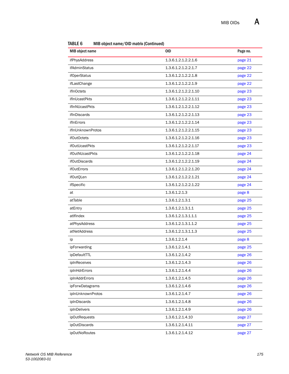TABLE 6 MIB object name/OID matrix (Continued)

| MIB object name        | 0ID                  | Page no. |
|------------------------|----------------------|----------|
| ifPhysAddress          | 1.3.6.1.2.1.2.2.1.6  | page 21  |
| ifAdminStatus          | 1.3.6.1.2.1.2.2.1.7  | page 22  |
| <i>ifOperStatus</i>    | 1.3.6.1.2.1.2.2.1.8  | page 22  |
| ifLastChange           | 1.3.6.1.2.1.2.2.1.9  | page 22  |
| <i>if</i> InOctets     | 1.3.6.1.2.1.2.2.1.10 | page 23  |
| <i>ifInUcastPkts</i>   | 1.3.6.1.2.1.2.2.1.11 | page 23  |
| <i>ifInNUcastPkts</i>  | 1.3.6.1.2.1.2.2.1.12 | page 23  |
| ifInDiscards           | 1.3.6.1.2.1.2.2.1.13 | page 23  |
| ifInErrors             | 1.3.6.1.2.1.2.2.1.14 | page 23  |
| ifInUnknownProtos      | 1.3.6.1.2.1.2.2.1.15 | page 23  |
| ifOutOctets            | 1.3.6.1.2.1.2.2.1.16 | page 23  |
| <i>ifOutUcastPkts</i>  | 1.3.6.1.2.1.2.2.1.17 | page 23  |
| <i>ifOutNUcastPkts</i> | 1.3.6.1.2.1.2.2.1.18 | page 24  |
| <i>ifOutDiscards</i>   | 1.3.6.1.2.1.2.2.1.19 | page 24  |
| <b>ifOutErrors</b>     | 1.3.6.1.2.1.2.2.1.20 | page 24  |
| ifOutQLen              | 1.3.6.1.2.1.2.2.1.21 | page 24  |
| ifSpecific             | 1.3.6.1.2.1.2.2.1.22 | page 24  |
| at                     | 1.3.6.1.2.1.3        | page 8   |
| atTable                | 1.3.6.1.2.1.3.1      | page 25  |
| atEntry                | 1.3.6.1.2.1.3.1.1    | page 25  |
| atlflndex              | 1.3.6.1.2.1.3.1.1.1  | page 25  |
| atPhysAddress          | 1.3.6.1.2.1.3.1.1.2  | page 25  |
| atNetAddress           | 1.3.6.1.2.1.3.1.1.3  | page 25  |
| ip                     | 1.3.6.1.2.1.4        | page 8   |
| ipForwarding           | 1.3.6.1.2.1.4.1      | page 25  |
| ipDefaultTTL           | 1.3.6.1.2.1.4.2      | page 26  |
| ipInReceives           | 1.3.6.1.2.1.4.3      | page 26  |
| ipInHdrErrors          | 1.3.6.1.2.1.4.4      | page 26  |
| ipInAddrErrors         | 1.3.6.1.2.1.4.5      | page 26  |
| ipForwDatagrams        | 1.3.6.1.2.1.4.6      | page 26  |
| ipInUnknownProtos      | 1.3.6.1.2.1.4.7      | page 26  |
| ipInDiscards           | 1.3.6.1.2.1.4.8      | page 26  |
| ipInDelivers           | 1.3.6.1.2.1.4.9      | page 26  |
| ipOutRequests          | 1.3.6.1.2.1.4.10     | page 27  |
| ipOutDiscards          | 1.3.6.1.2.1.4.11     | page 27  |
| ipOutNoRoutes          | 1.3.6.1.2.1.4.12     | page 27  |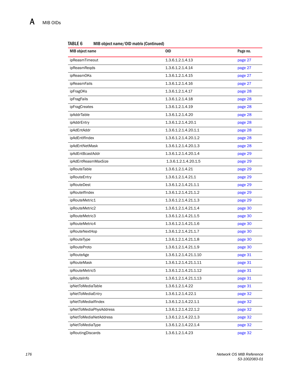| MIB object name         | <b>OID</b>            | Page no. |
|-------------------------|-----------------------|----------|
| ipReasmTimeout          | 1.3.6.1.2.1.4.13      | page 27  |
| ipReasmRegds            | 1.3.6.1.2.1.4.14      | page 27  |
| ipReasmOKs              | 1.3.6.1.2.1.4.15      | page 27  |
| ipReasmFails            | 1.3.6.1.2.1.4.16      | page 27  |
| ipFragOKs               | 1.3.6.1.2.1.4.17      | page 28  |
| ipFragFails             | 1.3.6.1.2.1.4.18      | page 28  |
| ipFragCreates           | 1.3.6.1.2.1.4.19      | page 28  |
| ipAddrTable             | 1.3.6.1.2.1.4.20      | page 28  |
| ipAddrEntry             | 1.3.6.1.2.1.4.20.1    | page 28  |
| ipAdEntAddr             | 1.3.6.1.2.1.4.20.1.1  | page 28  |
| ipAdEntIfIndex          | 1.3.6.1.2.1.4.20.1.2  | page 28  |
| ipAdEntNetMask          | 1.3.6.1.2.1.4.20.1.3  | page 28  |
| ipAdEntBcastAddr        | 1.3.6.1.2.1.4.20.1.4  | page 29  |
| ipAdEntReasmMaxSize     | 1.3.6.1.2.1.4.20.1.5  | page 29  |
| ipRouteTable            | 1.3.6.1.2.1.4.21      | page 29  |
| ipRouteEntry            | 1.3.6.1.2.1.4.21.1    | page 29  |
| <i>ipRouteDest</i>      | 1.3.6.1.2.1.4.21.1.1  | page 29  |
| ipRoutelfIndex          | 1.3.6.1.2.1.4.21.1.2  | page 29  |
| ipRouteMetric1          | 1.3.6.1.2.1.4.21.1.3  | page 29  |
| ipRouteMetric2          | 1.3.6.1.2.1.4.21.1.4  | page 30  |
| ipRouteMetric3          | 1.3.6.1.2.1.4.21.1.5  | page 30  |
| ipRouteMetric4          | 1.3.6.1.2.1.4.21.1.6  | page 30  |
| ipRouteNextHop          | 1.3.6.1.2.1.4.21.1.7  | page 30  |
| ipRouteType             | 1.3.6.1.2.1.4.21.1.8  | page 30  |
| ipRouteProto            | 1.3.6.1.2.1.4.21.1.9  | page 30  |
| ipRouteAge              | 1.3.6.1.2.1.4.21.1.10 | page 31  |
| ipRouteMask             | 1.3.6.1.2.1.4.21.1.11 | page 31  |
| ipRouteMetric5          | 1.3.6.1.2.1.4.21.1.12 | page 31  |
| ipRouteInfo             | 1.3.6.1.2.1.4.21.1.13 | page 31  |
| ipNetToMediaTable       | 1.3.6.1.2.1.4.22      | page 31  |
| ipNetToMediaEntry       | 1.3.6.1.2.1.4.22.1    | page 32  |
| ipNetToMedialfIndex     | 1.3.6.1.2.1.4.22.1.1  | page 32  |
| ipNetToMediaPhysAddress | 1.3.6.1.2.1.4.22.1.2  | page 32  |
| ipNetToMediaNetAddress  | 1.3.6.1.2.1.4.22.1.3  | page 32  |
| ipNetToMediaType        | 1.3.6.1.2.1.4.22.1.4  | page 32  |
| ipRoutingDiscards       | 1.3.6.1.2.1.4.23      | page 32  |

TABLE 6 MIB object name/OID matrix (Continued)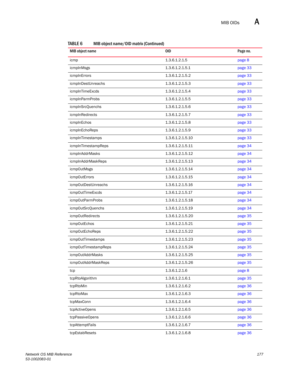#### TABLE 6 MIB object name/OID matrix (Continued)

| <b>MIB object name</b> | 0ID              | Page no. |
|------------------------|------------------|----------|
| icmp                   | 1.3.6.1.2.1.5    | page 8   |
| icmplnMsgs             | 1.3.6.1.2.1.5.1  | page 33  |
| icmplnErrors           | 1.3.6.1.2.1.5.2  | page 33  |
| icmpInDestUnreachs     | 1.3.6.1.2.1.5.3  | page 33  |
| icmpInTimeExcds        | 1.3.6.1.2.1.5.4  | page 33  |
| icmplnParmProbs        | 1.3.6.1.2.1.5.5  | page 33  |
| icmpInSrcQuenchs       | 1.3.6.1.2.1.5.6  | page 33  |
| icmpInRedirects        | 1.3.6.1.2.1.5.7  | page 33  |
| icmplnEchos            | 1.3.6.1.2.1.5.8  | page 33  |
| icmpInEchoReps         | 1.3.6.1.2.1.5.9  | page 33  |
| icmplnTimestamps       | 1.3.6.1.2.1.5.10 | page 33  |
| icmplnTimestampReps    | 1.3.6.1.2.1.5.11 | page 34  |
| <i>icmplnAddrMasks</i> | 1.3.6.1.2.1.5.12 | page 34  |
| icmplnAddrMaskReps     | 1.3.6.1.2.1.5.13 | page 34  |
| icmp0utMsgs            | 1.3.6.1.2.1.5.14 | page 34  |
| icmpOutErrors          | 1.3.6.1.2.1.5.15 | page 34  |
| icmpOutDestUnreachs    | 1.3.6.1.2.1.5.16 | page 34  |
| icmpOutTimeExcds       | 1.3.6.1.2.1.5.17 | page 34  |
| icmpOutParmProbs       | 1.3.6.1.2.1.5.18 | page 34  |
| icmpOutSrcQuenchs      | 1.3.6.1.2.1.5.19 | page 34  |
| icmpOutRedirects       | 1.3.6.1.2.1.5.20 | page 35  |
| icmpOutEchos           | 1.3.6.1.2.1.5.21 | page 35  |
| icmpOutEchoReps        | 1.3.6.1.2.1.5.22 | page 35  |
| icmpOutTimestamps      | 1.3.6.1.2.1.5.23 | page 35  |
| icmpOutTimestampReps   | 1.3.6.1.2.1.5.24 | page 35  |
| icmpOutAddrMasks       | 1.3.6.1.2.1.5.25 | page 35  |
| icmpOutAddrMaskReps    | 1.3.6.1.2.1.5.26 | page 35  |
| tcp                    | 1.3.6.1.2.1.6    | page 8   |
| tcpRtoAlgorithm        | 1.3.6.1.2.1.6.1  | page 35  |
| tcpRtoMin              | 1.3.6.1.2.1.6.2  | page 36  |
| tcpRtoMax              | 1.3.6.1.2.1.6.3  | page 36  |
| tcpMaxConn             | 1.3.6.1.2.1.6.4  | page 36  |
| tcpActiveOpens         | 1.3.6.1.2.1.6.5  | page 36  |
| tcpPassiveOpens        | 1.3.6.1.2.1.6.6  | page 36  |
| tcpAttemptFails        | 1.3.6.1.2.1.6.7  | page 36  |
| tcpEstabResets         | 1.3.6.1.2.1.6.8  | page 36  |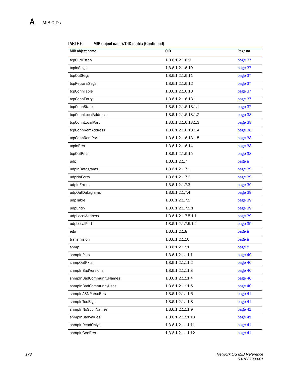| MIB object name         | 0ID                  | Page no. |
|-------------------------|----------------------|----------|
| tcpCurrEstab            | 1.3.6.1.2.1.6.9      | page 37  |
| tcpInSegs               | 1.3.6.1.2.1.6.10     | page 37  |
| tcpOutSegs              | 1.3.6.1.2.1.6.11     | page 37  |
| tcpRetransSegs          | 1.3.6.1.2.1.6.12     | page 37  |
| tcpConnTable            | 1.3.6.1.2.1.6.13     | page 37  |
| tcpConnEntry            | 1.3.6.1.2.1.6.13.1   | page 37  |
| tcpConnState            | 1.3.6.1.2.1.6.13.1.1 | page 37  |
| tcpConnLocalAddress     | 1.3.6.1.2.1.6.13.1.2 | page 38  |
| tcpConnLocalPort        | 1.3.6.1.2.1.6.13.1.3 | page 38  |
| tcpConnRemAddress       | 1.3.6.1.2.1.6.13.1.4 | page 38  |
| tcpConnRemPort          | 1.3.6.1.2.1.6.13.1.5 | page 38  |
| tcpInErrs               | 1.3.6.1.2.1.6.14     | page 38  |
| tcpOutRsts              | 1.3.6.1.2.1.6.15     | page 38  |
| udp                     | 1.3.6.1.2.1.7        | page 8   |
| udplnDatagrams          | 1.3.6.1.2.1.7.1      | page 39  |
| udpNoPorts              | 1.3.6.1.2.1.7.2      | page 39  |
| udpInErrors             | 1.3.6.1.2.1.7.3      | page 39  |
| udpOutDatagrams         | 1.3.6.1.2.1.7.4      | page 39  |
| udpTable                | 1.3.6.1.2.1.7.5      | page 39  |
| udpEntry                | 1.3.6.1.2.1.7.5.1    | page 39  |
| udpLocalAddress         | 1.3.6.1.2.1.7.5.1.1  | page 39  |
| udpLocalPort            | 1.3.6.1.2.1.7.5.1.2  | page 39  |
| egp                     | 1.3.6.1.2.1.8        | page 8   |
| transmision             | 1.3.6.1.2.1.10       | page 8   |
| snmp                    | 1.3.6.1.2.1.11       | page 8   |
| snmplnPkts              | 1.3.6.1.2.1.11.1     | page 40  |
| snmpOutPkts             | 1.3.6.1.2.1.11.2     | page 40  |
| snmpInBadVersions       | 1.3.6.1.2.1.11.3     | page 40  |
| snmpInBadCommunityNames | 1.3.6.1.2.1.11.4     | page 40  |
| snmpInBadCommunityUses  | 1.3.6.1.2.1.11.5     | page 40  |
| snmpInASNParseErrs      | 1.3.6.1.2.1.11.6     | page 41  |
| snmpInTooBigs           | 1.3.6.1.2.1.11.8     | page 41  |
| snmpInNoSuchNames       | 1.3.6.1.2.1.11.9     | page 41  |
| snmpInBadValues         | 1.3.6.1.2.1.11.10    | page 41  |
| snmpInReadOnlys         | 1.3.6.1.2.1.11.11    | page 41  |

snmpInGenErrs 1.3.6.1.2.1.11.12 [page 41](#page-52-5)

TABLE 6 MIB object name/OID matrix (Continued)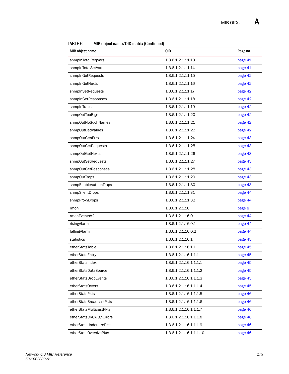| TABLE 6 | MIB object name/OID matrix (Continued) |  |  |
|---------|----------------------------------------|--|--|
|---------|----------------------------------------|--|--|

| MIB object name          | 0ID                     | Page no. |
|--------------------------|-------------------------|----------|
| snmpInTotalReqVars       | 1.3.6.1.2.1.11.13       | page 41  |
| snmpInTotalSetVars       | 1.3.6.1.2.1.11.14       | page 41  |
| snmpInGetRequests        | 1.3.6.1.2.1.11.15       | page 42  |
| snmpInGetNexts           | 1.3.6.1.2.1.11.16       | page 42  |
| snmpInSetRequests        | 1.3.6.1.2.1.11.17       | page 42  |
| snmpInGetResponses       | 1.3.6.1.2.1.11.18       | page 42  |
| snmpInTraps              | 1.3.6.1.2.1.11.19       | page 42  |
| snmpOutTooBigs           | 1.3.6.1.2.1.11.20       | page 42  |
| snmpOutNoSuchNames       | 1.3.6.1.2.1.11.21       | page 42  |
| snmpOutBadValues         | 1.3.6.1.2.1.11.22       | page 42  |
| snmpOutGenErrs           | 1.3.6.1.2.1.11.24       | page 43  |
| snmpOutGetRequests       | 1.3.6.1.2.1.11.25       | page 43  |
| snmpOutGetNexts          | 1.3.6.1.2.1.11.26       | page 43  |
| snmpOutSetRequests       | 1.3.6.1.2.1.11.27       | page 43  |
| snmpOutGetResponses      | 1.3.6.1.2.1.11.28       | page 43  |
| snmpOutTraps             | 1.3.6.1.2.1.11.29       | page 43  |
| snmpEnableAuthenTraps    | 1.3.6.1.2.1.11.30       | page 43  |
| snmpSilentDrops          | 1.3.6.1.2.1.11.31       | page 44  |
| snmpProxyDrops           | 1.3.6.1.2.1.11.32       | page 44  |
| rmon                     | 1.3.6.1.2.1.16          | page 8   |
| rmonEventsV2             | 1.3.6.1.2.1.16.0        | page 44  |
| risingAlarm              | 1.3.6.1.2.1.16.0.1      | page 44  |
| fallingAlarm             | 1.3.6.1.2.1.16.0.2      | page 44  |
| statistics               | 1.3.6.1.2.1.16.1        | page 45  |
| etherStatsTable          | 1.3.6.1.2.1.16.1.1      | page 45  |
| etherStatsEntry          | 1.3.6.1.2.1.16.1.1.1    | page 45  |
| etherStatsIndex          | 1.3.6.1.2.1.16.1.1.1.1  | page 45  |
| etherStatsDataSource     | 1.3.6.1.2.1.16.1.1.1.2  | page 45  |
| etherStatsDropEvents     | 1.3.6.1.2.1.16.1.1.1.3  | page 45  |
| etherStatsOctets         | 1.3.6.1.2.1.16.1.1.1.4  | page 45  |
| etherStatsPkts           | 1.3.6.1.2.1.16.1.1.1.5  | page 46  |
| etherStatsBroadcastPkts  | 1.3.6.1.2.1.16.1.1.1.6  | page 46  |
| etherStatsMulticastPkts  | 1.3.6.1.2.1.16.1.1.1.7  | page 46  |
| etherStatsCRCAlignErrors | 1.3.6.1.2.1.16.1.1.1.8  | page 46  |
| etherStatsUndersizePkts  | 1.3.6.1.2.1.16.1.1.1.9  | page 46  |
| etherStatsOversizePkts   | 1.3.6.1.2.1.16.1.1.1.10 | page 46  |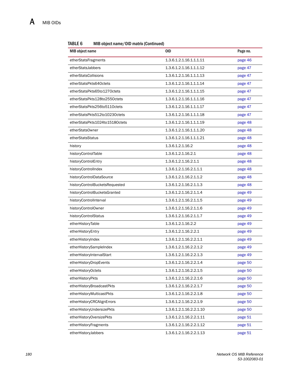| MIB object name                | 0ID                       | Page no. |
|--------------------------------|---------------------------|----------|
| etherStatsFragments            | 1.3.6.1.2.1.16.1.1.1.11   | page 46  |
| etherStatsJabbers              | 1.3.6.1.2.1.16.1.1.1.12   | page 47  |
| etherStatsCollisions           | 1.3.6.1.2.1.16.1.1.1.1.3  | page 47  |
| etherStatsPkts640ctets         | 1.3.6.1.2.1.16.1.1.1.14   | page 47  |
| etherStatsPkts65to1270ctets    | 1.3.6.1.2.1.16.1.1.1.15   | page 47  |
| etherStatsPkts128to2550ctets   | 1.3.6.1.2.1.16.1.1.1.16   | page 47  |
| etherStatsPkts256to5110ctets   | 1.3.6.1.2.1.16.1.1.1.17   | page 47  |
| etherStatsPkts512to10230ctets  | 1.3.6.1.2.1.16.1.1.1.1.18 | page 47  |
| etherStatsPkts1024to15180ctets | 1.3.6.1.2.1.16.1.1.1.19   | page 48  |
| etherStatsOwner                | 1.3.6.1.2.1.16.1.1.1.20   | page 48  |
| etherStatsStatus               | 1.3.6.1.2.1.16.1.1.1.21   | page 48  |
| history                        | 1.3.6.1.2.1.16.2          | page 48  |
| historyControlTable            | 1.3.6.1.2.1.16.2.1        | page 48  |
| historyControlEntry            | 1.3.6.1.2.1.16.2.1.1      | page 48  |
| historyControlIndex            | 1.3.6.1.2.1.16.2.1.1.1    | page 48  |
| historyControlDataSource       | 1.3.6.1.2.1.16.2.1.1.2    | page 48  |
| historyControlBucketsRequested | 1.3.6.1.2.1.16.2.1.1.3    | page 48  |
| historyControlBucketsGranted   | 1.3.6.1.2.1.16.2.1.1.4    | page 49  |
| historyControlInterval         | 1.3.6.1.2.1.16.2.1.1.5    | page 49  |
| historyControlOwner            | 1.3.6.1.2.1.16.2.1.1.6    | page 49  |
| historyControlStatus           | 1.3.6.1.2.1.16.2.1.1.7    | page 49  |
| etherHistoryTable              | 1.3.6.1.2.1.16.2.2        | page 49  |
| etherHistoryEntry              | 1.3.6.1.2.1.16.2.2.1      | page 49  |
| etherHistoryIndex              | 1.3.6.1.2.1.16.2.2.1.1    | page 49  |
| etherHistorySampleIndex        | 1.3.6.1.2.1.16.2.2.1.2    | page 49  |
| etherHistoryIntervalStart      | 1.3.6.1.2.1.16.2.2.1.3    | page 49  |
| etherHistoryDropEvents         | 1.3.6.1.2.1.16.2.2.1.4    | page 50  |
| etherHistoryOctets             | 1.3.6.1.2.1.16.2.2.1.5    | page 50  |
| etherHistoryPkts               | 1.3.6.1.2.1.16.2.2.1.6    | page 50  |
| etherHistoryBroadcastPkts      | 1.3.6.1.2.1.16.2.2.1.7    | page 50  |
| etherHistoryMulticastPkts      | 1.3.6.1.2.1.16.2.2.1.8    | page 50  |
| etherHistoryCRCAlignErrors     | 1.3.6.1.2.1.16.2.2.1.9    | page 50  |
| etherHistoryUndersizePkts      | 1.3.6.1.2.1.16.2.2.1.10   | page 50  |
| etherHistoryOversizePkts       | 1.3.6.1.2.1.16.2.2.1.11   | page 51  |
| etherHistoryFragments          | 1.3.6.1.2.1.16.2.2.1.12   | page 51  |
| etherHistoryJabbers            | 1.3.6.1.2.1.16.2.2.1.13   | page 51  |

TABLE 6 MIB object name/OID matrix (Continued)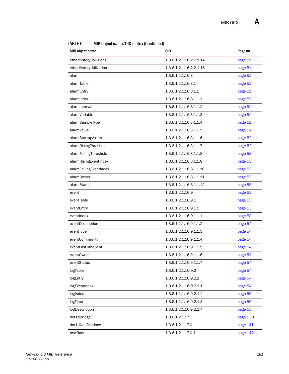#### TABLE 6 MIB object name/OID matrix (Continued)

| MIB object name         | 0ID                     | Page no. |
|-------------------------|-------------------------|----------|
| etherHistoryCollisions  | 1.3.6.1.2.1.16.2.2.1.14 | page 51  |
| etherHistoryUtilization | 1.3.6.1.2.1.16.2.2.1.15 | page 51  |
| alarm                   | 1.3.6.1.2.1.16.3        | page 51  |
| alarmTable              | 1.3.6.1.2.1.16.3.1      | page 51  |
| alarmEntry              | 1.3.6.1.2.1.16.3.1.1    | page 51  |
| alarmIndex              | 1.3.6.1.2.1.16.3.1.1.1  | page 52  |
| alarmInterval           | 1.3.6.1.2.1.16.3.1.1.2  | page 52  |
| alarmVariable           | 1.3.6.1.2.1.16.3.1.1.3  | page 52  |
| alarmSampleType         | 1.3.6.1.2.1.16.3.1.1.4  | page 52  |
| alarmValue              | 1.3.6.1.2.1.16.3.1.1.5  | page 52  |
| alarmStartupAlarm       | 1.3.6.1.2.1.16.3.1.1.6  | page 52  |
| alarmRisingThreshold    | 1.3.6.1.2.1.16.3.1.1.7  | page 52  |
| alarmFallingThreshold   | 1.3.6.1.2.1.16.3.1.1.8  | page 53  |
| alarmRisingEventIndex   | 1.3.6.1.2.1.16.3.1.1.9  | page 53  |
| alarmFallingEventIndex  | 1.3.6.1.2.1.16.3.1.1.10 | page 53  |
| alarmOwner              | 1.3.6.1.2.1.16.3.1.1.11 | page 53  |
| alarmStatus             | 1.3.6.1.2.1.16.3.1.1.12 | page 53  |
| event                   | 1.3.6.1.2.1.16.9        | page 53  |
| eventTable              | 1.3.6.1.2.1.16.9.1      | page 53  |
| eventEntry              | 1.3.6.1.2.1.16.9.1.1    | page 53  |
| eventIndex              | 1.3.6.1.2.1.16.9.1.1.1  | page 53  |
| eventDescription        | 1.3.6.1.2.1.16.9.1.1.2  | page 54  |
| eventType               | 1.3.6.1.2.1.16.9.1.1.3  | page 54  |
| eventCommunity          | 1.3.6.1.2.1.16.9.1.1.4  | page 54  |
| eventLastTimeSent       | 1.3.6.1.2.1.16.9.1.1.5  | page 54  |
| eventOwner              | 1.3.6.1.2.1.16.9.1.1.6  | page 54  |
| eventStatus             | 1.3.6.1.2.1.16.9.1.1.7  | page 54  |
| logTable                | 1.3.6.1.2.1.16.9.2      | page 54  |
| logEntry                | 1.3.6.1.2.1.16.9.2.1    | page 54  |
| logEventIndex           | 1.3.6.1.2.1.16.9.2.1.1  | page 54  |
| logIndex                | 1.3.6.1.2.1.16.9.2.1.2  | page 55  |
| logTime                 | 1.3.6.1.2.1.16.9.2.1.3  | page 55  |
| logDescription          | 1.3.6.1.2.1.16.9.2.1.4  | page 55  |
| dot1dBridge             | 1.3.6.1.2.1.17          | page 138 |
| dot1dNotifications      | 1.3.6.1.2.1.17.0        | page 141 |
| newRoot                 | 1.3.6.1.2.1.17.0.1      | page 142 |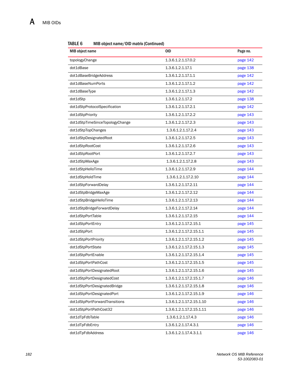| <b>MIB object name</b>          | 0ID                      | Page no. |
|---------------------------------|--------------------------|----------|
| topologyChange                  | 1.3.6.1.2.1.17.0.2       | page 142 |
| dot1dBase                       | 1.3.6.1.2.1.17.1         | page 138 |
| dot1dBaseBridgeAddress          | 1.3.6.1.2.1.17.1.1       | page 142 |
| dot1dBaseNumPorts               | 1.3.6.1.2.1.17.1.2       | page 142 |
| dot1dBaseType                   | 1.3.6.1.2.1.17.1.3       | page 142 |
| dot1dStp                        | 1.3.6.1.2.1.17.2         | page 138 |
| dot1dStpProtocolSpecification   | 1.3.6.1.2.1.17.2.1       | page 142 |
| dot1dStpPriority                | 1.3.6.1.2.1.17.2.2       | page 143 |
| dot1dStpTimeSinceTopologyChange | 1.3.6.1.2.1.17.2.3       | page 143 |
| dot1dStpTopChanges              | 1.3.6.1.2.1.17.2.4       | page 143 |
| dot1dStpDesignatedRoot          | 1.3.6.1.2.1.17.2.5       | page 143 |
| dot1dStpRootCost                | 1.3.6.1.2.1.17.2.6       | page 143 |
| dot1dStpRootPort                | 1.3.6.1.2.1.17.2.7       | page 143 |
| dot1dStpMaxAge                  | 1.3.6.1.2.1.17.2.8       | page 143 |
| dot1dStpHelloTime               | 1.3.6.1.2.1.17.2.9       | page 144 |
| dot1dStpHoldTime                | 1.3.6.1.2.1.17.2.10      | page 144 |
| dot1dStpForwardDelay            | 1.3.6.1.2.1.17.2.11      | page 144 |
| dot1dStpBridgeMaxAge            | 1.3.6.1.2.1.17.2.12      | page 144 |
| dot1dStpBridgeHelloTime         | 1.3.6.1.2.1.17.2.13      | page 144 |
| dot1dStpBridgeForwardDelay      | 1.3.6.1.2.1.17.2.14      | page 144 |
| dot1dStpPortTable               | 1.3.6.1.2.1.17.2.15      | page 144 |
| dot1dStpPortEntry               | 1.3.6.1.2.1.17.2.15.1    | page 145 |
| dot1dStpPort                    | 1.3.6.1.2.1.17.2.15.1.1  | page 145 |
| dot1dStpPortPriority            | 1.3.6.1.2.1.17.2.15.1.2  | page 145 |
| dot1dStpPortState               | 1.3.6.1.2.1.17.2.15.1.3  | page 145 |
| dot1dStpPortEnable              | 1.3.6.1.2.1.17.2.15.1.4  | page 145 |
| dot1dStpPortPathCost            | 1.3.6.1.2.1.17.2.15.1.5  | page 145 |
| dot1dStpPortDesignatedRoot      | 1.3.6.1.2.1.17.2.15.1.6  | page 145 |
| dot1dStpPortDesignatedCost      | 1.3.6.1.2.1.17.2.15.1.7  | page 146 |
| dot1dStpPortDesignatedBridge    | 1.3.6.1.2.1.17.2.15.1.8  | page 146 |
| dot1dStpPortDesignatedPort      | 1.3.6.1.2.1.17.2.15.1.9  | page 146 |
| dot1dStpPortForwardTransitions  | 1.3.6.1.2.1.17.2.15.1.10 | page 146 |
| dot1dStpPortPathCost32          | 1.3.6.1.2.1.17.2.15.1.11 | page 146 |
| dot1dTpFdbTable                 | 1.3.6.1.2.1.17.4.3       | page 146 |
| dot1dTpFdbEntry                 | 1.3.6.1.2.1.17.4.3.1     | page 146 |
| dot1dTpFdbAddress               | 1.3.6.1.2.1.17.4.3.1.1   | page 146 |

TABLE 6 MIB object name/OID matrix (Continued)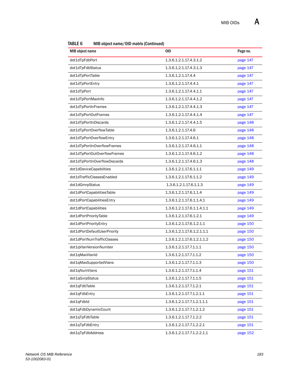TABLE 6 MIB object name/OID matrix (Continued)

| MIB object name               | 0ID                        | Page no. |
|-------------------------------|----------------------------|----------|
| dot1dTpFdbPort                | 1.3.6.1.2.1.17.4.3.1.2     | page 147 |
| dot1dTpFdbStatus              | 1.3.6.1.2.1.17.4.3.1.3     | page 147 |
| dot1dTpPortTable              | 1.3.6.1.2.1.17.4.4         | page 147 |
| dot1dTpPortEntry              | 1.3.6.1.2.1.17.4.4.1       | page 147 |
| dot1dTpPort                   | 1.3.6.1.2.1.17.4.4.1.1     | page 147 |
| dot1dTpPortMaxInfo            | 1.3.6.1.2.1.17.4.4.1.2     | page 147 |
| dot1dTpPortInFrames           | 1.3.6.1.2.1.17.4.4.1.3     | page 147 |
| dot1dTpPortOutFrames          | 1.3.6.1.2.1.17.4.4.1.4     | page 147 |
| dot1dTpPortInDiscards         | 1.3.6.1.2.1.17.4.4.1.5     | page 148 |
| dot1dTpPortOverflowTable      | 1.3.6.1.2.1.17.4.6         | page 148 |
| dot1dTpPortOverflowEntry      | 1.3.6.1.2.1.17.4.6.1       | page 148 |
| dot1dTpPortInOverflowFrames   | 1.3.6.1.2.1.17.4.6.1.1     | page 148 |
| dot1dTpPortOutOverflowFrames  | 1.3.6.1.2.1.17.4.6.1.2     | page 148 |
| dot1dTpPortInOverflowDiscards | 1.3.6.1.2.1.17.4.6.1.3     | page 148 |
| dot1dDeviceCapabilities       | 1.3.6.1.2.1.17.6.1.1.1     | page 149 |
| dot1dTrafficClassesEnabled    | 1.3.6.1.2.1.17.6.1.1.2     | page 149 |
| dot1dGmrpStatus               | 1.3.6.1.2.1.17.6.1.1.3     | page 149 |
| dot1dPortCapabilitiesTable    | 1.3.6.1.2.1.17.6.1.1.4     | page 149 |
| dot1dPortCapabilitiesEntry    | 1.3.6.1.2.1.17.6.1.1.4.1   | page 149 |
| dot1dPortCapabilities         | 1.3.6.1.2.1.17.6.1.1.4.1.1 | page 149 |
| dot1dPortPriorityTable        | 1.3.6.1.2.1.17.6.1.2.1     | page 149 |
| dot1dPortPriorityEntry        | 1.3.6.1.2.1.17.6.1.2.1.1   | page 150 |
| dot1dPortDefaultUserPriority  | 1.3.6.1.2.1.17.6.1.2.1.1.1 | page 150 |
| dot1dPortNumTrafficClasses    | 1.3.6.1.2.1.17.6.1.2.1.1.2 | page 150 |
| dot1qVlanVersionNumber        | 1.3.6.1.2.1.17.7.1.1.1     | page 150 |
| dot1qMaxVlanId                | 1.3.6.1.2.1.17.7.1.1.2     | page 150 |
| dot1qMaxSupportedVlans        | 1.3.6.1.2.1.17.7.1.1.3     | page 150 |
| dot1qNumVlans                 | 1.3.6.1.2.1.17.7.1.1.4     | page 151 |
| dot1qGvrpStatus               | 1.3.6.1.2.1.17.7.1.1.5     | page 151 |
| dot1qFdbTable                 | 1.3.6.1.2.1.17.7.1.2.1     | page 151 |
| dot1qFdbEntry                 | 1.3.6.1.2.1.17.7.1.2.1.1   | page 151 |
| dot1qFdbld                    | 1.3.6.1.2.1.17.7.1.2.1.1.1 | page 151 |
| dot1qFdbDynamicCount          | 1.3.6.1.2.1.17.7.1.2.1.2   | page 151 |
| dot1qTpFdbTable               | 1.3.6.1.2.1.17.7.1.2.2     | page 151 |
| dot1qTpFdbEntry               | 1.3.6.1.2.1.17.7.1.2.2.1   | page 151 |
| dot1qTpFdbAddress             | 1.3.6.1.2.1.17.7.1.2.2.1.1 | page 152 |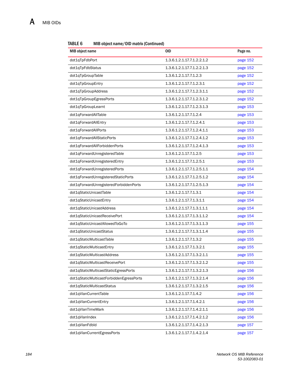| MIB object name                          | <b>OID</b>                 | Page no. |
|------------------------------------------|----------------------------|----------|
| dot1qTpFdbPort                           | 1.3.6.1.2.1.17.7.1.2.2.1.2 | page 152 |
| dot1qTpFdbStatus                         | 1.3.6.1.2.1.17.7.1.2.2.1.3 | page 152 |
| dot1qTpGroupTable                        | 1.3.6.1.2.1.17.7.1.2.3     | page 152 |
| dot1qTpGroupEntry                        | 1.3.6.1.2.1.17.7.1.2.3.1   | page 152 |
| dot1qTpGroupAddress                      | 1.3.6.1.2.1.17.7.1.2.3.1.1 | page 152 |
| dot1qTpGroupEgressPorts                  | 1.3.6.1.2.1.17.7.1.2.3.1.2 | page 152 |
| dot1qTpGroupLearnt                       | 1.3.6.1.2.1.17.7.1.2.3.1.3 | page 153 |
| dot1qForwardAllTable                     | 1.3.6.1.2.1.17.7.1.2.4     | page 153 |
| dot1qForwardAllEntry                     | 1.3.6.1.2.1.17.7.1.2.4.1   | page 153 |
| dot1qForwardAllPorts                     | 1.3.6.1.2.1.17.7.1.2.4.1.1 | page 153 |
| dot1qForwardAllStaticPorts               | 1.3.6.1.2.1.17.7.1.2.4.1.2 | page 153 |
| dot1qForwardAllForbiddenPorts            | 1.3.6.1.2.1.17.7.1.2.4.1.3 | page 153 |
| dot1qForwardUnregisteredTable            | 1.3.6.1.2.1.17.7.1.2.5     | page 153 |
| dot1qForwardUnregisteredEntry            | 1.3.6.1.2.1.17.7.1.2.5.1   | page 153 |
| dot1qForwardUnregisteredPorts            | 1.3.6.1.2.1.17.7.1.2.5.1.1 | page 154 |
| dot1qForwardUnregisteredStaticPorts      | 1.3.6.1.2.1.17.7.1.2.5.1.2 | page 154 |
| dot1qForwardUnregisteredForbiddenPorts   | 1.3.6.1.2.1.17.7.1.2.5.1.3 | page 154 |
| dot1qStaticUnicastTable                  | 1.3.6.1.2.1.17.7.1.3.1     | page 154 |
| dot1qStaticUnicastEntry                  | 1.3.6.1.2.1.17.7.1.3.1.1   | page 154 |
| dot1qStaticUnicastAddress                | 1.3.6.1.2.1.17.7.1.3.1.1.1 | page 154 |
| dot1qStaticUnicastReceivePort            | 1.3.6.1.2.1.17.7.1.3.1.1.2 | page 154 |
| dot1qStaticUnicastAllowedToGoTo          | 1.3.6.1.2.1.17.7.1.3.1.1.3 | page 155 |
| dot1qStaticUnicastStatus                 | 1.3.6.1.2.1.17.7.1.3.1.1.4 | page 155 |
| dot1qStaticMulticastTable                | 1.3.6.1.2.1.17.7.1.3.2     | page 155 |
| dot1qStaticMulticastEntry                | 1.3.6.1.2.1.17.7.1.3.2.1   | page 155 |
| dot1qStaticMulticastAddress              | 1.3.6.1.2.1.17.7.1.3.2.1.1 | page 155 |
| dot1qStaticMulticastReceivePort          | 1.3.6.1.2.1.17.7.1.3.2.1.2 | page 155 |
| dot1qStaticMulticastStaticEgressPorts    | 1.3.6.1.2.1.17.7.1.3.2.1.3 | page 156 |
| dot1qStaticMulticastForbiddenEgressPorts | 1.3.6.1.2.1.17.7.1.3.2.1.4 | page 156 |
| dot1qStaticMulticastStatus               | 1.3.6.1.2.1.17.7.1.3.2.1.5 | page 156 |
| dot1qVlanCurrentTable                    | 1.3.6.1.2.1.17.7.1.4.2     | page 156 |
| dot1qVlanCurrentEntry                    | 1.3.6.1.2.1.17.7.1.4.2.1   | page 156 |
| dot1qVlanTimeMark                        | 1.3.6.1.2.1.17.7.1.4.2.1.1 | page 156 |
| dot1qVlanIndex                           | 1.3.6.1.2.1.17.7.1.4.2.1.2 | page 156 |
| dot1qVlanFdbld                           | 1.3.6.1.2.1.17.7.1.4.2.1.3 | page 157 |
| dot1qVlanCurrentEgressPorts              | 1.3.6.1.2.1.17.7.1.4.2.1.4 | page 157 |

TABLE 6 MIB object name/OID matrix (Continued)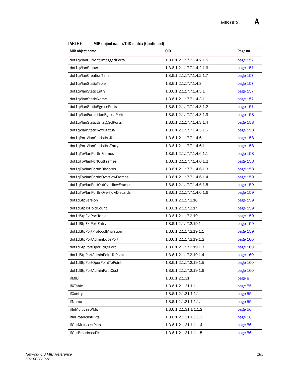| TABLE 6 | MIB object name/OID matrix (Continued) |  |  |
|---------|----------------------------------------|--|--|
|---------|----------------------------------------|--|--|

| MIB object name                   | <b>OID</b>                 | Page no. |
|-----------------------------------|----------------------------|----------|
| dot1qVlanCurrentUntaggedPorts     | 1.3.6.1.2.1.17.7.1.4.2.1.5 | page 157 |
| dot1qVlanStatus                   | 1.3.6.1.2.1.17.7.1.4.2.1.6 | page 157 |
| dot1qVlanCreationTime             | 1.3.6.1.2.1.17.7.1.4.2.1.7 | page 157 |
| dot1qVlanStaticTable              | 1.3.6.1.2.1.17.7.1.4.3     | page 157 |
| dot1qVlanStaticEntry              | 1.3.6.1.2.1.17.7.1.4.3.1   | page 157 |
| dot1qVlanStaticName               | 1.3.6.1.2.1.17.7.1.4.3.1.1 | page 157 |
| dot1qVlanStaticEgressPorts        | 1.3.6.1.2.1.17.7.1.4.3.1.2 | page 157 |
| dot1qVlanForbiddenEgressPorts     | 1.3.6.1.2.1.17.7.1.4.3.1.3 | page 158 |
| dot1qVlanStaticUntaggedPorts      | 1.3.6.1.2.1.17.7.1.4.3.1.4 | page 158 |
| dot1qVlanStaticRowStatus          | 1.3.6.1.2.1.17.7.1.4.3.1.5 | page 158 |
| dot1qPortVlanStatisticsTable      | 1.3.6.1.2.1.17.7.1.4.6     | page 158 |
| dot1qPortVlanStatisticsEntry      | 1.3.6.1.2.1.17.7.1.4.6.1   | page 158 |
| dot1qTpVlanPortInFrames           | 1.3.6.1.2.1.17.7.1.4.6.1.1 | page 158 |
| dot1qTpVlanPortOutFrames          | 1.3.6.1.2.1.17.7.1.4.6.1.2 | page 158 |
| dot1qTpVlanPortInDiscards         | 1.3.6.1.2.1.17.7.1.4.6.1.3 | page 158 |
| dot1qTpVlanPortInOverflowFrames   | 1.3.6.1.2.1.17.7.1.4.6.1.4 | page 159 |
| dot1qTpVlanPortOutOverflowFrames  | 1.3.6.1.2.1.17.7.1.4.6.1.5 | page 159 |
| dot1qTpVlanPortInOverflowDiscards | 1.3.6.1.2.1.17.7.1.4.6.1.6 | page 159 |
| dot1dStpVersion                   | 1.3.6.1.2.1.17.2.16        | page 159 |
| dot1dStpTxHoldCount               | 1.3.6.1.2.1.17.2.17        | page 159 |
| dot1dStpExtPortTable              | 1.3.6.1.2.1.17.2.19        | page 159 |
| dot1dStpExtPortEntry              | 1.3.6.1.2.1.17.2.19.1      | page 159 |
| dot1dStpPortProtocolMigration     | 1.3.6.1.2.1.17.2.19.1.1    | page 159 |
| dot1dStpPortAdminEdgePort         | 1.3.6.1.2.1.17.2.19.1.2    | page 160 |
| dot1dStpPortOperEdgePort          | 1.3.6.1.2.1.17.2.19.1.3    | page 160 |
| dot1dStpPortAdminPointToPoint     | 1.3.6.1.2.1.17.2.19.1.4    | page 160 |
| dot1dStpPortOperPointToPoint      | 1.3.6.1.2.1.17.2.19.1.5    | page 160 |
| dot1dStpPortAdminPathCost         | 1.3.6.1.2.1.17.2.19.1.6    | page 160 |
| ifMIB                             | 1.3.6.1.2.1.31             | page 8   |
| ifXTable                          | 1.3.6.1.2.1.31.1.1         | page 55  |
| ifXentry                          | 1.3.6.1.2.1.31.1.1.1       | page 55  |
| ifName                            | 1.3.6.1.2.1.31.1.1.1.1     | page 55  |
| <i>ifInMulticastPkts</i>          | 1.3.6.1.2.1.31.1.1.1.2     | page 56  |
| ifInBroadcastPkts                 | 1.3.6.1.2.1.31.1.1.1.3     | page 56  |
| ifOutMulticastPkts                | 1.3.6.1.2.1.31.1.1.1.4     | page 56  |
| ifOutBroadcastPkts                | 1.3.6.1.2.1.31.1.1.1.5     | page 56  |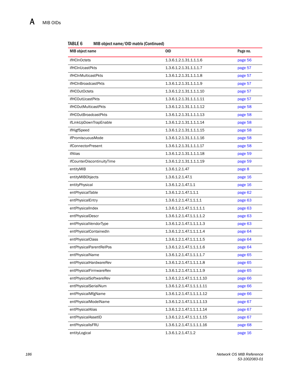| MIB object name             | 0ID                       | Page no. |
|-----------------------------|---------------------------|----------|
| <b>ifHCInOctets</b>         | 1.3.6.1.2.1.31.1.1.1.6    | page 56  |
| <b>ifHCInUcastPkts</b>      | 1.3.6.1.2.1.31.1.1.1.7    | page 57  |
| <b>ifHCInMulticastPkts</b>  | 1.3.6.1.2.1.31.1.1.1.8    | page 57  |
| <b>ifHCInBroadcastPkts</b>  | 1.3.6.1.2.1.31.1.1.1.9    | page 57  |
| ifHCOutOctets               | 1.3.6.1.2.1.31.1.1.1.10   | page 57  |
| <b>ifHCOutUcastPkts</b>     | 1.3.6.1.2.1.31.1.1.1.11   | page 57  |
| <b>ifHCOutMulticastPkts</b> | 1.3.6.1.2.1.31.1.1.1.12   | page 58  |
| ifHCOutBroadcastPkts        | 1.3.6.1.2.1.31.1.1.1.13   | page 58  |
| ifLinkUpDownTrapEnable      | 1.3.6.1.2.1.31.1.1.1.14   | page 58  |
| ifHigfSpeed                 | 1.3.6.1.2.1.31.1.1.1.15   | page 58  |
| <i>ifPromiscuousMode</i>    | 1.3.6.1.2.1.31.1.1.1.16   | page 58  |
| <b>ifConnectorPresent</b>   | 1.3.6.1.2.1.31.1.1.1.17   | page 58  |
| ifAlias                     | 1.3.6.1.2.1.31.1.1.1.1.8  | page 59  |
| ifCounterDiscontinuityTime  | 1.3.6.1.2.1.31.1.1.1.19   | page 59  |
| entityMIB                   | 1.3.6.1.2.1.47            | page 8   |
| entityMIBObjects            | 1.3.6.1.2.1.47.1          | page 16  |
| entityPhysical              | 1.3.6.1.2.1.47.1.1        | page 16  |
| entPhysicalTable            | 1.3.6.1.2.1.47.1.1.1      | page 62  |
| entPhysicalEntry            | 1.3.6.1.2.1.47.1.1.1.1    | page 63  |
| entPhysicalIndex            | 1.3.6.1.2.1.47.1.1.1.1.1  | page 63  |
| entPhysicalDescr            | 1.3.6.1.2.1.47.1.1.1.1.2  | page 63  |
| entPhysicalVendorType       | 1.3.6.1.2.1.47.1.1.1.1.3  | page 63  |
| entPhysicalContainedIn      | 1.3.6.1.2.1.47.1.1.1.1.4  | page 64  |
| entPhysicalClass            | 1.3.6.1.2.1.47.1.1.1.1.5  | page 64  |
| entPhysicalParentRelPos     | 1.3.6.1.2.1.47.1.1.1.1.6  | page 64  |
| entPhysicalName             | 1.3.6.1.2.1.47.1.1.1.1.7  | page 65  |
| entPhysicalHardwareRev      | 1.3.6.1.2.1.47.1.1.1.1.8  | page 65  |
| entPhysicalFirmwareRev      | 1.3.6.1.2.1.47.1.1.1.1.9  | page 65  |
| entPhysicalSoftwareRev      | 1.3.6.1.2.1.47.1.1.1.1.10 | page 66  |
| entPhysicalSerialNum        | 1.3.6.1.2.1.47.1.1.1.1.11 | page 66  |
| entPhysicalMfgName          | 1.3.6.1.2.1.47.1.1.1.1.12 | page 66  |
| entPhysicalModelName        | 1.3.6.1.2.1.47.1.1.1.1.13 | page 67  |
| entPhysicalAlias            | 1.3.6.1.2.1.47.1.1.1.1.14 | page 67  |
| entPhysicalAssetID          | 1.3.6.1.2.1.47.1.1.1.1.15 | page 67  |
| entPhysicalIsFRU            | 1.3.6.1.2.1.47.1.1.1.1.16 | page 68  |
| entityLogical               | 1.3.6.1.2.1.47.1.2        | page 16  |

TABLE 6 MIB object name/OID matrix (Continued)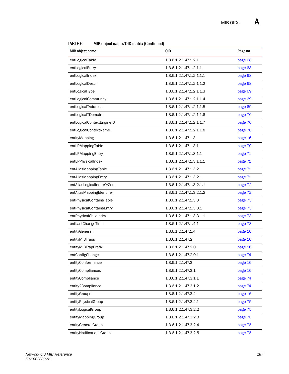TABLE 6 MIB object name/OID matrix (Continued)

| MIB object name            | 0ID                      | Page no. |
|----------------------------|--------------------------|----------|
| entLogicalTable            | 1.3.6.1.2.1.47.1.2.1     | page 68  |
| entLogicalEntry            | 1.3.6.1.2.1.47.1.2.1.1   | page 68  |
| entLogicalIndex            | 1.3.6.1.2.1.47.1.2.1.1.1 | page 68  |
| entLogicalDescr            | 1.3.6.1.2.1.47.1.2.1.1.2 | page 68  |
| entLogicalType             | 1.3.6.1.2.1.47.1.2.1.1.3 | page 69  |
| entLogicalCommunity        | 1.3.6.1.2.1.47.1.2.1.1.4 | page 69  |
| entLogicalTAddress         | 1.3.6.1.2.1.47.1.2.1.1.5 | page 69  |
| entLogicalTDomain          | 1.3.6.1.2.1.47.1.2.1.1.6 | page 70  |
| entLogicalContextEngineID  | 1.3.6.1.2.1.47.1.2.1.1.7 | page 70  |
| entLogicalContextName      | 1.3.6.1.2.1.47.1.2.1.1.8 | page 70  |
| entityMapping              | 1.3.6.1.2.1.47.1.3       | page 16  |
| entLPMappingTable          | 1.3.6.1.2.1.47.1.3.1     | page 70  |
| entLPMappingEntry          | 1.3.6.1.2.1.47.1.3.1.1   | page 71  |
| entLPPhysicalIndex         | 1.3.6.1.2.1.47.1.3.1.1.1 | page 71  |
| entAliasMappingTable       | 1.3.6.1.2.1.47.1.3.2     | page 71  |
| entAliasMappingEntry       | 1.3.6.1.2.1.47.1.3.2.1   | page 71  |
| entAliasLogicalIndexOrZero | 1.3.6.1.2.1.47.1.3.2.1.1 | page 72  |
| entAliasMappingIdentifier  | 1.3.6.1.2.1.47.1.3.2.1.2 | page 72  |
| entPhysicalContainsTable   | 1.3.6.1.2.1.47.1.3.3     | page 73  |
| entPhysicalContainsEntry   | 1.3.6.1.2.1.47.1.3.3.1   | page 73  |
| entPhysicalChildIndex      | 1.3.6.1.2.1.47.1.3.3.1.1 | page 73  |
| entLastChangeTime          | 1.3.6.1.2.1.47.1.4.1     | page 73  |
| entityGeneral              | 1.3.6.1.2.1.47.1.4       | page 16  |
| entityMIBTraps             | 1.3.6.1.2.1.47.2         | page 16  |
| entityMIBTrapPrefix        | 1.3.6.1.2.1.47.2.0       | page 16  |
| entConfigChange            | 1.3.6.1.2.1.47.2.0.1     | page 74  |
| entityConformance          | 1.3.6.1.2.1.47.3         | page 16  |
| entityCompliances          | 1.3.6.1.2.1.47.3.1       | page 16  |
| entityCompliance           | 1.3.6.1.2.1.47.3.1.1     | page 74  |
| entity2Compliance          | 1.3.6.1.2.1.47.3.1.2     | page 74  |
| entityGroups               | 1.3.6.1.2.1.47.3.2       | page 16  |
| entityPhysicalGroup        | 1.3.6.1.2.1.47.3.2.1     | page 75  |
| entityLogicalGroup         | 1.3.6.1.2.1.47.3.2.2     | page 75  |
| entityMappingGroup         | 1.3.6.1.2.1.47.3.2.3     | page 76  |
| entityGeneralGroup         | 1.3.6.1.2.1.47.3.2.4     | page 76  |
| entityNotificationsGroup   | 1.3.6.1.2.1.47.3.2.5     | page 76  |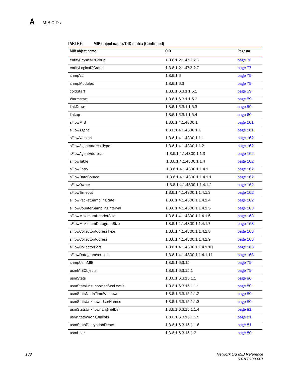| MIB object name              | 0ID                         | Page no. |
|------------------------------|-----------------------------|----------|
| entityPhysical2Group         | 1.3.6.1.2.1.47.3.2.6        | page 76  |
| entityLogical2Group          | 1.3.6.1.2.1.47.3.2.7        | page 77  |
| snmpV2                       | 1.3.6.1.6                   | page 79  |
| snmpModules                  | 1.3.6.1.6.3                 | page 79  |
| coldStart                    | 1.3.6.1.6.3.1.1.5.1         | page 59  |
| Warmstart                    | 1.3.6.1.6.3.1.1.5.2         | page 59  |
| linkDown                     | 1.3.6.1.6.3.1.1.5.3         | page 59  |
| linkup                       | 1.3.6.1.6.3.1.1.5.4         | page 60  |
| sFlowMIB                     | 1.3.6.1.4.1.4300.1          | page 161 |
| sFlowAgent                   | 1.3.6.1.4.1.4300.1.1        | page 161 |
| sFlowVersion                 | 1.3.6.1.4.1.4300.1.1.1      | page 162 |
| sFlowAgentAddressType        | 1.3.6.1.4.1.4300.1.1.2      | page 162 |
| sFlowAgentAddress            | 1.3.6.1.4.1.4300.1.1.3      | page 162 |
| sFlowTable                   | 1.3.6.1.4.1.4300.1.1.4      | page 162 |
| sFlowEntry                   | 1.3.6.1.4.1.4300.1.1.4.1    | page 162 |
| sFlowDataSource              | 1.3.6.1.4.1.4300.1.1.4.1.1  | page 162 |
| sFlowOwner                   | 1.3.6.1.4.1.4300.1.1.4.1.2  | page 162 |
| sFlowTimeout                 | 1.3.6.1.4.1.4300.1.1.4.1.3  | page 162 |
| sFlowPacketSamplingRate      | 1.3.6.1.4.1.4300.1.1.4.1.4  | page 162 |
| sFlowCounterSamplingInterval | 1.3.6.1.4.1.4300.1.1.4.1.5  | page 163 |
| sFlowMaximumHeaderSize       | 1.3.6.1.4.1.4300.1.1.4.1.6  | page 163 |
| sFlowMaximumDatagramSize     | 1.3.6.1.4.1.4300.1.1.4.1.7  | page 163 |
| sFlowCollectorAddressType    | 1.3.6.1.4.1.4300.1.1.4.1.8  | page 163 |
| sFlowCollectorAddress        | 1.3.6.1.4.1.4300.1.1.4.1.9  | page 163 |
| sFlowCollectorPort           | 1.3.6.1.4.1.4300.1.1.4.1.10 | page 163 |
| sFlowDatagramVersion         | 1.3.6.1.4.1.4300.1.1.4.1.11 | page 163 |
| snmpUsmMIB                   | 1.3.6.1.6.3.15              | page 79  |
| usmMIBObjects                | 1.3.6.1.6.3.15.1            | page 79  |
| usmStats                     | 1.3.6.1.6.3.15.1.1          | page 80  |
| usmStatsUnsupportedSecLevels | 1.3.6.1.6.3.15.1.1.1        | page 80  |
| usmStatsNotInTimeWindows     | 1.3.6.1.6.3.15.1.1.2        | page 80  |
| usmStatsUnknownUserNames     | 1.3.6.1.6.3.15.1.1.3        | page 80  |
| usmStatsUnknownEngineIDs     | 1.3.6.1.6.3.15.1.1.4        | page 81  |
| usmStatsWrongDigests         | 1.3.6.1.6.3.15.1.1.5        | page 81  |
| usmStatsDecryptionErrors     | 1.3.6.1.6.3.15.1.1.6        | page 81  |
| usmUser                      | 1.3.6.1.6.3.15.1.2          | page 80  |

TABLE 6 MIB object name/OID matrix (Continued)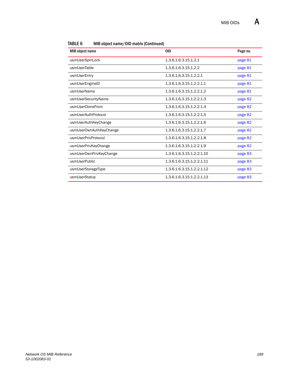| TABLE 6 |  | MIB object name/OID matrix (Continued) |
|---------|--|----------------------------------------|
|         |  |                                        |

| MIB object name         | 0ID                       | Page no. |
|-------------------------|---------------------------|----------|
| usmUserSpinLock         | 1.3.6.1.6.3.15.1.2.1      | page 81  |
| usmUserTable            | 1.3.6.1.6.3.15.1.2.2      | page 81  |
| usmUserEntry            | 1.3.6.1.6.3.15.1.2.2.1    | page 81  |
| usmUserEngineID         | 1.3.6.1.6.3.15.1.2.2.1.1  | page 81  |
| usmUserName             | 1.3.6.1.6.3.15.1.2.2.1.2  | page 81  |
| usmUserSecurityName     | 1.3.6.1.6.3.15.1.2.2.1.3  | page 82  |
| usmUserCloneFrom        | 1.3.6.1.6.3.15.1.2.2.1.4  | page 82  |
| usmUserAuthProtocol     | 1.3.6.1.6.3.15.1.2.2.1.5  | page 82  |
| usmUserAuthKeyChange    | 1.3.6.1.6.3.15.1.2.2.1.6  | page 82  |
| usmUserOwnAuthKeyChange | 1.3.6.1.6.3.15.1.2.2.1.7  | page 82  |
| usmUserPrivProtocol     | 1.3.6.1.6.3.15.1.2.2.1.8  | page 82  |
| usmUserPrivKeyChange    | 1.3.6.1.6.3.15.1.2.2.1.9  | page 82  |
| usmUserOwnPrivKeyChange | 1.3.6.1.6.3.15.1.2.2.1.10 | page 83  |
| usmUserPublic           | 1.3.6.1.6.3.15.1.2.2.1.11 | page 83  |
| usmUserStorageType      | 1.3.6.1.6.3.15.1.2.2.1.12 | page 83  |
| usmUserStatus           | 1.3.6.1.6.3.15.1.2.2.1.13 | page 83  |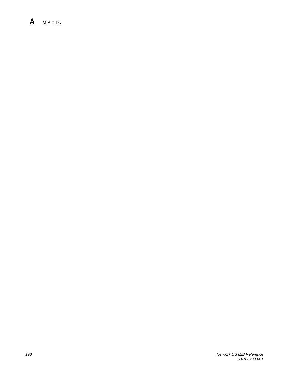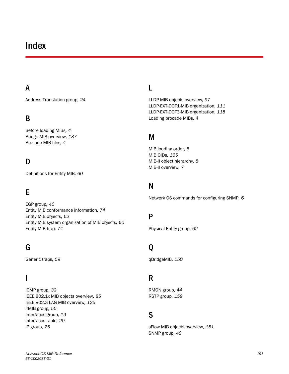# **Index**

# A

Address Translation group*, [24](#page-35-5)*

# B

Before loading MIBs*, [4](#page-15-0)* Bridge-MIB overview*, [137](#page-148-0)* Brocade MIB files*, [4](#page-15-1)*

# D

Definitions for Entity MIB*, [60](#page-71-1)*

# E

EGP group*, [40](#page-51-5)* Entity MIB conformance information*, [74](#page-85-3)* Entity MIB objects*, [62](#page-73-1)* Entity MIB system organization of MIB objects*, [60](#page-71-1)* Entity MIB trap*, [74](#page-85-4)*

## G

Generic traps*, [59](#page-70-5)*

## I

ICMP group*, [32](#page-43-6)* IEEE 802.1x MIB objects overview*, [85](#page-96-0)* IEEE 802.3 LAG MIB overview*, [125](#page-136-8)* ifMIB group*, [55](#page-66-6)* Interfaces group*, [19](#page-30-3)* interfaces table*, [20](#page-31-1)* IP group*, [25](#page-36-6)*

# L

LLDP MIB objects overview*, [97](#page-108-0)* LLDP-EXT-DOT1-MIB organization*, [111](#page-122-0)* LLDP-EXT-DOT3-MIB organization*, [118](#page-129-4)* Loading brocade MIBs*, [4](#page-15-2)*

#### M

MIB loading order*, [5](#page-16-0)* MIB OIDs*, [165](#page-176-0)* MIB-II object hierarchy*, [8](#page-19-19)* MIB-II overview*, [7](#page-18-0)*

### N

Network OS commands for configuring SNMP*, [6](#page-17-0)*

#### P

Physical Entity group*, [62](#page-73-2)*

# Q

qBridgeMIB*, [150](#page-161-6)*

## R

RMON group*, [44](#page-55-5)* RSTP group*, [159](#page-170-8)*

# S

sFlow MIB objects overview*, [161](#page-172-2)* SNMP group*, [40](#page-51-6)*